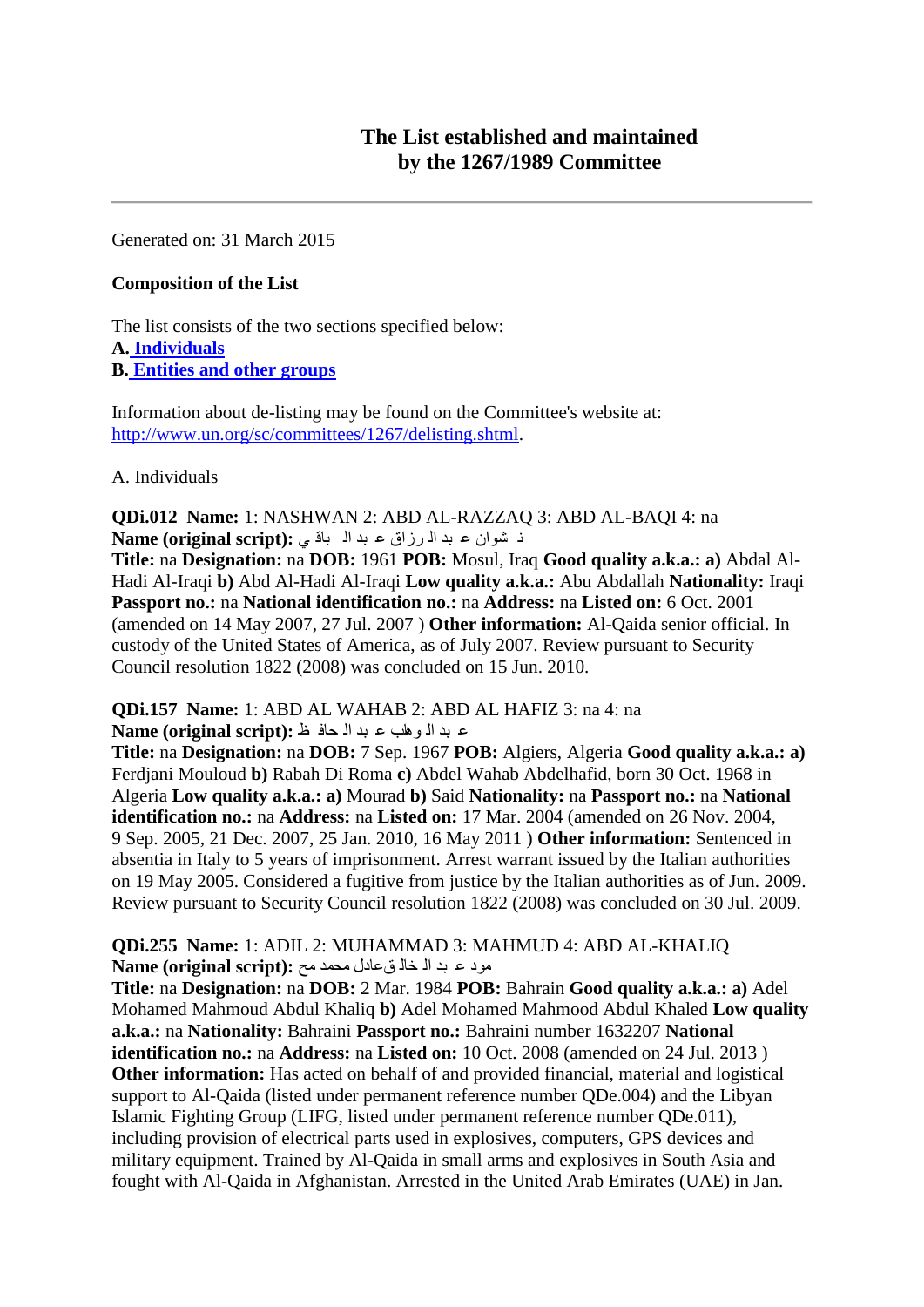Generated on: 31 March 2015

#### **Composition of the List**

The list consists of the two sections specified below: **A. [Individuals](file:///M:/WEBSITE/DEVELOPMENT%20sites/dev_ctte_EN/1267/1267.htm%23alqaedaind) B. [Entities and other groups](file:///M:/WEBSITE/DEVELOPMENT%20sites/dev_ctte_EN/1267/1267.htm%23alqaedaent)**

Information about de-listing may be found on the Committee's website at: [http://www.un.org/sc/committees/1267/delisting.shtml.](http://www.un.org/sc/committees/1267/delisting.shtml)

A. Individuals

**QDi.012 Name:** 1: NASHWAN 2: ABD AL-RAZZAQ 3: ABD AL-BAQI 4: na ٔ ؾٛاْ ػ ثذ اٌ شصاق ػ ثذ اٌ ثال ٟ **:(script original (Name**

**Title:** na **Designation:** na **DOB:** 1961 **POB:** Mosul, Iraq **Good quality a.k.a.: a)** Abdal Al-Hadi Al-Iraqi **b)** Abd Al-Hadi Al-Iraqi **Low quality a.k.a.:** Abu Abdallah **Nationality:** Iraqi **Passport no.:** na **National identification no.:** na **Address:** na **Listed on:** 6 Oct. 2001 (amended on 14 May 2007, 27 Jul. 2007 ) **Other information:** Al-Qaida senior official. In custody of the United States of America, as of July 2007. Review pursuant to Security Council resolution 1822 (2008) was concluded on 15 Jun. 2010.

**QDi.157 Name:** 1: ABD AL WAHAB 2: ABD AL HAFIZ 3: na 4: na

ػ ثذ اٌ ٘ٛاب ػ ثذ اٌ ذاف ع **:(script original (Name**

**Title:** na **Designation:** na **DOB:** 7 Sep. 1967 **POB:** Algiers, Algeria **Good quality a.k.a.: a)**  Ferdjani Mouloud **b)** Rabah Di Roma **c)** Abdel Wahab Abdelhafid, born 30 Oct. 1968 in Algeria **Low quality a.k.a.: a)** Mourad **b)** Said **Nationality:** na **Passport no.:** na **National identification no.:** na **Address:** na **Listed on:** 17 Mar. 2004 (amended on 26 Nov. 2004, 9 Sep. 2005, 21 Dec. 2007, 25 Jan. 2010, 16 May 2011 ) **Other information:** Sentenced in absentia in Italy to 5 years of imprisonment. Arrest warrant issued by the Italian authorities on 19 May 2005. Considered a fugitive from justice by the Italian authorities as of Jun. 2009. Review pursuant to Security Council resolution 1822 (2008) was concluded on 30 Jul. 2009.

**QDi.255 Name:** 1: ADIL 2: MUHAMMAD 3: MAHMUD 4: ABD AL-KHALIQ ِٛد ػ ثذ اٌ خاٌ كػادي ِذّذ ِخ **:(script original (Name**

**Title:** na **Designation:** na **DOB:** 2 Mar. 1984 **POB:** Bahrain **Good quality a.k.a.: a)** Adel Mohamed Mahmoud Abdul Khaliq **b)** Adel Mohamed Mahmood Abdul Khaled **Low quality a.k.a.:** na **Nationality:** Bahraini **Passport no.:** Bahraini number 1632207 **National identification no.:** na **Address:** na **Listed on:** 10 Oct. 2008 (amended on 24 Jul. 2013 ) **Other information:** Has acted on behalf of and provided financial, material and logistical support to Al-Qaida (listed under permanent reference number QDe.004) and the Libyan Islamic Fighting Group (LIFG, listed under permanent reference number QDe.011), including provision of electrical parts used in explosives, computers, GPS devices and military equipment. Trained by Al-Qaida in small arms and explosives in South Asia and fought with Al-Qaida in Afghanistan. Arrested in the United Arab Emirates (UAE) in Jan.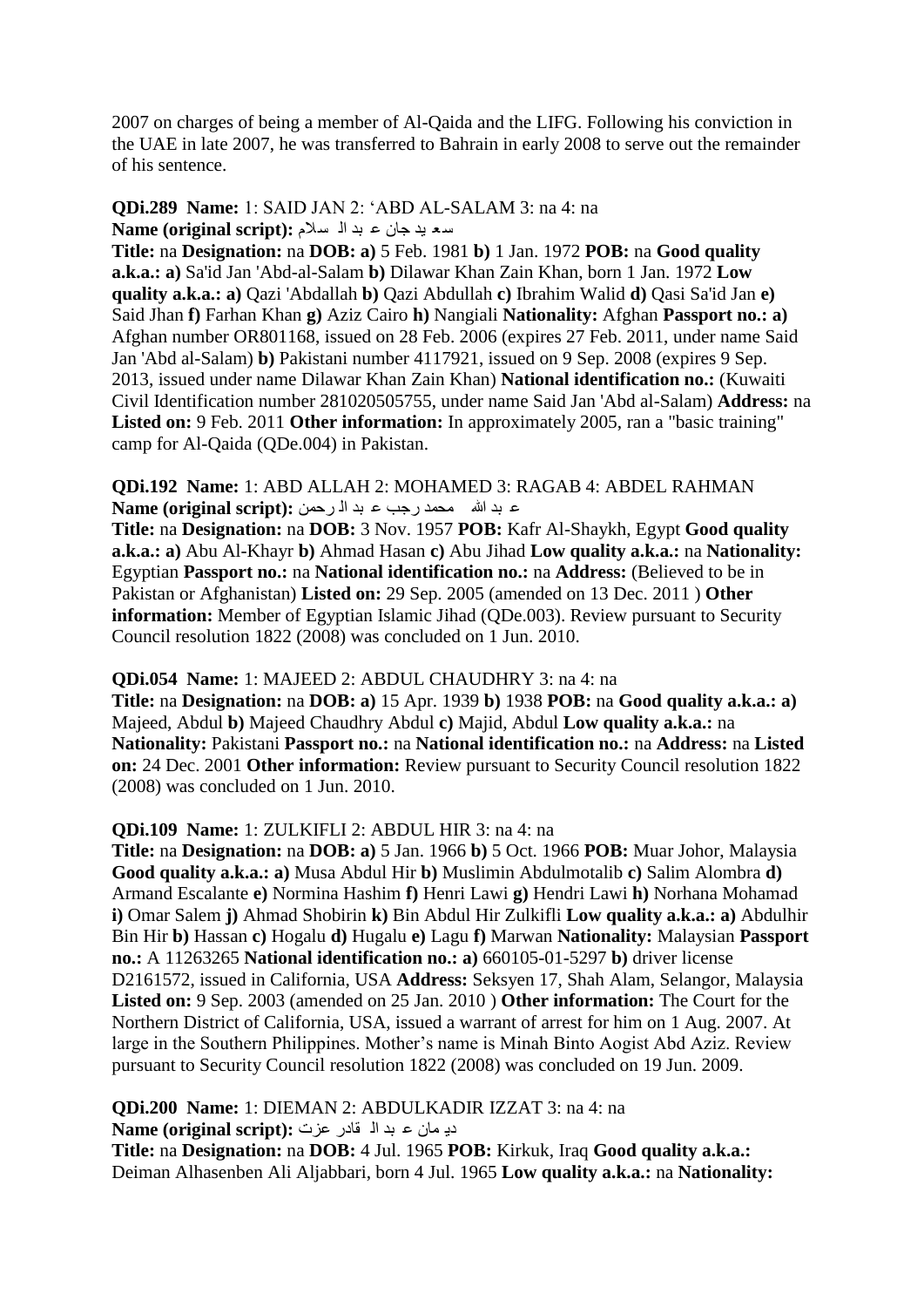2007 on charges of being a member of Al-Qaida and the LIFG. Following his conviction in the UAE in late 2007, he was transferred to Bahrain in early 2008 to serve out the remainder of his sentence.

#### **QDi.289 Name:** 1: SAID JAN 2: "ABD AL-SALAM 3: na 4: na ع ؼ ١ذ جاْ ػ ثذ اٌ غالَ **:(script original (Name**

**Title:** na **Designation:** na **DOB: a)** 5 Feb. 1981 **b)** 1 Jan. 1972 **POB:** na **Good quality a.k.a.: a)** Sa'id Jan 'Abd-al-Salam **b)** Dilawar Khan Zain Khan, born 1 Jan. 1972 **Low quality a.k.a.: a)** Qazi 'Abdallah **b)** Qazi Abdullah **c)** Ibrahim Walid **d)** Qasi Sa'id Jan **e)**  Said Jhan **f)** Farhan Khan **g)** Aziz Cairo **h)** Nangiali **Nationality:** Afghan **Passport no.: a)**  Afghan number OR801168, issued on 28 Feb. 2006 (expires 27 Feb. 2011, under name Said Jan 'Abd al-Salam) **b)** Pakistani number 4117921, issued on 9 Sep. 2008 (expires 9 Sep. 2013, issued under name Dilawar Khan Zain Khan) **National identification no.:** (Kuwaiti Civil Identification number 281020505755, under name Said Jan 'Abd al-Salam) **Address:** na Listed on: 9 Feb. 2011 Other information: In approximately 2005, ran a "basic training" camp for Al-Qaida (QDe.004) in Pakistan.

**QDi.192 Name:** 1: ABD ALLAH 2: MOHAMED 3: RAGAB 4: ABDEL RAHMAN ػ ثذ هللا ِذّذ سجة ػ ثذ اٌ شدّٓ **:(script original (Name**

**Title:** na **Designation:** na **DOB:** 3 Nov. 1957 **POB:** Kafr Al-Shaykh, Egypt **Good quality a.k.a.: a)** Abu Al-Khayr **b)** Ahmad Hasan **c)** Abu Jihad **Low quality a.k.a.:** na **Nationality:**  Egyptian **Passport no.:** na **National identification no.:** na **Address:** (Believed to be in Pakistan or Afghanistan) **Listed on:** 29 Sep. 2005 (amended on 13 Dec. 2011 ) **Other information:** Member of Egyptian Islamic Jihad (QDe.003). Review pursuant to Security Council resolution 1822 (2008) was concluded on 1 Jun. 2010.

#### **QDi.054 Name:** 1: MAJEED 2: ABDUL CHAUDHRY 3: na 4: na

**Title:** na **Designation:** na **DOB: a)** 15 Apr. 1939 **b)** 1938 **POB:** na **Good quality a.k.a.: a)**  Majeed, Abdul **b)** Majeed Chaudhry Abdul **c)** Majid, Abdul **Low quality a.k.a.:** na **Nationality:** Pakistani **Passport no.:** na **National identification no.:** na **Address:** na **Listed on:** 24 Dec. 2001 **Other information:** Review pursuant to Security Council resolution 1822 (2008) was concluded on 1 Jun. 2010.

#### **QDi.109 Name:** 1: ZULKIFLI 2: ABDUL HIR 3: na 4: na

**Title:** na **Designation:** na **DOB: a)** 5 Jan. 1966 **b)** 5 Oct. 1966 **POB:** Muar Johor, Malaysia **Good quality a.k.a.: a)** Musa Abdul Hir **b)** Muslimin Abdulmotalib **c)** Salim Alombra **d)**  Armand Escalante **e)** Normina Hashim **f)** Henri Lawi **g)** Hendri Lawi **h)** Norhana Mohamad **i)** Omar Salem **j)** Ahmad Shobirin **k)** Bin Abdul Hir Zulkifli **Low quality a.k.a.: a)** Abdulhir Bin Hir **b)** Hassan **c)** Hogalu **d)** Hugalu **e)** Lagu **f)** Marwan **Nationality:** Malaysian **Passport no.:** A 11263265 **National identification no.: a)** 660105-01-5297 **b)** driver license D2161572, issued in California, USA **Address:** Seksyen 17, Shah Alam, Selangor, Malaysia **Listed on:** 9 Sep. 2003 (amended on 25 Jan. 2010 ) **Other information:** The Court for the Northern District of California, USA, issued a warrant of arrest for him on 1 Aug. 2007. At large in the Southern Philippines. Mother"s name is Minah Binto Aogist Abd Aziz. Review pursuant to Security Council resolution 1822 (2008) was concluded on 19 Jun. 2009.

**QDi.200 Name:** 1: DIEMAN 2: ABDULKADIR IZZAT 3: na 4: na دي مان ع بد ال قادر عزت: **Name (original script):** 

**Title:** na **Designation:** na **DOB:** 4 Jul. 1965 **POB:** Kirkuk, Iraq **Good quality a.k.a.:**  Deiman Alhasenben Ali Aljabbari, born 4 Jul. 1965 **Low quality a.k.a.:** na **Nationality:**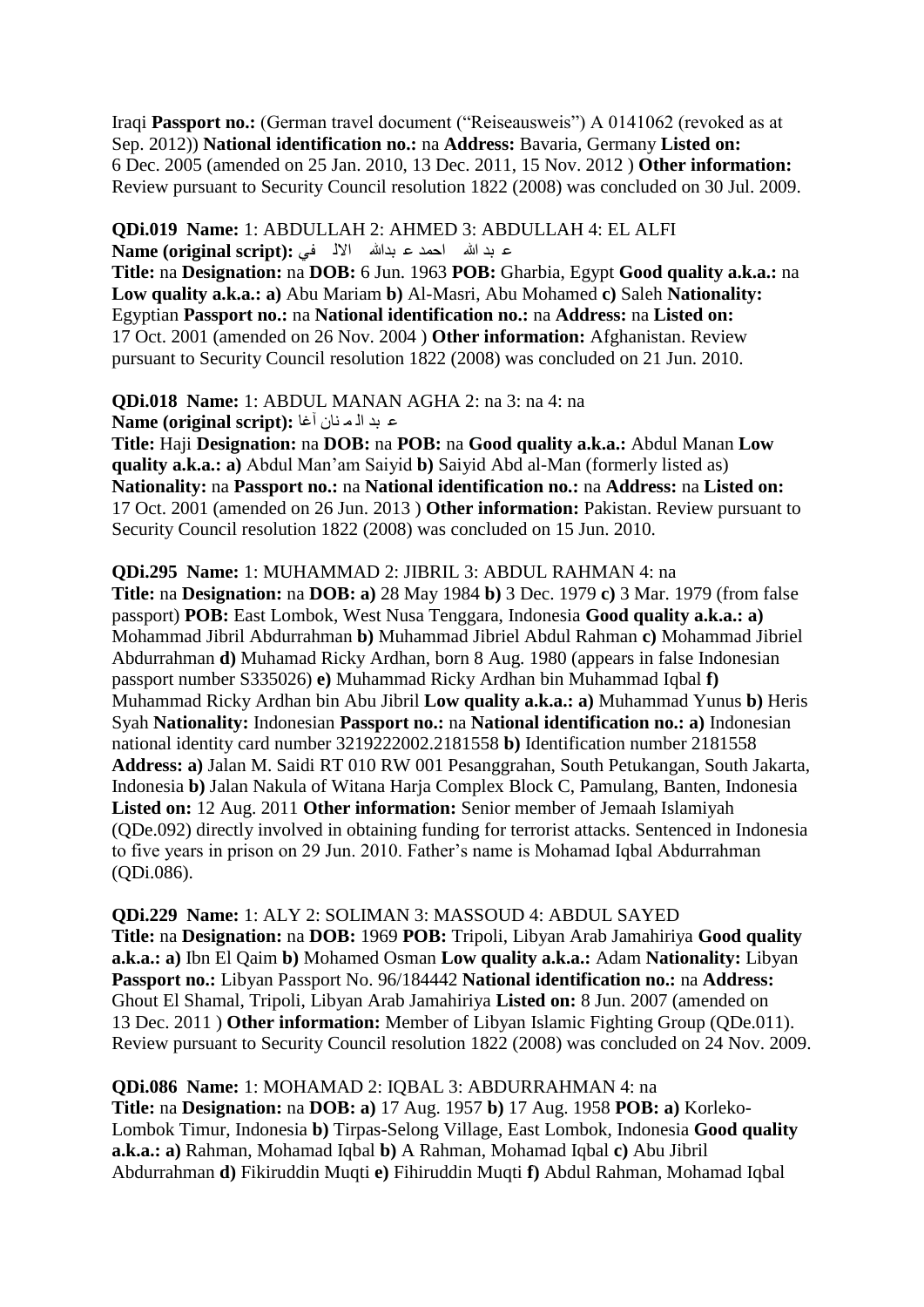Iraqi **Passport no.:** (German travel document ("Reiseausweis") A 0141062 (revoked as at Sep. 2012)) **National identification no.:** na **Address:** Bavaria, Germany **Listed on:**  6 Dec. 2005 (amended on 25 Jan. 2010, 13 Dec. 2011, 15 Nov. 2012 ) **Other information:**  Review pursuant to Security Council resolution 1822 (2008) was concluded on 30 Jul. 2009.

**QDi.019 Name:** 1: ABDULLAH 2: AHMED 3: ABDULLAH 4: EL ALFI ع بد الله الحمد ع بدالله الألم في **Name (original script):** 

**Title:** na **Designation:** na **DOB:** 6 Jun. 1963 **POB:** Gharbia, Egypt **Good quality a.k.a.:** na **Low quality a.k.a.: a)** Abu Mariam **b)** Al-Masri, Abu Mohamed **c)** Saleh **Nationality:**  Egyptian **Passport no.:** na **National identification no.:** na **Address:** na **Listed on:**  17 Oct. 2001 (amended on 26 Nov. 2004 ) **Other information:** Afghanistan. Review pursuant to Security Council resolution 1822 (2008) was concluded on 21 Jun. 2010.

**QDi.018 Name:** 1: ABDUL MANAN AGHA 2: na 3: na 4: na **Alame (original script):** ع بد اله نان آغا

**Title:** Haji **Designation:** na **DOB:** na **POB:** na **Good quality a.k.a.:** Abdul Manan **Low quality a.k.a.: a)** Abdul Man"am Saiyid **b)** Saiyid Abd al-Man (formerly listed as) **Nationality:** na **Passport no.:** na **National identification no.:** na **Address:** na **Listed on:**  17 Oct. 2001 (amended on 26 Jun. 2013 ) **Other information:** Pakistan. Review pursuant to Security Council resolution 1822 (2008) was concluded on 15 Jun. 2010.

**QDi.295 Name:** 1: MUHAMMAD 2: JIBRIL 3: ABDUL RAHMAN 4: na **Title:** na **Designation:** na **DOB: a)** 28 May 1984 **b)** 3 Dec. 1979 **c)** 3 Mar. 1979 (from false passport) **POB:** East Lombok, West Nusa Tenggara, Indonesia **Good quality a.k.a.: a)**  Mohammad Jibril Abdurrahman **b)** Muhammad Jibriel Abdul Rahman **c)** Mohammad Jibriel Abdurrahman **d)** Muhamad Ricky Ardhan, born 8 Aug. 1980 (appears in false Indonesian passport number S335026) **e)** Muhammad Ricky Ardhan bin Muhammad Iqbal **f)**  Muhammad Ricky Ardhan bin Abu Jibril **Low quality a.k.a.: a)** Muhammad Yunus **b)** Heris Syah **Nationality:** Indonesian **Passport no.:** na **National identification no.: a)** Indonesian national identity card number 3219222002.2181558 **b)** Identification number 2181558 **Address: a)** Jalan M. Saidi RT 010 RW 001 Pesanggrahan, South Petukangan, South Jakarta, Indonesia **b)** Jalan Nakula of Witana Harja Complex Block C, Pamulang, Banten, Indonesia **Listed on:** 12 Aug. 2011 **Other information:** Senior member of Jemaah Islamiyah (QDe.092) directly involved in obtaining funding for terrorist attacks. Sentenced in Indonesia to five years in prison on 29 Jun. 2010. Father"s name is Mohamad Iqbal Abdurrahman (QDi.086).

**QDi.229 Name:** 1: ALY 2: SOLIMAN 3: MASSOUD 4: ABDUL SAYED **Title:** na **Designation:** na **DOB:** 1969 **POB:** Tripoli, Libyan Arab Jamahiriya **Good quality a.k.a.: a)** Ibn El Qaim **b)** Mohamed Osman **Low quality a.k.a.:** Adam **Nationality:** Libyan **Passport no.:** Libyan Passport No. 96/184442 **National identification no.:** na **Address:**  Ghout El Shamal, Tripoli, Libyan Arab Jamahiriya **Listed on:** 8 Jun. 2007 (amended on 13 Dec. 2011 ) **Other information:** Member of Libyan Islamic Fighting Group (QDe.011). Review pursuant to Security Council resolution 1822 (2008) was concluded on 24 Nov. 2009.

**QDi.086 Name:** 1: MOHAMAD 2: IQBAL 3: ABDURRAHMAN 4: na **Title:** na **Designation:** na **DOB: a)** 17 Aug. 1957 **b)** 17 Aug. 1958 **POB: a)** Korleko-Lombok Timur, Indonesia **b)** Tirpas-Selong Village, East Lombok, Indonesia **Good quality a.k.a.: a)** Rahman, Mohamad Iqbal **b)** A Rahman, Mohamad Iqbal **c)** Abu Jibril Abdurrahman **d)** Fikiruddin Muqti **e)** Fihiruddin Muqti **f)** Abdul Rahman, Mohamad Iqbal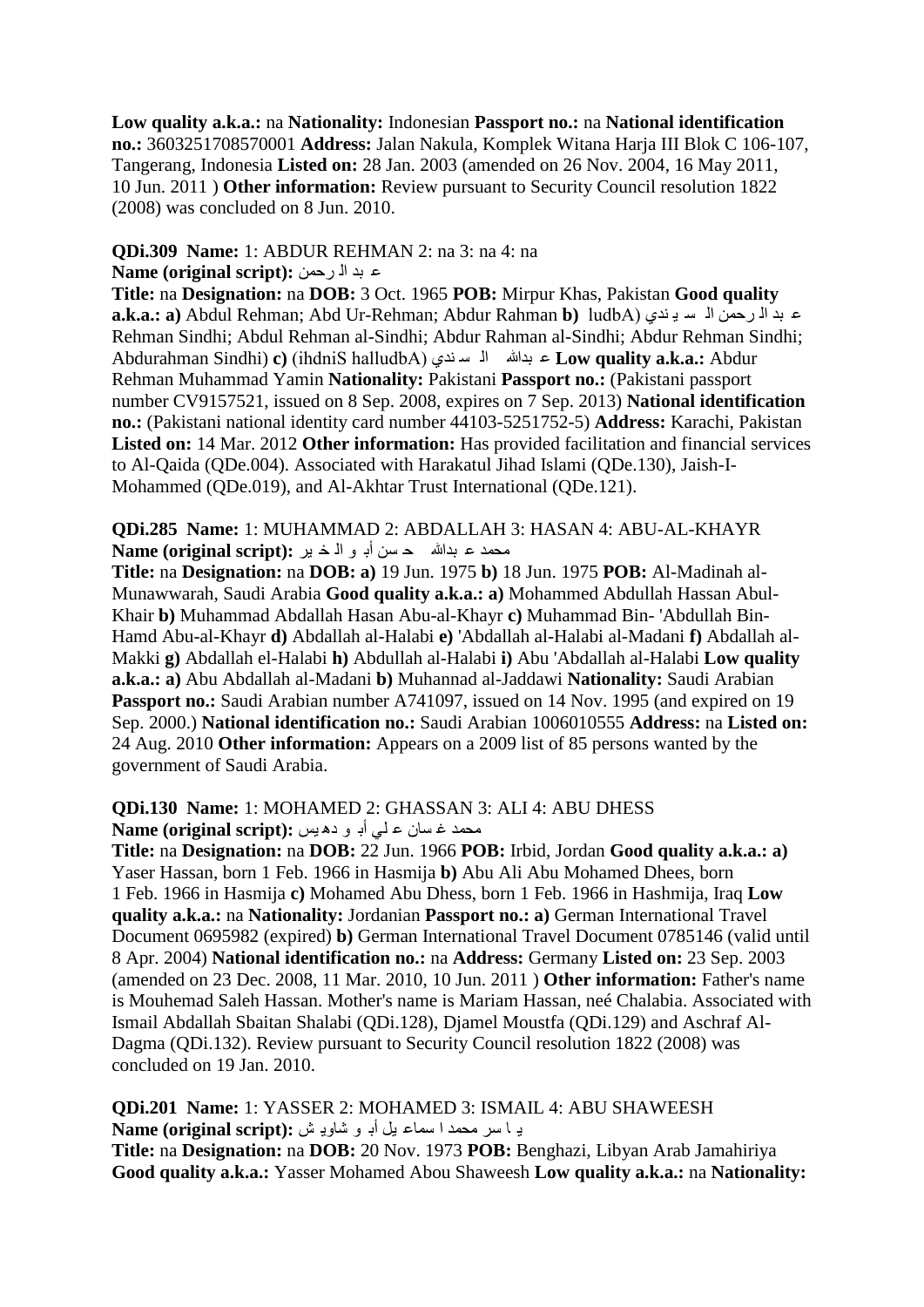**Low quality a.k.a.:** na **Nationality:** Indonesian **Passport no.:** na **National identification no.:** 3603251708570001 **Address:** Jalan Nakula, Komplek Witana Harja III Blok C 106-107, Tangerang, Indonesia **Listed on:** 28 Jan. 2003 (amended on 26 Nov. 2004, 16 May 2011, 10 Jun. 2011 ) **Other information:** Review pursuant to Security Council resolution 1822 (2008) was concluded on 8 Jun. 2010.

# **QDi.309 Name:** 1: ABDUR REHMAN 2: na 3: na 4: na

#### **Alame (original script):** عبد الارحمن

**Title:** na **Designation:** na **DOB:** 3 Oct. 1965 **POB:** Mirpur Khas, Pakistan **Good quality a.k.a.: a**) Abdul Rehman; Abd Ur-Rehman; Abdur Rahman **b**) ludbA) عبد المرحمن اله سويندي Rehman Sindhi; Abdul Rehman al-Sindhi; Abdur Rahman al-Sindhi; Abdur Rehman Sindhi; Abdurahman Sindhi) **c)** (ihdniS halludbA) ٞذٕ غ ٌا ثذهللا ػ **Low quality a.k.a.:** Abdur Rehman Muhammad Yamin **Nationality:** Pakistani **Passport no.:** (Pakistani passport number CV9157521, issued on 8 Sep. 2008, expires on 7 Sep. 2013) **National identification no.:** (Pakistani national identity card number 44103-5251752-5) **Address:** Karachi, Pakistan **Listed on:** 14 Mar. 2012 **Other information:** Has provided facilitation and financial services to Al-Qaida (QDe.004). Associated with Harakatul Jihad Islami (QDe.130), Jaish-I-Mohammed (QDe.019), and Al-Akhtar Trust International (QDe.121).

#### **QDi.285 Name:** 1: MUHAMMAD 2: ABDALLAH 3: HASAN 4: ABU-AL-KHAYR محمد ع بدالله حسن أبـ و الّذ ين **Name (original script):**

**Title:** na **Designation:** na **DOB: a)** 19 Jun. 1975 **b)** 18 Jun. 1975 **POB:** Al-Madinah al-Munawwarah, Saudi Arabia **Good quality a.k.a.: a)** Mohammed Abdullah Hassan Abul-Khair **b)** Muhammad Abdallah Hasan Abu-al-Khayr **c)** Muhammad Bin- 'Abdullah Bin-Hamd Abu-al-Khayr **d)** Abdallah al-Halabi **e)** 'Abdallah al-Halabi al-Madani **f)** Abdallah al-Makki **g)** Abdallah el-Halabi **h)** Abdullah al-Halabi **i)** Abu 'Abdallah al-Halabi **Low quality a.k.a.: a)** Abu Abdallah al-Madani **b)** Muhannad al-Jaddawi **Nationality:** Saudi Arabian Passport no.: Saudi Arabian number A741097, issued on 14 Nov. 1995 (and expired on 19 Sep. 2000.) **National identification no.:** Saudi Arabian 1006010555 **Address:** na **Listed on:**  24 Aug. 2010 **Other information:** Appears on a 2009 list of 85 persons wanted by the government of Saudi Arabia.

#### **QDi.130 Name:** 1: MOHAMED 2: GHASSAN 3: ALI 4: ABU DHESS محمد غ سان ع لي أب و ده يس :(Name (original script

**Title:** na **Designation:** na **DOB:** 22 Jun. 1966 **POB:** Irbid, Jordan **Good quality a.k.a.: a)**  Yaser Hassan, born 1 Feb. 1966 in Hasmija **b)** Abu Ali Abu Mohamed Dhees, born 1 Feb. 1966 in Hasmija **c)** Mohamed Abu Dhess, born 1 Feb. 1966 in Hashmija, Iraq **Low quality a.k.a.:** na **Nationality:** Jordanian **Passport no.: a)** German International Travel Document 0695982 (expired) **b)** German International Travel Document 0785146 (valid until 8 Apr. 2004) **National identification no.:** na **Address:** Germany **Listed on:** 23 Sep. 2003 (amended on 23 Dec. 2008, 11 Mar. 2010, 10 Jun. 2011 ) **Other information:** Father's name is Mouhemad Saleh Hassan. Mother's name is Mariam Hassan, neé Chalabia. Associated with Ismail Abdallah Sbaitan Shalabi (QDi.128), Djamel Moustfa (QDi.129) and Aschraf Al-Dagma (QDi.132). Review pursuant to Security Council resolution 1822 (2008) was concluded on 19 Jan. 2010.

**QDi.201 Name:** 1: YASSER 2: MOHAMED 3: ISMAIL 4: ABU SHAWEESH ٠ ا عش ِذّذ ا عّاػ ً١ أت ٛ ؽا٠ٚ ؼ **:(script original (Name**

**Title:** na **Designation:** na **DOB:** 20 Nov. 1973 **POB:** Benghazi, Libyan Arab Jamahiriya **Good quality a.k.a.:** Yasser Mohamed Abou Shaweesh **Low quality a.k.a.:** na **Nationality:**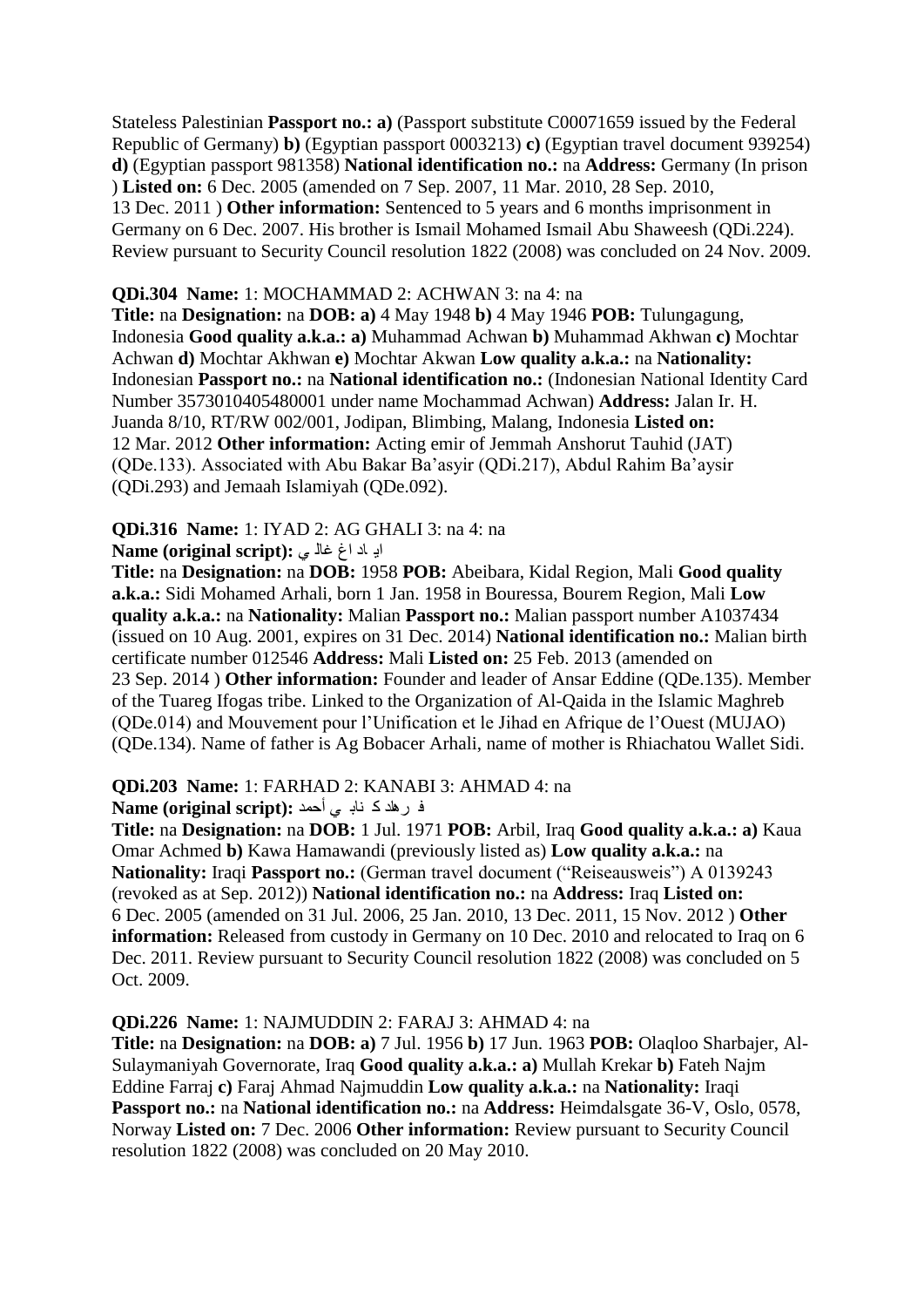Stateless Palestinian **Passport no.: a)** (Passport substitute C00071659 issued by the Federal Republic of Germany) **b)** (Egyptian passport 0003213) **c)** (Egyptian travel document 939254) **d)** (Egyptian passport 981358) **National identification no.:** na **Address:** Germany (In prison ) **Listed on:** 6 Dec. 2005 (amended on 7 Sep. 2007, 11 Mar. 2010, 28 Sep. 2010, 13 Dec. 2011 ) **Other information:** Sentenced to 5 years and 6 months imprisonment in Germany on 6 Dec. 2007. His brother is Ismail Mohamed Ismail Abu Shaweesh (QDi.224). Review pursuant to Security Council resolution 1822 (2008) was concluded on 24 Nov. 2009.

#### **QDi.304 Name:** 1: MOCHAMMAD 2: ACHWAN 3: na 4: na

**Title:** na **Designation:** na **DOB: a)** 4 May 1948 **b)** 4 May 1946 **POB:** Tulungagung, Indonesia **Good quality a.k.a.: a)** Muhammad Achwan **b)** Muhammad Akhwan **c)** Mochtar Achwan **d)** Mochtar Akhwan **e)** Mochtar Akwan **Low quality a.k.a.:** na **Nationality:**  Indonesian **Passport no.:** na **National identification no.:** (Indonesian National Identity Card Number 3573010405480001 under name Mochammad Achwan) **Address:** Jalan Ir. H. Juanda 8/10, RT/RW 002/001, Jodipan, Blimbing, Malang, Indonesia **Listed on:**  12 Mar. 2012 **Other information:** Acting emir of Jemmah Anshorut Tauhid (JAT) (QDe.133). Associated with Abu Bakar Ba"asyir (QDi.217), Abdul Rahim Ba"aysir (QDi.293) and Jemaah Islamiyah (QDe.092).

#### **QDi.316 Name:** 1: IYAD 2: AG GHALI 3: na 4: na

#### ادِ اد اغ غا**ُ بي :(Name (original script**

**Title:** na **Designation:** na **DOB:** 1958 **POB:** Abeibara, Kidal Region, Mali **Good quality a.k.a.:** Sidi Mohamed Arhali, born 1 Jan. 1958 in Bouressa, Bourem Region, Mali **Low quality a.k.a.:** na **Nationality:** Malian **Passport no.:** Malian passport number A1037434 (issued on 10 Aug. 2001, expires on 31 Dec. 2014) **National identification no.:** Malian birth certificate number 012546 **Address:** Mali **Listed on:** 25 Feb. 2013 (amended on 23 Sep. 2014 ) **Other information:** Founder and leader of Ansar Eddine (QDe.135). Member of the Tuareg Ifogas tribe. Linked to the Organization of Al-Qaida in the Islamic Maghreb (QDe.014) and Mouvement pour l"Unification et le Jihad en Afrique de l"Ouest (MUJAO) (QDe.134). Name of father is Ag Bobacer Arhali, name of mother is Rhiachatou Wallet Sidi.

#### **QDi.203 Name:** 1: FARHAD 2: KANABI 3: AHMAD 4: na

#### ف رهد ک ناب<sub>ه ی</sub> أحمد :Name (original script)

**Title:** na **Designation:** na **DOB:** 1 Jul. 1971 **POB:** Arbil, Iraq **Good quality a.k.a.: a)** Kaua Omar Achmed **b)** Kawa Hamawandi (previously listed as) **Low quality a.k.a.:** na **Nationality:** Iraqi **Passport no.:** (German travel document ("Reiseausweis") A 0139243 (revoked as at Sep. 2012)) **National identification no.:** na **Address:** Iraq **Listed on:**  6 Dec. 2005 (amended on 31 Jul. 2006, 25 Jan. 2010, 13 Dec. 2011, 15 Nov. 2012 ) **Other information:** Released from custody in Germany on 10 Dec. 2010 and relocated to Iraq on 6 Dec. 2011. Review pursuant to Security Council resolution 1822 (2008) was concluded on 5 Oct. 2009.

#### **QDi.226 Name:** 1: NAJMUDDIN 2: FARAJ 3: AHMAD 4: na

**Title:** na **Designation:** na **DOB: a)** 7 Jul. 1956 **b)** 17 Jun. 1963 **POB:** Olaqloo Sharbajer, Al-Sulaymaniyah Governorate, Iraq **Good quality a.k.a.: a)** Mullah Krekar **b)** Fateh Najm Eddine Farraj **c)** Faraj Ahmad Najmuddin **Low quality a.k.a.:** na **Nationality:** Iraqi **Passport no.:** na **National identification no.:** na **Address:** Heimdalsgate 36-V, Oslo, 0578, Norway **Listed on:** 7 Dec. 2006 **Other information:** Review pursuant to Security Council resolution 1822 (2008) was concluded on 20 May 2010.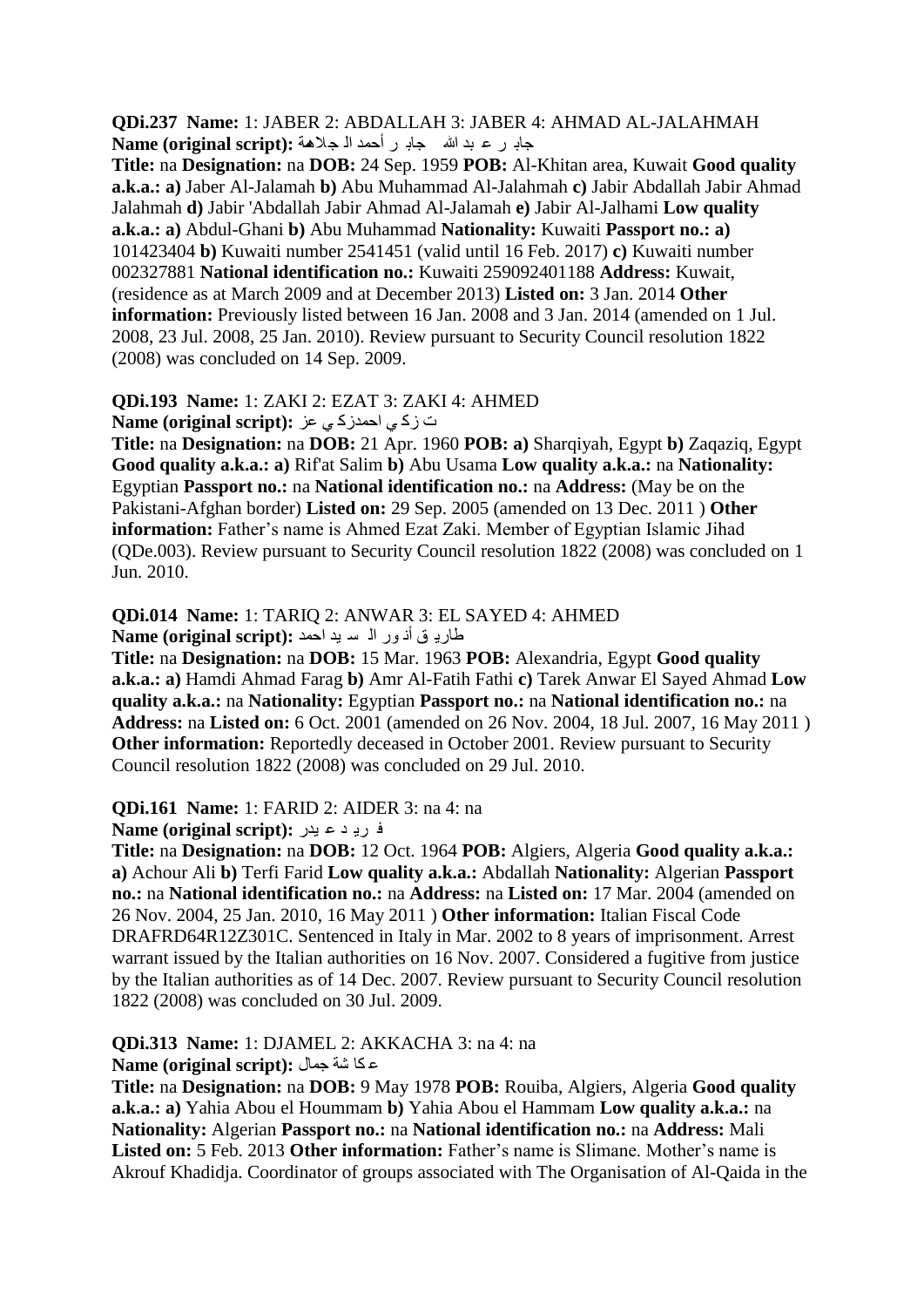**QDi.237 Name:** 1: JABER 2: ABDALLAH 3: JABER 4: AHMAD AL-JALAHMAH جات ش ػ ثذ هللا جات ش أدّذ اٌ جالّ٘ح **:(script original (Name**

**Title:** na **Designation:** na **DOB:** 24 Sep. 1959 **POB:** Al-Khitan area, Kuwait **Good quality a.k.a.: a)** Jaber Al-Jalamah **b)** Abu Muhammad Al-Jalahmah **c)** Jabir Abdallah Jabir Ahmad Jalahmah **d)** Jabir 'Abdallah Jabir Ahmad Al-Jalamah **e)** Jabir Al-Jalhami **Low quality a.k.a.: a)** Abdul-Ghani **b)** Abu Muhammad **Nationality:** Kuwaiti **Passport no.: a)**  101423404 **b)** Kuwaiti number 2541451 (valid until 16 Feb. 2017) **c)** Kuwaiti number 002327881 **National identification no.:** Kuwaiti 259092401188 **Address:** Kuwait, (residence as at March 2009 and at December 2013) **Listed on:** 3 Jan. 2014 **Other information:** Previously listed between 16 Jan. 2008 and 3 Jan. 2014 (amended on 1 Jul. 2008, 23 Jul. 2008, 25 Jan. 2010). Review pursuant to Security Council resolution 1822 (2008) was concluded on 14 Sep. 2009.

# **QDi.193 Name:** 1: ZAKI 2: EZAT 3: ZAKI 4: AHMED

خ صو ٟ ادّذصو ٟ ػض **:(script original (Name**

**Title:** na **Designation:** na **DOB:** 21 Apr. 1960 **POB: a)** Sharqiyah, Egypt **b)** Zaqaziq, Egypt **Good quality a.k.a.: a)** Rif'at Salim **b)** Abu Usama **Low quality a.k.a.:** na **Nationality:**  Egyptian **Passport no.:** na **National identification no.:** na **Address:** (May be on the Pakistani-Afghan border) **Listed on:** 29 Sep. 2005 (amended on 13 Dec. 2011 ) **Other information:** Father's name is Ahmed Ezat Zaki. Member of Egyptian Islamic Jihad (QDe.003). Review pursuant to Security Council resolution 1822 (2008) was concluded on 1 Jun. 2010.

#### **QDi.014 Name:** 1: TARIQ 2: ANWAR 3: EL SAYED 4: AHMED طاري<sub>ة</sub> ق أذ ور اله سايد احمد : Name (original script)

**Title:** na **Designation:** na **DOB:** 15 Mar. 1963 **POB:** Alexandria, Egypt **Good quality a.k.a.: a)** Hamdi Ahmad Farag **b)** Amr Al-Fatih Fathi **c)** Tarek Anwar El Sayed Ahmad **Low quality a.k.a.:** na **Nationality:** Egyptian **Passport no.:** na **National identification no.:** na **Address:** na **Listed on:** 6 Oct. 2001 (amended on 26 Nov. 2004, 18 Jul. 2007, 16 May 2011 ) **Other information:** Reportedly deceased in October 2001. Review pursuant to Security Council resolution 1822 (2008) was concluded on 29 Jul. 2010.

#### **QDi.161 Name:** 1: FARID 2: AIDER 3: na 4: na

فريد عبدل: **Name (original script):** 

**Title:** na **Designation:** na **DOB:** 12 Oct. 1964 **POB:** Algiers, Algeria **Good quality a.k.a.: a)** Achour Ali **b)** Terfi Farid **Low quality a.k.a.:** Abdallah **Nationality:** Algerian **Passport no.:** na **National identification no.:** na **Address:** na **Listed on:** 17 Mar. 2004 (amended on 26 Nov. 2004, 25 Jan. 2010, 16 May 2011 ) **Other information:** Italian Fiscal Code DRAFRD64R12Z301C. Sentenced in Italy in Mar. 2002 to 8 years of imprisonment. Arrest warrant issued by the Italian authorities on 16 Nov. 2007. Considered a fugitive from justice by the Italian authorities as of 14 Dec. 2007. Review pursuant to Security Council resolution 1822 (2008) was concluded on 30 Jul. 2009.

# **QDi.313 Name:** 1: DJAMEL 2: AKKACHA 3: na 4: na

ػ ىا ؽح جّاي **:(script original (Name**

**Title:** na **Designation:** na **DOB:** 9 May 1978 **POB:** Rouiba, Algiers, Algeria **Good quality a.k.a.: a)** Yahia Abou el Hoummam **b)** Yahia Abou el Hammam **Low quality a.k.a.:** na **Nationality:** Algerian **Passport no.:** na **National identification no.:** na **Address:** Mali Listed on: 5 Feb. 2013 Other information: Father's name is Slimane. Mother's name is Akrouf Khadidja. Coordinator of groups associated with The Organisation of Al-Qaida in the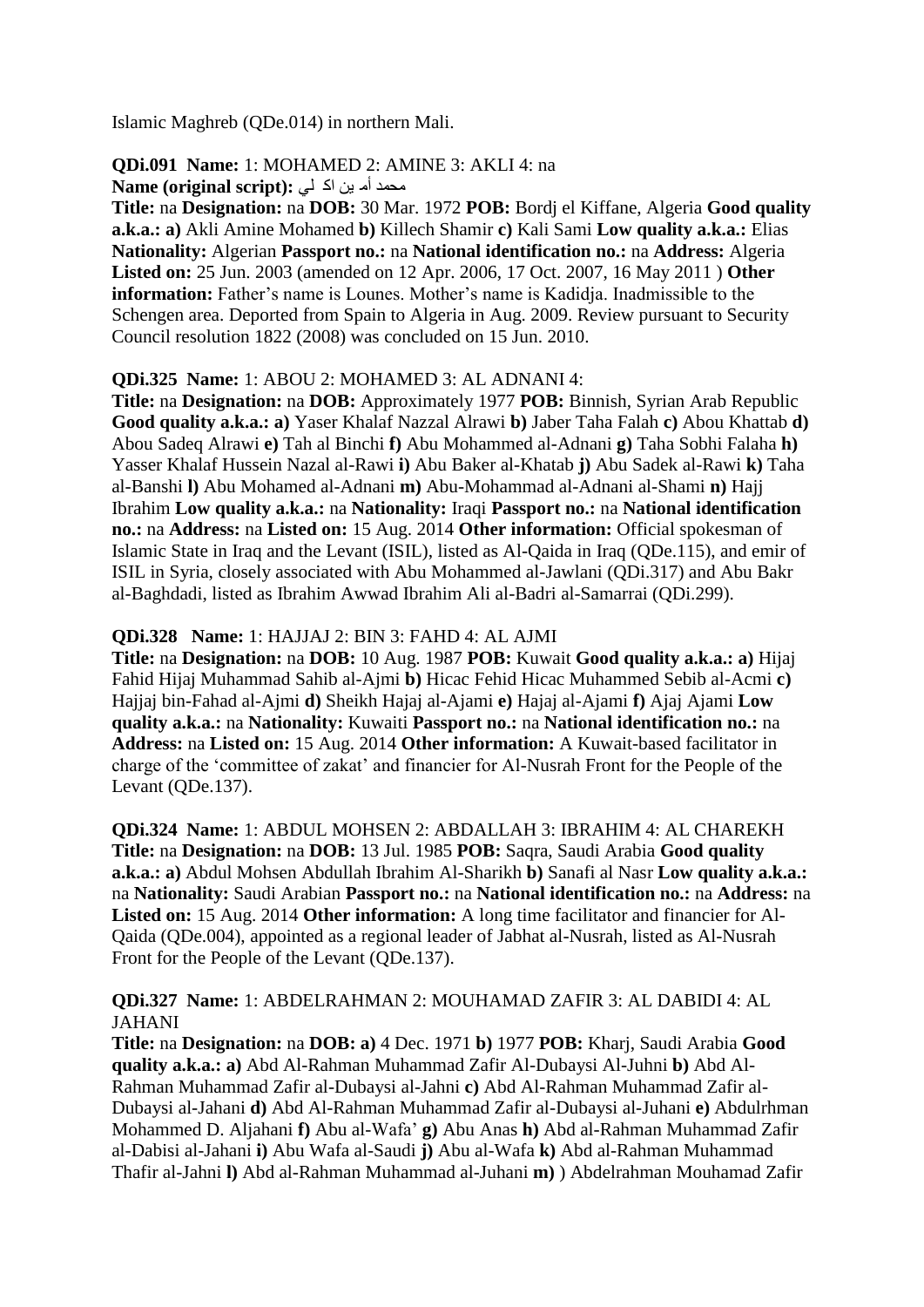Islamic Maghreb (QDe.014) in northern Mali.

# **QDi.091 Name:** 1: MOHAMED 2: AMINE 3: AKLI 4: na

**Mame (original script): محمد أُم بِن اِذّ لي** 

**Title:** na **Designation:** na **DOB:** 30 Mar. 1972 **POB:** Bordj el Kiffane, Algeria **Good quality a.k.a.: a)** Akli Amine Mohamed **b)** Killech Shamir **c)** Kali Sami **Low quality a.k.a.:** Elias **Nationality:** Algerian **Passport no.:** na **National identification no.:** na **Address:** Algeria **Listed on:** 25 Jun. 2003 (amended on 12 Apr. 2006, 17 Oct. 2007, 16 May 2011 ) **Other information:** Father's name is Lounes. Mother's name is Kadidja. Inadmissible to the Schengen area. Deported from Spain to Algeria in Aug. 2009. Review pursuant to Security Council resolution 1822 (2008) was concluded on 15 Jun. 2010.

#### **QDi.325 Name:** 1: ABOU 2: MOHAMED 3: AL ADNANI 4:

**Title:** na **Designation:** na **DOB:** Approximately 1977 **POB:** Binnish, Syrian Arab Republic **Good quality a.k.a.: a)** Yaser Khalaf Nazzal Alrawi **b)** Jaber Taha Falah **c)** Abou Khattab **d)**  Abou Sadeq Alrawi **e)** Tah al Binchi **f)** Abu Mohammed al-Adnani **g)** Taha Sobhi Falaha **h)**  Yasser Khalaf Hussein Nazal al-Rawi **i)** Abu Baker al-Khatab **j)** Abu Sadek al-Rawi **k)** Taha al-Banshi **l)** Abu Mohamed al-Adnani **m)** Abu-Mohammad al-Adnani al-Shami **n)** Hajj Ibrahim **Low quality a.k.a.:** na **Nationality:** Iraqi **Passport no.:** na **National identification no.:** na **Address:** na **Listed on:** 15 Aug. 2014 **Other information:** Official spokesman of Islamic State in Iraq and the Levant (ISIL), listed as Al-Qaida in Iraq (QDe.115), and emir of ISIL in Syria, closely associated with Abu Mohammed al-Jawlani (QDi.317) and Abu Bakr al-Baghdadi, listed as Ibrahim Awwad Ibrahim Ali al-Badri al-Samarrai (QDi.299).

# **QDi.328 Name:** 1: HAJJAJ 2: BIN 3: FAHD 4: AL AJMI

**Title:** na **Designation:** na **DOB:** 10 Aug. 1987 **POB:** Kuwait **Good quality a.k.a.: a)** Hijaj Fahid Hijaj Muhammad Sahib al-Ajmi **b)** Hicac Fehid Hicac Muhammed Sebib al-Acmi **c)**  Hajjaj bin-Fahad al-Ajmi **d)** Sheikh Hajaj al-Ajami **e)** Hajaj al-Ajami **f)** Ajaj Ajami **Low quality a.k.a.:** na **Nationality:** Kuwaiti **Passport no.:** na **National identification no.:** na **Address:** na **Listed on:** 15 Aug. 2014 **Other information:** A Kuwait-based facilitator in charge of the "committee of zakat" and financier for Al-Nusrah Front for the People of the Levant (QDe.137).

**QDi.324 Name:** 1: ABDUL MOHSEN 2: ABDALLAH 3: IBRAHIM 4: AL CHAREKH **Title:** na **Designation:** na **DOB:** 13 Jul. 1985 **POB:** Saqra, Saudi Arabia **Good quality a.k.a.: a)** Abdul Mohsen Abdullah Ibrahim Al-Sharikh **b)** Sanafi al Nasr **Low quality a.k.a.:**  na **Nationality:** Saudi Arabian **Passport no.:** na **National identification no.:** na **Address:** na Listed on: 15 Aug. 2014 Other information: A long time facilitator and financier for Al-Qaida (QDe.004), appointed as a regional leader of Jabhat al-Nusrah, listed as Al-Nusrah Front for the People of the Levant (QDe.137).

#### **QDi.327 Name:** 1: ABDELRAHMAN 2: MOUHAMAD ZAFIR 3: AL DABIDI 4: AL JAHANI

**Title:** na **Designation:** na **DOB: a)** 4 Dec. 1971 **b)** 1977 **POB:** Kharj, Saudi Arabia **Good quality a.k.a.: a)** Abd Al-Rahman Muhammad Zafir Al-Dubaysi Al-Juhni **b)** Abd Al-Rahman Muhammad Zafir al-Dubaysi al-Jahni **c)** Abd Al-Rahman Muhammad Zafir al-Dubaysi al-Jahani **d)** Abd Al-Rahman Muhammad Zafir al-Dubaysi al-Juhani **e)** Abdulrhman Mohammed D. Aljahani **f)** Abu al-Wafa" **g)** Abu Anas **h)** Abd al-Rahman Muhammad Zafir al-Dabisi al-Jahani **i)** Abu Wafa al-Saudi **j)** Abu al-Wafa **k)** Abd al-Rahman Muhammad Thafir al-Jahni **l)** Abd al-Rahman Muhammad al-Juhani **m)** ) Abdelrahman Mouhamad Zafir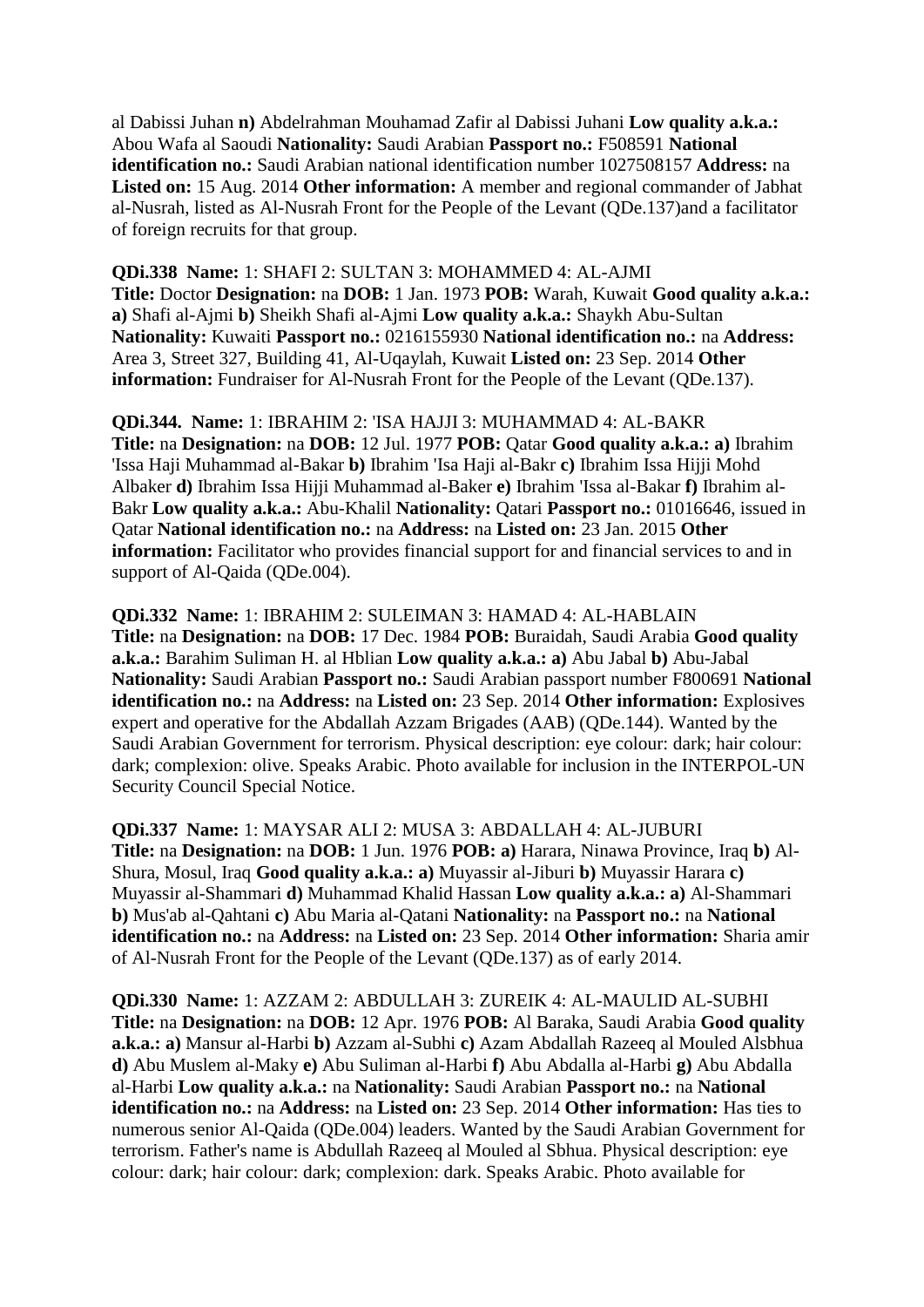al Dabissi Juhan **n)** Abdelrahman Mouhamad Zafir al Dabissi Juhani **Low quality a.k.a.:**  Abou Wafa al Saoudi **Nationality:** Saudi Arabian **Passport no.:** F508591 **National identification no.:** Saudi Arabian national identification number 1027508157 **Address:** na **Listed on:** 15 Aug. 2014 **Other information:** A member and regional commander of Jabhat al-Nusrah, listed as Al-Nusrah Front for the People of the Levant (QDe.137)and a facilitator of foreign recruits for that group.

**QDi.338 Name:** 1: SHAFI 2: SULTAN 3: MOHAMMED 4: AL-AJMI **Title:** Doctor **Designation:** na **DOB:** 1 Jan. 1973 **POB:** Warah, Kuwait **Good quality a.k.a.: a)** Shafi al-Ajmi **b)** Sheikh Shafi al-Ajmi **Low quality a.k.a.:** Shaykh Abu-Sultan **Nationality:** Kuwaiti **Passport no.:** 0216155930 **National identification no.:** na **Address:**  Area 3, Street 327, Building 41, Al-Uqaylah, Kuwait **Listed on:** 23 Sep. 2014 **Other information:** Fundraiser for Al-Nusrah Front for the People of the Levant (QDe.137).

**QDi.344. Name:** 1: IBRAHIM 2: 'ISA HAJJI 3: MUHAMMAD 4: AL-BAKR **Title:** na **Designation:** na **DOB:** 12 Jul. 1977 **POB:** Qatar **Good quality a.k.a.: a)** Ibrahim 'Issa Haji Muhammad al-Bakar **b)** Ibrahim 'Isa Haji al-Bakr **c)** Ibrahim Issa Hijji Mohd Albaker **d)** Ibrahim Issa Hijji Muhammad al-Baker **e)** Ibrahim 'Issa al-Bakar **f)** Ibrahim al-Bakr **Low quality a.k.a.:** Abu-Khalil **Nationality:** Qatari **Passport no.:** 01016646, issued in Qatar **National identification no.:** na **Address:** na **Listed on:** 23 Jan. 2015 **Other information:** Facilitator who provides financial support for and financial services to and in support of Al-Qaida (QDe.004).

**QDi.332 Name:** 1: IBRAHIM 2: SULEIMAN 3: HAMAD 4: AL-HABLAIN **Title:** na **Designation:** na **DOB:** 17 Dec. 1984 **POB:** Buraidah, Saudi Arabia **Good quality a.k.a.:** Barahim Suliman H. al Hblian **Low quality a.k.a.: a)** Abu Jabal **b)** Abu-Jabal **Nationality:** Saudi Arabian **Passport no.:** Saudi Arabian passport number F800691 **National identification no.:** na **Address:** na **Listed on:** 23 Sep. 2014 **Other information:** Explosives expert and operative for the Abdallah Azzam Brigades (AAB) (QDe.144). Wanted by the Saudi Arabian Government for terrorism. Physical description: eye colour: dark; hair colour: dark; complexion: olive. Speaks Arabic. Photo available for inclusion in the INTERPOL-UN Security Council Special Notice.

**QDi.337 Name:** 1: MAYSAR ALI 2: MUSA 3: ABDALLAH 4: AL-JUBURI **Title:** na **Designation:** na **DOB:** 1 Jun. 1976 **POB: a)** Harara, Ninawa Province, Iraq **b)** Al-Shura, Mosul, Iraq **Good quality a.k.a.: a)** Muyassir al-Jiburi **b)** Muyassir Harara **c)**  Muyassir al-Shammari **d)** Muhammad Khalid Hassan **Low quality a.k.a.: a)** Al-Shammari **b)** Mus'ab al-Qahtani **c)** Abu Maria al-Qatani **Nationality:** na **Passport no.:** na **National identification no.:** na **Address:** na **Listed on:** 23 Sep. 2014 **Other information:** Sharia amir of Al-Nusrah Front for the People of the Levant (QDe.137) as of early 2014.

**QDi.330 Name:** 1: AZZAM 2: ABDULLAH 3: ZUREIK 4: AL-MAULID AL-SUBHI **Title:** na **Designation:** na **DOB:** 12 Apr. 1976 **POB:** Al Baraka, Saudi Arabia **Good quality a.k.a.: a)** Mansur al-Harbi **b)** Azzam al-Subhi **c)** Azam Abdallah Razeeq al Mouled Alsbhua **d)** Abu Muslem al-Maky **e)** Abu Suliman al-Harbi **f)** Abu Abdalla al-Harbi **g)** Abu Abdalla al-Harbi **Low quality a.k.a.:** na **Nationality:** Saudi Arabian **Passport no.:** na **National identification no.:** na **Address:** na **Listed on:** 23 Sep. 2014 **Other information:** Has ties to numerous senior Al-Qaida (QDe.004) leaders. Wanted by the Saudi Arabian Government for terrorism. Father's name is Abdullah Razeeq al Mouled al Sbhua. Physical description: eye colour: dark; hair colour: dark; complexion: dark. Speaks Arabic. Photo available for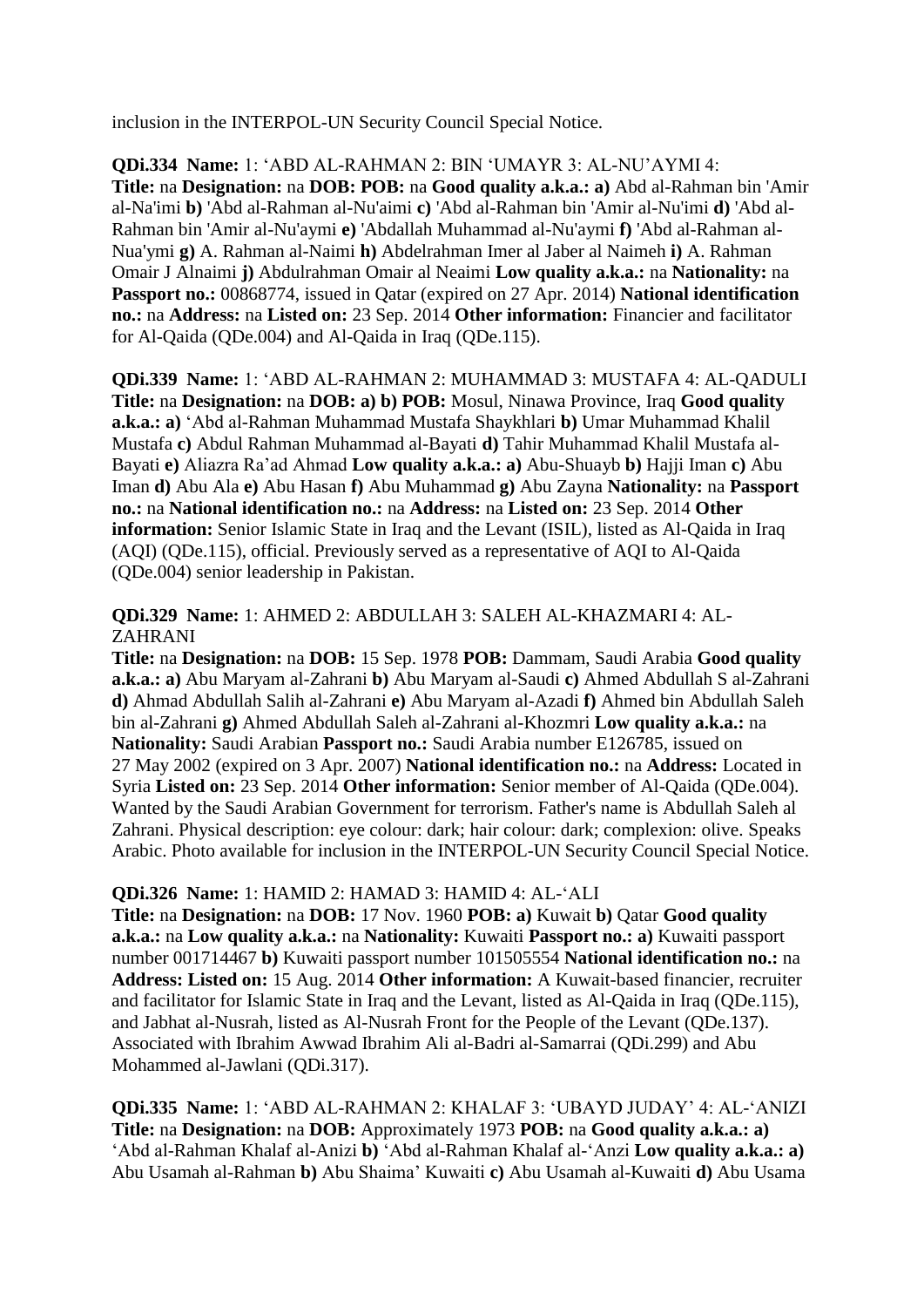inclusion in the INTERPOL-UN Security Council Special Notice.

**QDi.334 Name:** 1: "ABD AL-RAHMAN 2: BIN "UMAYR 3: AL-NU"AYMI 4: **Title:** na **Designation:** na **DOB: POB:** na **Good quality a.k.a.: a)** Abd al-Rahman bin 'Amir al-Na'imi **b)** 'Abd al-Rahman al-Nu'aimi **c)** 'Abd al-Rahman bin 'Amir al-Nu'imi **d)** 'Abd al-Rahman bin 'Amir al-Nu'aymi **e)** 'Abdallah Muhammad al-Nu'aymi **f)** 'Abd al-Rahman al-Nua'ymi **g)** A. Rahman al-Naimi **h)** Abdelrahman Imer al Jaber al Naimeh **i)** A. Rahman Omair J Alnaimi **j)** Abdulrahman Omair al Neaimi **Low quality a.k.a.:** na **Nationality:** na **Passport no.:** 00868774, issued in Qatar (expired on 27 Apr. 2014) **National identification no.:** na **Address:** na **Listed on:** 23 Sep. 2014 **Other information:** Financier and facilitator for Al-Qaida (QDe.004) and Al-Qaida in Iraq (QDe.115).

**QDi.339 Name:** 1: "ABD AL-RAHMAN 2: MUHAMMAD 3: MUSTAFA 4: AL-QADULI **Title:** na **Designation:** na **DOB: a) b) POB:** Mosul, Ninawa Province, Iraq **Good quality a.k.a.: a)** "Abd al-Rahman Muhammad Mustafa Shaykhlari **b)** Umar Muhammad Khalil Mustafa **c)** Abdul Rahman Muhammad al-Bayati **d)** Tahir Muhammad Khalil Mustafa al-Bayati **e)** Aliazra Ra"ad Ahmad **Low quality a.k.a.: a)** Abu-Shuayb **b)** Hajji Iman **c)** Abu Iman **d)** Abu Ala **e)** Abu Hasan **f)** Abu Muhammad **g)** Abu Zayna **Nationality:** na **Passport no.:** na **National identification no.:** na **Address:** na **Listed on:** 23 Sep. 2014 **Other information:** Senior Islamic State in Iraq and the Levant (ISIL), listed as Al-Qaida in Iraq (AQI) (QDe.115), official. Previously served as a representative of AQI to Al-Qaida (QDe.004) senior leadership in Pakistan.

**QDi.329 Name:** 1: AHMED 2: ABDULLAH 3: SALEH AL-KHAZMARI 4: AL-ZAHRANI

**Title:** na **Designation:** na **DOB:** 15 Sep. 1978 **POB:** Dammam, Saudi Arabia **Good quality a.k.a.: a)** Abu Maryam al-Zahrani **b)** Abu Maryam al-Saudi **c)** Ahmed Abdullah S al-Zahrani **d)** Ahmad Abdullah Salih al-Zahrani **e)** Abu Maryam al-Azadi **f)** Ahmed bin Abdullah Saleh bin al-Zahrani **g)** Ahmed Abdullah Saleh al-Zahrani al-Khozmri **Low quality a.k.a.:** na **Nationality:** Saudi Arabian **Passport no.:** Saudi Arabia number E126785, issued on 27 May 2002 (expired on 3 Apr. 2007) **National identification no.:** na **Address:** Located in Syria **Listed on:** 23 Sep. 2014 **Other information:** Senior member of Al-Qaida (QDe.004). Wanted by the Saudi Arabian Government for terrorism. Father's name is Abdullah Saleh al Zahrani. Physical description: eye colour: dark; hair colour: dark; complexion: olive. Speaks Arabic. Photo available for inclusion in the INTERPOL-UN Security Council Special Notice.

#### **QDi.326 Name:** 1: HAMID 2: HAMAD 3: HAMID 4: AL-"ALI

**Title:** na **Designation:** na **DOB:** 17 Nov. 1960 **POB: a)** Kuwait **b)** Qatar **Good quality a.k.a.:** na **Low quality a.k.a.:** na **Nationality:** Kuwaiti **Passport no.: a)** Kuwaiti passport number 001714467 **b)** Kuwaiti passport number 101505554 **National identification no.:** na **Address: Listed on:** 15 Aug. 2014 **Other information:** A Kuwait-based financier, recruiter and facilitator for Islamic State in Iraq and the Levant, listed as Al-Qaida in Iraq (QDe.115), and Jabhat al-Nusrah, listed as Al-Nusrah Front for the People of the Levant (QDe.137). Associated with Ibrahim Awwad Ibrahim Ali al-Badri al-Samarrai (QDi.299) and Abu Mohammed al-Jawlani (QDi.317).

**QDi.335 Name:** 1: "ABD AL-RAHMAN 2: KHALAF 3: "UBAYD JUDAY" 4: AL-"ANIZI **Title:** na **Designation:** na **DOB:** Approximately 1973 **POB:** na **Good quality a.k.a.: a)**  "Abd al-Rahman Khalaf al-Anizi **b)** "Abd al-Rahman Khalaf al-"Anzi **Low quality a.k.a.: a)**  Abu Usamah al-Rahman **b)** Abu Shaima" Kuwaiti **c)** Abu Usamah al-Kuwaiti **d)** Abu Usama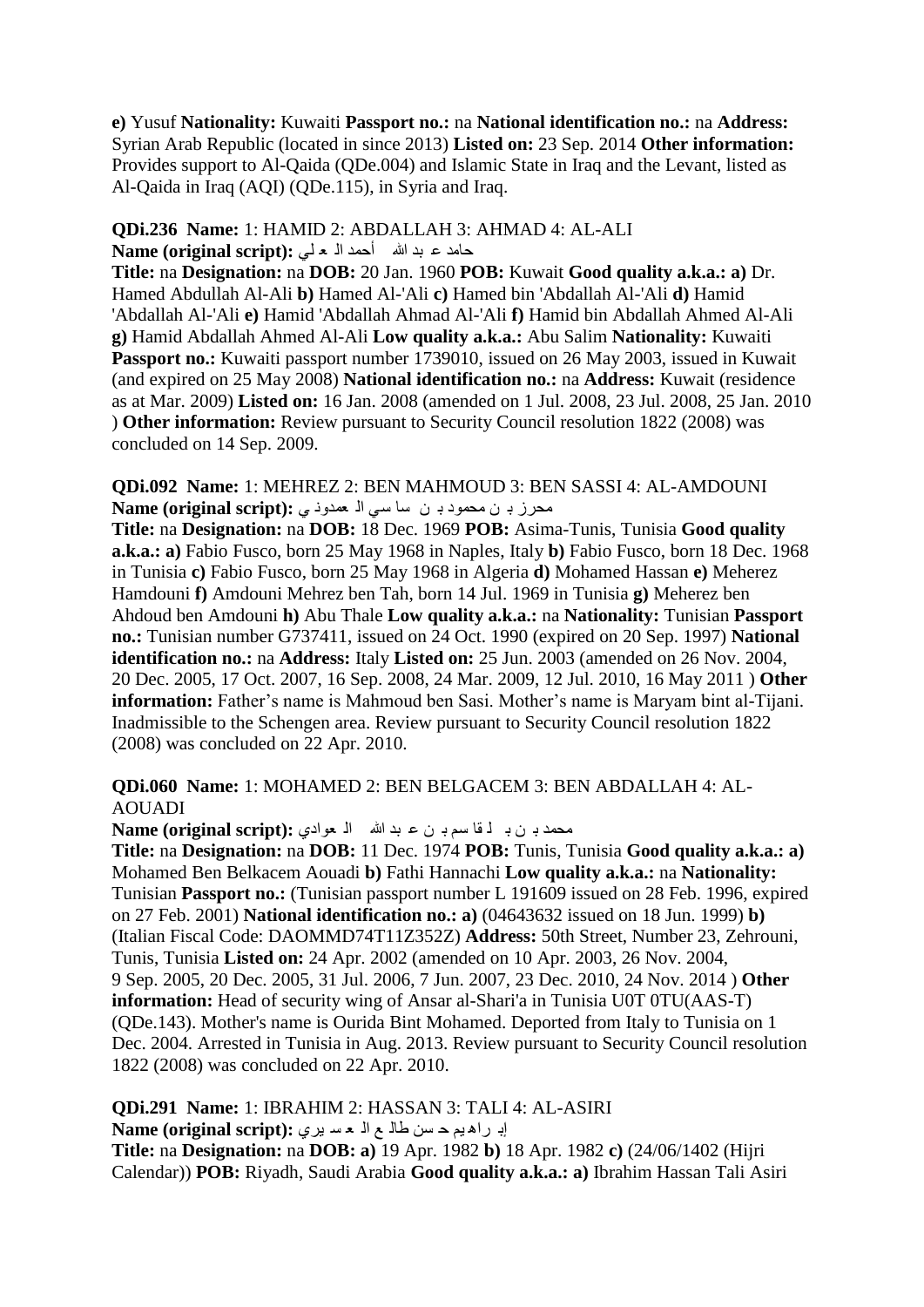**e)** Yusuf **Nationality:** Kuwaiti **Passport no.:** na **National identification no.:** na **Address:**  Syrian Arab Republic (located in since 2013) **Listed on:** 23 Sep. 2014 **Other information:**  Provides support to Al-Qaida (QDe.004) and Islamic State in Iraq and the Levant, listed as Al-Qaida in Iraq (AQI) (QDe.115), in Syria and Iraq.

#### **QDi.236 Name:** 1: HAMID 2: ABDALLAH 3: AHMAD 4: AL-ALI داِذ ػ ثذ هللا أدّذ اٌ ؼ ٍٟ **:(script original (Name**

**Title:** na **Designation:** na **DOB:** 20 Jan. 1960 **POB:** Kuwait **Good quality a.k.a.: a)** Dr. Hamed Abdullah Al-Ali **b)** Hamed Al-'Ali **c)** Hamed bin 'Abdallah Al-'Ali **d)** Hamid 'Abdallah Al-'Ali **e)** Hamid 'Abdallah Ahmad Al-'Ali **f)** Hamid bin Abdallah Ahmed Al-Ali **g)** Hamid Abdallah Ahmed Al-Ali **Low quality a.k.a.:** Abu Salim **Nationality:** Kuwaiti Passport no.: Kuwaiti passport number 1739010, issued on 26 May 2003, issued in Kuwait (and expired on 25 May 2008) **National identification no.:** na **Address:** Kuwait (residence as at Mar. 2009) **Listed on:** 16 Jan. 2008 (amended on 1 Jul. 2008, 23 Jul. 2008, 25 Jan. 2010 ) **Other information:** Review pursuant to Security Council resolution 1822 (2008) was concluded on 14 Sep. 2009.

**QDi.092 Name:** 1: MEHREZ 2: BEN MAHMOUD 3: BEN SASSI 4: AL-AMDOUNI محرزب ن محمود بـ ن ساسى الـ معدود بى : Name (original script)

**Title:** na **Designation:** na **DOB:** 18 Dec. 1969 **POB:** Asima-Tunis, Tunisia **Good quality a.k.a.: a)** Fabio Fusco, born 25 May 1968 in Naples, Italy **b)** Fabio Fusco, born 18 Dec. 1968 in Tunisia **c)** Fabio Fusco, born 25 May 1968 in Algeria **d)** Mohamed Hassan **e)** Meherez Hamdouni **f)** Amdouni Mehrez ben Tah, born 14 Jul. 1969 in Tunisia **g)** Meherez ben Ahdoud ben Amdouni **h)** Abu Thale **Low quality a.k.a.:** na **Nationality:** Tunisian **Passport no.:** Tunisian number G737411, issued on 24 Oct. 1990 (expired on 20 Sep. 1997) **National identification no.:** na **Address:** Italy **Listed on:** 25 Jun. 2003 (amended on 26 Nov. 2004, 20 Dec. 2005, 17 Oct. 2007, 16 Sep. 2008, 24 Mar. 2009, 12 Jul. 2010, 16 May 2011 ) **Other information:** Father's name is Mahmoud ben Sasi. Mother's name is Maryam bint al-Tijani. Inadmissible to the Schengen area. Review pursuant to Security Council resolution 1822 (2008) was concluded on 22 Apr. 2010.

#### **QDi.060 Name:** 1: MOHAMED 2: BEN BELGACEM 3: BEN ABDALLAH 4: AL-AOUADI

محمد بِن ب لَّـ قا سم بِـ ن ع بد الله الـ عوادي **: Name (original script)** 

**Title:** na **Designation:** na **DOB:** 11 Dec. 1974 **POB:** Tunis, Tunisia **Good quality a.k.a.: a)**  Mohamed Ben Belkacem Aouadi **b)** Fathi Hannachi **Low quality a.k.a.:** na **Nationality:**  Tunisian **Passport no.:** (Tunisian passport number L 191609 issued on 28 Feb. 1996, expired on 27 Feb. 2001) **National identification no.: a)** (04643632 issued on 18 Jun. 1999) **b)**  (Italian Fiscal Code: DAOMMD74T11Z352Z) **Address:** 50th Street, Number 23, Zehrouni, Tunis, Tunisia **Listed on:** 24 Apr. 2002 (amended on 10 Apr. 2003, 26 Nov. 2004, 9 Sep. 2005, 20 Dec. 2005, 31 Jul. 2006, 7 Jun. 2007, 23 Dec. 2010, 24 Nov. 2014 ) **Other information:** Head of security wing of Ansar al-Shari'a in Tunisia U0T 0TU(AAS-T) (QDe.143). Mother's name is Ourida Bint Mohamed. Deported from Italy to Tunisia on 1 Dec. 2004. Arrested in Tunisia in Aug. 2013. Review pursuant to Security Council resolution 1822 (2008) was concluded on 22 Apr. 2010.

**QDi.291 Name:** 1: IBRAHIM 2: HASSAN 3: TALI 4: AL-ASIRI إبر اه يم حسن طال م اله عسري : Name (original script) **Title:** na **Designation:** na **DOB: a)** 19 Apr. 1982 **b)** 18 Apr. 1982 **c)** (24/06/1402 (Hijri Calendar)) **POB:** Riyadh, Saudi Arabia **Good quality a.k.a.: a)** Ibrahim Hassan Tali Asiri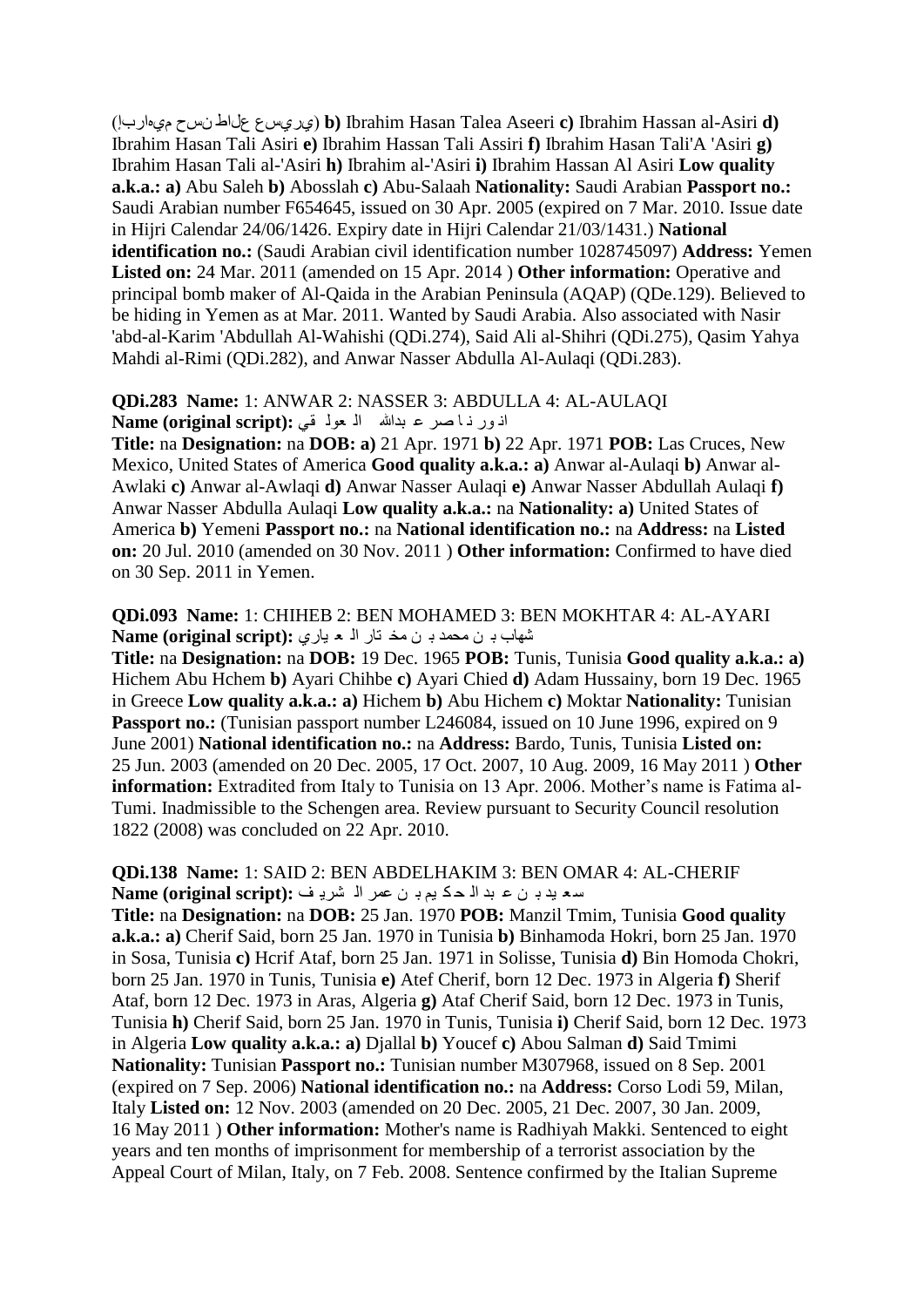(اسبإَٖٞ طحْ عياط طعٞسٞ (**b)** Ibrahim Hasan Talea Aseeri **c)** Ibrahim Hassan al-Asiri **d)**  Ibrahim Hasan Tali Asiri **e)** Ibrahim Hassan Tali Assiri **f)** Ibrahim Hasan Tali'A 'Asiri **g)**  Ibrahim Hasan Tali al-'Asiri **h)** Ibrahim al-'Asiri **i)** Ibrahim Hassan Al Asiri **Low quality a.k.a.: a)** Abu Saleh **b)** Abosslah **c)** Abu-Salaah **Nationality:** Saudi Arabian **Passport no.:**  Saudi Arabian number F654645, issued on 30 Apr. 2005 (expired on 7 Mar. 2010. Issue date in Hijri Calendar 24/06/1426. Expiry date in Hijri Calendar 21/03/1431.) **National identification no.:** (Saudi Arabian civil identification number 1028745097) **Address:** Yemen **Listed on:** 24 Mar. 2011 (amended on 15 Apr. 2014 ) **Other information:** Operative and principal bomb maker of Al-Qaida in the Arabian Peninsula (AQAP) (QDe.129). Believed to be hiding in Yemen as at Mar. 2011. Wanted by Saudi Arabia. Also associated with Nasir 'abd-al-Karim 'Abdullah Al-Wahishi (QDi.274), Said Ali al-Shihri (QDi.275), Qasim Yahya Mahdi al-Rimi (QDi.282), and Anwar Nasser Abdulla Al-Aulaqi (QDi.283).

#### **QDi.283 Name:** 1: ANWAR 2: NASSER 3: ABDULLA 4: AL-AULAQI اذور ذا صر ع بدالله ال مول في :(Name (original script

**Title:** na **Designation:** na **DOB: a)** 21 Apr. 1971 **b)** 22 Apr. 1971 **POB:** Las Cruces, New Mexico, United States of America **Good quality a.k.a.: a)** Anwar al-Aulaqi **b)** Anwar al-Awlaki **c)** Anwar al-Awlaqi **d)** Anwar Nasser Aulaqi **e)** Anwar Nasser Abdullah Aulaqi **f)**  Anwar Nasser Abdulla Aulaqi **Low quality a.k.a.:** na **Nationality: a)** United States of America **b)** Yemeni **Passport no.:** na **National identification no.:** na **Address:** na **Listed on:** 20 Jul. 2010 (amended on 30 Nov. 2011 ) **Other information:** Confirmed to have died on 30 Sep. 2011 in Yemen.

#### **QDi.093 Name:** 1: CHIHEB 2: BEN MOHAMED 3: BEN MOKHTAR 4: AL-AYARI تشهاب بـ ن محمد بـ ن محّد تار الـ م بارى : Name (original script)

**Title:** na **Designation:** na **DOB:** 19 Dec. 1965 **POB:** Tunis, Tunisia **Good quality a.k.a.: a)**  Hichem Abu Hchem **b)** Ayari Chihbe **c)** Ayari Chied **d)** Adam Hussainy, born 19 Dec. 1965 in Greece **Low quality a.k.a.: a)** Hichem **b)** Abu Hichem **c)** Moktar **Nationality:** Tunisian Passport no.: (Tunisian passport number L246084, issued on 10 June 1996, expired on 9 June 2001) **National identification no.:** na **Address:** Bardo, Tunis, Tunisia **Listed on:**  25 Jun. 2003 (amended on 20 Dec. 2005, 17 Oct. 2007, 10 Aug. 2009, 16 May 2011 ) **Other information:** Extradited from Italy to Tunisia on 13 Apr. 2006. Mother's name is Fatima al-Tumi. Inadmissible to the Schengen area. Review pursuant to Security Council resolution 1822 (2008) was concluded on 22 Apr. 2010.

#### **QDi.138 Name:** 1: SAID 2: BEN ABDELHAKIM 3: BEN OMAR 4: AL-CHERIF ع ؼ ١ذ ت ٓ ػ ثذ اٌ ذ ى ُ١ ت ٓ ػّش اٌ ؾش٠ ف **:(script original (Name**

**Title:** na **Designation:** na **DOB:** 25 Jan. 1970 **POB:** Manzil Tmim, Tunisia **Good quality a.k.a.: a)** Cherif Said, born 25 Jan. 1970 in Tunisia **b)** Binhamoda Hokri, born 25 Jan. 1970 in Sosa, Tunisia **c)** Hcrif Ataf, born 25 Jan. 1971 in Solisse, Tunisia **d)** Bin Homoda Chokri, born 25 Jan. 1970 in Tunis, Tunisia **e)** Atef Cherif, born 12 Dec. 1973 in Algeria **f)** Sherif Ataf, born 12 Dec. 1973 in Aras, Algeria **g)** Ataf Cherif Said, born 12 Dec. 1973 in Tunis, Tunisia **h)** Cherif Said, born 25 Jan. 1970 in Tunis, Tunisia **i)** Cherif Said, born 12 Dec. 1973 in Algeria **Low quality a.k.a.: a)** Djallal **b)** Youcef **c)** Abou Salman **d)** Said Tmimi **Nationality:** Tunisian **Passport no.:** Tunisian number M307968, issued on 8 Sep. 2001 (expired on 7 Sep. 2006) **National identification no.:** na **Address:** Corso Lodi 59, Milan, Italy **Listed on:** 12 Nov. 2003 (amended on 20 Dec. 2005, 21 Dec. 2007, 30 Jan. 2009, 16 May 2011 ) **Other information:** Mother's name is Radhiyah Makki. Sentenced to eight years and ten months of imprisonment for membership of a terrorist association by the Appeal Court of Milan, Italy, on 7 Feb. 2008. Sentence confirmed by the Italian Supreme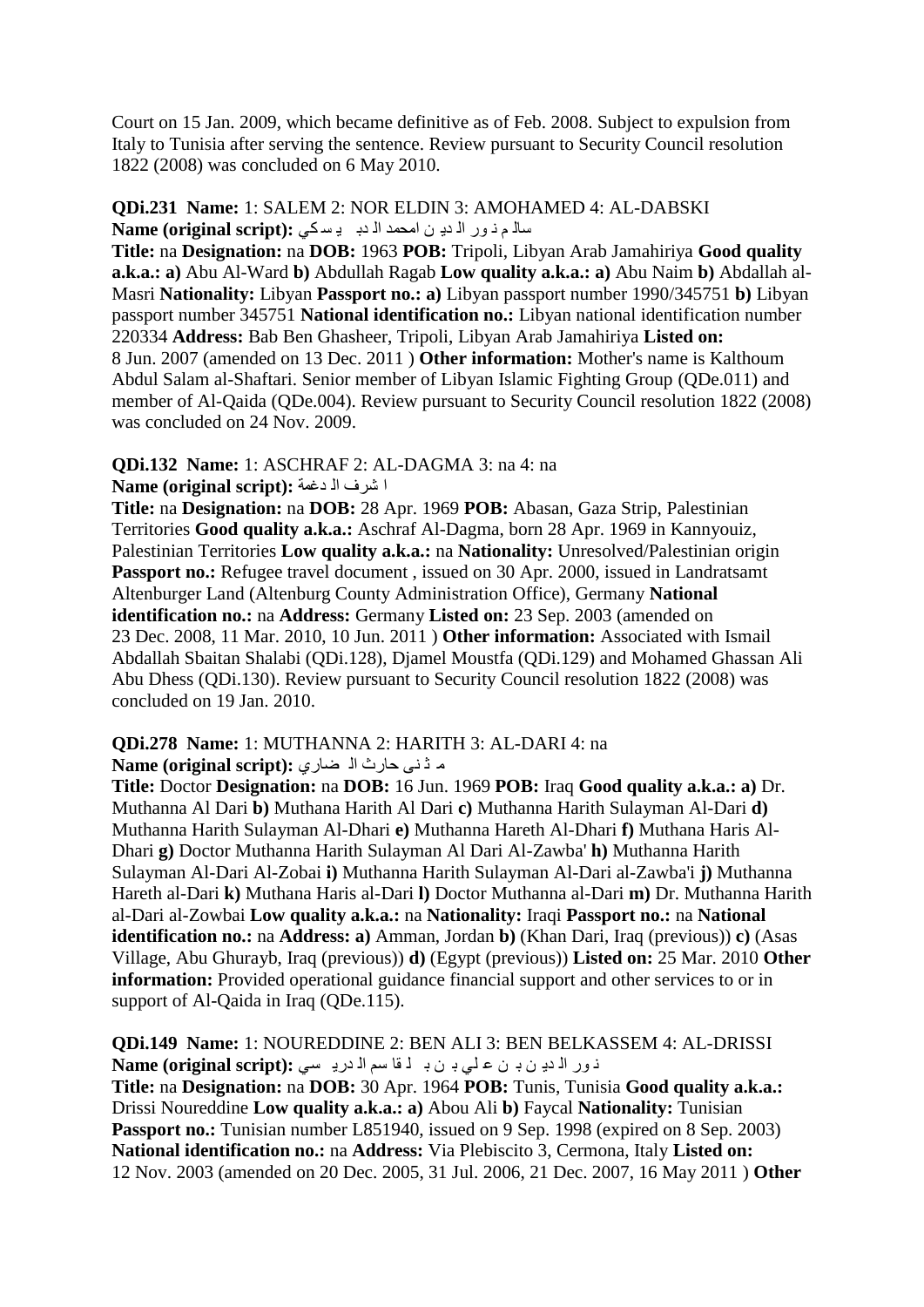Court on 15 Jan. 2009, which became definitive as of Feb. 2008. Subject to expulsion from Italy to Tunisia after serving the sentence. Review pursuant to Security Council resolution 1822 (2008) was concluded on 6 May 2010.

#### **QDi.231 Name:** 1: SALEM 2: NOR ELDIN 3: AMOHAMED 4: AL-DABSKI عاله م ذور الذي ن امحمد الذب باسكي: Name (original script)

**Title:** na **Designation:** na **DOB:** 1963 **POB:** Tripoli, Libyan Arab Jamahiriya **Good quality a.k.a.: a)** Abu Al-Ward **b)** Abdullah Ragab **Low quality a.k.a.: a)** Abu Naim **b)** Abdallah al-Masri **Nationality:** Libyan **Passport no.: a)** Libyan passport number 1990/345751 **b)** Libyan passport number 345751 **National identification no.:** Libyan national identification number 220334 **Address:** Bab Ben Ghasheer, Tripoli, Libyan Arab Jamahiriya **Listed on:**  8 Jun. 2007 (amended on 13 Dec. 2011 ) **Other information:** Mother's name is Kalthoum Abdul Salam al-Shaftari. Senior member of Libyan Islamic Fighting Group (QDe.011) and member of Al-Qaida (QDe.004). Review pursuant to Security Council resolution 1822 (2008) was concluded on 24 Nov. 2009.

#### **QDi.132 Name:** 1: ASCHRAF 2: AL-DAGMA 3: na 4: na ا شرف ا<sup>ل</sup> دغمة :(Name (original script

**Title:** na **Designation:** na **DOB:** 28 Apr. 1969 **POB:** Abasan, Gaza Strip, Palestinian Territories **Good quality a.k.a.:** Aschraf Al-Dagma, born 28 Apr. 1969 in Kannyouiz, Palestinian Territories **Low quality a.k.a.:** na **Nationality:** Unresolved/Palestinian origin **Passport no.:** Refugee travel document, issued on 30 Apr. 2000, issued in Landratsamt Altenburger Land (Altenburg County Administration Office), Germany **National identification no.:** na **Address:** Germany **Listed on:** 23 Sep. 2003 (amended on 23 Dec. 2008, 11 Mar. 2010, 10 Jun. 2011 ) **Other information:** Associated with Ismail Abdallah Sbaitan Shalabi (QDi.128), Djamel Moustfa (QDi.129) and Mohamed Ghassan Ali Abu Dhess (QDi.130). Review pursuant to Security Council resolution 1822 (2008) was concluded on 19 Jan. 2010.

#### **QDi.278 Name:** 1: MUTHANNA 2: HARITH 3: AL-DARI 4: na ِ م ڈنی حارث ا<sup>ل</sup> ضاری :(Name (original script

**Title:** Doctor **Designation:** na **DOB:** 16 Jun. 1969 **POB:** Iraq **Good quality a.k.a.: a)** Dr. Muthanna Al Dari **b)** Muthana Harith Al Dari **c)** Muthanna Harith Sulayman Al-Dari **d)**  Muthanna Harith Sulayman Al-Dhari **e)** Muthanna Hareth Al-Dhari **f)** Muthana Haris Al-Dhari **g)** Doctor Muthanna Harith Sulayman Al Dari Al-Zawba' **h)** Muthanna Harith Sulayman Al-Dari Al-Zobai **i)** Muthanna Harith Sulayman Al-Dari al-Zawba'i **j)** Muthanna Hareth al-Dari **k)** Muthana Haris al-Dari **l)** Doctor Muthanna al-Dari **m)** Dr. Muthanna Harith al-Dari al-Zowbai **Low quality a.k.a.:** na **Nationality:** Iraqi **Passport no.:** na **National identification no.:** na **Address: a)** Amman, Jordan **b)** (Khan Dari, Iraq (previous)) **c)** (Asas Village, Abu Ghurayb, Iraq (previous)) **d)** (Egypt (previous)) **Listed on:** 25 Mar. 2010 **Other information:** Provided operational guidance financial support and other services to or in support of Al-Qaida in Iraq (QDe.115).

**QDi.149 Name:** 1: NOUREDDINE 2: BEN ALI 3: BEN BELKASSEM 4: AL-DRISSI ذور الاديون بن على بن با قاسم الادريسي: Name (original script):

**Title:** na **Designation:** na **DOB:** 30 Apr. 1964 **POB:** Tunis, Tunisia **Good quality a.k.a.:**  Drissi Noureddine **Low quality a.k.a.: a)** Abou Ali **b)** Faycal **Nationality:** Tunisian Passport no.: Tunisian number L851940, issued on 9 Sep. 1998 (expired on 8 Sep. 2003) **National identification no.:** na **Address:** Via Plebiscito 3, Cermona, Italy **Listed on:**  12 Nov. 2003 (amended on 20 Dec. 2005, 31 Jul. 2006, 21 Dec. 2007, 16 May 2011 ) **Other**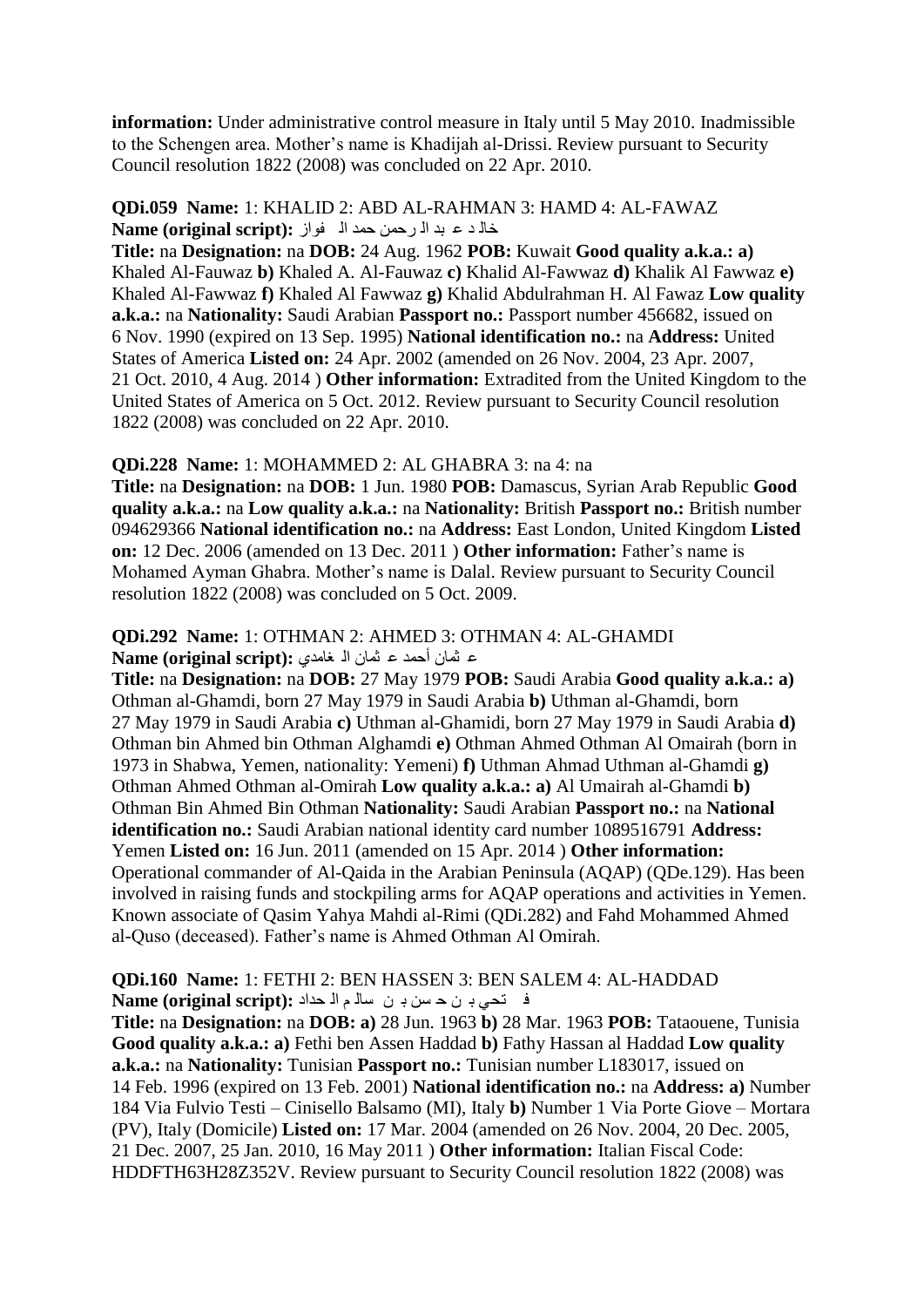**information:** Under administrative control measure in Italy until 5 May 2010. Inadmissible to the Schengen area. Mother"s name is Khadijah al-Drissi. Review pursuant to Security Council resolution 1822 (2008) was concluded on 22 Apr. 2010.

#### **QDi.059 Name:** 1: KHALID 2: ABD AL-RAHMAN 3: HAMD 4: AL-FAWAZ خال د ع بد ال رحمن حمد الم فواز :**Name (original script)**

**Title:** na **Designation:** na **DOB:** 24 Aug. 1962 **POB:** Kuwait **Good quality a.k.a.: a)**  Khaled Al-Fauwaz **b)** Khaled A. Al-Fauwaz **c)** Khalid Al-Fawwaz **d)** Khalik Al Fawwaz **e)**  Khaled Al-Fawwaz **f)** Khaled Al Fawwaz **g)** Khalid Abdulrahman H. Al Fawaz **Low quality a.k.a.:** na **Nationality:** Saudi Arabian **Passport no.:** Passport number 456682, issued on 6 Nov. 1990 (expired on 13 Sep. 1995) **National identification no.:** na **Address:** United States of America **Listed on:** 24 Apr. 2002 (amended on 26 Nov. 2004, 23 Apr. 2007, 21 Oct. 2010, 4 Aug. 2014 ) **Other information:** Extradited from the United Kingdom to the United States of America on 5 Oct. 2012. Review pursuant to Security Council resolution 1822 (2008) was concluded on 22 Apr. 2010.

#### **QDi.228 Name:** 1: MOHAMMED 2: AL GHABRA 3: na 4: na

**Title:** na **Designation:** na **DOB:** 1 Jun. 1980 **POB:** Damascus, Syrian Arab Republic **Good quality a.k.a.:** na **Low quality a.k.a.:** na **Nationality:** British **Passport no.:** British number 094629366 **National identification no.:** na **Address:** East London, United Kingdom **Listed on:** 12 Dec. 2006 (amended on 13 Dec. 2011 ) **Other information:** Father"s name is Mohamed Ayman Ghabra. Mother"s name is Dalal. Review pursuant to Security Council resolution 1822 (2008) was concluded on 5 Oct. 2009.

#### **QDi.292 Name:** 1: OTHMAN 2: AHMED 3: OTHMAN 4: AL-GHAMDI ع ثمان أحمد ع ثمان الـ غامدي :(Name (original script

**Title:** na **Designation:** na **DOB:** 27 May 1979 **POB:** Saudi Arabia **Good quality a.k.a.: a)**  Othman al-Ghamdi, born 27 May 1979 in Saudi Arabia **b)** Uthman al-Ghamdi, born 27 May 1979 in Saudi Arabia **c)** Uthman al-Ghamidi, born 27 May 1979 in Saudi Arabia **d)**  Othman bin Ahmed bin Othman Alghamdi **e)** Othman Ahmed Othman Al Omairah (born in 1973 in Shabwa, Yemen, nationality: Yemeni) **f)** Uthman Ahmad Uthman al-Ghamdi **g)**  Othman Ahmed Othman al-Omirah **Low quality a.k.a.: a)** Al Umairah al-Ghamdi **b)**  Othman Bin Ahmed Bin Othman **Nationality:** Saudi Arabian **Passport no.:** na **National identification no.:** Saudi Arabian national identity card number 1089516791 **Address:**  Yemen **Listed on:** 16 Jun. 2011 (amended on 15 Apr. 2014 ) **Other information:**  Operational commander of Al-Qaida in the Arabian Peninsula (AQAP) (QDe.129). Has been involved in raising funds and stockpiling arms for AQAP operations and activities in Yemen. Known associate of Qasim Yahya Mahdi al-Rimi (QDi.282) and Fahd Mohammed Ahmed al-Quso (deceased). Father"s name is Ahmed Othman Al Omirah.

# **QDi.160 Name:** 1: FETHI 2: BEN HASSEN 3: BEN SALEM 4: AL-HADDAD ف تحی بـ ن ح سن بـ ن سالـم الـ حداد **: Name (original script)**

**Title:** na **Designation:** na **DOB: a)** 28 Jun. 1963 **b)** 28 Mar. 1963 **POB:** Tataouene, Tunisia **Good quality a.k.a.: a)** Fethi ben Assen Haddad **b)** Fathy Hassan al Haddad **Low quality a.k.a.:** na **Nationality:** Tunisian **Passport no.:** Tunisian number L183017, issued on 14 Feb. 1996 (expired on 13 Feb. 2001) **National identification no.:** na **Address: a)** Number 184 Via Fulvio Testi – Cinisello Balsamo (MI), Italy **b)** Number 1 Via Porte Giove – Mortara (PV), Italy (Domicile) **Listed on:** 17 Mar. 2004 (amended on 26 Nov. 2004, 20 Dec. 2005, 21 Dec. 2007, 25 Jan. 2010, 16 May 2011 ) **Other information:** Italian Fiscal Code: HDDFTH63H28Z352V. Review pursuant to Security Council resolution 1822 (2008) was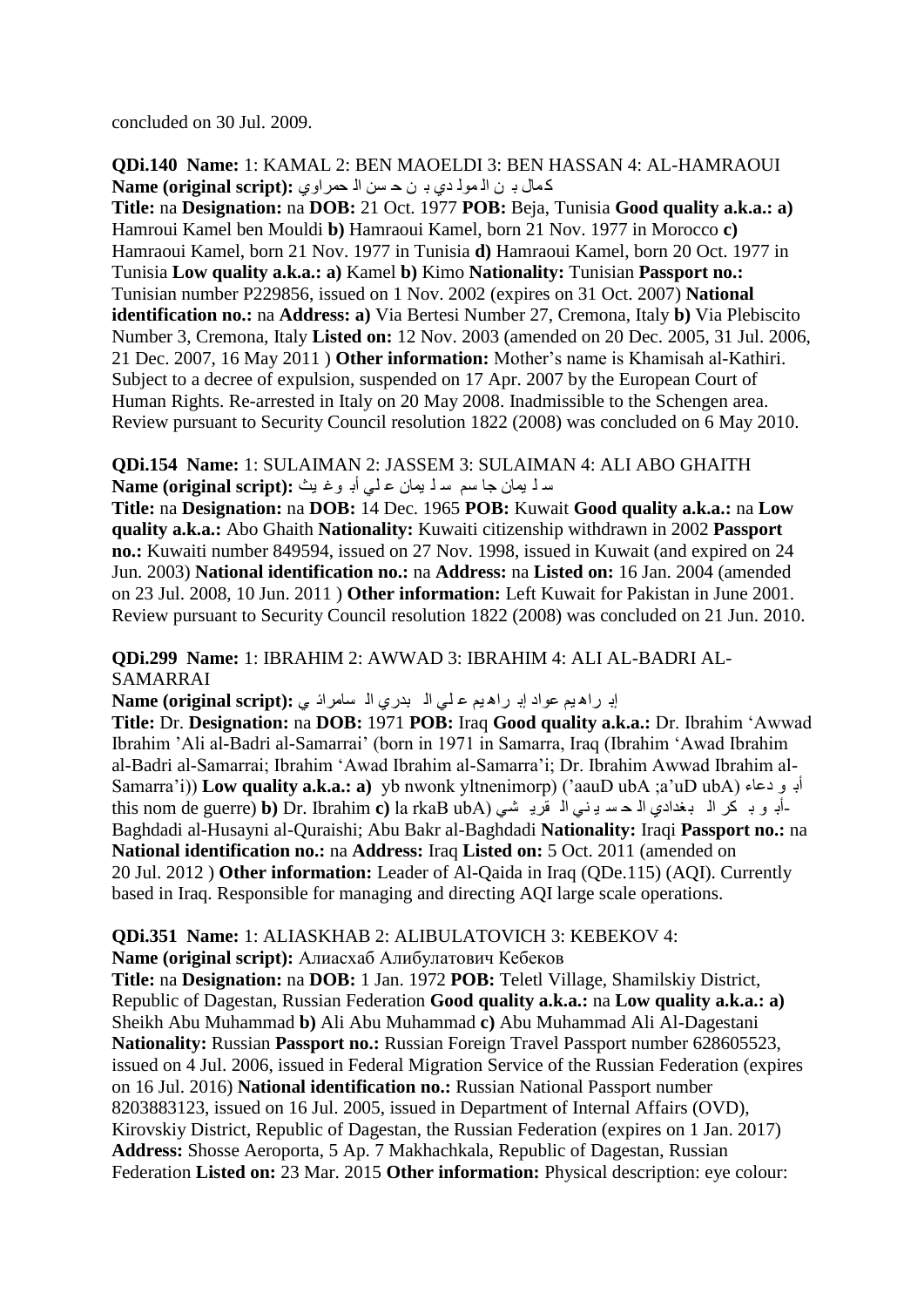concluded on 30 Jul. 2009.

**QDi.140 Name:** 1: KAMAL 2: BEN MAOELDI 3: BEN HASSAN 4: AL-HAMRAOUI وّاي بوت الله مولادي بين حسن الله حمر اوي : Name (original script)

**Title:** na **Designation:** na **DOB:** 21 Oct. 1977 **POB:** Beja, Tunisia **Good quality a.k.a.: a)**  Hamroui Kamel ben Mouldi **b)** Hamraoui Kamel, born 21 Nov. 1977 in Morocco **c)**  Hamraoui Kamel, born 21 Nov. 1977 in Tunisia **d)** Hamraoui Kamel, born 20 Oct. 1977 in Tunisia **Low quality a.k.a.: a)** Kamel **b)** Kimo **Nationality:** Tunisian **Passport no.:**  Tunisian number P229856, issued on 1 Nov. 2002 (expires on 31 Oct. 2007) **National identification no.:** na **Address: a)** Via Bertesi Number 27, Cremona, Italy **b)** Via Plebiscito Number 3, Cremona, Italy **Listed on:** 12 Nov. 2003 (amended on 20 Dec. 2005, 31 Jul. 2006, 21 Dec. 2007, 16 May 2011 ) **Other information:** Mother"s name is Khamisah al-Kathiri. Subject to a decree of expulsion, suspended on 17 Apr. 2007 by the European Court of Human Rights. Re-arrested in Italy on 20 May 2008. Inadmissible to the Schengen area. Review pursuant to Security Council resolution 1822 (2008) was concluded on 6 May 2010.

**QDi.154 Name:** 1: SULAIMAN 2: JASSEM 3: SULAIMAN 4: ALI ABO GHAITH عد لم يمان جا سم سد لا يمان عالمي أبو وغايث : Name (original script)

**Title:** na **Designation:** na **DOB:** 14 Dec. 1965 **POB:** Kuwait **Good quality a.k.a.:** na **Low quality a.k.a.:** Abo Ghaith **Nationality:** Kuwaiti citizenship withdrawn in 2002 **Passport no.:** Kuwaiti number 849594, issued on 27 Nov. 1998, issued in Kuwait (and expired on 24 Jun. 2003) **National identification no.:** na **Address:** na **Listed on:** 16 Jan. 2004 (amended on 23 Jul. 2008, 10 Jun. 2011 ) **Other information:** Left Kuwait for Pakistan in June 2001. Review pursuant to Security Council resolution 1822 (2008) was concluded on 21 Jun. 2010.

**QDi.299 Name:** 1: IBRAHIM 2: AWWAD 3: IBRAHIM 4: ALI AL-BADRI AL-SAMARRAI

إب راه يم عواد إبـ راه يم عـ لـى الـ بدري الـ سامراد ي : Name (original script)

**Title:** Dr. **Designation:** na **DOB:** 1971 **POB:** Iraq **Good quality a.k.a.:** Dr. Ibrahim "Awwad Ibrahim "Ali al-Badri al-Samarrai" (born in 1971 in Samarra, Iraq (Ibrahim "Awad Ibrahim al-Badri al-Samarrai; Ibrahim "Awad Ibrahim al-Samarra"i; Dr. Ibrahim Awwad Ibrahim al-Samarra'i)) **Low quality a.k.a.: a**) yb nwonk yltnenimorp) ('aauD ubA ;a'uD ubA) أبو دعاء (Samarra'i this nom de guerre) **b**) Dr. Ibrahim **c**) la rkaB ubA) أبو بـ كر الـ بـغدادي الـ هـ سـ يـ نـي الـ قريـ شـي Baghdadi al-Husayni al-Quraishi; Abu Bakr al-Baghdadi **Nationality:** Iraqi **Passport no.:** na **National identification no.:** na **Address:** Iraq **Listed on:** 5 Oct. 2011 (amended on 20 Jul. 2012 ) **Other information:** Leader of Al-Qaida in Iraq (QDe.115) (AQI). Currently based in Iraq. Responsible for managing and directing AQI large scale operations.

**QDi.351 Name:** 1: ALIASKHAB 2: ALIBULATOVICH 3: KEBEKOV 4:

**Name (original script):** Алиaсхаб Алибулатович Кебеков

**Title:** na **Designation:** na **DOB:** 1 Jan. 1972 **POB:** Teletl Village, Shamilskiy District, Republic of Dagestan, Russian Federation **Good quality a.k.a.:** na **Low quality a.k.a.: a)**  Sheikh Abu Muhammad **b)** Ali Abu Muhammad **c)** Abu Muhammad Ali Al-Dagestani **Nationality:** Russian **Passport no.:** Russian Foreign Travel Passport number 628605523, issued on 4 Jul. 2006, issued in Federal Migration Service of the Russian Federation (expires on 16 Jul. 2016) **National identification no.:** Russian National Passport number 8203883123, issued on 16 Jul. 2005, issued in Department of Internal Affairs (OVD), Kirovskiy District, Republic of Dagestan, the Russian Federation (expires on 1 Jan. 2017) **Address:** Shosse Aeroporta, 5 Ap. 7 Makhachkala, Republic of Dagestan, Russian Federation **Listed on:** 23 Mar. 2015 **Other information:** Physical description: eye colour: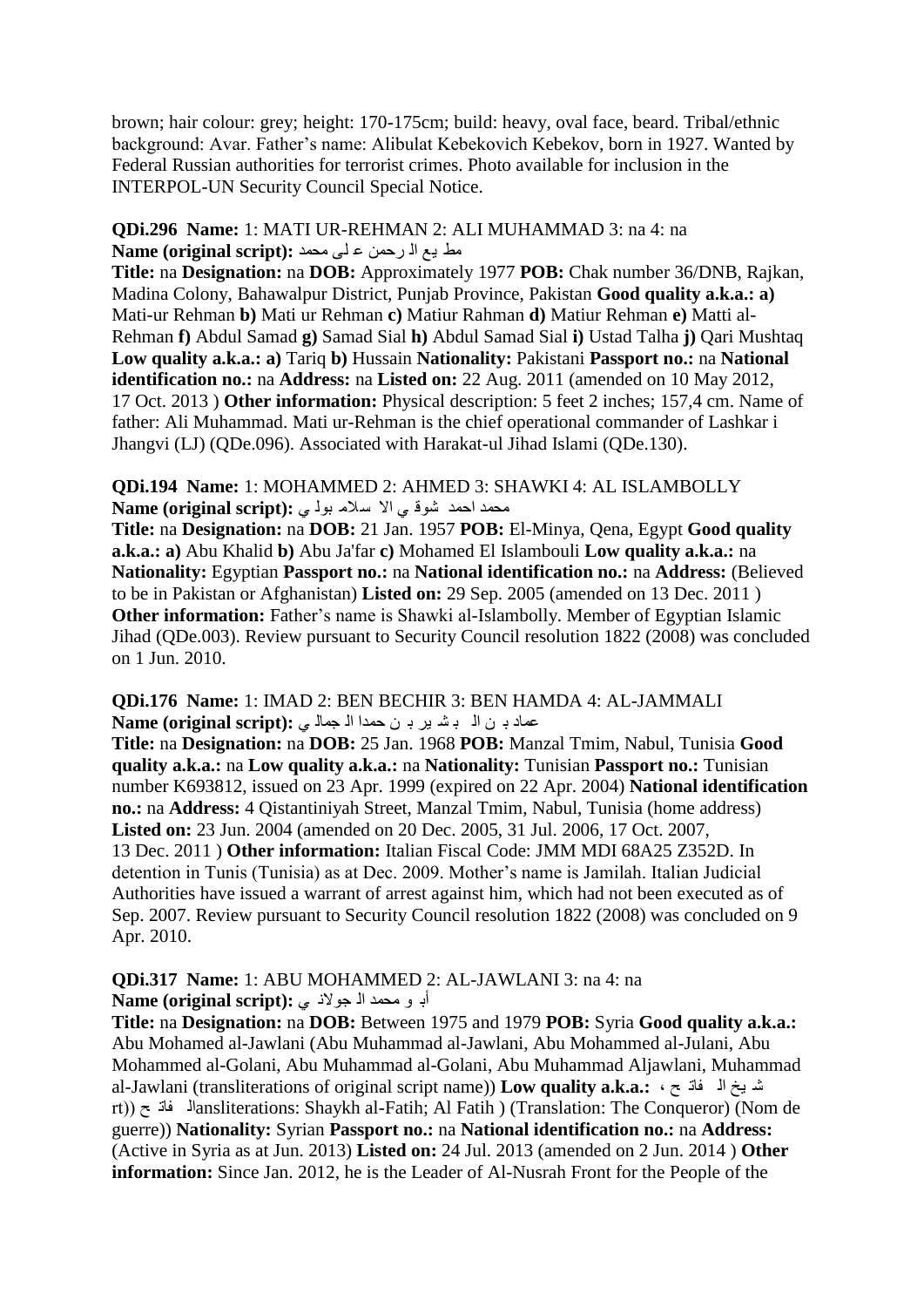brown; hair colour: grey; height: 170-175cm; build: heavy, oval face, beard. Tribal/ethnic background: Avar. Father"s name: Alibulat Kebekovich Kebekov, born in 1927. Wanted by Federal Russian authorities for terrorist crimes. Photo available for inclusion in the INTERPOL-UN Security Council Special Notice.

#### **QDi.296 Name:** 1: MATI UR-REHMAN 2: ALI MUHAMMAD 3: na 4: na مط يم ال رحمن على محمد :(Name (original script

**Title:** na **Designation:** na **DOB:** Approximately 1977 **POB:** Chak number 36/DNB, Rajkan, Madina Colony, Bahawalpur District, Punjab Province, Pakistan **Good quality a.k.a.: a)**  Mati-ur Rehman **b)** Mati ur Rehman **c)** Matiur Rahman **d)** Matiur Rehman **e)** Matti al-Rehman **f)** Abdul Samad **g)** Samad Sial **h)** Abdul Samad Sial **i)** Ustad Talha **j)** Qari Mushtaq **Low quality a.k.a.: a)** Tariq **b)** Hussain **Nationality:** Pakistani **Passport no.:** na **National identification no.:** na **Address:** na **Listed on:** 22 Aug. 2011 (amended on 10 May 2012, 17 Oct. 2013 ) **Other information:** Physical description: 5 feet 2 inches; 157,4 cm. Name of father: Ali Muhammad. Mati ur-Rehman is the chief operational commander of Lashkar i Jhangvi (LJ) (QDe.096). Associated with Harakat-ul Jihad Islami (QDe.130).

### **QDi.194 Name:** 1: MOHAMMED 2: AHMED 3: SHAWKI 4: AL ISLAMBOLLY ِذّذ ادّذ ؽٛل ٟ اال عالِ ثٌٛ ٟ **:(script original (Name**

**Title:** na **Designation:** na **DOB:** 21 Jan. 1957 **POB:** El-Minya, Qena, Egypt **Good quality a.k.a.: a)** Abu Khalid **b)** Abu Ja'far **c)** Mohamed El Islambouli **Low quality a.k.a.:** na **Nationality:** Egyptian **Passport no.:** na **National identification no.:** na **Address:** (Believed to be in Pakistan or Afghanistan) **Listed on:** 29 Sep. 2005 (amended on 13 Dec. 2011 ) **Other information:** Father's name is Shawki al-Islambolly. Member of Egyptian Islamic Jihad (QDe.003). Review pursuant to Security Council resolution 1822 (2008) was concluded on 1 Jun. 2010.

#### **QDi.176 Name:** 1: IMAD 2: BEN BECHIR 3: BEN HAMDA 4: AL-JAMMALI ت عماد بـ ن ال بـ شـ ير بـ ن حمدا الـ جمال ي : Name (original script)

**Title:** na **Designation:** na **DOB:** 25 Jan. 1968 **POB:** Manzal Tmim, Nabul, Tunisia **Good quality a.k.a.:** na **Low quality a.k.a.:** na **Nationality:** Tunisian **Passport no.:** Tunisian number K693812, issued on 23 Apr. 1999 (expired on 22 Apr. 2004) **National identification no.:** na **Address:** 4 Qistantiniyah Street, Manzal Tmim, Nabul, Tunisia (home address) **Listed on:** 23 Jun. 2004 (amended on 20 Dec. 2005, 31 Jul. 2006, 17 Oct. 2007, 13 Dec. 2011 ) **Other information:** Italian Fiscal Code: JMM MDI 68A25 Z352D. In detention in Tunis (Tunisia) as at Dec. 2009. Mother"s name is Jamilah. Italian Judicial Authorities have issued a warrant of arrest against him, which had not been executed as of Sep. 2007. Review pursuant to Security Council resolution 1822 (2008) was concluded on 9 Apr. 2010.

#### **QDi.317 Name:** 1: ABU MOHAMMED 2: AL-JAWLANI 3: na 4: na أب و محمد ال<sup>ّ</sup> جولاني : Name (original script)

**Title:** na **Designation:** na **DOB:** Between 1975 and 1979 **POB:** Syria **Good quality a.k.a.:**  Abu Mohamed al-Jawlani (Abu Muhammad al-Jawlani, Abu Mohammed al-Julani, Abu Mohammed al-Golani, Abu Muhammad al-Golani, Abu Muhammad Aljawlani, Muhammad al-Jawlani (transliterations of original script name)) Low quality a.k.a.:  $\cdot \tau$  فاذ ی م rt)) خ فاذ ٌاansliterations: Shaykh al-Fatih; Al Fatih ) (Translation: The Conqueror) (Nom de guerre)) **Nationality:** Syrian **Passport no.:** na **National identification no.:** na **Address:**  (Active in Syria as at Jun. 2013) **Listed on:** 24 Jul. 2013 (amended on 2 Jun. 2014 ) **Other information:** Since Jan. 2012, he is the Leader of Al-Nusrah Front for the People of the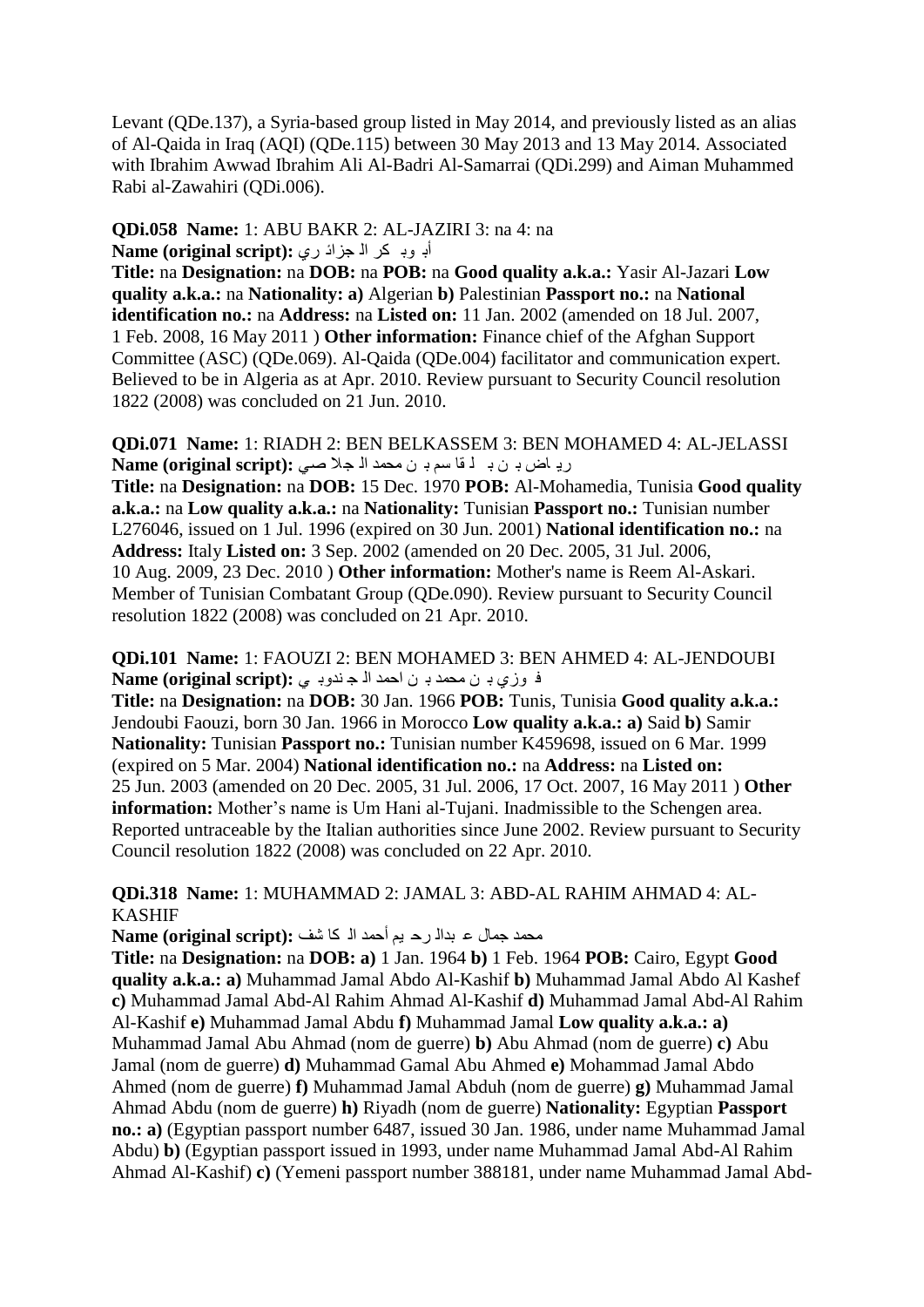Levant (QDe.137), a Syria-based group listed in May 2014, and previously listed as an alias of Al-Qaida in Iraq (AQI) (QDe.115) between 30 May 2013 and 13 May 2014. Associated with Ibrahim Awwad Ibrahim Ali Al-Badri Al-Samarrai (QDi.299) and Aiman Muhammed Rabi al-Zawahiri (QDi.006).

#### **QDi.058 Name:** 1: ABU BAKR 2: AL-JAZIRI 3: na 4: na أب وب كل ا<sup>ل</sup> جزائ رى :Name (original script)

**Title:** na **Designation:** na **DOB:** na **POB:** na **Good quality a.k.a.:** Yasir Al-Jazari **Low quality a.k.a.:** na **Nationality: a)** Algerian **b)** Palestinian **Passport no.:** na **National identification no.:** na **Address:** na **Listed on:** 11 Jan. 2002 (amended on 18 Jul. 2007, 1 Feb. 2008, 16 May 2011 ) **Other information:** Finance chief of the Afghan Support Committee (ASC) (QDe.069). Al-Qaida (QDe.004) facilitator and communication expert. Believed to be in Algeria as at Apr. 2010. Review pursuant to Security Council resolution 1822 (2008) was concluded on 21 Jun. 2010.

**QDi.071 Name:** 1: RIADH 2: BEN BELKASSEM 3: BEN MOHAMED 4: AL-JELASSI رياض بن ب لفّ سم بن محمد الأجلا صلى: **Name (original script):** 

**Title:** na **Designation:** na **DOB:** 15 Dec. 1970 **POB:** Al-Mohamedia, Tunisia **Good quality a.k.a.:** na **Low quality a.k.a.:** na **Nationality:** Tunisian **Passport no.:** Tunisian number L276046, issued on 1 Jul. 1996 (expired on 30 Jun. 2001) **National identification no.:** na **Address:** Italy **Listed on:** 3 Sep. 2002 (amended on 20 Dec. 2005, 31 Jul. 2006, 10 Aug. 2009, 23 Dec. 2010 ) **Other information:** Mother's name is Reem Al-Askari. Member of Tunisian Combatant Group (QDe.090). Review pursuant to Security Council resolution 1822 (2008) was concluded on 21 Apr. 2010.

**QDi.101 Name:** 1: FAOUZI 2: BEN MOHAMED 3: BEN AHMED 4: AL-JENDOUBI ف وزي بـ ن محمد بـ ن احمد اله ج ندوبـ ى :Name (original script)

**Title:** na **Designation:** na **DOB:** 30 Jan. 1966 **POB:** Tunis, Tunisia **Good quality a.k.a.:**  Jendoubi Faouzi, born 30 Jan. 1966 in Morocco **Low quality a.k.a.: a)** Said **b)** Samir **Nationality:** Tunisian **Passport no.:** Tunisian number K459698, issued on 6 Mar. 1999 (expired on 5 Mar. 2004) **National identification no.:** na **Address:** na **Listed on:**  25 Jun. 2003 (amended on 20 Dec. 2005, 31 Jul. 2006, 17 Oct. 2007, 16 May 2011 ) **Other information:** Mother's name is Um Hani al-Tujani. Inadmissible to the Schengen area. Reported untraceable by the Italian authorities since June 2002. Review pursuant to Security Council resolution 1822 (2008) was concluded on 22 Apr. 2010.

**QDi.318 Name:** 1: MUHAMMAD 2: JAMAL 3: ABD-AL RAHIM AHMAD 4: AL-KASHIF

محمد جمال ع بدال رح يم أحمد الـ كا شف :Name (original script)

**Title:** na **Designation:** na **DOB: a)** 1 Jan. 1964 **b)** 1 Feb. 1964 **POB:** Cairo, Egypt **Good quality a.k.a.: a)** Muhammad Jamal Abdo Al-Kashif **b)** Muhammad Jamal Abdo Al Kashef **c)** Muhammad Jamal Abd-Al Rahim Ahmad Al-Kashif **d)** Muhammad Jamal Abd-Al Rahim Al-Kashif **e)** Muhammad Jamal Abdu **f)** Muhammad Jamal **Low quality a.k.a.: a)**  Muhammad Jamal Abu Ahmad (nom de guerre) **b)** Abu Ahmad (nom de guerre) **c)** Abu Jamal (nom de guerre) **d)** Muhammad Gamal Abu Ahmed **e)** Mohammad Jamal Abdo Ahmed (nom de guerre) **f)** Muhammad Jamal Abduh (nom de guerre) **g)** Muhammad Jamal Ahmad Abdu (nom de guerre) **h)** Riyadh (nom de guerre) **Nationality:** Egyptian **Passport no.: a)** (Egyptian passport number 6487, issued 30 Jan. 1986, under name Muhammad Jamal Abdu) **b)** (Egyptian passport issued in 1993, under name Muhammad Jamal Abd-Al Rahim Ahmad Al-Kashif) **c)** (Yemeni passport number 388181, under name Muhammad Jamal Abd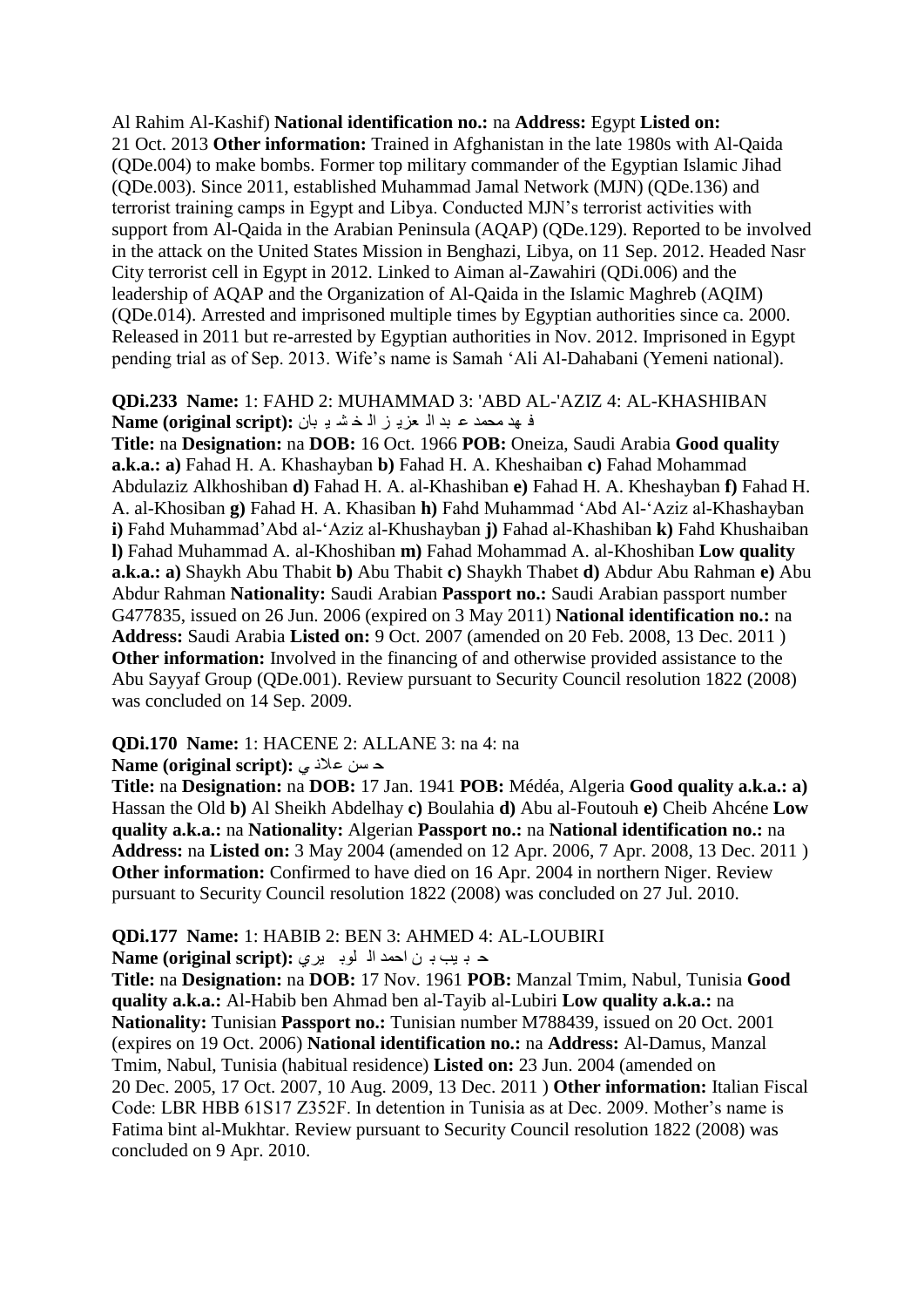Al Rahim Al-Kashif) **National identification no.:** na **Address:** Egypt **Listed on:**  21 Oct. 2013 **Other information:** Trained in Afghanistan in the late 1980s with Al-Qaida (QDe.004) to make bombs. Former top military commander of the Egyptian Islamic Jihad (QDe.003). Since 2011, established Muhammad Jamal Network (MJN) (QDe.136) and terrorist training camps in Egypt and Libya. Conducted MJN"s terrorist activities with support from Al-Qaida in the Arabian Peninsula (AQAP) (QDe.129). Reported to be involved in the attack on the United States Mission in Benghazi, Libya, on 11 Sep. 2012. Headed Nasr City terrorist cell in Egypt in 2012. Linked to Aiman al-Zawahiri (QDi.006) and the leadership of AQAP and the Organization of Al-Qaida in the Islamic Maghreb (AQIM) (QDe.014). Arrested and imprisoned multiple times by Egyptian authorities since ca. 2000. Released in 2011 but re-arrested by Egyptian authorities in Nov. 2012. Imprisoned in Egypt pending trial as of Sep. 2013. Wife's name is Samah 'Ali Al-Dahabani (Yemeni national).

#### **QDi.233 Name:** 1: FAHD 2: MUHAMMAD 3: 'ABD AL-'AZIZ 4: AL-KHASHIBAN ف هذ محمد ع بد ال عزبي ز اله خش بان : Name (original script)

**Title:** na **Designation:** na **DOB:** 16 Oct. 1966 **POB:** Oneiza, Saudi Arabia **Good quality a.k.a.: a)** Fahad H. A. Khashayban **b)** Fahad H. A. Kheshaiban **c)** Fahad Mohammad Abdulaziz Alkhoshiban **d)** Fahad H. A. al-Khashiban **e)** Fahad H. A. Kheshayban **f)** Fahad H. A. al-Khosiban **g)** Fahad H. A. Khasiban **h)** Fahd Muhammad "Abd Al-"Aziz al-Khashayban **i)** Fahd Muhammad"Abd al-"Aziz al-Khushayban **j)** Fahad al-Khashiban **k)** Fahd Khushaiban **l)** Fahad Muhammad A. al-Khoshiban **m)** Fahad Mohammad A. al-Khoshiban **Low quality a.k.a.: a)** Shaykh Abu Thabit **b)** Abu Thabit **c)** Shaykh Thabet **d)** Abdur Abu Rahman **e)** Abu Abdur Rahman **Nationality:** Saudi Arabian **Passport no.:** Saudi Arabian passport number G477835, issued on 26 Jun. 2006 (expired on 3 May 2011) **National identification no.:** na **Address:** Saudi Arabia **Listed on:** 9 Oct. 2007 (amended on 20 Feb. 2008, 13 Dec. 2011 ) **Other information:** Involved in the financing of and otherwise provided assistance to the Abu Sayyaf Group (QDe.001). Review pursuant to Security Council resolution 1822 (2008) was concluded on 14 Sep. 2009.

#### **QDi.170 Name:** 1: HACENE 2: ALLANE 3: na 4: na

**Alame (original script):** حسن علانی

**Title:** na **Designation:** na **DOB:** 17 Jan. 1941 **POB:** Médéa, Algeria **Good quality a.k.a.: a)**  Hassan the Old **b)** Al Sheikh Abdelhay **c)** Boulahia **d)** Abu al-Foutouh **e)** Cheib Ahcéne **Low quality a.k.a.:** na **Nationality:** Algerian **Passport no.:** na **National identification no.:** na **Address:** na **Listed on:** 3 May 2004 (amended on 12 Apr. 2006, 7 Apr. 2008, 13 Dec. 2011 ) **Other information:** Confirmed to have died on 16 Apr. 2004 in northern Niger. Review pursuant to Security Council resolution 1822 (2008) was concluded on 27 Jul. 2010.

#### **QDi.177 Name:** 1: HABIB 2: BEN 3: AHMED 4: AL-LOUBIRI

د بيب بي ن احمد الا لوبيري : Name (original script)

**Title:** na **Designation:** na **DOB:** 17 Nov. 1961 **POB:** Manzal Tmim, Nabul, Tunisia **Good quality a.k.a.:** Al-Habib ben Ahmad ben al-Tayib al-Lubiri **Low quality a.k.a.:** na **Nationality:** Tunisian **Passport no.:** Tunisian number M788439, issued on 20 Oct. 2001 (expires on 19 Oct. 2006) **National identification no.:** na **Address:** Al-Damus, Manzal Tmim, Nabul, Tunisia (habitual residence) **Listed on:** 23 Jun. 2004 (amended on 20 Dec. 2005, 17 Oct. 2007, 10 Aug. 2009, 13 Dec. 2011 ) **Other information:** Italian Fiscal Code: LBR HBB 61S17 Z352F. In detention in Tunisia as at Dec. 2009. Mother"s name is Fatima bint al-Mukhtar. Review pursuant to Security Council resolution 1822 (2008) was concluded on 9 Apr. 2010.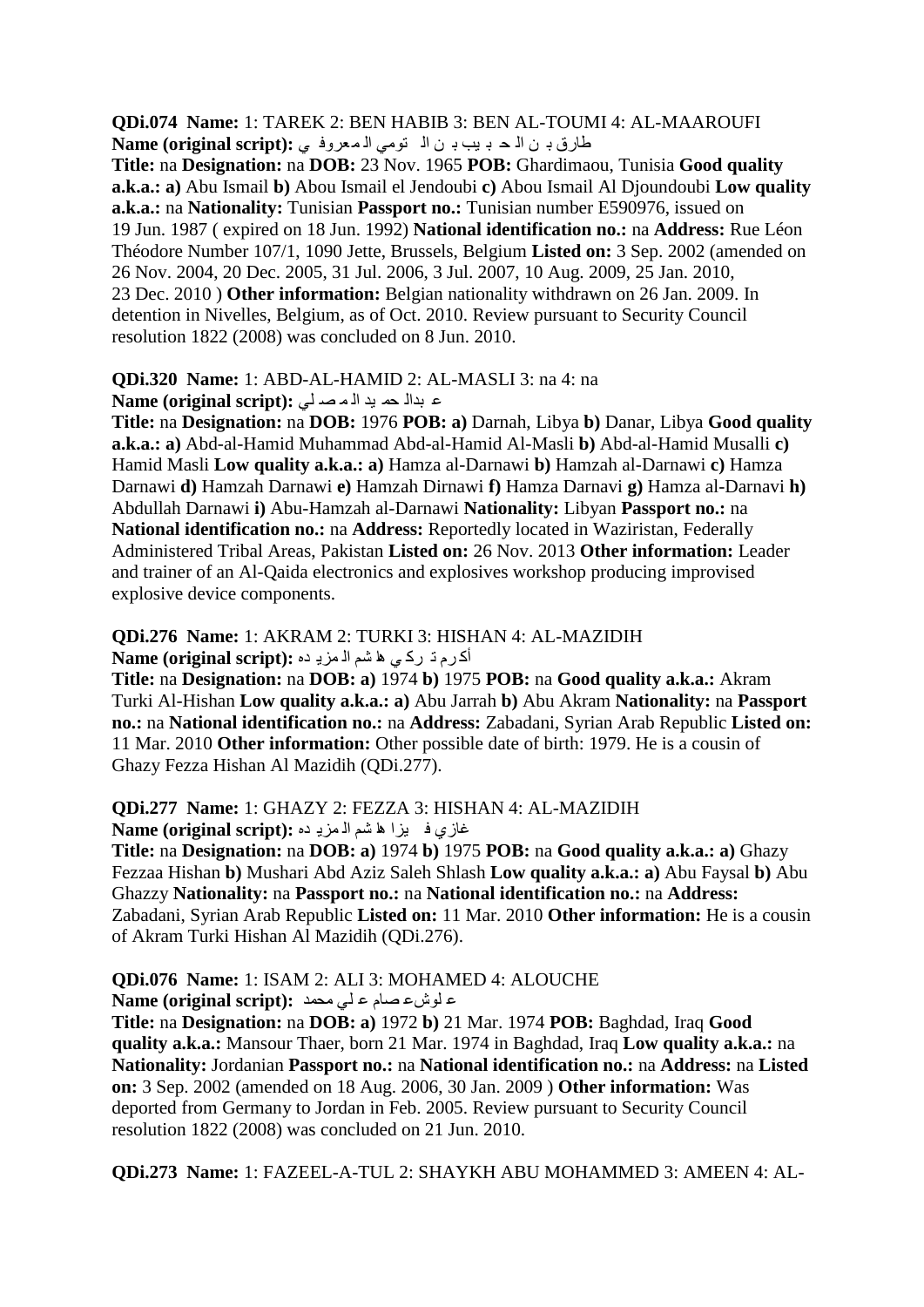**QDi.074 Name:** 1: TAREK 2: BEN HABIB 3: BEN AL-TOUMI 4: AL-MAAROUFI طارق بن الحد بيب بن التومي المعروفي: Name (original script):

**Title:** na **Designation:** na **DOB:** 23 Nov. 1965 **POB:** Ghardimaou, Tunisia **Good quality a.k.a.: a)** Abu Ismail **b)** Abou Ismail el Jendoubi **c)** Abou Ismail Al Djoundoubi **Low quality a.k.a.:** na **Nationality:** Tunisian **Passport no.:** Tunisian number E590976, issued on 19 Jun. 1987 ( expired on 18 Jun. 1992) **National identification no.:** na **Address:** Rue Léon Théodore Number 107/1, 1090 Jette, Brussels, Belgium **Listed on:** 3 Sep. 2002 (amended on 26 Nov. 2004, 20 Dec. 2005, 31 Jul. 2006, 3 Jul. 2007, 10 Aug. 2009, 25 Jan. 2010, 23 Dec. 2010 ) **Other information:** Belgian nationality withdrawn on 26 Jan. 2009. In detention in Nivelles, Belgium, as of Oct. 2010. Review pursuant to Security Council resolution 1822 (2008) was concluded on 8 Jun. 2010.

#### **QDi.320 Name:** 1: ABD-AL-HAMID 2: AL-MASLI 3: na 4: na

ػ ثذاٌ ذّ ١ذ اٌ ّ ق ٍٟ **:(script original (Name**

**Title:** na **Designation:** na **DOB:** 1976 **POB: a)** Darnah, Libya **b)** Danar, Libya **Good quality a.k.a.: a)** Abd-al-Hamid Muhammad Abd-al-Hamid Al-Masli **b)** Abd-al-Hamid Musalli **c)**  Hamid Masli **Low quality a.k.a.: a)** Hamza al-Darnawi **b)** Hamzah al-Darnawi **c)** Hamza Darnawi **d)** Hamzah Darnawi **e)** Hamzah Dirnawi **f)** Hamza Darnavi **g)** Hamza al-Darnavi **h)**  Abdullah Darnawi **i)** Abu-Hamzah al-Darnawi **Nationality:** Libyan **Passport no.:** na **National identification no.:** na **Address:** Reportedly located in Waziristan, Federally Administered Tribal Areas, Pakistan **Listed on:** 26 Nov. 2013 **Other information:** Leader and trainer of an Al-Qaida electronics and explosives workshop producing improvised explosive device components.

#### **QDi.276 Name:** 1: AKRAM 2: TURKI 3: HISHAN 4: AL-MAZIDIH أكرم ذ ركاى ها شم الامزياده **: Name (original script)**

**Title:** na **Designation:** na **DOB: a)** 1974 **b)** 1975 **POB:** na **Good quality a.k.a.:** Akram Turki Al-Hishan **Low quality a.k.a.: a)** Abu Jarrah **b)** Abu Akram **Nationality:** na **Passport no.:** na **National identification no.:** na **Address:** Zabadani, Syrian Arab Republic **Listed on:**  11 Mar. 2010 **Other information:** Other possible date of birth: 1979. He is a cousin of Ghazy Fezza Hishan Al Mazidih (QDi.277).

#### **QDi.277 Name:** 1: GHAZY 2: FEZZA 3: HISHAN 4: AL-MAZIDIH غازي في يزا ها شم ال مزيده : Name (original script)

**Title:** na **Designation:** na **DOB: a)** 1974 **b)** 1975 **POB:** na **Good quality a.k.a.: a)** Ghazy Fezzaa Hishan **b)** Mushari Abd Aziz Saleh Shlash **Low quality a.k.a.: a)** Abu Faysal **b)** Abu Ghazzy **Nationality:** na **Passport no.:** na **National identification no.:** na **Address:**  Zabadani, Syrian Arab Republic **Listed on:** 11 Mar. 2010 **Other information:** He is a cousin of Akram Turki Hishan Al Mazidih (QDi.276).

# **QDi.076 Name:** 1: ISAM 2: ALI 3: MOHAMED 4: ALOUCHE

ػ ٍٛػػ قاَ ػ ٍٟ ِذّذ **:(script original (Name**

**Title:** na **Designation:** na **DOB: a)** 1972 **b)** 21 Mar. 1974 **POB:** Baghdad, Iraq **Good quality a.k.a.:** Mansour Thaer, born 21 Mar. 1974 in Baghdad, Iraq **Low quality a.k.a.:** na **Nationality:** Jordanian **Passport no.:** na **National identification no.:** na **Address:** na **Listed on:** 3 Sep. 2002 (amended on 18 Aug. 2006, 30 Jan. 2009 ) **Other information:** Was deported from Germany to Jordan in Feb. 2005. Review pursuant to Security Council resolution 1822 (2008) was concluded on 21 Jun. 2010.

**QDi.273 Name:** 1: FAZEEL-A-TUL 2: SHAYKH ABU MOHAMMED 3: AMEEN 4: AL-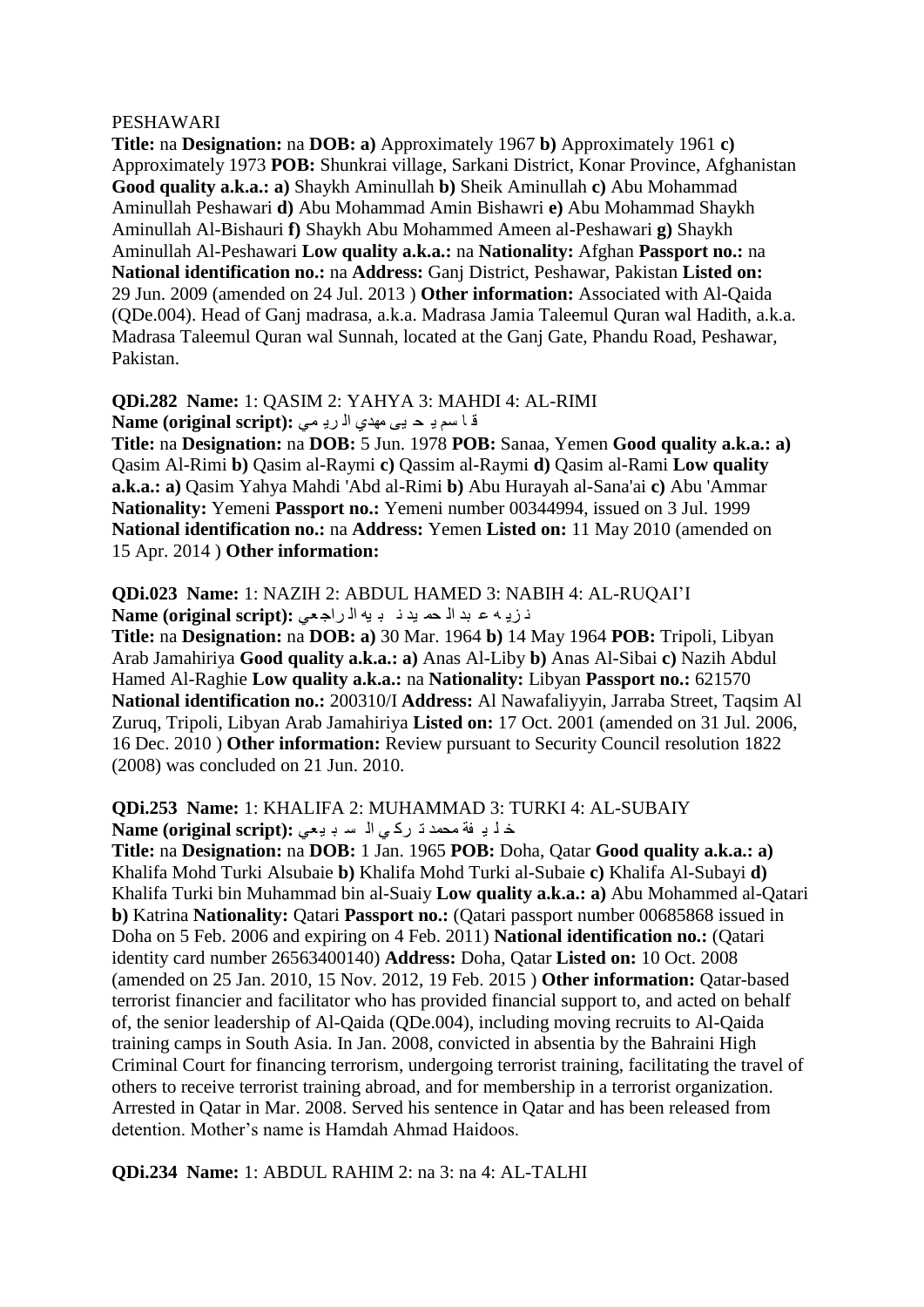#### PESHAWARI

**Title:** na **Designation:** na **DOB: a)** Approximately 1967 **b)** Approximately 1961 **c)**  Approximately 1973 **POB:** Shunkrai village, Sarkani District, Konar Province, Afghanistan **Good quality a.k.a.: a)** Shaykh Aminullah **b)** Sheik Aminullah **c)** Abu Mohammad Aminullah Peshawari **d)** Abu Mohammad Amin Bishawri **e)** Abu Mohammad Shaykh Aminullah Al-Bishauri **f)** Shaykh Abu Mohammed Ameen al-Peshawari **g)** Shaykh Aminullah Al-Peshawari **Low quality a.k.a.:** na **Nationality:** Afghan **Passport no.:** na **National identification no.:** na **Address:** Ganj District, Peshawar, Pakistan **Listed on:**  29 Jun. 2009 (amended on 24 Jul. 2013 ) **Other information:** Associated with Al-Qaida (QDe.004). Head of Ganj madrasa, a.k.a. Madrasa Jamia Taleemul Quran wal Hadith, a.k.a. Madrasa Taleemul Quran wal Sunnah, located at the Ganj Gate, Phandu Road, Peshawar, Pakistan.

#### **QDi.282 Name:** 1: QASIM 2: YAHYA 3: MAHDI 4: AL-RIMI قا سم بـ حـ بـي مهدى الـ ربـ مـي : Name (original script)

**Title:** na **Designation:** na **DOB:** 5 Jun. 1978 **POB:** Sanaa, Yemen **Good quality a.k.a.: a)**  Qasim Al-Rimi **b)** Qasim al-Raymi **c)** Qassim al-Raymi **d)** Qasim al-Rami **Low quality a.k.a.: a)** Qasim Yahya Mahdi 'Abd al-Rimi **b)** Abu Hurayah al-Sana'ai **c)** Abu 'Ammar **Nationality:** Yemeni **Passport no.:** Yemeni number 00344994, issued on 3 Jul. 1999 **National identification no.:** na **Address:** Yemen **Listed on:** 11 May 2010 (amended on 15 Apr. 2014 ) **Other information:** 

#### **QDi.023 Name:** 1: NAZIH 2: ABDUL HAMED 3: NABIH 4: AL-RUQAI"I ذريه ع بد اله ه بد ذ به الراجعي **: Name (original script)**

**Title:** na **Designation:** na **DOB: a)** 30 Mar. 1964 **b)** 14 May 1964 **POB:** Tripoli, Libyan Arab Jamahiriya **Good quality a.k.a.: a)** Anas Al-Liby **b)** Anas Al-Sibai **c)** Nazih Abdul Hamed Al-Raghie **Low quality a.k.a.:** na **Nationality:** Libyan **Passport no.:** 621570 **National identification no.:** 200310/I **Address:** Al Nawafaliyyin, Jarraba Street, Taqsim Al Zuruq, Tripoli, Libyan Arab Jamahiriya **Listed on:** 17 Oct. 2001 (amended on 31 Jul. 2006, 16 Dec. 2010 ) **Other information:** Review pursuant to Security Council resolution 1822 (2008) was concluded on 21 Jun. 2010.

#### **QDi.253 Name:** 1: KHALIFA 2: MUHAMMAD 3: TURKI 4: AL-SUBAIY خ ل بـ فة محمد ذ ركاى الـ سـ بـ بعى : Name (original script)

**Title:** na **Designation:** na **DOB:** 1 Jan. 1965 **POB:** Doha, Qatar **Good quality a.k.a.: a)**  Khalifa Mohd Turki Alsubaie **b)** Khalifa Mohd Turki al-Subaie **c)** Khalifa Al-Subayi **d)**  Khalifa Turki bin Muhammad bin al-Suaiy **Low quality a.k.a.: a)** Abu Mohammed al-Qatari **b)** Katrina **Nationality:** Qatari **Passport no.:** (Qatari passport number 00685868 issued in Doha on 5 Feb. 2006 and expiring on 4 Feb. 2011) **National identification no.:** (Qatari identity card number 26563400140) **Address:** Doha, Qatar **Listed on:** 10 Oct. 2008 (amended on 25 Jan. 2010, 15 Nov. 2012, 19 Feb. 2015 ) **Other information:** Qatar-based terrorist financier and facilitator who has provided financial support to, and acted on behalf of, the senior leadership of Al-Qaida (QDe.004), including moving recruits to Al-Qaida training camps in South Asia. In Jan. 2008, convicted in absentia by the Bahraini High Criminal Court for financing terrorism, undergoing terrorist training, facilitating the travel of others to receive terrorist training abroad, and for membership in a terrorist organization. Arrested in Qatar in Mar. 2008. Served his sentence in Qatar and has been released from detention. Mother"s name is Hamdah Ahmad Haidoos.

#### **QDi.234 Name:** 1: ABDUL RAHIM 2: na 3: na 4: AL-TALHI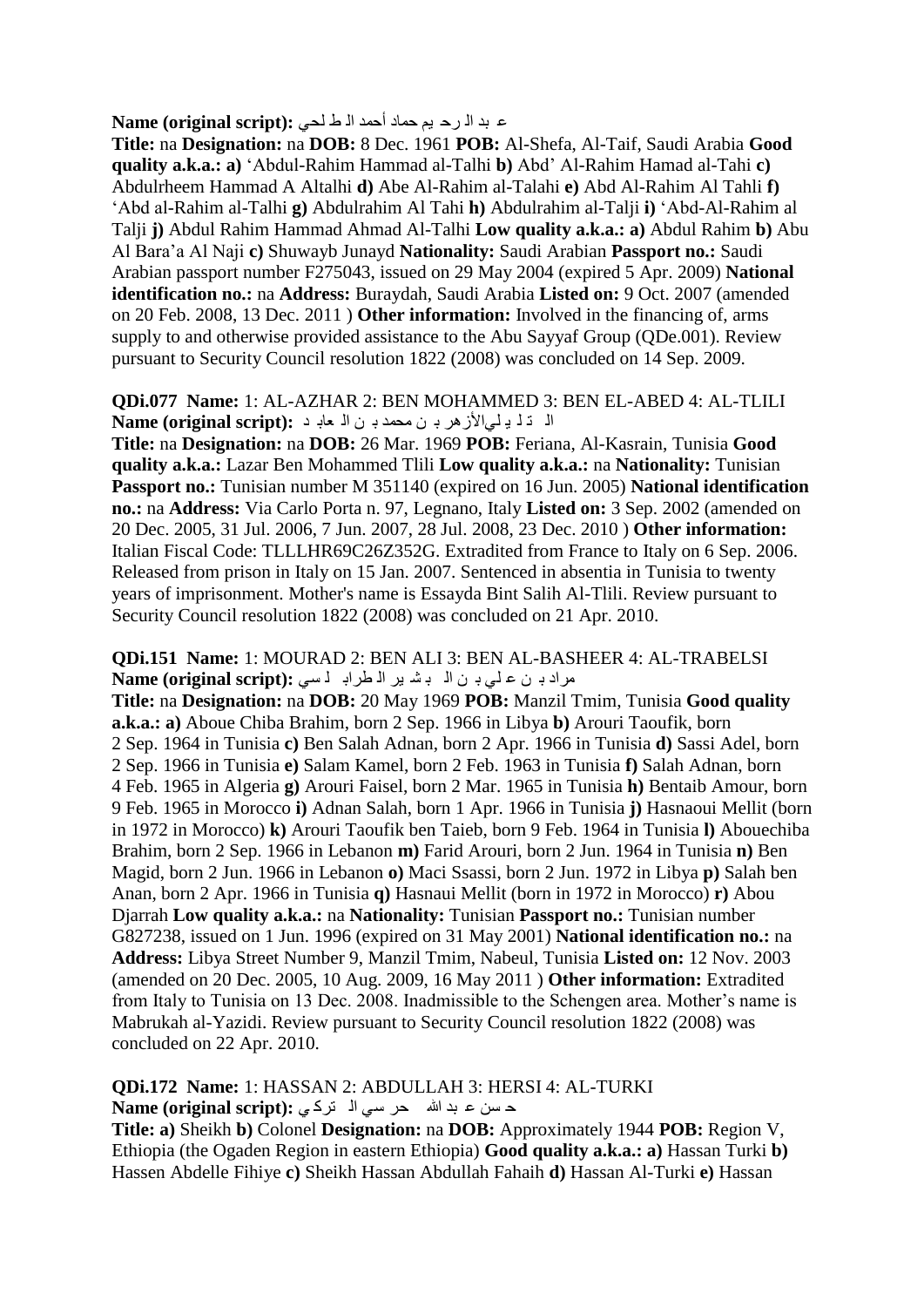#### ع بد الـ رح يم حماد أحمد الـ ط لحي : Name (original script)

**Title:** na **Designation:** na **DOB:** 8 Dec. 1961 **POB:** Al-Shefa, Al-Taif, Saudi Arabia **Good quality a.k.a.: a)** "Abdul-Rahim Hammad al-Talhi **b)** Abd" Al-Rahim Hamad al-Tahi **c)**  Abdulrheem Hammad A Altalhi **d)** Abe Al-Rahim al-Talahi **e)** Abd Al-Rahim Al Tahli **f)**  "Abd al-Rahim al-Talhi **g)** Abdulrahim Al Tahi **h)** Abdulrahim al-Talji **i)** "Abd-Al-Rahim al Talji **j)** Abdul Rahim Hammad Ahmad Al-Talhi **Low quality a.k.a.: a)** Abdul Rahim **b)** Abu Al Bara"a Al Naji **c)** Shuwayb Junayd **Nationality:** Saudi Arabian **Passport no.:** Saudi Arabian passport number F275043, issued on 29 May 2004 (expired 5 Apr. 2009) **National identification no.:** na **Address:** Buraydah, Saudi Arabia **Listed on:** 9 Oct. 2007 (amended on 20 Feb. 2008, 13 Dec. 2011 ) **Other information:** Involved in the financing of, arms supply to and otherwise provided assistance to the Abu Sayyaf Group (QDe.001). Review pursuant to Security Council resolution 1822 (2008) was concluded on 14 Sep. 2009.

#### **QDi.077 Name:** 1: AL-AZHAR 2: BEN MOHAMMED 3: BEN EL-ABED 4: AL-TLILI ال ذل يلي الأزهر بـ ن محمد بـ ن الـ عابـ د **Name (original script):**

**Title:** na **Designation:** na **DOB:** 26 Mar. 1969 **POB:** Feriana, Al-Kasrain, Tunisia **Good quality a.k.a.:** Lazar Ben Mohammed Tlili **Low quality a.k.a.:** na **Nationality:** Tunisian **Passport no.:** Tunisian number M 351140 (expired on 16 Jun. 2005) **National identification no.:** na **Address:** Via Carlo Porta n. 97, Legnano, Italy **Listed on:** 3 Sep. 2002 (amended on 20 Dec. 2005, 31 Jul. 2006, 7 Jun. 2007, 28 Jul. 2008, 23 Dec. 2010 ) **Other information:**  Italian Fiscal Code: TLLLHR69C26Z352G. Extradited from France to Italy on 6 Sep. 2006. Released from prison in Italy on 15 Jan. 2007. Sentenced in absentia in Tunisia to twenty years of imprisonment. Mother's name is Essayda Bint Salih Al-Tlili. Review pursuant to Security Council resolution 1822 (2008) was concluded on 21 Apr. 2010.

#### **QDi.151 Name:** 1: MOURAD 2: BEN ALI 3: BEN AL-BASHEER 4: AL-TRABELSI مراد بـ ن على بـ ن ال بـ شـ بر الـ طرابـ لـ سى: Name (original script):

**Title:** na **Designation:** na **DOB:** 20 May 1969 **POB:** Manzil Tmim, Tunisia **Good quality a.k.a.: a)** Aboue Chiba Brahim, born 2 Sep. 1966 in Libya **b)** Arouri Taoufik, born 2 Sep. 1964 in Tunisia **c)** Ben Salah Adnan, born 2 Apr. 1966 in Tunisia **d)** Sassi Adel, born 2 Sep. 1966 in Tunisia **e)** Salam Kamel, born 2 Feb. 1963 in Tunisia **f)** Salah Adnan, born 4 Feb. 1965 in Algeria **g)** Arouri Faisel, born 2 Mar. 1965 in Tunisia **h)** Bentaib Amour, born 9 Feb. 1965 in Morocco **i)** Adnan Salah, born 1 Apr. 1966 in Tunisia **j)** Hasnaoui Mellit (born in 1972 in Morocco) **k)** Arouri Taoufik ben Taieb, born 9 Feb. 1964 in Tunisia **l)** Abouechiba Brahim, born 2 Sep. 1966 in Lebanon **m)** Farid Arouri, born 2 Jun. 1964 in Tunisia **n)** Ben Magid, born 2 Jun. 1966 in Lebanon **o)** Maci Ssassi, born 2 Jun. 1972 in Libya **p)** Salah ben Anan, born 2 Apr. 1966 in Tunisia **q)** Hasnaui Mellit (born in 1972 in Morocco) **r)** Abou Djarrah **Low quality a.k.a.:** na **Nationality:** Tunisian **Passport no.:** Tunisian number G827238, issued on 1 Jun. 1996 (expired on 31 May 2001) **National identification no.:** na **Address:** Libya Street Number 9, Manzil Tmim, Nabeul, Tunisia **Listed on:** 12 Nov. 2003 (amended on 20 Dec. 2005, 10 Aug. 2009, 16 May 2011 ) **Other information:** Extradited from Italy to Tunisia on 13 Dec. 2008. Inadmissible to the Schengen area. Mother"s name is Mabrukah al-Yazidi. Review pursuant to Security Council resolution 1822 (2008) was concluded on 22 Apr. 2010.

**QDi.172 Name:** 1: HASSAN 2: ABDULLAH 3: HERSI 4: AL-TURKI حسن عبد الله حر سي الضركي: **Name (original script):** 

**Title: a)** Sheikh **b)** Colonel **Designation:** na **DOB:** Approximately 1944 **POB:** Region V, Ethiopia (the Ogaden Region in eastern Ethiopia) **Good quality a.k.a.: a)** Hassan Turki **b)**  Hassen Abdelle Fihiye **c)** Sheikh Hassan Abdullah Fahaih **d)** Hassan Al-Turki **e)** Hassan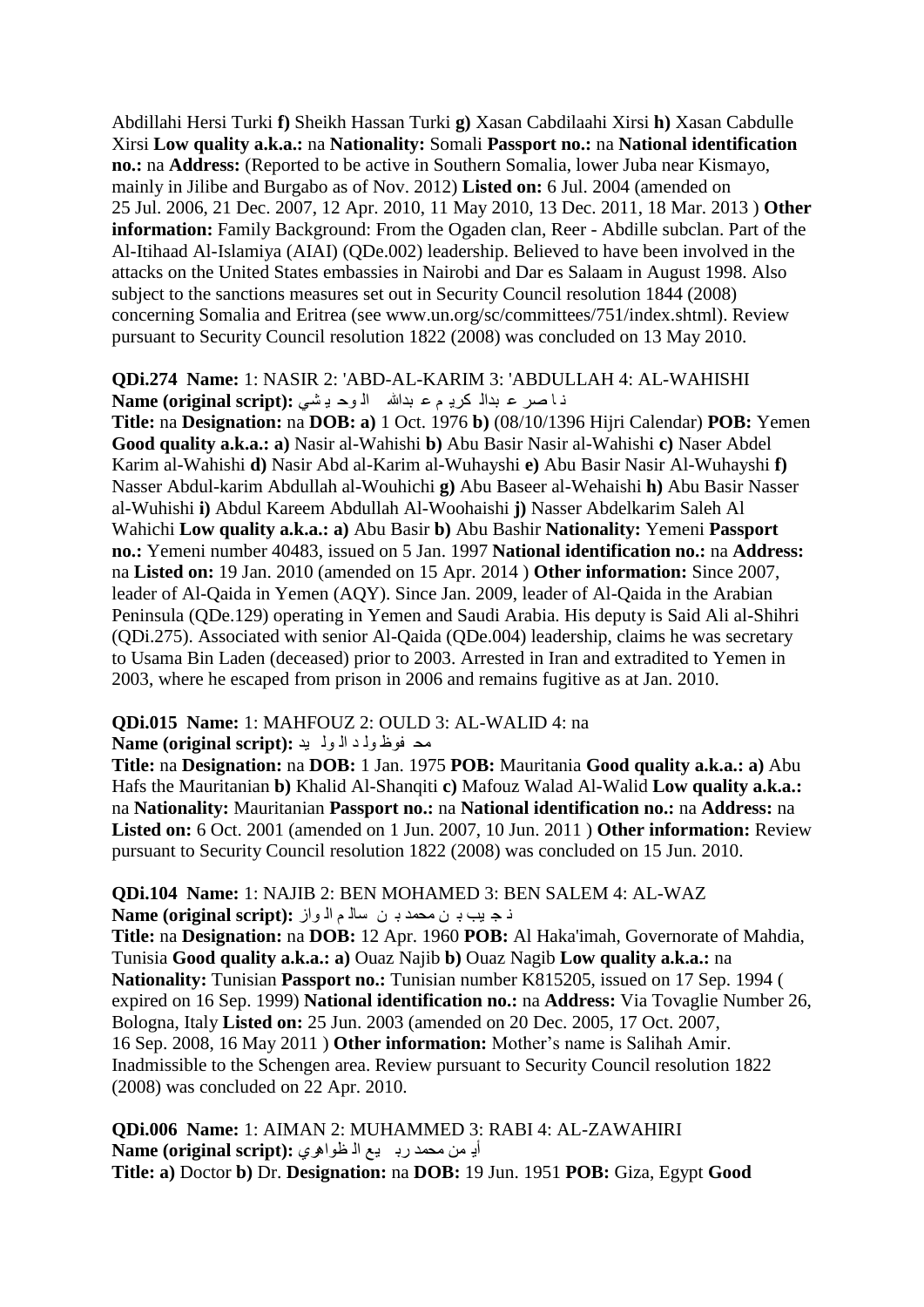Abdillahi Hersi Turki **f)** Sheikh Hassan Turki **g)** Xasan Cabdilaahi Xirsi **h)** Xasan Cabdulle Xirsi **Low quality a.k.a.:** na **Nationality:** Somali **Passport no.:** na **National identification no.:** na **Address:** (Reported to be active in Southern Somalia, lower Juba near Kismayo, mainly in Jilibe and Burgabo as of Nov. 2012) **Listed on:** 6 Jul. 2004 (amended on 25 Jul. 2006, 21 Dec. 2007, 12 Apr. 2010, 11 May 2010, 13 Dec. 2011, 18 Mar. 2013 ) **Other information:** Family Background: From the Ogaden clan, Reer - Abdille subclan. Part of the Al-Itihaad Al-Islamiya (AIAI) (QDe.002) leadership. Believed to have been involved in the attacks on the United States embassies in Nairobi and Dar es Salaam in August 1998. Also subject to the sanctions measures set out in Security Council resolution 1844 (2008) concerning Somalia and Eritrea (see www.un.org/sc/committees/751/index.shtml). Review pursuant to Security Council resolution 1822 (2008) was concluded on 13 May 2010.

**QDi.274 Name:** 1: NASIR 2: 'ABD-AL-KARIM 3: 'ABDULLAH 4: AL-WAHISHI ذا صر ع بدال كري<sub>د</sub> م ع بدالله الوح يشي: Name (original script):

**Title:** na **Designation:** na **DOB: a)** 1 Oct. 1976 **b)** (08/10/1396 Hijri Calendar) **POB:** Yemen **Good quality a.k.a.: a)** Nasir al-Wahishi **b)** Abu Basir Nasir al-Wahishi **c)** Naser Abdel Karim al-Wahishi **d)** Nasir Abd al-Karim al-Wuhayshi **e)** Abu Basir Nasir Al-Wuhayshi **f)**  Nasser Abdul-karim Abdullah al-Wouhichi **g)** Abu Baseer al-Wehaishi **h)** Abu Basir Nasser al-Wuhishi **i)** Abdul Kareem Abdullah Al-Woohaishi **j)** Nasser Abdelkarim Saleh Al Wahichi **Low quality a.k.a.: a)** Abu Basir **b)** Abu Bashir **Nationality:** Yemeni **Passport no.:** Yemeni number 40483, issued on 5 Jan. 1997 **National identification no.:** na **Address:**  na **Listed on:** 19 Jan. 2010 (amended on 15 Apr. 2014 ) **Other information:** Since 2007, leader of Al-Qaida in Yemen (AQY). Since Jan. 2009, leader of Al-Qaida in the Arabian Peninsula (QDe.129) operating in Yemen and Saudi Arabia. His deputy is Said Ali al-Shihri (QDi.275). Associated with senior Al-Qaida (QDe.004) leadership, claims he was secretary to Usama Bin Laden (deceased) prior to 2003. Arrested in Iran and extradited to Yemen in 2003, where he escaped from prison in 2006 and remains fugitive as at Jan. 2010.

#### **QDi.015 Name:** 1: MAHFOUZ 2: OULD 3: AL-WALID 4: na

#### ِذ فٛظ ٌٚ ذ اٌ ٌٛ ١ذ **:(script original (Name**

**Title:** na **Designation:** na **DOB:** 1 Jan. 1975 **POB:** Mauritania **Good quality a.k.a.: a)** Abu Hafs the Mauritanian **b)** Khalid Al-Shanqiti **c)** Mafouz Walad Al-Walid **Low quality a.k.a.:**  na **Nationality:** Mauritanian **Passport no.:** na **National identification no.:** na **Address:** na **Listed on:** 6 Oct. 2001 (amended on 1 Jun. 2007, 10 Jun. 2011 ) **Other information:** Review pursuant to Security Council resolution 1822 (2008) was concluded on 15 Jun. 2010.

#### **QDi.104 Name:** 1: NAJIB 2: BEN MOHAMED 3: BEN SALEM 4: AL-WAZ ذ ج بب بـ ن محمد بـ ن سالـم الـ واز **Name (original script):**

**Title:** na **Designation:** na **DOB:** 12 Apr. 1960 **POB:** Al Haka'imah, Governorate of Mahdia, Tunisia **Good quality a.k.a.: a)** Ouaz Najib **b)** Ouaz Nagib **Low quality a.k.a.:** na **Nationality:** Tunisian **Passport no.:** Tunisian number K815205, issued on 17 Sep. 1994 ( expired on 16 Sep. 1999) **National identification no.:** na **Address:** Via Tovaglie Number 26, Bologna, Italy **Listed on:** 25 Jun. 2003 (amended on 20 Dec. 2005, 17 Oct. 2007, 16 Sep. 2008, 16 May 2011 ) **Other information:** Mother"s name is Salihah Amir. Inadmissible to the Schengen area. Review pursuant to Security Council resolution 1822 (2008) was concluded on 22 Apr. 2010.

**QDi.006 Name:** 1: AIMAN 2: MUHAMMED 3: RABI 4: AL-ZAWAHIRI أيّ من محمد رب يع الّ ظواهري :(Name (original script **Title: a)** Doctor **b)** Dr. **Designation:** na **DOB:** 19 Jun. 1951 **POB:** Giza, Egypt **Good**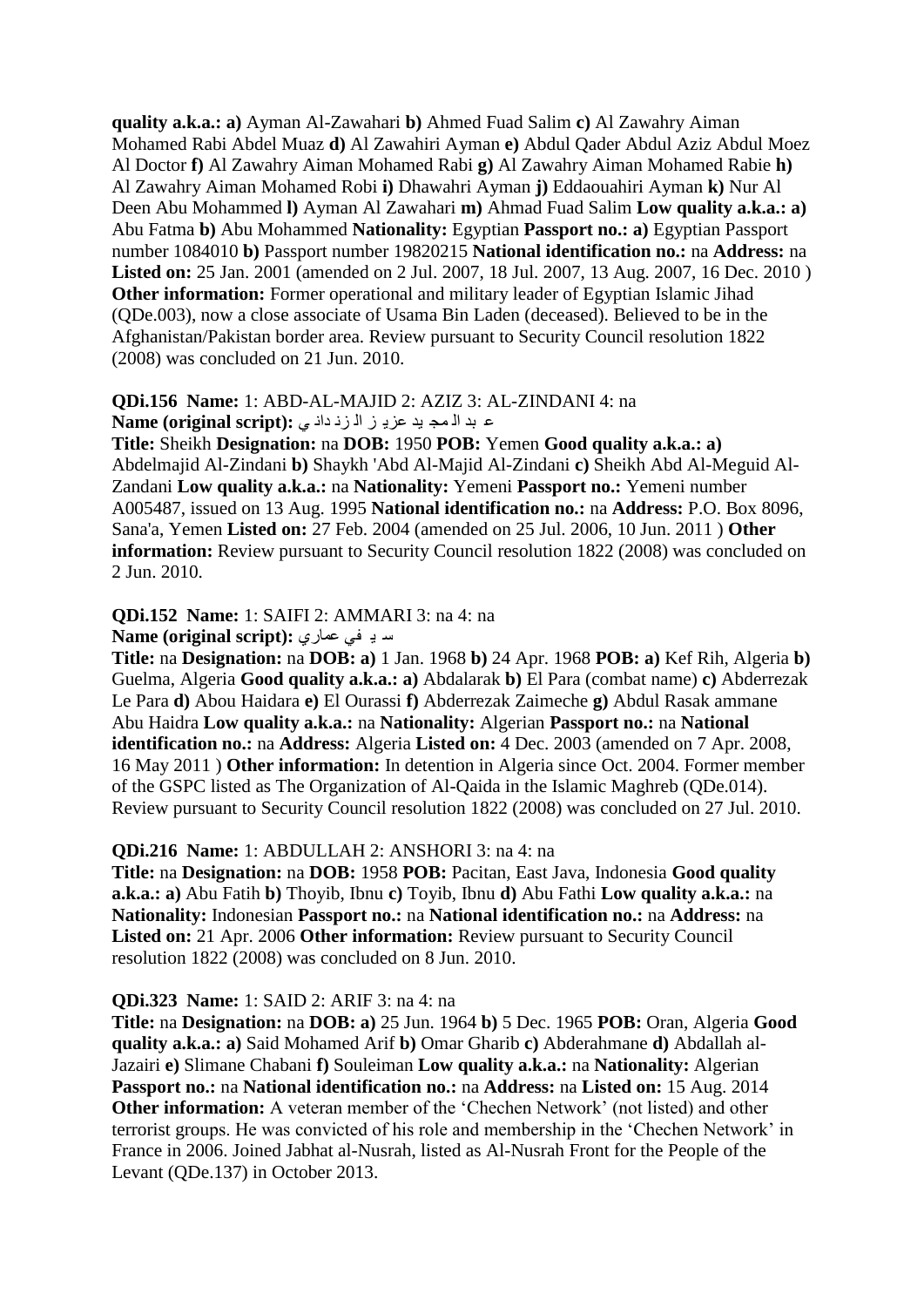**quality a.k.a.: a)** Ayman Al-Zawahari **b)** Ahmed Fuad Salim **c)** Al Zawahry Aiman Mohamed Rabi Abdel Muaz **d)** Al Zawahiri Ayman **e)** Abdul Qader Abdul Aziz Abdul Moez Al Doctor **f)** Al Zawahry Aiman Mohamed Rabi **g)** Al Zawahry Aiman Mohamed Rabie **h)**  Al Zawahry Aiman Mohamed Robi **i)** Dhawahri Ayman **j)** Eddaouahiri Ayman **k)** Nur Al Deen Abu Mohammed **l)** Ayman Al Zawahari **m)** Ahmad Fuad Salim **Low quality a.k.a.: a)**  Abu Fatma **b)** Abu Mohammed **Nationality:** Egyptian **Passport no.: a)** Egyptian Passport number 1084010 **b)** Passport number 19820215 **National identification no.:** na **Address:** na **Listed on:** 25 Jan. 2001 (amended on 2 Jul. 2007, 18 Jul. 2007, 13 Aug. 2007, 16 Dec. 2010 ) **Other information:** Former operational and military leader of Egyptian Islamic Jihad (QDe.003), now a close associate of Usama Bin Laden (deceased). Believed to be in the Afghanistan/Pakistan border area. Review pursuant to Security Council resolution 1822 (2008) was concluded on 21 Jun. 2010.

#### **QDi.156 Name:** 1: ABD-AL-MAJID 2: AZIZ 3: AL-ZINDANI 4: na ع بد الأمج يد عزي<sub>د</sub> ز الأزدداد ي :(Name (original script

**Title:** Sheikh **Designation:** na **DOB:** 1950 **POB:** Yemen **Good quality a.k.a.: a)**  Abdelmajid Al-Zindani **b)** Shaykh 'Abd Al-Majid Al-Zindani **c)** Sheikh Abd Al-Meguid Al-Zandani **Low quality a.k.a.:** na **Nationality:** Yemeni **Passport no.:** Yemeni number A005487, issued on 13 Aug. 1995 **National identification no.:** na **Address:** P.O. Box 8096, Sana'a, Yemen **Listed on:** 27 Feb. 2004 (amended on 25 Jul. 2006, 10 Jun. 2011 ) **Other information:** Review pursuant to Security Council resolution 1822 (2008) was concluded on 2 Jun. 2010.

#### **QDi.152 Name:** 1: SAIFI 2: AMMARI 3: na 4: na

m به في عمارى: Name (original script):

**Title:** na **Designation:** na **DOB: a)** 1 Jan. 1968 **b)** 24 Apr. 1968 **POB: a)** Kef Rih, Algeria **b)**  Guelma, Algeria **Good quality a.k.a.: a)** Abdalarak **b)** El Para (combat name) **c)** Abderrezak Le Para **d)** Abou Haidara **e)** El Ourassi **f)** Abderrezak Zaimeche **g)** Abdul Rasak ammane Abu Haidra **Low quality a.k.a.:** na **Nationality:** Algerian **Passport no.:** na **National identification no.:** na **Address:** Algeria **Listed on:** 4 Dec. 2003 (amended on 7 Apr. 2008, 16 May 2011 ) **Other information:** In detention in Algeria since Oct. 2004. Former member of the GSPC listed as The Organization of Al-Qaida in the Islamic Maghreb (QDe.014). Review pursuant to Security Council resolution 1822 (2008) was concluded on 27 Jul. 2010.

#### **QDi.216 Name:** 1: ABDULLAH 2: ANSHORI 3: na 4: na

**Title:** na **Designation:** na **DOB:** 1958 **POB:** Pacitan, East Java, Indonesia **Good quality a.k.a.: a)** Abu Fatih **b)** Thoyib, Ibnu **c)** Toyib, Ibnu **d)** Abu Fathi **Low quality a.k.a.:** na **Nationality:** Indonesian **Passport no.:** na **National identification no.:** na **Address:** na **Listed on:** 21 Apr. 2006 **Other information:** Review pursuant to Security Council resolution 1822 (2008) was concluded on 8 Jun. 2010.

#### **QDi.323 Name:** 1: SAID 2: ARIF 3: na 4: na

**Title:** na **Designation:** na **DOB: a)** 25 Jun. 1964 **b)** 5 Dec. 1965 **POB:** Oran, Algeria **Good quality a.k.a.: a)** Said Mohamed Arif **b)** Omar Gharib **c)** Abderahmane **d)** Abdallah al-Jazairi **e)** Slimane Chabani **f)** Souleiman **Low quality a.k.a.:** na **Nationality:** Algerian **Passport no.:** na **National identification no.:** na **Address:** na **Listed on:** 15 Aug. 2014 **Other information:** A veteran member of the 'Chechen Network' (not listed) and other terrorist groups. He was convicted of his role and membership in the "Chechen Network" in France in 2006. Joined Jabhat al-Nusrah, listed as Al-Nusrah Front for the People of the Levant (QDe.137) in October 2013.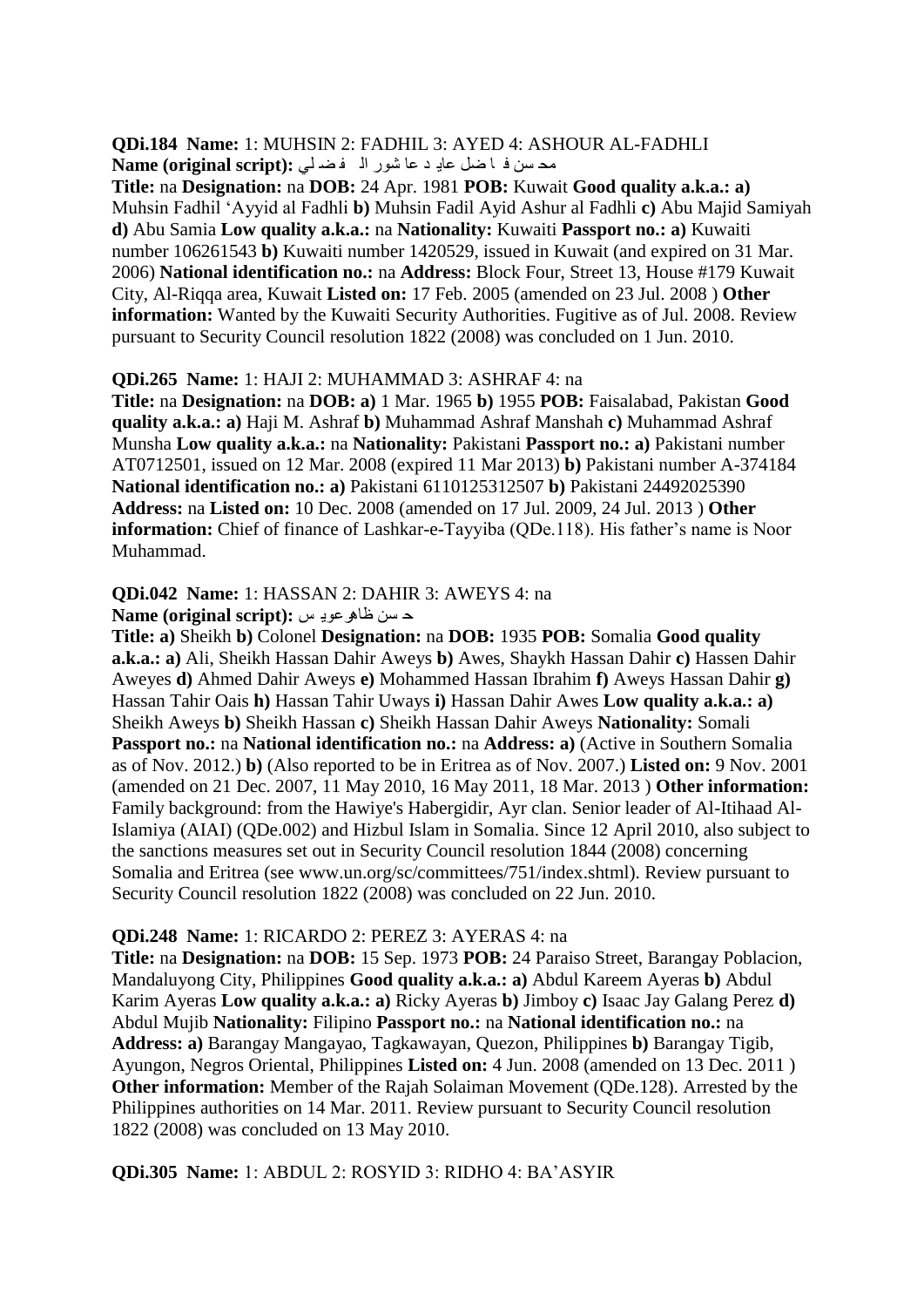#### **QDi.184 Name:** 1: MUHSIN 2: FADHIL 3: AYED 4: ASHOUR AL-FADHLI مدسن ف ا ضل عادٍ د عا شور الم فض لي :(Name (original script

**Title:** na **Designation:** na **DOB:** 24 Apr. 1981 **POB:** Kuwait **Good quality a.k.a.: a)**  Muhsin Fadhil "Ayyid al Fadhli **b)** Muhsin Fadil Ayid Ashur al Fadhli **c)** Abu Majid Samiyah **d)** Abu Samia **Low quality a.k.a.:** na **Nationality:** Kuwaiti **Passport no.: a)** Kuwaiti number 106261543 **b)** Kuwaiti number 1420529, issued in Kuwait (and expired on 31 Mar. 2006) **National identification no.:** na **Address:** Block Four, Street 13, House #179 Kuwait City, Al-Riqqa area, Kuwait **Listed on:** 17 Feb. 2005 (amended on 23 Jul. 2008 ) **Other information:** Wanted by the Kuwaiti Security Authorities. Fugitive as of Jul. 2008. Review pursuant to Security Council resolution 1822 (2008) was concluded on 1 Jun. 2010.

#### **QDi.265 Name:** 1: HAJI 2: MUHAMMAD 3: ASHRAF 4: na

**Title:** na **Designation:** na **DOB: a)** 1 Mar. 1965 **b)** 1955 **POB:** Faisalabad, Pakistan **Good quality a.k.a.: a)** Haji M. Ashraf **b)** Muhammad Ashraf Manshah **c)** Muhammad Ashraf Munsha **Low quality a.k.a.:** na **Nationality:** Pakistani **Passport no.: a)** Pakistani number AT0712501, issued on 12 Mar. 2008 (expired 11 Mar 2013) **b)** Pakistani number A-374184 **National identification no.: a)** Pakistani 6110125312507 **b)** Pakistani 24492025390 **Address:** na **Listed on:** 10 Dec. 2008 (amended on 17 Jul. 2009, 24 Jul. 2013 ) **Other information:** Chief of finance of Lashkar-e-Tayyiba (QDe.118). His father's name is Noor Muhammad.

#### **QDi.042 Name:** 1: HASSAN 2: DAHIR 3: AWEYS 4: na

#### د غٓ ظا٘شػ٠ٛ ظ **:(script original (Name**

**Title: a)** Sheikh **b)** Colonel **Designation:** na **DOB:** 1935 **POB:** Somalia **Good quality a.k.a.: a)** Ali, Sheikh Hassan Dahir Aweys **b)** Awes, Shaykh Hassan Dahir **c)** Hassen Dahir Aweyes **d)** Ahmed Dahir Aweys **e)** Mohammed Hassan Ibrahim **f)** Aweys Hassan Dahir **g)**  Hassan Tahir Oais **h)** Hassan Tahir Uways **i)** Hassan Dahir Awes **Low quality a.k.a.: a)**  Sheikh Aweys **b)** Sheikh Hassan **c)** Sheikh Hassan Dahir Aweys **Nationality:** Somali **Passport no.:** na **National identification no.:** na **Address: a**) (Active in Southern Somalia as of Nov. 2012.) **b)** (Also reported to be in Eritrea as of Nov. 2007.) **Listed on:** 9 Nov. 2001 (amended on 21 Dec. 2007, 11 May 2010, 16 May 2011, 18 Mar. 2013 ) **Other information:**  Family background: from the Hawiye's Habergidir, Ayr clan. Senior leader of Al-Itihaad Al-Islamiya (AIAI) (QDe.002) and Hizbul Islam in Somalia. Since 12 April 2010, also subject to the sanctions measures set out in Security Council resolution 1844 (2008) concerning Somalia and Eritrea (see www.un.org/sc/committees/751/index.shtml). Review pursuant to Security Council resolution 1822 (2008) was concluded on 22 Jun. 2010.

#### **QDi.248 Name:** 1: RICARDO 2: PEREZ 3: AYERAS 4: na

**Title:** na **Designation:** na **DOB:** 15 Sep. 1973 **POB:** 24 Paraiso Street, Barangay Poblacion, Mandaluyong City, Philippines **Good quality a.k.a.: a)** Abdul Kareem Ayeras **b)** Abdul Karim Ayeras **Low quality a.k.a.: a)** Ricky Ayeras **b)** Jimboy **c)** Isaac Jay Galang Perez **d)**  Abdul Mujib **Nationality:** Filipino **Passport no.:** na **National identification no.:** na **Address: a)** Barangay Mangayao, Tagkawayan, Quezon, Philippines **b)** Barangay Tigib, Ayungon, Negros Oriental, Philippines **Listed on:** 4 Jun. 2008 (amended on 13 Dec. 2011 ) **Other information:** Member of the Rajah Solaiman Movement (QDe.128). Arrested by the Philippines authorities on 14 Mar. 2011. Review pursuant to Security Council resolution 1822 (2008) was concluded on 13 May 2010.

# **QDi.305 Name:** 1: ABDUL 2: ROSYID 3: RIDHO 4: BA"ASYIR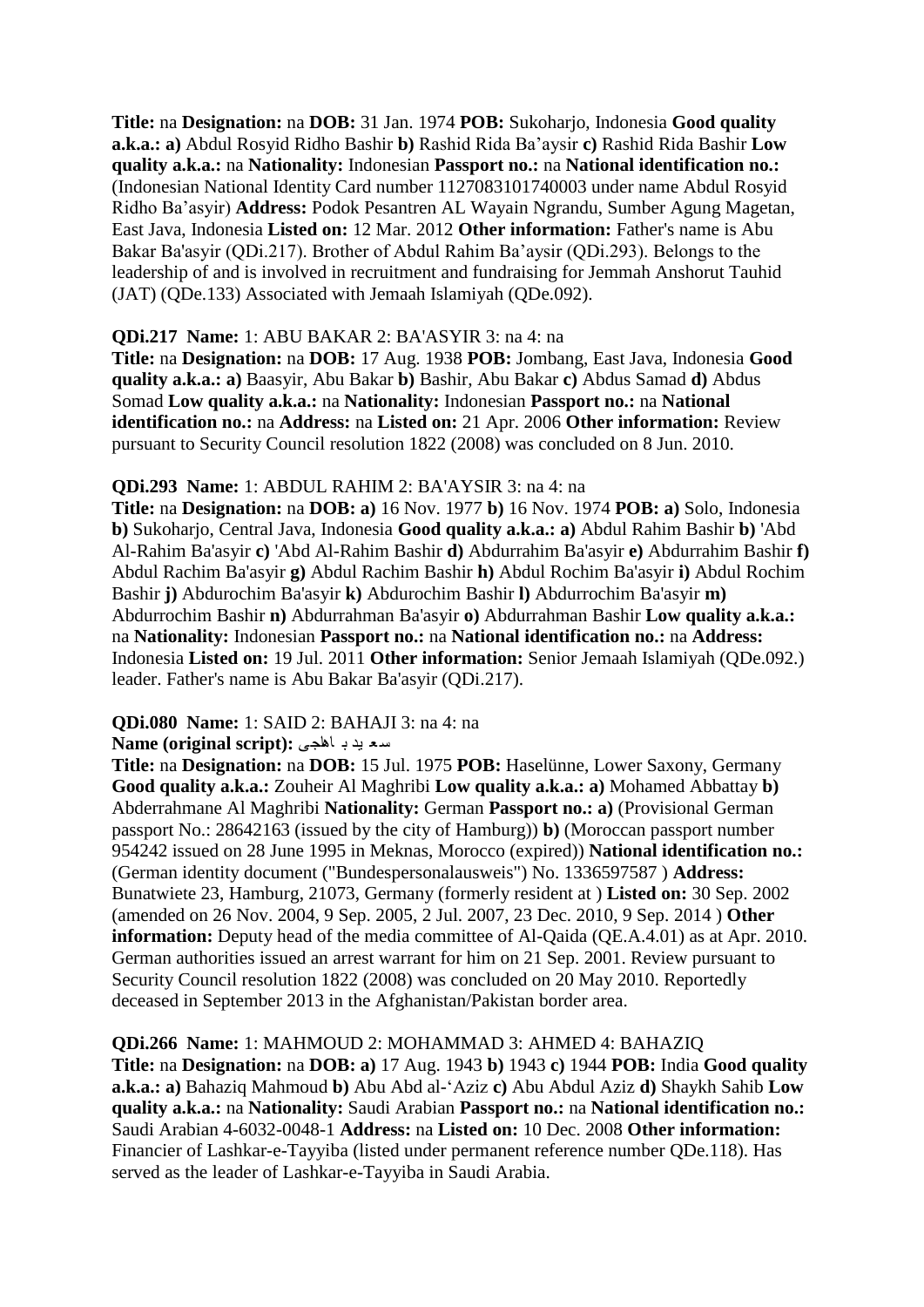**Title:** na **Designation:** na **DOB:** 31 Jan. 1974 **POB:** Sukoharjo, Indonesia **Good quality a.k.a.: a)** Abdul Rosyid Ridho Bashir **b)** Rashid Rida Ba"aysir **c)** Rashid Rida Bashir **Low quality a.k.a.:** na **Nationality:** Indonesian **Passport no.:** na **National identification no.:**  (Indonesian National Identity Card number 1127083101740003 under name Abdul Rosyid Ridho Ba"asyir) **Address:** Podok Pesantren AL Wayain Ngrandu, Sumber Agung Magetan, East Java, Indonesia **Listed on:** 12 Mar. 2012 **Other information:** Father's name is Abu Bakar Ba'asyir (QDi.217). Brother of Abdul Rahim Ba"aysir (QDi.293). Belongs to the leadership of and is involved in recruitment and fundraising for Jemmah Anshorut Tauhid (JAT) (QDe.133) Associated with Jemaah Islamiyah (QDe.092).

#### **QDi.217 Name:** 1: ABU BAKAR 2: BA'ASYIR 3: na 4: na

**Title:** na **Designation:** na **DOB:** 17 Aug. 1938 **POB:** Jombang, East Java, Indonesia **Good quality a.k.a.: a)** Baasyir, Abu Bakar **b)** Bashir, Abu Bakar **c)** Abdus Samad **d)** Abdus Somad **Low quality a.k.a.:** na **Nationality:** Indonesian **Passport no.:** na **National identification no.:** na **Address:** na **Listed on:** 21 Apr. 2006 **Other information:** Review pursuant to Security Council resolution 1822 (2008) was concluded on 8 Jun. 2010.

#### **QDi.293 Name:** 1: ABDUL RAHIM 2: BA'AYSIR 3: na 4: na

**Title:** na **Designation:** na **DOB: a)** 16 Nov. 1977 **b)** 16 Nov. 1974 **POB: a)** Solo, Indonesia **b)** Sukoharjo, Central Java, Indonesia **Good quality a.k.a.: a)** Abdul Rahim Bashir **b)** 'Abd Al-Rahim Ba'asyir **c)** 'Abd Al-Rahim Bashir **d)** Abdurrahim Ba'asyir **e)** Abdurrahim Bashir **f)**  Abdul Rachim Ba'asyir **g)** Abdul Rachim Bashir **h)** Abdul Rochim Ba'asyir **i)** Abdul Rochim Bashir **j)** Abdurochim Ba'asyir **k)** Abdurochim Bashir **l)** Abdurrochim Ba'asyir **m)**  Abdurrochim Bashir **n)** Abdurrahman Ba'asyir **o)** Abdurrahman Bashir **Low quality a.k.a.:**  na **Nationality:** Indonesian **Passport no.:** na **National identification no.:** na **Address:**  Indonesia **Listed on:** 19 Jul. 2011 **Other information:** Senior Jemaah Islamiyah (QDe.092.) leader. Father's name is Abu Bakar Ba'asyir (QDi.217).

#### **QDi.080 Name:** 1: SAID 2: BAHAJI 3: na 4: na

#### ع ؼ ١ذ ت ا٘اجٝ **:(script original (Name**

**Title:** na **Designation:** na **DOB:** 15 Jul. 1975 **POB:** Haselünne, Lower Saxony, Germany **Good quality a.k.a.:** Zouheir Al Maghribi **Low quality a.k.a.: a)** Mohamed Abbattay **b)**  Abderrahmane Al Maghribi **Nationality:** German **Passport no.: a)** (Provisional German passport No.: 28642163 (issued by the city of Hamburg)) **b)** (Moroccan passport number 954242 issued on 28 June 1995 in Meknas, Morocco (expired)) **National identification no.:**  (German identity document ("Bundespersonalausweis") No. 1336597587 ) **Address:**  Bunatwiete 23, Hamburg, 21073, Germany (formerly resident at ) **Listed on:** 30 Sep. 2002 (amended on 26 Nov. 2004, 9 Sep. 2005, 2 Jul. 2007, 23 Dec. 2010, 9 Sep. 2014 ) **Other information:** Deputy head of the media committee of Al-Qaida (OE.A.4.01) as at Apr. 2010. German authorities issued an arrest warrant for him on 21 Sep. 2001. Review pursuant to Security Council resolution 1822 (2008) was concluded on 20 May 2010. Reportedly deceased in September 2013 in the Afghanistan/Pakistan border area.

#### **QDi.266 Name:** 1: MAHMOUD 2: MOHAMMAD 3: AHMED 4: BAHAZIQ

**Title:** na **Designation:** na **DOB: a)** 17 Aug. 1943 **b)** 1943 **c)** 1944 **POB:** India **Good quality a.k.a.: a)** Bahaziq Mahmoud **b)** Abu Abd al-"Aziz **c)** Abu Abdul Aziz **d)** Shaykh Sahib **Low quality a.k.a.:** na **Nationality:** Saudi Arabian **Passport no.:** na **National identification no.:**  Saudi Arabian 4-6032-0048-1 **Address:** na **Listed on:** 10 Dec. 2008 **Other information:**  Financier of Lashkar-e-Tayyiba (listed under permanent reference number QDe.118). Has served as the leader of Lashkar-e-Tayyiba in Saudi Arabia.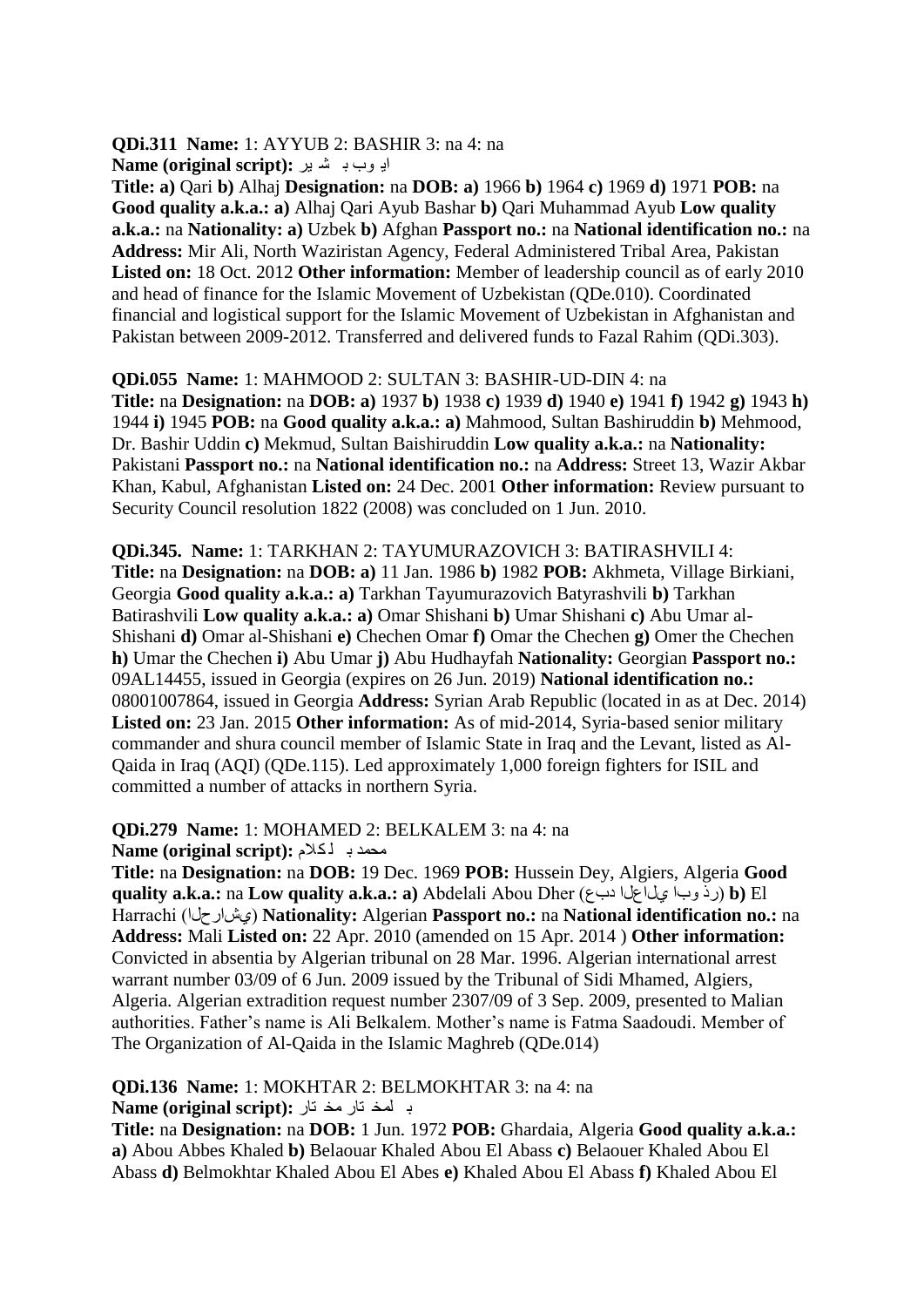**QDi.311 Name:** 1: AYYUB 2: BASHIR 3: na 4: na اب<sub> و</sub>ب ب شد بر : Name (original script)

**Title: a)** Qari **b)** Alhaj **Designation:** na **DOB: a)** 1966 **b)** 1964 **c)** 1969 **d)** 1971 **POB:** na **Good quality a.k.a.: a)** Alhaj Qari Ayub Bashar **b)** Qari Muhammad Ayub **Low quality a.k.a.:** na **Nationality: a)** Uzbek **b)** Afghan **Passport no.:** na **National identification no.:** na **Address:** Mir Ali, North Waziristan Agency, Federal Administered Tribal Area, Pakistan **Listed on:** 18 Oct. 2012 **Other information:** Member of leadership council as of early 2010 and head of finance for the Islamic Movement of Uzbekistan (QDe.010). Coordinated financial and logistical support for the Islamic Movement of Uzbekistan in Afghanistan and Pakistan between 2009-2012. Transferred and delivered funds to Fazal Rahim (QDi.303).

**QDi.055 Name:** 1: MAHMOOD 2: SULTAN 3: BASHIR-UD-DIN 4: na **Title:** na **Designation:** na **DOB: a)** 1937 **b)** 1938 **c)** 1939 **d)** 1940 **e)** 1941 **f)** 1942 **g)** 1943 **h)**  1944 **i)** 1945 **POB:** na **Good quality a.k.a.: a)** Mahmood, Sultan Bashiruddin **b)** Mehmood, Dr. Bashir Uddin **c)** Mekmud, Sultan Baishiruddin **Low quality a.k.a.:** na **Nationality:**  Pakistani **Passport no.:** na **National identification no.:** na **Address:** Street 13, Wazir Akbar Khan, Kabul, Afghanistan **Listed on:** 24 Dec. 2001 **Other information:** Review pursuant to Security Council resolution 1822 (2008) was concluded on 1 Jun. 2010.

**QDi.345. Name:** 1: TARKHAN 2: TAYUMURAZOVICH 3: BATIRASHVILI 4: **Title:** na **Designation:** na **DOB: a)** 11 Jan. 1986 **b)** 1982 **POB:** Akhmeta, Village Birkiani, Georgia **Good quality a.k.a.: a)** Tarkhan Tayumurazovich Batyrashvili **b)** Tarkhan Batirashvili **Low quality a.k.a.: a)** Omar Shishani **b)** Umar Shishani **c)** Abu Umar al-Shishani **d)** Omar al-Shishani **e)** Chechen Omar **f)** Omar the Chechen **g)** Omer the Chechen **h)** Umar the Chechen **i)** Abu Umar **j)** Abu Hudhayfah **Nationality:** Georgian **Passport no.:**  09AL14455, issued in Georgia (expires on 26 Jun. 2019) **National identification no.:**  08001007864, issued in Georgia **Address:** Syrian Arab Republic (located in as at Dec. 2014) **Listed on:** 23 Jan. 2015 **Other information:** As of mid-2014, Syria-based senior military commander and shura council member of Islamic State in Iraq and the Levant, listed as Al-Qaida in Iraq (AQI) (QDe.115). Led approximately 1,000 foreign fighters for ISIL and committed a number of attacks in northern Syria.

**QDi.279 Name:** 1: MOHAMED 2: BELKALEM 3: na 4: na

**Name (original script): محمد بـ أكلام** 

**Title:** na **Designation:** na **DOB:** 19 Dec. 1969 **POB:** Hussein Dey, Algiers, Algeria **Good quality a.k.a.:** na **Low quality a.k.a.: a)** Abdelali Abou Dher (دبع ياعياٞ باٚ سر (**b)** El Harrachi (ػاسحياٞ (**Nationality:** Algerian **Passport no.:** na **National identification no.:** na **Address:** Mali **Listed on:** 22 Apr. 2010 (amended on 15 Apr. 2014 ) **Other information:**  Convicted in absentia by Algerian tribunal on 28 Mar. 1996. Algerian international arrest warrant number 03/09 of 6 Jun. 2009 issued by the Tribunal of Sidi Mhamed, Algiers, Algeria. Algerian extradition request number 2307/09 of 3 Sep. 2009, presented to Malian authorities. Father"s name is Ali Belkalem. Mother"s name is Fatma Saadoudi. Member of The Organization of Al-Qaida in the Islamic Maghreb (QDe.014)

**QDi.136 Name:** 1: MOKHTAR 2: BELMOKHTAR 3: na 4: na ب لهخ تار مخ تار :(Name (original script

**Title:** na **Designation:** na **DOB:** 1 Jun. 1972 **POB:** Ghardaia, Algeria **Good quality a.k.a.: a)** Abou Abbes Khaled **b)** Belaouar Khaled Abou El Abass **c)** Belaouer Khaled Abou El Abass **d)** Belmokhtar Khaled Abou El Abes **e)** Khaled Abou El Abass **f)** Khaled Abou El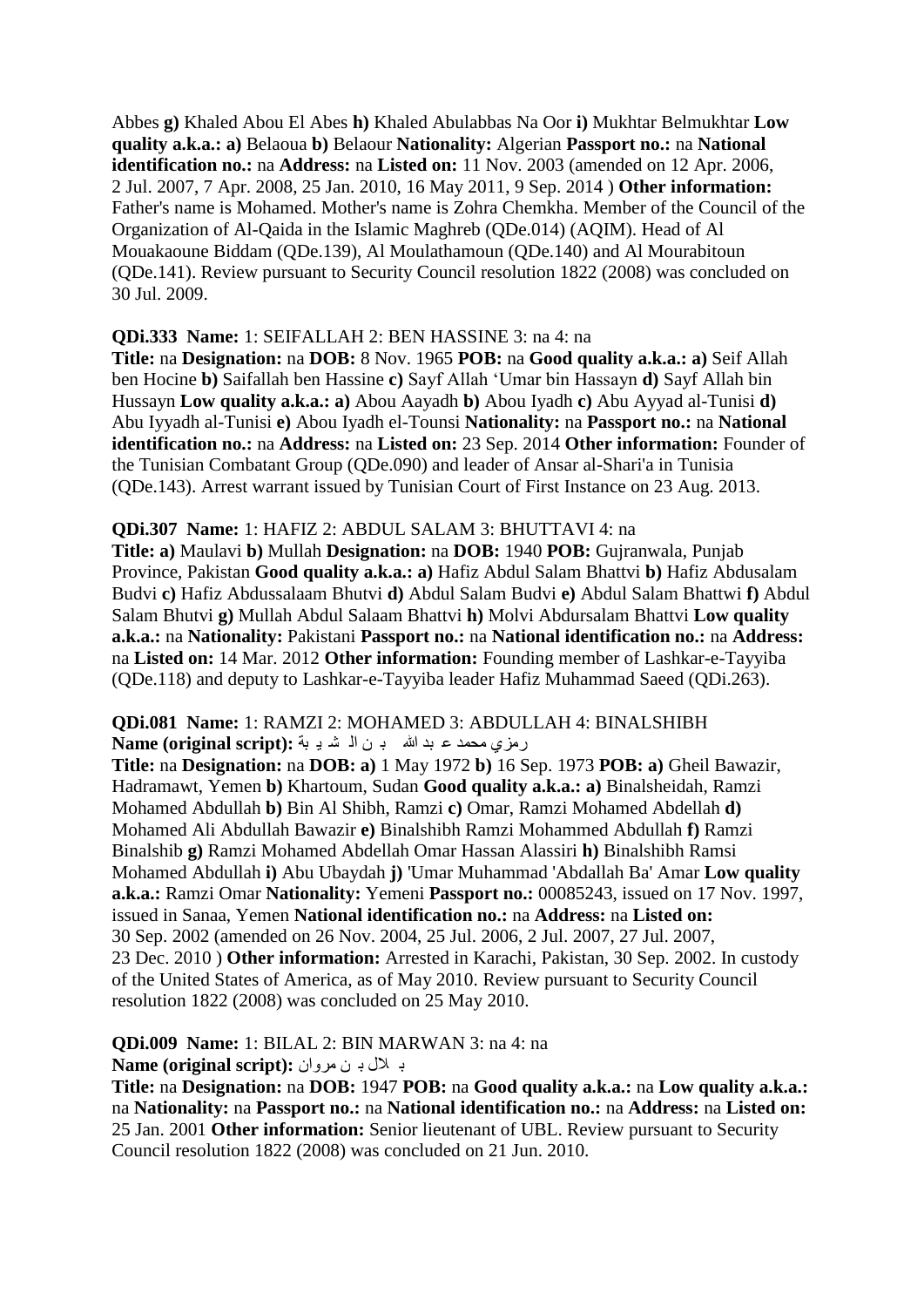Abbes **g)** Khaled Abou El Abes **h)** Khaled Abulabbas Na Oor **i)** Mukhtar Belmukhtar **Low quality a.k.a.: a)** Belaoua **b)** Belaour **Nationality:** Algerian **Passport no.:** na **National identification no.:** na **Address:** na **Listed on:** 11 Nov. 2003 (amended on 12 Apr. 2006, 2 Jul. 2007, 7 Apr. 2008, 25 Jan. 2010, 16 May 2011, 9 Sep. 2014 ) **Other information:**  Father's name is Mohamed. Mother's name is Zohra Chemkha. Member of the Council of the Organization of Al-Qaida in the Islamic Maghreb (QDe.014) (AQIM). Head of Al Mouakaoune Biddam (QDe.139), Al Moulathamoun (QDe.140) and Al Mourabitoun (QDe.141). Review pursuant to Security Council resolution 1822 (2008) was concluded on 30 Jul. 2009.

#### **QDi.333 Name:** 1: SEIFALLAH 2: BEN HASSINE 3: na 4: na

**Title:** na **Designation:** na **DOB:** 8 Nov. 1965 **POB:** na **Good quality a.k.a.: a)** Seif Allah ben Hocine **b)** Saifallah ben Hassine **c)** Sayf Allah "Umar bin Hassayn **d)** Sayf Allah bin Hussayn **Low quality a.k.a.: a)** Abou Aayadh **b)** Abou Iyadh **c)** Abu Ayyad al-Tunisi **d)**  Abu Iyyadh al-Tunisi **e)** Abou Iyadh el-Tounsi **Nationality:** na **Passport no.:** na **National identification no.:** na **Address:** na **Listed on:** 23 Sep. 2014 **Other information:** Founder of the Tunisian Combatant Group (QDe.090) and leader of Ansar al-Shari'a in Tunisia (QDe.143). Arrest warrant issued by Tunisian Court of First Instance on 23 Aug. 2013.

#### **QDi.307 Name:** 1: HAFIZ 2: ABDUL SALAM 3: BHUTTAVI 4: na

**Title: a)** Maulavi **b)** Mullah **Designation:** na **DOB:** 1940 **POB:** Gujranwala, Punjab Province, Pakistan **Good quality a.k.a.: a)** Hafiz Abdul Salam Bhattvi **b)** Hafiz Abdusalam Budvi **c)** Hafiz Abdussalaam Bhutvi **d)** Abdul Salam Budvi **e)** Abdul Salam Bhattwi **f)** Abdul Salam Bhutvi **g)** Mullah Abdul Salaam Bhattvi **h)** Molvi Abdursalam Bhattvi **Low quality a.k.a.:** na **Nationality:** Pakistani **Passport no.:** na **National identification no.:** na **Address:**  na **Listed on:** 14 Mar. 2012 **Other information:** Founding member of Lashkar-e-Tayyiba (QDe.118) and deputy to Lashkar-e-Tayyiba leader Hafiz Muhammad Saeed (QDi.263).

#### **QDi.081 Name:** 1: RAMZI 2: MOHAMED 3: ABDULLAH 4: BINALSHIBH رِمزِي محمد عبد الله بن السَّدِ به **Name (original script):**

**Title:** na **Designation:** na **DOB: a)** 1 May 1972 **b)** 16 Sep. 1973 **POB: a)** Gheil Bawazir, Hadramawt, Yemen **b)** Khartoum, Sudan **Good quality a.k.a.: a)** Binalsheidah, Ramzi Mohamed Abdullah **b)** Bin Al Shibh, Ramzi **c)** Omar, Ramzi Mohamed Abdellah **d)**  Mohamed Ali Abdullah Bawazir **e)** Binalshibh Ramzi Mohammed Abdullah **f)** Ramzi Binalshib **g)** Ramzi Mohamed Abdellah Omar Hassan Alassiri **h)** Binalshibh Ramsi Mohamed Abdullah **i)** Abu Ubaydah **j)** 'Umar Muhammad 'Abdallah Ba' Amar **Low quality a.k.a.:** Ramzi Omar **Nationality:** Yemeni **Passport no.:** 00085243, issued on 17 Nov. 1997, issued in Sanaa, Yemen **National identification no.:** na **Address:** na **Listed on:**  30 Sep. 2002 (amended on 26 Nov. 2004, 25 Jul. 2006, 2 Jul. 2007, 27 Jul. 2007, 23 Dec. 2010 ) **Other information:** Arrested in Karachi, Pakistan, 30 Sep. 2002. In custody of the United States of America, as of May 2010. Review pursuant to Security Council resolution 1822 (2008) was concluded on 25 May 2010.

**QDi.009 Name:** 1: BILAL 2: BIN MARWAN 3: na 4: na

**F**  $\blacksquare$  به المثل به ان هر و ان : Name (original script)

**Title:** na **Designation:** na **DOB:** 1947 **POB:** na **Good quality a.k.a.:** na **Low quality a.k.a.:**  na **Nationality:** na **Passport no.:** na **National identification no.:** na **Address:** na **Listed on:**  25 Jan. 2001 **Other information:** Senior lieutenant of UBL. Review pursuant to Security Council resolution 1822 (2008) was concluded on 21 Jun. 2010.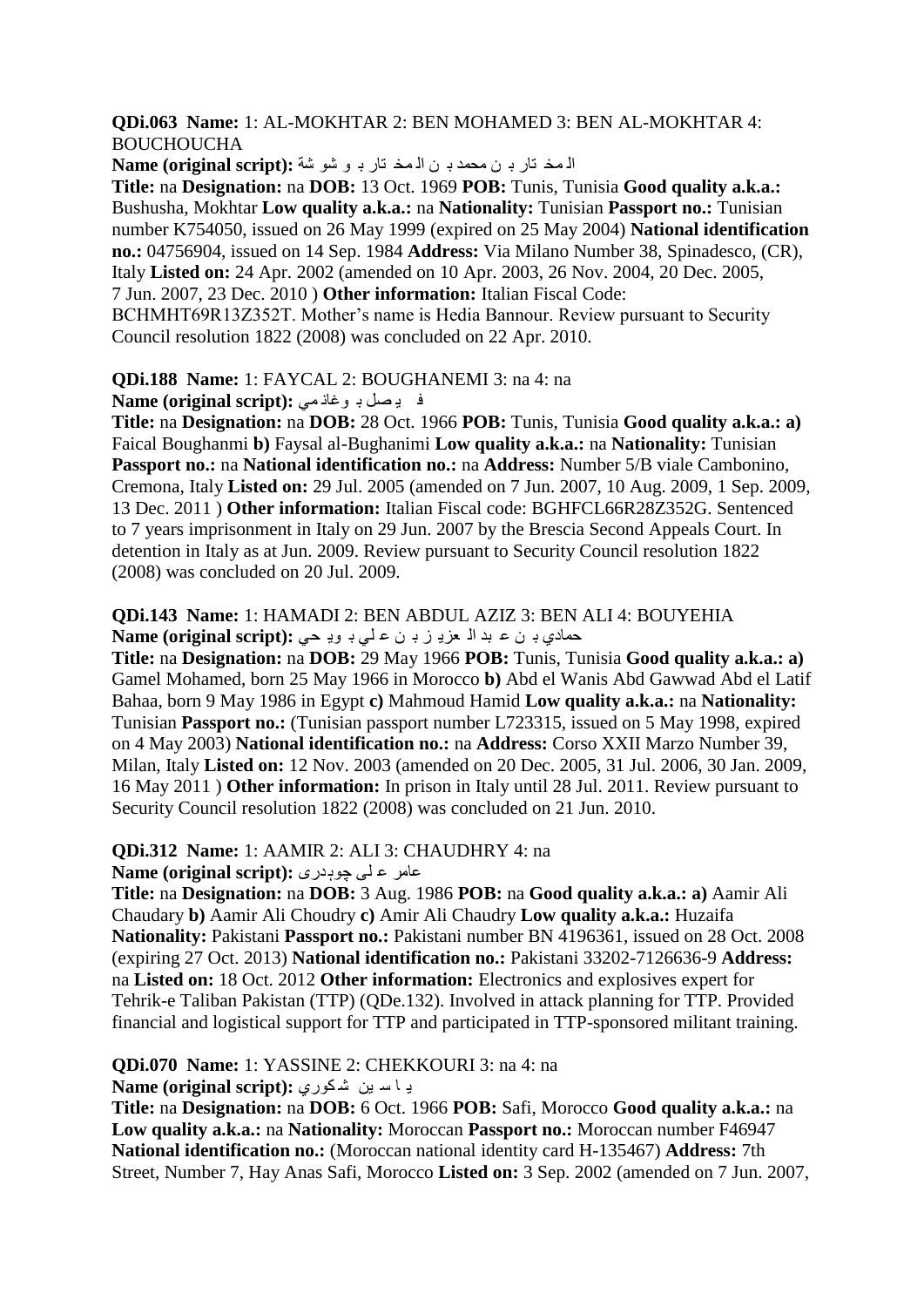**QDi.063 Name:** 1: AL-MOKHTAR 2: BEN MOHAMED 3: BEN AL-MOKHTAR 4: BOUCHOUCHA

المخ تار بـ ن محمد بـ ن المخ تار بـ و شو شة : Name (original script)

**Title:** na **Designation:** na **DOB:** 13 Oct. 1969 **POB:** Tunis, Tunisia **Good quality a.k.a.:**  Bushusha, Mokhtar **Low quality a.k.a.:** na **Nationality:** Tunisian **Passport no.:** Tunisian number K754050, issued on 26 May 1999 (expired on 25 May 2004) **National identification no.:** 04756904, issued on 14 Sep. 1984 **Address:** Via Milano Number 38, Spinadesco, (CR), Italy **Listed on:** 24 Apr. 2002 (amended on 10 Apr. 2003, 26 Nov. 2004, 20 Dec. 2005, 7 Jun. 2007, 23 Dec. 2010 ) **Other information:** Italian Fiscal Code:

BCHMHT69R13Z352T. Mother"s name is Hedia Bannour. Review pursuant to Security Council resolution 1822 (2008) was concluded on 22 Apr. 2010.

**QDi.188 Name:** 1: FAYCAL 2: BOUGHANEMI 3: na 4: na

ف يصل بـ وغان<sub>مى</sub> :(Name (original script

**Title:** na **Designation:** na **DOB:** 28 Oct. 1966 **POB:** Tunis, Tunisia **Good quality a.k.a.: a)**  Faical Boughanmi **b)** Faysal al-Bughanimi **Low quality a.k.a.:** na **Nationality:** Tunisian **Passport no.:** na **National identification no.:** na **Address:** Number 5/B viale Cambonino, Cremona, Italy **Listed on:** 29 Jul. 2005 (amended on 7 Jun. 2007, 10 Aug. 2009, 1 Sep. 2009, 13 Dec. 2011 ) **Other information:** Italian Fiscal code: BGHFCL66R28Z352G. Sentenced to 7 years imprisonment in Italy on 29 Jun. 2007 by the Brescia Second Appeals Court. In detention in Italy as at Jun. 2009. Review pursuant to Security Council resolution 1822 (2008) was concluded on 20 Jul. 2009.

#### **QDi.143 Name:** 1: HAMADI 2: BEN ABDUL AZIZ 3: BEN ALI 4: BOUYEHIA دهادي بـ ن ع بد الـ عزبـ ز بـ ن عـ لـى بـ ويـ حـى **:**(Name (original script)

**Title:** na **Designation:** na **DOB:** 29 May 1966 **POB:** Tunis, Tunisia **Good quality a.k.a.: a)**  Gamel Mohamed, born 25 May 1966 in Morocco **b)** Abd el Wanis Abd Gawwad Abd el Latif Bahaa, born 9 May 1986 in Egypt **c)** Mahmoud Hamid **Low quality a.k.a.:** na **Nationality:**  Tunisian **Passport no.:** (Tunisian passport number L723315, issued on 5 May 1998, expired on 4 May 2003) **National identification no.:** na **Address:** Corso XXII Marzo Number 39, Milan, Italy **Listed on:** 12 Nov. 2003 (amended on 20 Dec. 2005, 31 Jul. 2006, 30 Jan. 2009, 16 May 2011 ) **Other information:** In prison in Italy until 28 Jul. 2011. Review pursuant to Security Council resolution 1822 (2008) was concluded on 21 Jun. 2010.

#### **QDi.312 Name:** 1: AAMIR 2: ALI 3: CHAUDHRY 4: na

**Name (original script): عامر ع لی چوبدری** 

**Title:** na **Designation:** na **DOB:** 3 Aug. 1986 **POB:** na **Good quality a.k.a.: a)** Aamir Ali Chaudary **b)** Aamir Ali Choudry **c)** Amir Ali Chaudry **Low quality a.k.a.:** Huzaifa **Nationality:** Pakistani **Passport no.:** Pakistani number BN 4196361, issued on 28 Oct. 2008 (expiring 27 Oct. 2013) **National identification no.:** Pakistani 33202-7126636-9 **Address:**  na **Listed on:** 18 Oct. 2012 **Other information:** Electronics and explosives expert for Tehrik-e Taliban Pakistan (TTP) (QDe.132). Involved in attack planning for TTP. Provided financial and logistical support for TTP and participated in TTP-sponsored militant training.

#### **QDi.070 Name:** 1: YASSINE 2: CHEKKOURI 3: na 4: na

**4 اس بن شكورى: Name (original script):** 

**Title:** na **Designation:** na **DOB:** 6 Oct. 1966 **POB:** Safi, Morocco **Good quality a.k.a.:** na **Low quality a.k.a.:** na **Nationality:** Moroccan **Passport no.:** Moroccan number F46947 **National identification no.:** (Moroccan national identity card H-135467) **Address:** 7th Street, Number 7, Hay Anas Safi, Morocco **Listed on:** 3 Sep. 2002 (amended on 7 Jun. 2007,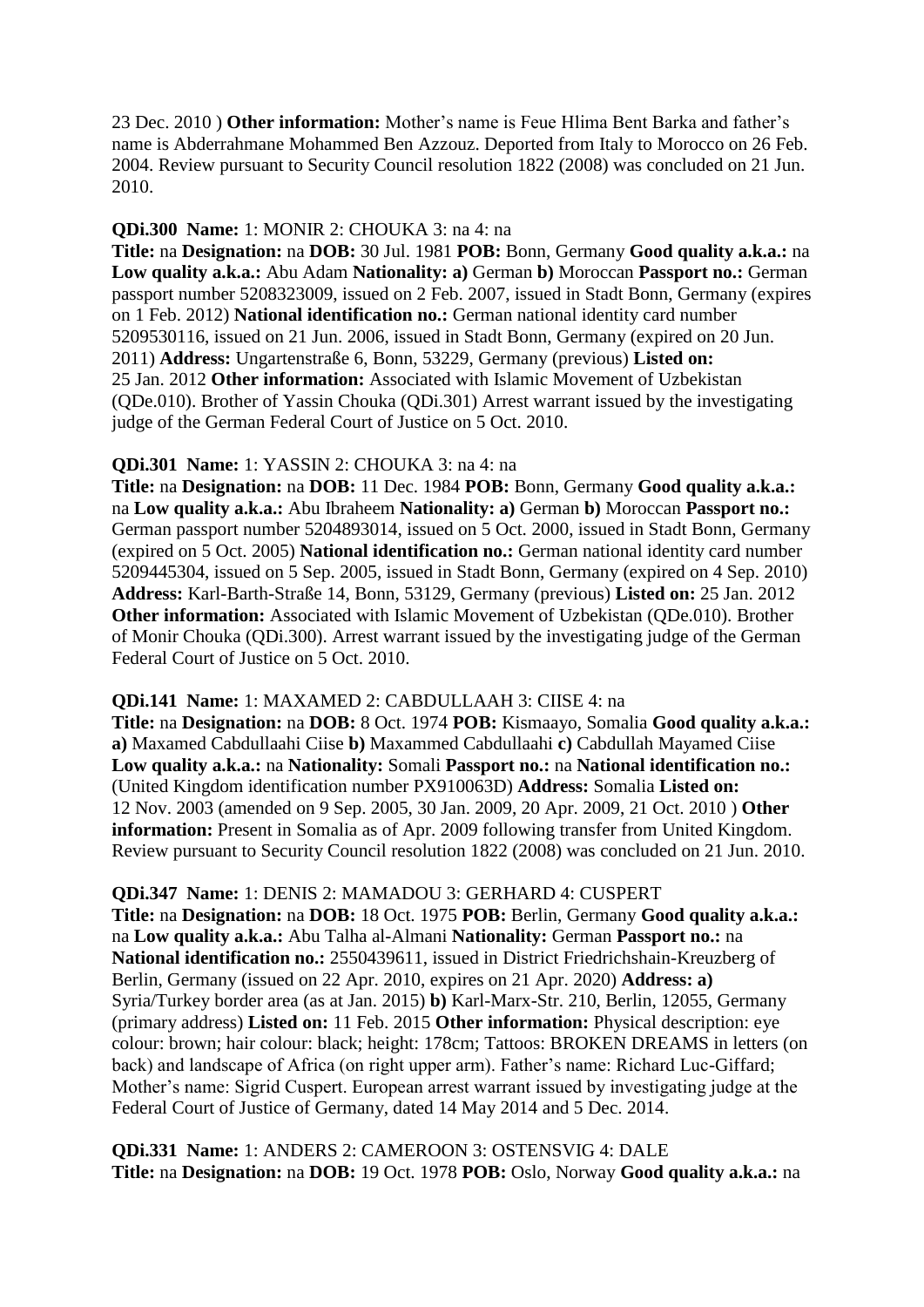23 Dec. 2010 ) **Other information:** Mother"s name is Feue Hlima Bent Barka and father"s name is Abderrahmane Mohammed Ben Azzouz. Deported from Italy to Morocco on 26 Feb. 2004. Review pursuant to Security Council resolution 1822 (2008) was concluded on 21 Jun. 2010.

#### **QDi.300 Name:** 1: MONIR 2: CHOUKA 3: na 4: na

**Title:** na **Designation:** na **DOB:** 30 Jul. 1981 **POB:** Bonn, Germany **Good quality a.k.a.:** na **Low quality a.k.a.:** Abu Adam **Nationality: a)** German **b)** Moroccan **Passport no.:** German passport number 5208323009, issued on 2 Feb. 2007, issued in Stadt Bonn, Germany (expires on 1 Feb. 2012) **National identification no.:** German national identity card number 5209530116, issued on 21 Jun. 2006, issued in Stadt Bonn, Germany (expired on 20 Jun. 2011) **Address:** Ungartenstraße 6, Bonn, 53229, Germany (previous) **Listed on:**  25 Jan. 2012 **Other information:** Associated with Islamic Movement of Uzbekistan (QDe.010). Brother of Yassin Chouka (QDi.301) Arrest warrant issued by the investigating judge of the German Federal Court of Justice on 5 Oct. 2010.

#### **QDi.301 Name:** 1: YASSIN 2: CHOUKA 3: na 4: na

**Title:** na **Designation:** na **DOB:** 11 Dec. 1984 **POB:** Bonn, Germany **Good quality a.k.a.:**  na **Low quality a.k.a.:** Abu Ibraheem **Nationality: a)** German **b)** Moroccan **Passport no.:**  German passport number 5204893014, issued on 5 Oct. 2000, issued in Stadt Bonn, Germany (expired on 5 Oct. 2005) **National identification no.:** German national identity card number 5209445304, issued on 5 Sep. 2005, issued in Stadt Bonn, Germany (expired on 4 Sep. 2010) **Address:** Karl-Barth-Straße 14, Bonn, 53129, Germany (previous) **Listed on:** 25 Jan. 2012 **Other information:** Associated with Islamic Movement of Uzbekistan (ODe.010). Brother of Monir Chouka (QDi.300). Arrest warrant issued by the investigating judge of the German Federal Court of Justice on 5 Oct. 2010.

#### **QDi.141 Name:** 1: MAXAMED 2: CABDULLAAH 3: CIISE 4: na

**Title:** na **Designation:** na **DOB:** 8 Oct. 1974 **POB:** Kismaayo, Somalia **Good quality a.k.a.: a)** Maxamed Cabdullaahi Ciise **b)** Maxammed Cabdullaahi **c)** Cabdullah Mayamed Ciise **Low quality a.k.a.:** na **Nationality:** Somali **Passport no.:** na **National identification no.:**  (United Kingdom identification number PX910063D) **Address:** Somalia **Listed on:**  12 Nov. 2003 (amended on 9 Sep. 2005, 30 Jan. 2009, 20 Apr. 2009, 21 Oct. 2010 ) **Other information:** Present in Somalia as of Apr. 2009 following transfer from United Kingdom. Review pursuant to Security Council resolution 1822 (2008) was concluded on 21 Jun. 2010.

#### **QDi.347 Name:** 1: DENIS 2: MAMADOU 3: GERHARD 4: CUSPERT

**Title:** na **Designation:** na **DOB:** 18 Oct. 1975 **POB:** Berlin, Germany **Good quality a.k.a.:**  na **Low quality a.k.a.:** Abu Talha al-Almani **Nationality:** German **Passport no.:** na **National identification no.:** 2550439611, issued in District Friedrichshain-Kreuzberg of Berlin, Germany (issued on 22 Apr. 2010, expires on 21 Apr. 2020) **Address: a)**  Syria/Turkey border area (as at Jan. 2015) **b)** Karl-Marx-Str. 210, Berlin, 12055, Germany (primary address) **Listed on:** 11 Feb. 2015 **Other information:** Physical description: eye colour: brown; hair colour: black; height: 178cm; Tattoos: BROKEN DREAMS in letters (on back) and landscape of Africa (on right upper arm). Father"s name: Richard Luc-Giffard; Mother"s name: Sigrid Cuspert. European arrest warrant issued by investigating judge at the Federal Court of Justice of Germany, dated 14 May 2014 and 5 Dec. 2014.

**QDi.331 Name:** 1: ANDERS 2: CAMEROON 3: OSTENSVIG 4: DALE **Title:** na **Designation:** na **DOB:** 19 Oct. 1978 **POB:** Oslo, Norway **Good quality a.k.a.:** na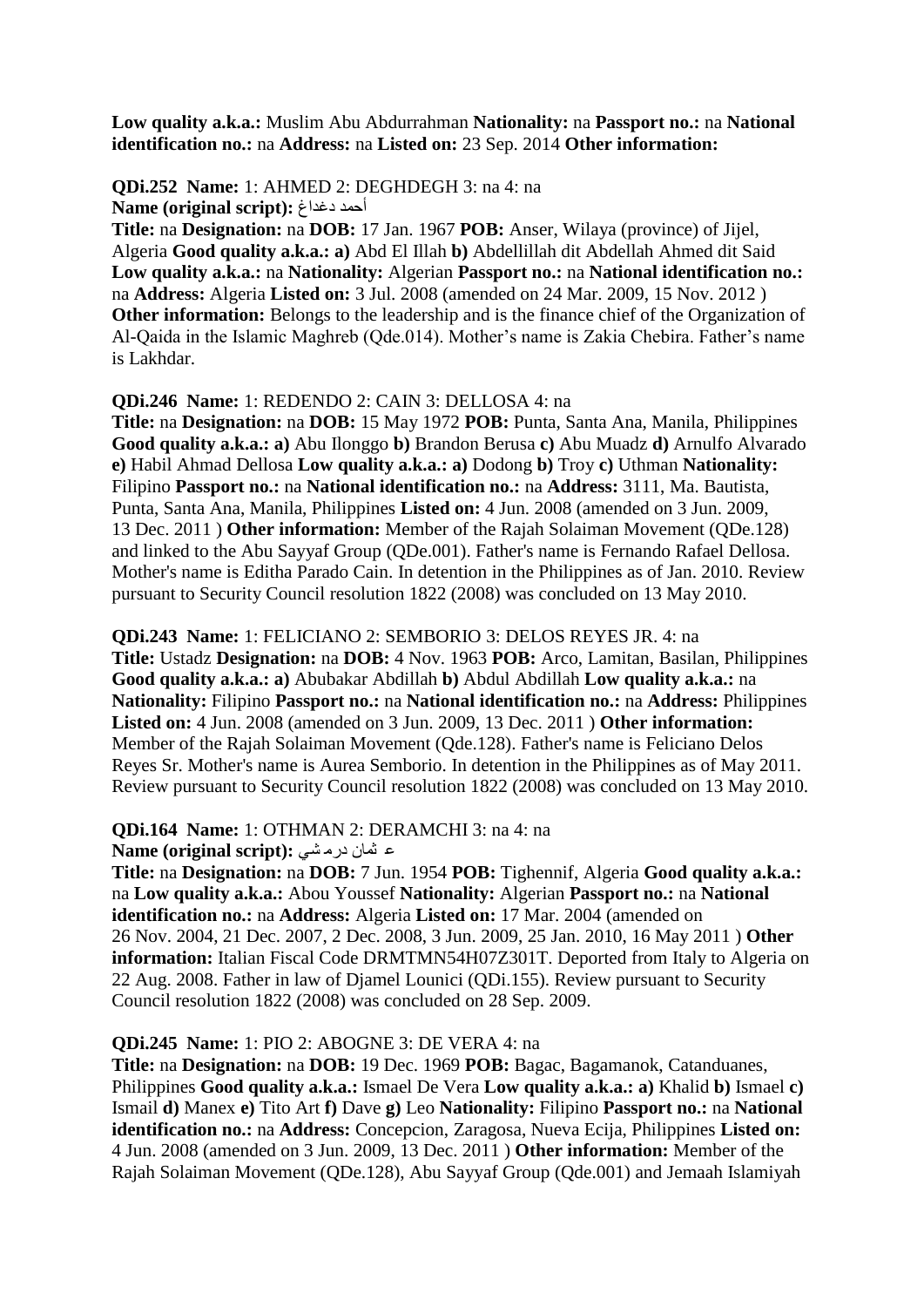**Low quality a.k.a.:** Muslim Abu Abdurrahman **Nationality:** na **Passport no.:** na **National identification no.:** na **Address:** na **Listed on:** 23 Sep. 2014 **Other information:** 

**QDi.252 Name:** 1: AHMED 2: DEGHDEGH 3: na 4: na أحمد دغذاغ : Name (original script)

**Title:** na **Designation:** na **DOB:** 17 Jan. 1967 **POB:** Anser, Wilaya (province) of Jijel, Algeria **Good quality a.k.a.: a)** Abd El Illah **b)** Abdellillah dit Abdellah Ahmed dit Said **Low quality a.k.a.:** na **Nationality:** Algerian **Passport no.:** na **National identification no.:**  na **Address:** Algeria **Listed on:** 3 Jul. 2008 (amended on 24 Mar. 2009, 15 Nov. 2012 ) **Other information:** Belongs to the leadership and is the finance chief of the Organization of Al-Qaida in the Islamic Maghreb (Qde.014). Mother"s name is Zakia Chebira. Father"s name is Lakhdar.

#### **QDi.246 Name:** 1: REDENDO 2: CAIN 3: DELLOSA 4: na

**Title:** na **Designation:** na **DOB:** 15 May 1972 **POB:** Punta, Santa Ana, Manila, Philippines **Good quality a.k.a.: a)** Abu Ilonggo **b)** Brandon Berusa **c)** Abu Muadz **d)** Arnulfo Alvarado **e)** Habil Ahmad Dellosa **Low quality a.k.a.: a)** Dodong **b)** Troy **c)** Uthman **Nationality:**  Filipino **Passport no.:** na **National identification no.:** na **Address:** 3111, Ma. Bautista, Punta, Santa Ana, Manila, Philippines **Listed on:** 4 Jun. 2008 (amended on 3 Jun. 2009, 13 Dec. 2011 ) **Other information:** Member of the Rajah Solaiman Movement (QDe.128) and linked to the Abu Sayyaf Group (QDe.001). Father's name is Fernando Rafael Dellosa. Mother's name is Editha Parado Cain. In detention in the Philippines as of Jan. 2010. Review pursuant to Security Council resolution 1822 (2008) was concluded on 13 May 2010.

**QDi.243 Name:** 1: FELICIANO 2: SEMBORIO 3: DELOS REYES JR. 4: na

**Title:** Ustadz **Designation:** na **DOB:** 4 Nov. 1963 **POB:** Arco, Lamitan, Basilan, Philippines **Good quality a.k.a.: a)** Abubakar Abdillah **b)** Abdul Abdillah **Low quality a.k.a.:** na **Nationality:** Filipino **Passport no.:** na **National identification no.:** na **Address:** Philippines **Listed on:** 4 Jun. 2008 (amended on 3 Jun. 2009, 13 Dec. 2011 ) **Other information:**  Member of the Rajah Solaiman Movement (Qde.128). Father's name is Feliciano Delos Reyes Sr. Mother's name is Aurea Semborio. In detention in the Philippines as of May 2011. Review pursuant to Security Council resolution 1822 (2008) was concluded on 13 May 2010.

#### **QDi.164 Name:** 1: OTHMAN 2: DERAMCHI 3: na 4: na

#### **a شان درمشی:** :Name (original script)

**Title:** na **Designation:** na **DOB:** 7 Jun. 1954 **POB:** Tighennif, Algeria **Good quality a.k.a.:**  na **Low quality a.k.a.:** Abou Youssef **Nationality:** Algerian **Passport no.:** na **National identification no.:** na **Address:** Algeria **Listed on:** 17 Mar. 2004 (amended on 26 Nov. 2004, 21 Dec. 2007, 2 Dec. 2008, 3 Jun. 2009, 25 Jan. 2010, 16 May 2011 ) **Other information:** Italian Fiscal Code DRMTMN54H07Z301T. Deported from Italy to Algeria on 22 Aug. 2008. Father in law of Djamel Lounici (QDi.155). Review pursuant to Security Council resolution 1822 (2008) was concluded on 28 Sep. 2009.

#### **QDi.245 Name:** 1: PIO 2: ABOGNE 3: DE VERA 4: na

**Title:** na **Designation:** na **DOB:** 19 Dec. 1969 **POB:** Bagac, Bagamanok, Catanduanes, Philippines **Good quality a.k.a.:** Ismael De Vera **Low quality a.k.a.: a)** Khalid **b)** Ismael **c)**  Ismail **d)** Manex **e)** Tito Art **f)** Dave **g)** Leo **Nationality:** Filipino **Passport no.:** na **National identification no.:** na **Address:** Concepcion, Zaragosa, Nueva Ecija, Philippines **Listed on:**  4 Jun. 2008 (amended on 3 Jun. 2009, 13 Dec. 2011 ) **Other information:** Member of the Rajah Solaiman Movement (QDe.128), Abu Sayyaf Group (Qde.001) and Jemaah Islamiyah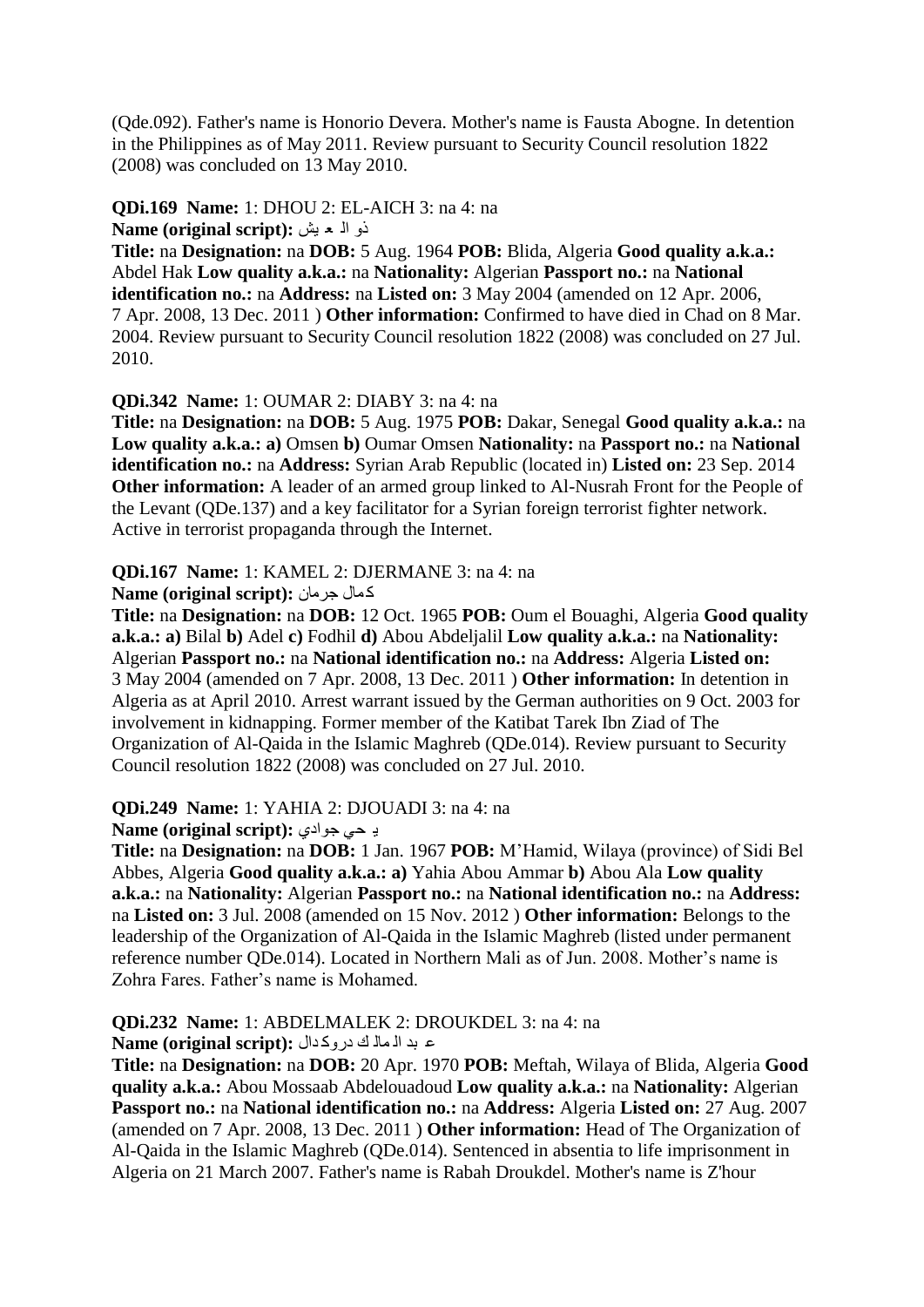(Qde.092). Father's name is Honorio Devera. Mother's name is Fausta Abogne. In detention in the Philippines as of May 2011. Review pursuant to Security Council resolution 1822 (2008) was concluded on 13 May 2010.

#### **QDi.169 Name:** 1: DHOU 2: EL-AICH 3: na 4: na رٚ اٌ ؼ ١ؼ **:(script original (Name**

**Title:** na **Designation:** na **DOB:** 5 Aug. 1964 **POB:** Blida, Algeria **Good quality a.k.a.:**  Abdel Hak **Low quality a.k.a.:** na **Nationality:** Algerian **Passport no.:** na **National identification no.:** na **Address:** na **Listed on:** 3 May 2004 (amended on 12 Apr. 2006, 7 Apr. 2008, 13 Dec. 2011 ) **Other information:** Confirmed to have died in Chad on 8 Mar. 2004. Review pursuant to Security Council resolution 1822 (2008) was concluded on 27 Jul. 2010.

#### **QDi.342 Name:** 1: OUMAR 2: DIABY 3: na 4: na

**Title:** na **Designation:** na **DOB:** 5 Aug. 1975 **POB:** Dakar, Senegal **Good quality a.k.a.:** na **Low quality a.k.a.: a)** Omsen **b)** Oumar Omsen **Nationality:** na **Passport no.:** na **National identification no.:** na **Address:** Syrian Arab Republic (located in) **Listed on:** 23 Sep. 2014 **Other information:** A leader of an armed group linked to Al-Nusrah Front for the People of the Levant (QDe.137) and a key facilitator for a Syrian foreign terrorist fighter network. Active in terrorist propaganda through the Internet.

# **QDi.167 Name:** 1: KAMEL 2: DJERMANE 3: na 4: na

**Aame (original script):** كمال جرِ مان

**Title:** na **Designation:** na **DOB:** 12 Oct. 1965 **POB:** Oum el Bouaghi, Algeria **Good quality a.k.a.: a)** Bilal **b)** Adel **c)** Fodhil **d)** Abou Abdeljalil **Low quality a.k.a.:** na **Nationality:**  Algerian **Passport no.:** na **National identification no.:** na **Address:** Algeria **Listed on:**  3 May 2004 (amended on 7 Apr. 2008, 13 Dec. 2011 ) **Other information:** In detention in Algeria as at April 2010. Arrest warrant issued by the German authorities on 9 Oct. 2003 for involvement in kidnapping. Former member of the Katibat Tarek Ibn Ziad of The Organization of Al-Qaida in the Islamic Maghreb (QDe.014). Review pursuant to Security Council resolution 1822 (2008) was concluded on 27 Jul. 2010.

#### **QDi.249 Name:** 1: YAHIA 2: DJOUADI 3: na 4: na

**4 د جي جوادي: Name (original script):** 

**Title:** na **Designation:** na **DOB:** 1 Jan. 1967 **POB:** M"Hamid, Wilaya (province) of Sidi Bel Abbes, Algeria **Good quality a.k.a.: a)** Yahia Abou Ammar **b)** Abou Ala **Low quality a.k.a.:** na **Nationality:** Algerian **Passport no.:** na **National identification no.:** na **Address:**  na **Listed on:** 3 Jul. 2008 (amended on 15 Nov. 2012 ) **Other information:** Belongs to the leadership of the Organization of Al-Qaida in the Islamic Maghreb (listed under permanent reference number QDe.014). Located in Northern Mali as of Jun. 2008. Mother"s name is Zohra Fares. Father's name is Mohamed.

**QDi.232 Name:** 1: ABDELMALEK 2: DROUKDEL 3: na 4: na

#### ع بد ال مال ك دروكدال : Name (original script)

**Title:** na **Designation:** na **DOB:** 20 Apr. 1970 **POB:** Meftah, Wilaya of Blida, Algeria **Good quality a.k.a.:** Abou Mossaab Abdelouadoud **Low quality a.k.a.:** na **Nationality:** Algerian **Passport no.:** na **National identification no.:** na **Address:** Algeria **Listed on:** 27 Aug. 2007 (amended on 7 Apr. 2008, 13 Dec. 2011 ) **Other information:** Head of The Organization of Al-Qaida in the Islamic Maghreb (QDe.014). Sentenced in absentia to life imprisonment in Algeria on 21 March 2007. Father's name is Rabah Droukdel. Mother's name is Z'hour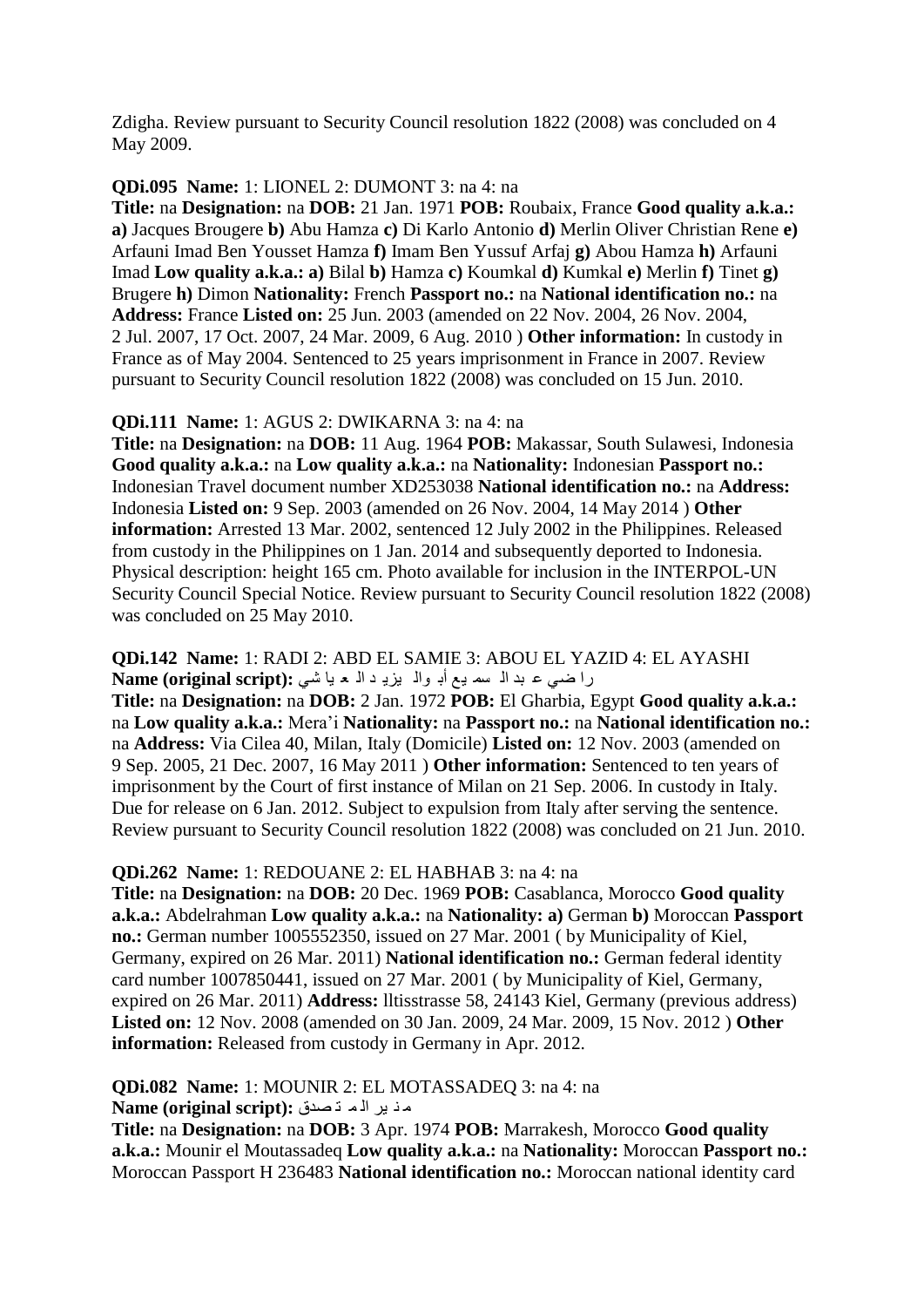Zdigha. Review pursuant to Security Council resolution 1822 (2008) was concluded on 4 May 2009.

#### **QDi.095 Name:** 1: LIONEL 2: DUMONT 3: na 4: na

**Title:** na **Designation:** na **DOB:** 21 Jan. 1971 **POB:** Roubaix, France **Good quality a.k.a.: a)** Jacques Brougere **b)** Abu Hamza **c)** Di Karlo Antonio **d)** Merlin Oliver Christian Rene **e)**  Arfauni Imad Ben Yousset Hamza **f)** Imam Ben Yussuf Arfaj **g)** Abou Hamza **h)** Arfauni Imad **Low quality a.k.a.: a)** Bilal **b)** Hamza **c)** Koumkal **d)** Kumkal **e)** Merlin **f)** Tinet **g)**  Brugere **h)** Dimon **Nationality:** French **Passport no.:** na **National identification no.:** na **Address:** France **Listed on:** 25 Jun. 2003 (amended on 22 Nov. 2004, 26 Nov. 2004, 2 Jul. 2007, 17 Oct. 2007, 24 Mar. 2009, 6 Aug. 2010 ) **Other information:** In custody in France as of May 2004. Sentenced to 25 years imprisonment in France in 2007. Review pursuant to Security Council resolution 1822 (2008) was concluded on 15 Jun. 2010.

#### **QDi.111 Name:** 1: AGUS 2: DWIKARNA 3: na 4: na

**Title:** na **Designation:** na **DOB:** 11 Aug. 1964 **POB:** Makassar, South Sulawesi, Indonesia **Good quality a.k.a.:** na **Low quality a.k.a.:** na **Nationality:** Indonesian **Passport no.:**  Indonesian Travel document number XD253038 **National identification no.:** na **Address:**  Indonesia **Listed on:** 9 Sep. 2003 (amended on 26 Nov. 2004, 14 May 2014 ) **Other information:** Arrested 13 Mar. 2002, sentenced 12 July 2002 in the Philippines. Released from custody in the Philippines on 1 Jan. 2014 and subsequently deported to Indonesia. Physical description: height 165 cm. Photo available for inclusion in the INTERPOL-UN Security Council Special Notice. Review pursuant to Security Council resolution 1822 (2008) was concluded on 25 May 2010.

**QDi.142 Name:** 1: RADI 2: ABD EL SAMIE 3: ABOU EL YAZID 4: EL AYASHI را ضي ع بد ال سه يع أبـ والـ يزيـ د الـ مـ يا شي : Name (original script)

**Title:** na **Designation:** na **DOB:** 2 Jan. 1972 **POB:** El Gharbia, Egypt **Good quality a.k.a.:**  na **Low quality a.k.a.:** Mera"i **Nationality:** na **Passport no.:** na **National identification no.:**  na **Address:** Via Cilea 40, Milan, Italy (Domicile) **Listed on:** 12 Nov. 2003 (amended on 9 Sep. 2005, 21 Dec. 2007, 16 May 2011 ) **Other information:** Sentenced to ten years of imprisonment by the Court of first instance of Milan on 21 Sep. 2006. In custody in Italy. Due for release on 6 Jan. 2012. Subject to expulsion from Italy after serving the sentence. Review pursuant to Security Council resolution 1822 (2008) was concluded on 21 Jun. 2010.

#### **QDi.262 Name:** 1: REDOUANE 2: EL HABHAB 3: na 4: na

**Title:** na **Designation:** na **DOB:** 20 Dec. 1969 **POB:** Casablanca, Morocco **Good quality a.k.a.:** Abdelrahman **Low quality a.k.a.:** na **Nationality: a)** German **b)** Moroccan **Passport no.:** German number 1005552350, issued on 27 Mar. 2001 ( by Municipality of Kiel, Germany, expired on 26 Mar. 2011) **National identification no.:** German federal identity card number 1007850441, issued on 27 Mar. 2001 ( by Municipality of Kiel, Germany, expired on 26 Mar. 2011) **Address:** lltisstrasse 58, 24143 Kiel, Germany (previous address) **Listed on:** 12 Nov. 2008 (amended on 30 Jan. 2009, 24 Mar. 2009, 15 Nov. 2012 ) **Other information:** Released from custody in Germany in Apr. 2012.

**QDi.082 Name:** 1: MOUNIR 2: EL MOTASSADEQ 3: na 4: na ِ ٕ ١ش اٌ ّ ر قذق **:(script original (Name**

**Title:** na **Designation:** na **DOB:** 3 Apr. 1974 **POB:** Marrakesh, Morocco **Good quality a.k.a.:** Mounir el Moutassadeq **Low quality a.k.a.:** na **Nationality:** Moroccan **Passport no.:**  Moroccan Passport H 236483 **National identification no.:** Moroccan national identity card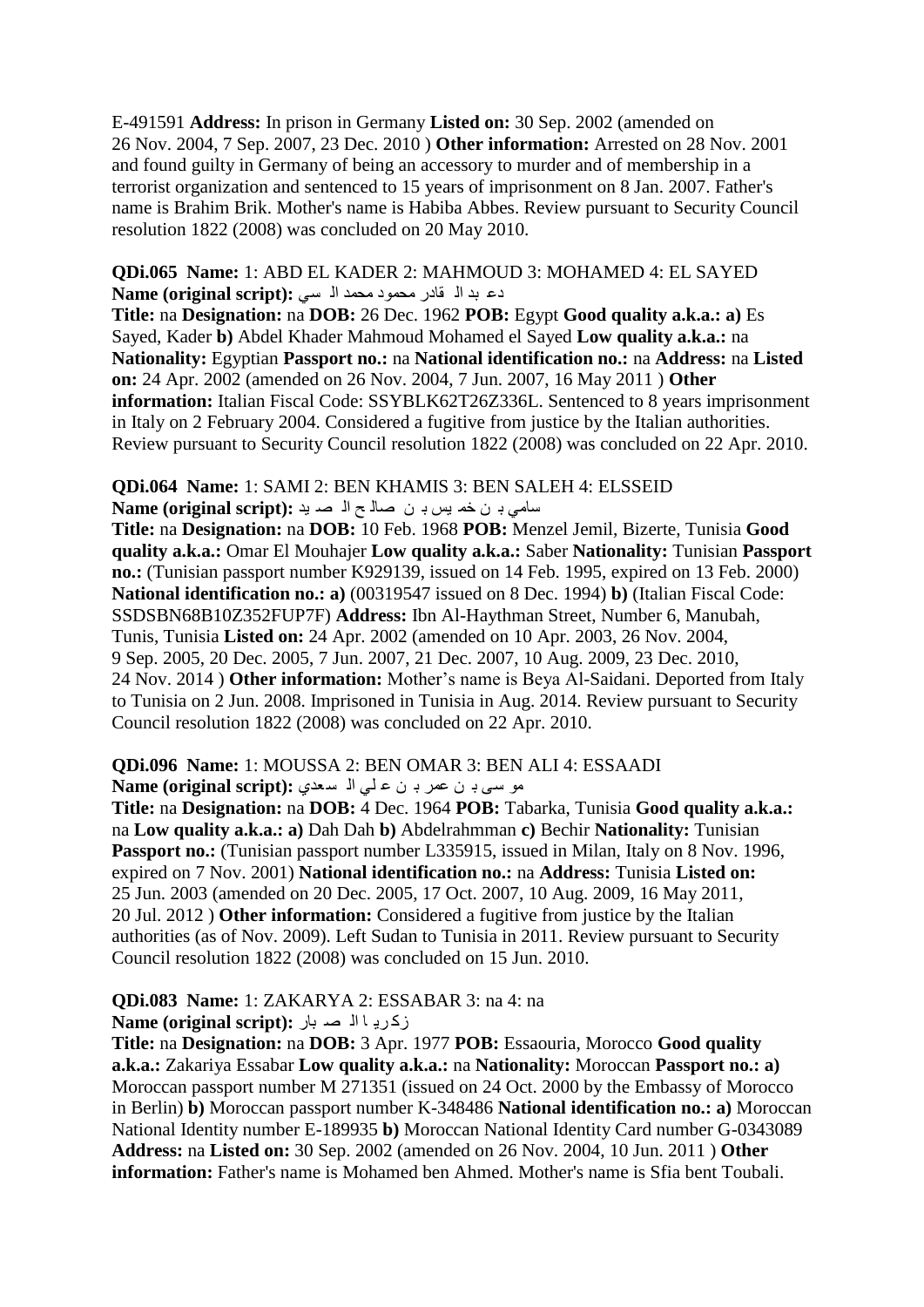E-491591 **Address:** In prison in Germany **Listed on:** 30 Sep. 2002 (amended on 26 Nov. 2004, 7 Sep. 2007, 23 Dec. 2010 ) **Other information:** Arrested on 28 Nov. 2001 and found guilty in Germany of being an accessory to murder and of membership in a terrorist organization and sentenced to 15 years of imprisonment on 8 Jan. 2007. Father's name is Brahim Brik. Mother's name is Habiba Abbes. Review pursuant to Security Council resolution 1822 (2008) was concluded on 20 May 2010.

**QDi.065 Name:** 1: ABD EL KADER 2: MAHMOUD 3: MOHAMED 4: EL SAYED دع بد ال قادر محمود محمد الا سي :Name (original script)

**Title:** na **Designation:** na **DOB:** 26 Dec. 1962 **POB:** Egypt **Good quality a.k.a.: a)** Es Sayed, Kader **b)** Abdel Khader Mahmoud Mohamed el Sayed **Low quality a.k.a.:** na **Nationality:** Egyptian **Passport no.:** na **National identification no.:** na **Address:** na **Listed on:** 24 Apr. 2002 (amended on 26 Nov. 2004, 7 Jun. 2007, 16 May 2011 ) **Other information:** Italian Fiscal Code: SSYBLK62T26Z336L. Sentenced to 8 years imprisonment in Italy on 2 February 2004. Considered a fugitive from justice by the Italian authorities. Review pursuant to Security Council resolution 1822 (2008) was concluded on 22 Apr. 2010.

#### **QDi.064 Name:** 1: SAMI 2: BEN KHAMIS 3: BEN SALEH 4: ELSSEID عامی با ن خم پس با ن حمال <del>م</del> الم صد ید **Name (original script):**

**Title:** na **Designation:** na **DOB:** 10 Feb. 1968 **POB:** Menzel Jemil, Bizerte, Tunisia **Good quality a.k.a.:** Omar El Mouhajer **Low quality a.k.a.:** Saber **Nationality:** Tunisian **Passport no.:** (Tunisian passport number K929139, issued on 14 Feb. 1995, expired on 13 Feb. 2000) **National identification no.: a)** (00319547 issued on 8 Dec. 1994) **b)** (Italian Fiscal Code: SSDSBN68B10Z352FUP7F) **Address:** Ibn Al-Haythman Street, Number 6, Manubah, Tunis, Tunisia **Listed on:** 24 Apr. 2002 (amended on 10 Apr. 2003, 26 Nov. 2004, 9 Sep. 2005, 20 Dec. 2005, 7 Jun. 2007, 21 Dec. 2007, 10 Aug. 2009, 23 Dec. 2010, 24 Nov. 2014 ) **Other information:** Mother"s name is Beya Al-Saidani. Deported from Italy to Tunisia on 2 Jun. 2008. Imprisoned in Tunisia in Aug. 2014. Review pursuant to Security Council resolution 1822 (2008) was concluded on 22 Apr. 2010.

**QDi.096 Name:** 1: MOUSSA 2: BEN OMAR 3: BEN ALI 4: ESSAADI

**Name (original script):** على اله سعدي: Name (original script):

**Title:** na **Designation:** na **DOB:** 4 Dec. 1964 **POB:** Tabarka, Tunisia **Good quality a.k.a.:**  na **Low quality a.k.a.: a)** Dah Dah **b)** Abdelrahmman **c)** Bechir **Nationality:** Tunisian Passport no.: (Tunisian passport number L335915, issued in Milan, Italy on 8 Nov. 1996, expired on 7 Nov. 2001) **National identification no.:** na **Address:** Tunisia **Listed on:**  25 Jun. 2003 (amended on 20 Dec. 2005, 17 Oct. 2007, 10 Aug. 2009, 16 May 2011, 20 Jul. 2012 ) **Other information:** Considered a fugitive from justice by the Italian authorities (as of Nov. 2009). Left Sudan to Tunisia in 2011. Review pursuant to Security Council resolution 1822 (2008) was concluded on 15 Jun. 2010.

#### **QDi.083 Name:** 1: ZAKARYA 2: ESSABAR 3: na 4: na ن كريا اله صد بار : Name (original script)

**Title:** na **Designation:** na **DOB:** 3 Apr. 1977 **POB:** Essaouria, Morocco **Good quality a.k.a.:** Zakariya Essabar **Low quality a.k.a.:** na **Nationality:** Moroccan **Passport no.: a)**  Moroccan passport number M 271351 (issued on 24 Oct. 2000 by the Embassy of Morocco in Berlin) **b)** Moroccan passport number K-348486 **National identification no.: a)** Moroccan National Identity number E-189935 **b)** Moroccan National Identity Card number G-0343089 **Address:** na **Listed on:** 30 Sep. 2002 (amended on 26 Nov. 2004, 10 Jun. 2011 ) **Other information:** Father's name is Mohamed ben Ahmed. Mother's name is Sfia bent Toubali.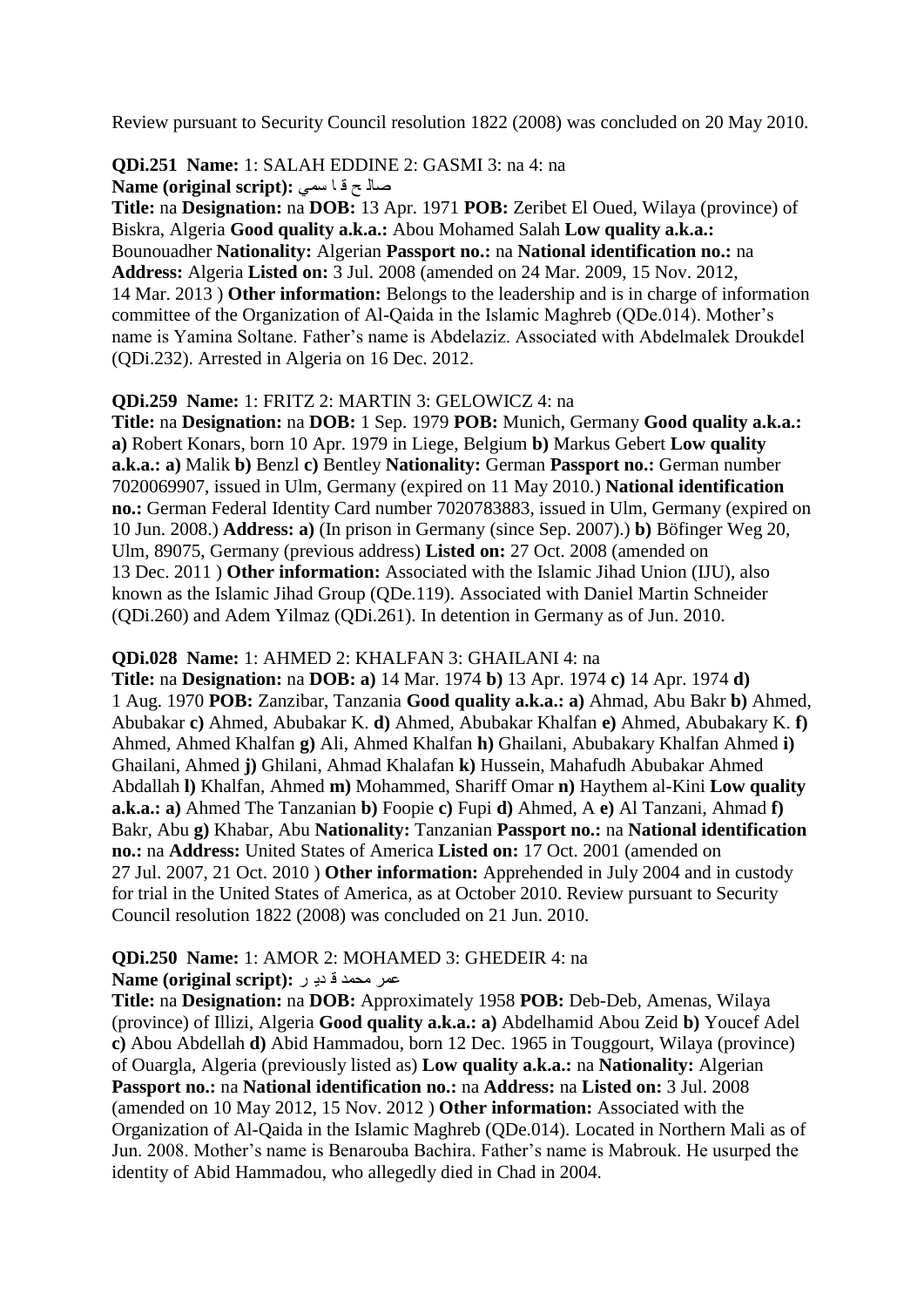Review pursuant to Security Council resolution 1822 (2008) was concluded on 20 May 2010.

**QDi.251 Name:** 1: SALAH EDDINE 2: GASMI 3: na 4: na **Name (original script):** صالح فا سمى

**Title:** na **Designation:** na **DOB:** 13 Apr. 1971 **POB:** Zeribet El Oued, Wilaya (province) of Biskra, Algeria **Good quality a.k.a.:** Abou Mohamed Salah **Low quality a.k.a.:**  Bounouadher **Nationality:** Algerian **Passport no.:** na **National identification no.:** na **Address:** Algeria **Listed on:** 3 Jul. 2008 (amended on 24 Mar. 2009, 15 Nov. 2012, 14 Mar. 2013 ) **Other information:** Belongs to the leadership and is in charge of information committee of the Organization of Al-Qaida in the Islamic Maghreb (QDe.014). Mother"s name is Yamina Soltane. Father"s name is Abdelaziz. Associated with Abdelmalek Droukdel (QDi.232). Arrested in Algeria on 16 Dec. 2012.

#### **QDi.259 Name:** 1: FRITZ 2: MARTIN 3: GELOWICZ 4: na

**Title:** na **Designation:** na **DOB:** 1 Sep. 1979 **POB:** Munich, Germany **Good quality a.k.a.: a)** Robert Konars, born 10 Apr. 1979 in Liege, Belgium **b)** Markus Gebert **Low quality a.k.a.: a)** Malik **b)** Benzl **c)** Bentley **Nationality:** German **Passport no.:** German number 7020069907, issued in Ulm, Germany (expired on 11 May 2010.) **National identification no.:** German Federal Identity Card number 7020783883, issued in Ulm, Germany (expired on 10 Jun. 2008.) **Address: a)** (In prison in Germany (since Sep. 2007).) **b)** Böfinger Weg 20, Ulm, 89075, Germany (previous address) **Listed on:** 27 Oct. 2008 (amended on 13 Dec. 2011 ) **Other information:** Associated with the Islamic Jihad Union (IJU), also known as the Islamic Jihad Group (QDe.119). Associated with Daniel Martin Schneider (QDi.260) and Adem Yilmaz (QDi.261). In detention in Germany as of Jun. 2010.

**QDi.028 Name:** 1: AHMED 2: KHALFAN 3: GHAILANI 4: na

**Title:** na **Designation:** na **DOB: a)** 14 Mar. 1974 **b)** 13 Apr. 1974 **c)** 14 Apr. 1974 **d)**  1 Aug. 1970 **POB:** Zanzibar, Tanzania **Good quality a.k.a.: a)** Ahmad, Abu Bakr **b)** Ahmed, Abubakar **c)** Ahmed, Abubakar K. **d)** Ahmed, Abubakar Khalfan **e)** Ahmed, Abubakary K. **f)**  Ahmed, Ahmed Khalfan **g)** Ali, Ahmed Khalfan **h)** Ghailani, Abubakary Khalfan Ahmed **i)**  Ghailani, Ahmed **j)** Ghilani, Ahmad Khalafan **k)** Hussein, Mahafudh Abubakar Ahmed Abdallah **l)** Khalfan, Ahmed **m)** Mohammed, Shariff Omar **n)** Haythem al-Kini **Low quality a.k.a.: a)** Ahmed The Tanzanian **b)** Foopie **c)** Fupi **d)** Ahmed, A **e)** Al Tanzani, Ahmad **f)**  Bakr, Abu **g)** Khabar, Abu **Nationality:** Tanzanian **Passport no.:** na **National identification no.:** na **Address:** United States of America **Listed on:** 17 Oct. 2001 (amended on 27 Jul. 2007, 21 Oct. 2010 ) **Other information:** Apprehended in July 2004 and in custody for trial in the United States of America, as at October 2010. Review pursuant to Security Council resolution 1822 (2008) was concluded on 21 Jun. 2010.

#### **QDi.250 Name:** 1: AMOR 2: MOHAMED 3: GHEDEIR 4: na **Name (original script):** عمر محمد قدير :

**Title:** na **Designation:** na **DOB:** Approximately 1958 **POB:** Deb-Deb, Amenas, Wilaya (province) of Illizi, Algeria **Good quality a.k.a.: a)** Abdelhamid Abou Zeid **b)** Youcef Adel **c)** Abou Abdellah **d)** Abid Hammadou, born 12 Dec. 1965 in Touggourt, Wilaya (province) of Ouargla, Algeria (previously listed as) **Low quality a.k.a.:** na **Nationality:** Algerian **Passport no.:** na **National identification no.:** na **Address:** na **Listed on:** 3 Jul. 2008 (amended on 10 May 2012, 15 Nov. 2012 ) **Other information:** Associated with the Organization of Al-Qaida in the Islamic Maghreb (QDe.014). Located in Northern Mali as of Jun. 2008. Mother"s name is Benarouba Bachira. Father"s name is Mabrouk. He usurped the identity of Abid Hammadou, who allegedly died in Chad in 2004.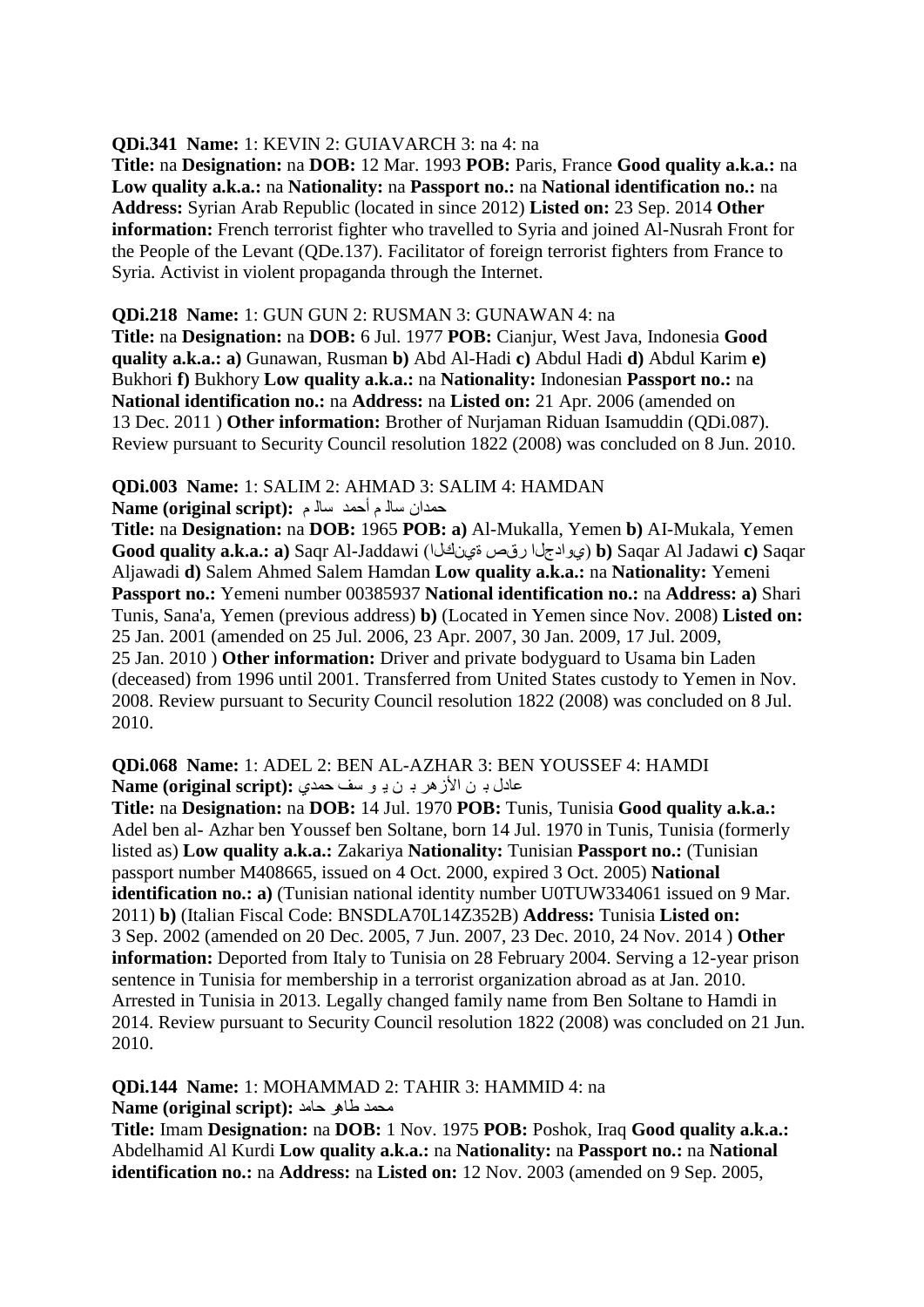#### **QDi.341 Name:** 1: KEVIN 2: GUIAVARCH 3: na 4: na

**Title:** na **Designation:** na **DOB:** 12 Mar. 1993 **POB:** Paris, France **Good quality a.k.a.:** na **Low quality a.k.a.:** na **Nationality:** na **Passport no.:** na **National identification no.:** na **Address:** Syrian Arab Republic (located in since 2012) **Listed on:** 23 Sep. 2014 **Other information:** French terrorist fighter who travelled to Syria and joined Al-Nusrah Front for the People of the Levant (QDe.137). Facilitator of foreign terrorist fighters from France to Syria. Activist in violent propaganda through the Internet.

#### **QDi.218 Name:** 1: GUN GUN 2: RUSMAN 3: GUNAWAN 4: na

**Title:** na **Designation:** na **DOB:** 6 Jul. 1977 **POB:** Cianjur, West Java, Indonesia **Good quality a.k.a.: a)** Gunawan, Rusman **b)** Abd Al-Hadi **c)** Abdul Hadi **d)** Abdul Karim **e)**  Bukhori **f)** Bukhory **Low quality a.k.a.:** na **Nationality:** Indonesian **Passport no.:** na **National identification no.:** na **Address:** na **Listed on:** 21 Apr. 2006 (amended on 13 Dec. 2011 ) **Other information:** Brother of Nurjaman Riduan Isamuddin (QDi.087). Review pursuant to Security Council resolution 1822 (2008) was concluded on 8 Jun. 2010.

# **QDi.003 Name:** 1: SALIM 2: AHMAD 3: SALIM 4: HAMDAN

دّذاْ عاٌ ُ أدّذ عاٌ ُ **:(script original (Name**

**Title:** na **Designation:** na **DOB:** 1965 **POB: a)** Al-Mukalla, Yemen **b)** AI-Mukala, Yemen **Good quality a.k.a.: a)** Saqr Al-Jaddawi (نياْٞج سقؿ ادضياٚٞ (**b)** Saqar Al Jadawi **c)** Saqar Aljawadi **d)** Salem Ahmed Salem Hamdan **Low quality a.k.a.:** na **Nationality:** Yemeni **Passport no.:** Yemeni number 00385937 **National identification no.:** na **Address: a)** Shari Tunis, Sana'a, Yemen (previous address) **b)** (Located in Yemen since Nov. 2008) **Listed on:**  25 Jan. 2001 (amended on 25 Jul. 2006, 23 Apr. 2007, 30 Jan. 2009, 17 Jul. 2009, 25 Jan. 2010 ) **Other information:** Driver and private bodyguard to Usama bin Laden (deceased) from 1996 until 2001. Transferred from United States custody to Yemen in Nov. 2008. Review pursuant to Security Council resolution 1822 (2008) was concluded on 8 Jul. 2010.

**QDi.068 Name:** 1: ADEL 2: BEN AL-AZHAR 3: BEN YOUSSEF 4: HAMDI ػادي ت ٓ األص٘ش ت ٓ ٠ ٛ عف دّذٞ **:(script original (Name**

**Title:** na **Designation:** na **DOB:** 14 Jul. 1970 **POB:** Tunis, Tunisia **Good quality a.k.a.:**  Adel ben al- Azhar ben Youssef ben Soltane, born 14 Jul. 1970 in Tunis, Tunisia (formerly listed as) **Low quality a.k.a.:** Zakariya **Nationality:** Tunisian **Passport no.:** (Tunisian passport number M408665, issued on 4 Oct. 2000, expired 3 Oct. 2005) **National identification no.: a)** (Tunisian national identity number U0TUW334061 issued on 9 Mar. 2011) **b)** (Italian Fiscal Code: BNSDLA70L14Z352B) **Address:** Tunisia **Listed on:**  3 Sep. 2002 (amended on 20 Dec. 2005, 7 Jun. 2007, 23 Dec. 2010, 24 Nov. 2014 ) **Other information:** Deported from Italy to Tunisia on 28 February 2004. Serving a 12-year prison sentence in Tunisia for membership in a terrorist organization abroad as at Jan. 2010. Arrested in Tunisia in 2013. Legally changed family name from Ben Soltane to Hamdi in 2014. Review pursuant to Security Council resolution 1822 (2008) was concluded on 21 Jun. 2010.

**QDi.144 Name:** 1: MOHAMMAD 2: TAHIR 3: HAMMID 4: na ِذّذ طا٘ش داِذ **:(script original (Name**

**Title:** Imam **Designation:** na **DOB:** 1 Nov. 1975 **POB:** Poshok, Iraq **Good quality a.k.a.:**  Abdelhamid Al Kurdi **Low quality a.k.a.:** na **Nationality:** na **Passport no.:** na **National identification no.:** na **Address:** na **Listed on:** 12 Nov. 2003 (amended on 9 Sep. 2005,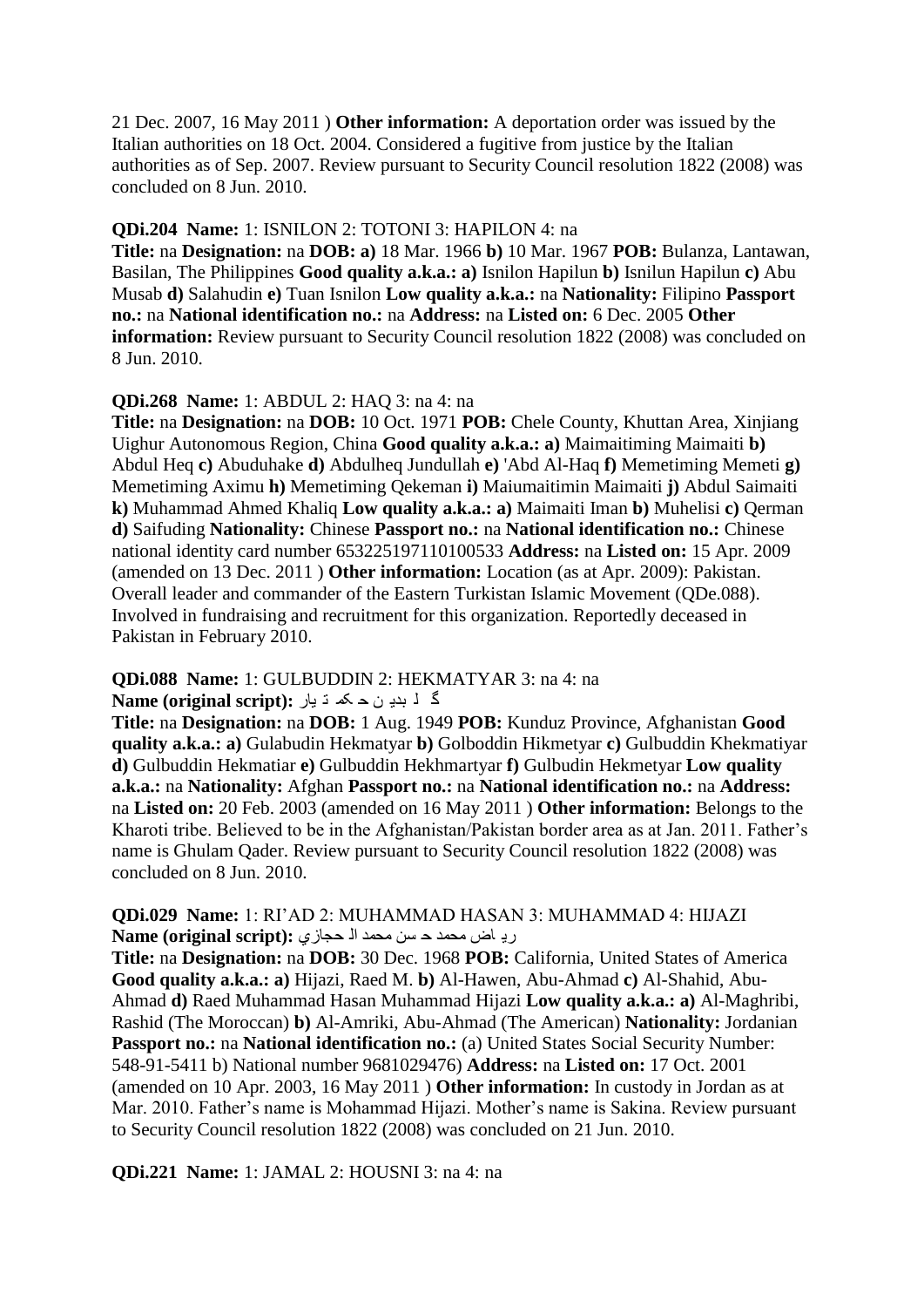21 Dec. 2007, 16 May 2011 ) **Other information:** A deportation order was issued by the Italian authorities on 18 Oct. 2004. Considered a fugitive from justice by the Italian authorities as of Sep. 2007. Review pursuant to Security Council resolution 1822 (2008) was concluded on 8 Jun. 2010.

#### **QDi.204 Name:** 1: ISNILON 2: TOTONI 3: HAPILON 4: na

**Title:** na **Designation:** na **DOB: a)** 18 Mar. 1966 **b)** 10 Mar. 1967 **POB:** Bulanza, Lantawan, Basilan, The Philippines **Good quality a.k.a.: a)** Isnilon Hapilun **b)** Isnilun Hapilun **c)** Abu Musab **d)** Salahudin **e)** Tuan Isnilon **Low quality a.k.a.:** na **Nationality:** Filipino **Passport no.:** na **National identification no.:** na **Address:** na **Listed on:** 6 Dec. 2005 **Other information:** Review pursuant to Security Council resolution 1822 (2008) was concluded on 8 Jun. 2010.

#### **QDi.268 Name:** 1: ABDUL 2: HAQ 3: na 4: na

**Title:** na **Designation:** na **DOB:** 10 Oct. 1971 **POB:** Chele County, Khuttan Area, Xinjiang Uighur Autonomous Region, China **Good quality a.k.a.: a)** Maimaitiming Maimaiti **b)**  Abdul Heq **c)** Abuduhake **d)** Abdulheq Jundullah **e)** 'Abd Al-Haq **f)** Memetiming Memeti **g)**  Memetiming Aximu **h)** Memetiming Qekeman **i)** Maiumaitimin Maimaiti **j)** Abdul Saimaiti **k)** Muhammad Ahmed Khaliq **Low quality a.k.a.: a)** Maimaiti Iman **b)** Muhelisi **c)** Qerman **d)** Saifuding **Nationality:** Chinese **Passport no.:** na **National identification no.:** Chinese national identity card number 653225197110100533 **Address:** na **Listed on:** 15 Apr. 2009 (amended on 13 Dec. 2011 ) **Other information:** Location (as at Apr. 2009): Pakistan. Overall leader and commander of the Eastern Turkistan Islamic Movement (QDe.088). Involved in fundraising and recruitment for this organization. Reportedly deceased in Pakistan in February 2010.

#### **QDi.088 Name:** 1: GULBUDDIN 2: HEKMATYAR 3: na 4: na

**گ ل** بدی ن ح که ت یار :Name (original script)

**Title:** na **Designation:** na **DOB:** 1 Aug. 1949 **POB:** Kunduz Province, Afghanistan **Good quality a.k.a.: a)** Gulabudin Hekmatyar **b)** Golboddin Hikmetyar **c)** Gulbuddin Khekmatiyar **d)** Gulbuddin Hekmatiar **e)** Gulbuddin Hekhmartyar **f)** Gulbudin Hekmetyar **Low quality a.k.a.:** na **Nationality:** Afghan **Passport no.:** na **National identification no.:** na **Address:**  na **Listed on:** 20 Feb. 2003 (amended on 16 May 2011 ) **Other information:** Belongs to the Kharoti tribe. Believed to be in the Afghanistan/Pakistan border area as at Jan. 2011. Father"s name is Ghulam Qader. Review pursuant to Security Council resolution 1822 (2008) was concluded on 8 Jun. 2010.

#### **QDi.029 Name:** 1: RI"AD 2: MUHAMMAD HASAN 3: MUHAMMAD 4: HIJAZI رياض محمد حاسن محمد الأحجا*زي* : Name (original script)

**Title:** na **Designation:** na **DOB:** 30 Dec. 1968 **POB:** California, United States of America **Good quality a.k.a.: a)** Hijazi, Raed M. **b)** Al-Hawen, Abu-Ahmad **c)** Al-Shahid, Abu-Ahmad **d)** Raed Muhammad Hasan Muhammad Hijazi **Low quality a.k.a.: a)** Al-Maghribi, Rashid (The Moroccan) **b)** Al-Amriki, Abu-Ahmad (The American) **Nationality:** Jordanian **Passport no.: na National identification no.:** (a) United States Social Security Number: 548-91-5411 b) National number 9681029476) **Address:** na **Listed on:** 17 Oct. 2001 (amended on 10 Apr. 2003, 16 May 2011 ) **Other information:** In custody in Jordan as at Mar. 2010. Father"s name is Mohammad Hijazi. Mother"s name is Sakina. Review pursuant to Security Council resolution 1822 (2008) was concluded on 21 Jun. 2010.

#### **QDi.221 Name:** 1: JAMAL 2: HOUSNI 3: na 4: na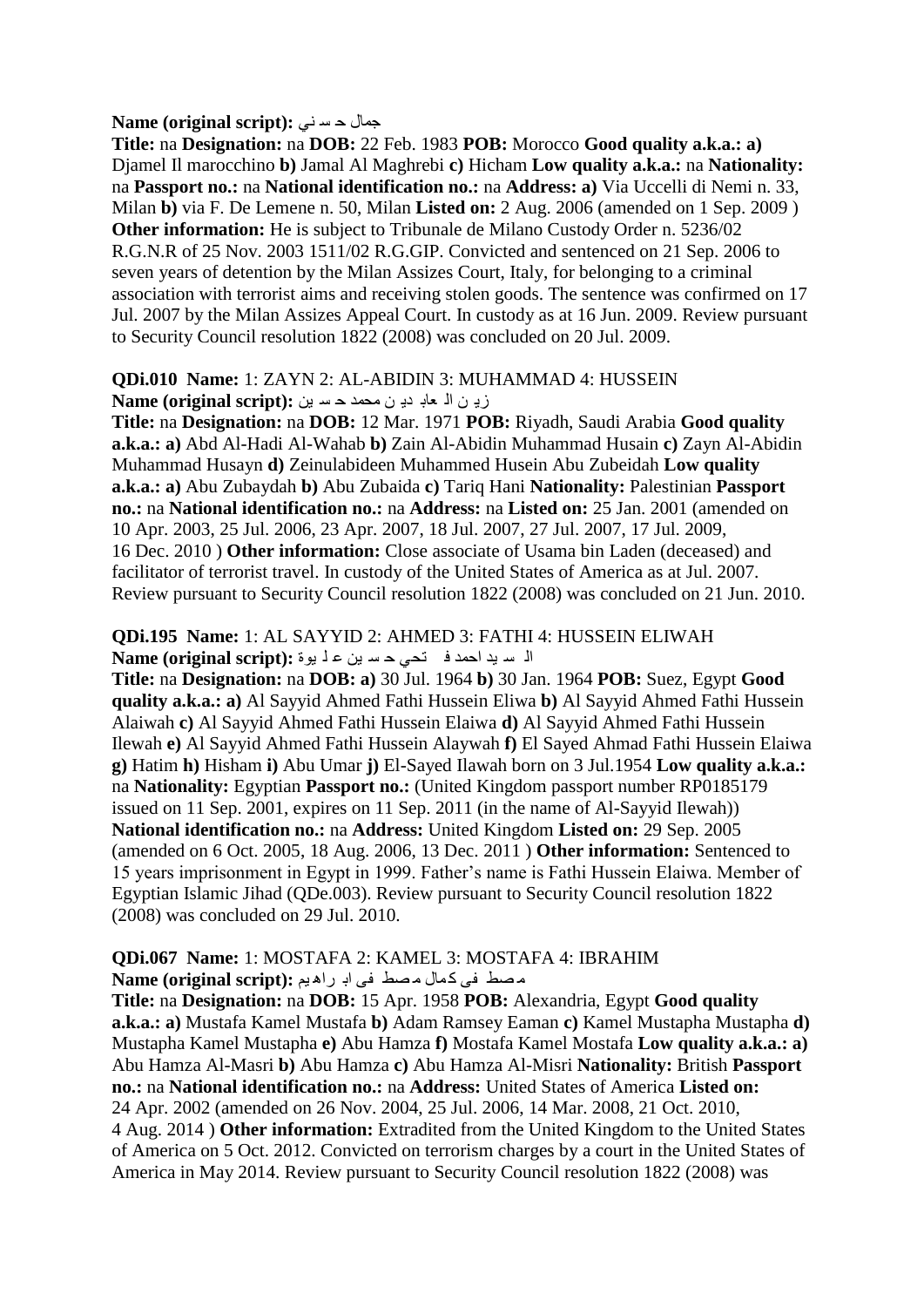#### **Rame (original script):** جمال حسد ني

**Title:** na **Designation:** na **DOB:** 22 Feb. 1983 **POB:** Morocco **Good quality a.k.a.: a)**  Djamel Il marocchino **b)** Jamal Al Maghrebi **c)** Hicham **Low quality a.k.a.:** na **Nationality:**  na **Passport no.:** na **National identification no.:** na **Address: a)** Via Uccelli di Nemi n. 33, Milan **b)** via F. De Lemene n. 50, Milan **Listed on:** 2 Aug. 2006 (amended on 1 Sep. 2009 ) **Other information:** He is subject to Tribunale de Milano Custody Order n. 5236/02 R.G.N.R of 25 Nov. 2003 1511/02 R.G.GIP. Convicted and sentenced on 21 Sep. 2006 to seven years of detention by the Milan Assizes Court, Italy, for belonging to a criminal association with terrorist aims and receiving stolen goods. The sentence was confirmed on 17 Jul. 2007 by the Milan Assizes Appeal Court. In custody as at 16 Jun. 2009. Review pursuant to Security Council resolution 1822 (2008) was concluded on 20 Jul. 2009.

# **QDi.010 Name:** 1: ZAYN 2: AL-ABIDIN 3: MUHAMMAD 4: HUSSEIN

 $\mathbf{Name}$  (original script): زيان الله عابا دي ن محمد حاسا بين

**Title:** na **Designation:** na **DOB:** 12 Mar. 1971 **POB:** Riyadh, Saudi Arabia **Good quality a.k.a.: a)** Abd Al-Hadi Al-Wahab **b)** Zain Al-Abidin Muhammad Husain **c)** Zayn Al-Abidin Muhammad Husayn **d)** Zeinulabideen Muhammed Husein Abu Zubeidah **Low quality a.k.a.: a)** Abu Zubaydah **b)** Abu Zubaida **c)** Tariq Hani **Nationality:** Palestinian **Passport no.:** na **National identification no.:** na **Address:** na **Listed on:** 25 Jan. 2001 (amended on 10 Apr. 2003, 25 Jul. 2006, 23 Apr. 2007, 18 Jul. 2007, 27 Jul. 2007, 17 Jul. 2009, 16 Dec. 2010 ) **Other information:** Close associate of Usama bin Laden (deceased) and facilitator of terrorist travel. In custody of the United States of America as at Jul. 2007. Review pursuant to Security Council resolution 1822 (2008) was concluded on 21 Jun. 2010.

#### **QDi.195 Name:** 1: AL SAYYID 2: AHMED 3: FATHI 4: HUSSEIN ELIWAH الٌ سريد احمد ف تحى حسرين علّ بوة :**Name (original script**)

**Title:** na **Designation:** na **DOB: a)** 30 Jul. 1964 **b)** 30 Jan. 1964 **POB:** Suez, Egypt **Good quality a.k.a.: a)** Al Sayyid Ahmed Fathi Hussein Eliwa **b)** Al Sayyid Ahmed Fathi Hussein Alaiwah **c)** Al Sayyid Ahmed Fathi Hussein Elaiwa **d)** Al Sayyid Ahmed Fathi Hussein Ilewah **e)** Al Sayyid Ahmed Fathi Hussein Alaywah **f)** El Sayed Ahmad Fathi Hussein Elaiwa **g)** Hatim **h)** Hisham **i)** Abu Umar **j)** El-Sayed Ilawah born on 3 Jul.1954 **Low quality a.k.a.:**  na **Nationality:** Egyptian **Passport no.:** (United Kingdom passport number RP0185179 issued on 11 Sep. 2001, expires on 11 Sep. 2011 (in the name of Al-Sayyid Ilewah)) **National identification no.:** na **Address:** United Kingdom **Listed on:** 29 Sep. 2005 (amended on 6 Oct. 2005, 18 Aug. 2006, 13 Dec. 2011 ) **Other information:** Sentenced to 15 years imprisonment in Egypt in 1999. Father"s name is Fathi Hussein Elaiwa. Member of Egyptian Islamic Jihad (QDe.003). Review pursuant to Security Council resolution 1822 (2008) was concluded on 29 Jul. 2010.

#### **QDi.067 Name:** 1: MOSTAFA 2: KAMEL 3: MOSTAFA 4: IBRAHIM مصط في كمال مصط في ابر راهيم :(Name (original script

**Title:** na **Designation:** na **DOB:** 15 Apr. 1958 **POB:** Alexandria, Egypt **Good quality a.k.a.: a)** Mustafa Kamel Mustafa **b)** Adam Ramsey Eaman **c)** Kamel Mustapha Mustapha **d)**  Mustapha Kamel Mustapha **e)** Abu Hamza **f)** Mostafa Kamel Mostafa **Low quality a.k.a.: a)**  Abu Hamza Al-Masri **b)** Abu Hamza **c)** Abu Hamza Al-Misri **Nationality:** British **Passport no.:** na **National identification no.:** na **Address:** United States of America **Listed on:**  24 Apr. 2002 (amended on 26 Nov. 2004, 25 Jul. 2006, 14 Mar. 2008, 21 Oct. 2010, 4 Aug. 2014 ) **Other information:** Extradited from the United Kingdom to the United States of America on 5 Oct. 2012. Convicted on terrorism charges by a court in the United States of America in May 2014. Review pursuant to Security Council resolution 1822 (2008) was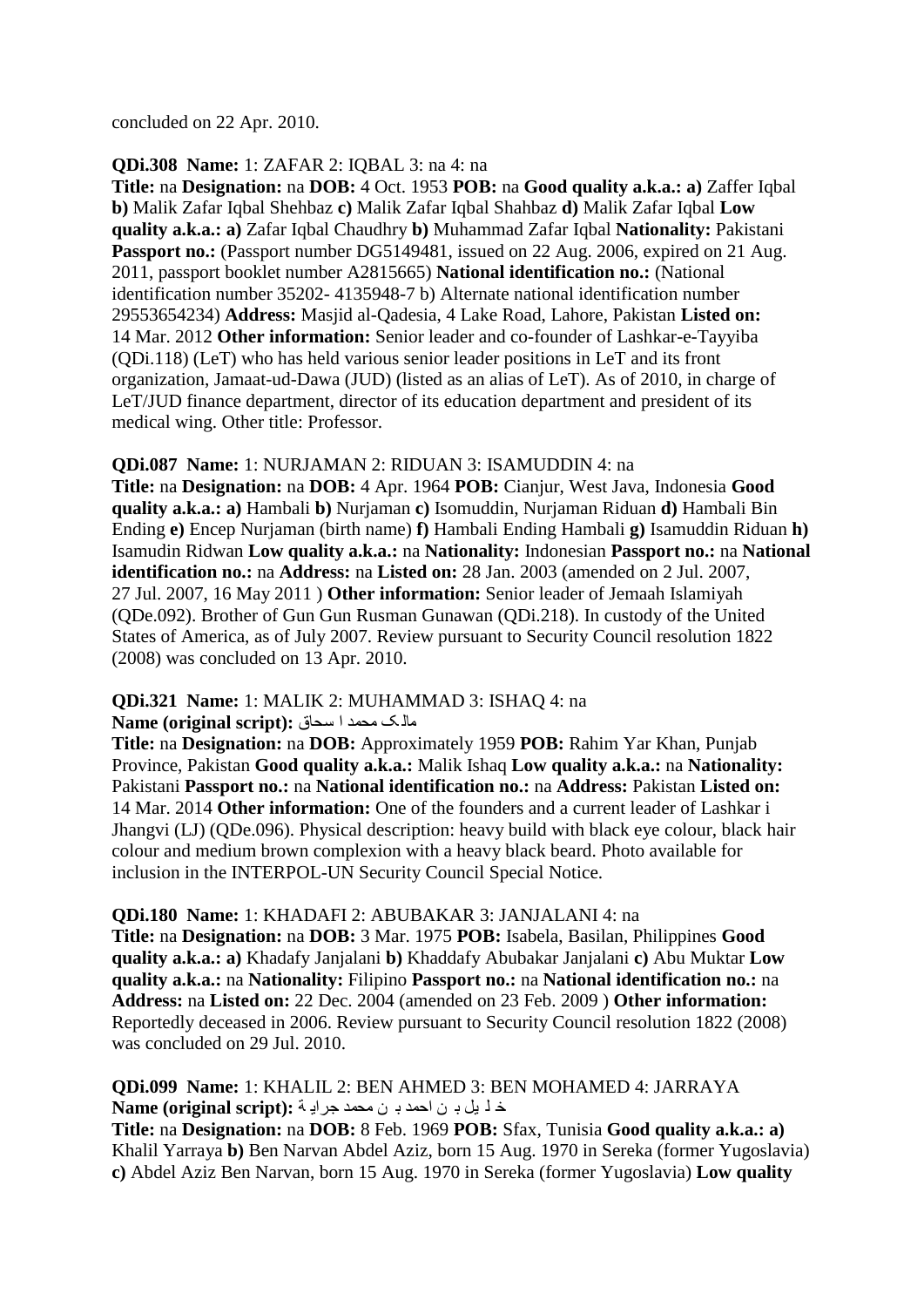concluded on 22 Apr. 2010.

#### **QDi.308 Name:** 1: ZAFAR 2: IQBAL 3: na 4: na

**Title:** na **Designation:** na **DOB:** 4 Oct. 1953 **POB:** na **Good quality a.k.a.: a)** Zaffer Iqbal **b)** Malik Zafar Iqbal Shehbaz **c)** Malik Zafar Iqbal Shahbaz **d)** Malik Zafar Iqbal **Low quality a.k.a.: a)** Zafar Iqbal Chaudhry **b)** Muhammad Zafar Iqbal **Nationality:** Pakistani **Passport no.:** (Passport number DG5149481, issued on 22 Aug. 2006, expired on 21 Aug. 2011, passport booklet number A2815665) **National identification no.:** (National identification number 35202- 4135948-7 b) Alternate national identification number 29553654234) **Address:** Masjid al-Qadesia, 4 Lake Road, Lahore, Pakistan **Listed on:**  14 Mar. 2012 **Other information:** Senior leader and co-founder of Lashkar-e-Tayyiba (QDi.118) (LeT) who has held various senior leader positions in LeT and its front organization, Jamaat-ud-Dawa (JUD) (listed as an alias of LeT). As of 2010, in charge of LeT/JUD finance department, director of its education department and president of its medical wing. Other title: Professor.

# **QDi.087 Name:** 1: NURJAMAN 2: RIDUAN 3: ISAMUDDIN 4: na

**Title:** na **Designation:** na **DOB:** 4 Apr. 1964 **POB:** Cianjur, West Java, Indonesia **Good quality a.k.a.: a)** Hambali **b)** Nurjaman **c)** Isomuddin, Nurjaman Riduan **d)** Hambali Bin Ending **e)** Encep Nurjaman (birth name) **f)** Hambali Ending Hambali **g)** Isamuddin Riduan **h)**  Isamudin Ridwan **Low quality a.k.a.:** na **Nationality:** Indonesian **Passport no.:** na **National identification no.:** na **Address:** na **Listed on:** 28 Jan. 2003 (amended on 2 Jul. 2007, 27 Jul. 2007, 16 May 2011 ) **Other information:** Senior leader of Jemaah Islamiyah (QDe.092). Brother of Gun Gun Rusman Gunawan (QDi.218). In custody of the United States of America, as of July 2007. Review pursuant to Security Council resolution 1822 (2008) was concluded on 13 Apr. 2010.

# **QDi.321 Name:** 1: MALIK 2: MUHAMMAD 3: ISHAQ 4: na

#### ِاٌ ک ِذّذ ا عذاق **:(script original (Name**

**Title:** na **Designation:** na **DOB:** Approximately 1959 **POB:** Rahim Yar Khan, Punjab Province, Pakistan **Good quality a.k.a.:** Malik Ishaq **Low quality a.k.a.:** na **Nationality:**  Pakistani **Passport no.:** na **National identification no.:** na **Address:** Pakistan **Listed on:**  14 Mar. 2014 **Other information:** One of the founders and a current leader of Lashkar i Jhangvi (LJ) (QDe.096). Physical description: heavy build with black eye colour, black hair colour and medium brown complexion with a heavy black beard. Photo available for inclusion in the INTERPOL-UN Security Council Special Notice.

#### **QDi.180 Name:** 1: KHADAFI 2: ABUBAKAR 3: JANJALANI 4: na

**Title:** na **Designation:** na **DOB:** 3 Mar. 1975 **POB:** Isabela, Basilan, Philippines **Good quality a.k.a.: a)** Khadafy Janjalani **b)** Khaddafy Abubakar Janjalani **c)** Abu Muktar **Low quality a.k.a.:** na **Nationality:** Filipino **Passport no.:** na **National identification no.:** na **Address:** na **Listed on:** 22 Dec. 2004 (amended on 23 Feb. 2009 ) **Other information:**  Reportedly deceased in 2006. Review pursuant to Security Council resolution 1822 (2008) was concluded on 29 Jul. 2010.

#### **QDi.099 Name:** 1: KHALIL 2: BEN AHMED 3: BEN MOHAMED 4: JARRAYA خ ل يل بـ ن احمد بـ ن محمد جرايـة **: Name (original script)**

**Title:** na **Designation:** na **DOB:** 8 Feb. 1969 **POB:** Sfax, Tunisia **Good quality a.k.a.: a)**  Khalil Yarraya **b)** Ben Narvan Abdel Aziz, born 15 Aug. 1970 in Sereka (former Yugoslavia) **c)** Abdel Aziz Ben Narvan, born 15 Aug. 1970 in Sereka (former Yugoslavia) **Low quality**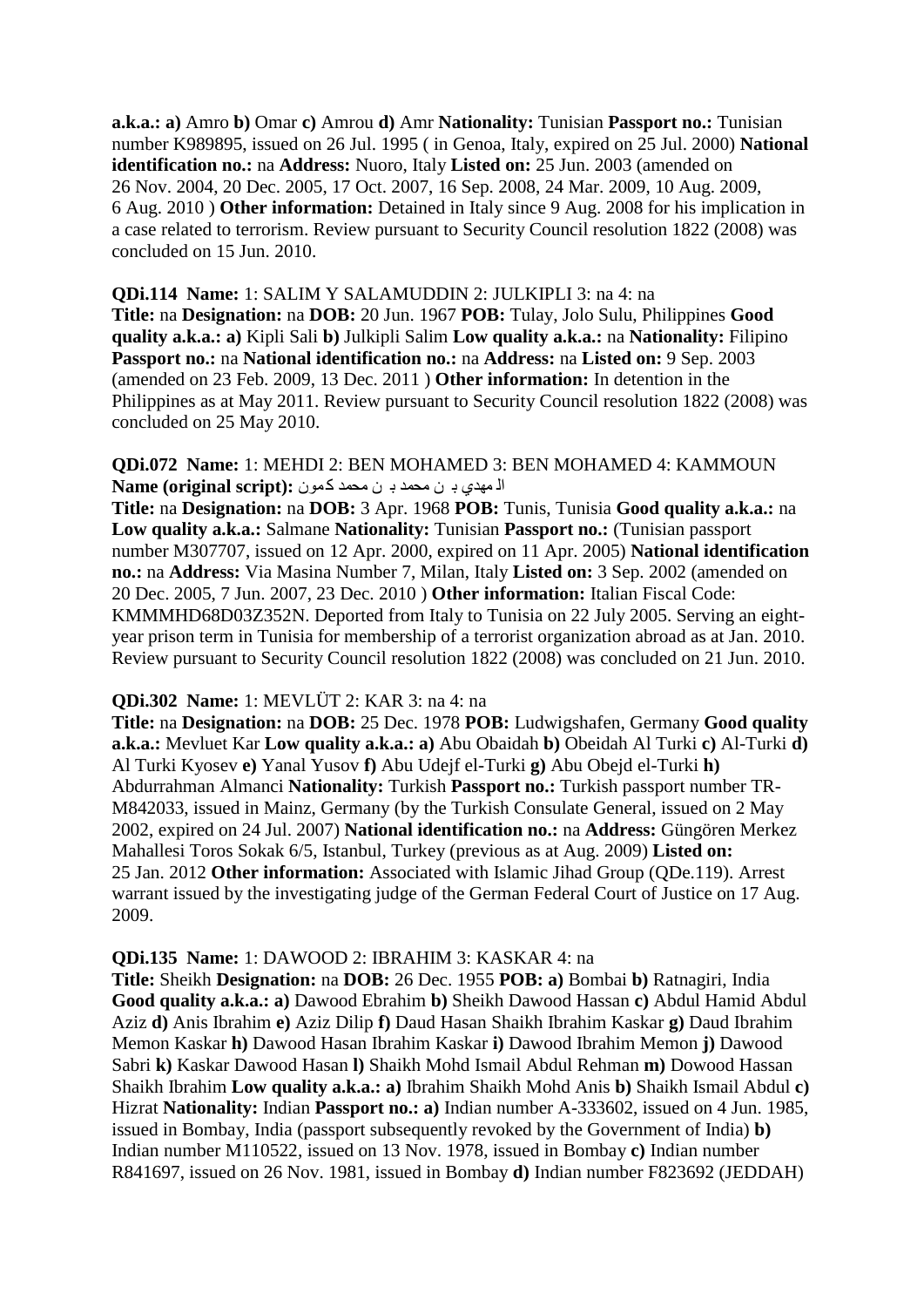**a.k.a.: a)** Amro **b)** Omar **c)** Amrou **d)** Amr **Nationality:** Tunisian **Passport no.:** Tunisian number K989895, issued on 26 Jul. 1995 ( in Genoa, Italy, expired on 25 Jul. 2000) **National identification no.:** na **Address:** Nuoro, Italy **Listed on:** 25 Jun. 2003 (amended on 26 Nov. 2004, 20 Dec. 2005, 17 Oct. 2007, 16 Sep. 2008, 24 Mar. 2009, 10 Aug. 2009, 6 Aug. 2010 ) **Other information:** Detained in Italy since 9 Aug. 2008 for his implication in a case related to terrorism. Review pursuant to Security Council resolution 1822 (2008) was concluded on 15 Jun. 2010.

**QDi.114 Name:** 1: SALIM Y SALAMUDDIN 2: JULKIPLI 3: na 4: na **Title:** na **Designation:** na **DOB:** 20 Jun. 1967 **POB:** Tulay, Jolo Sulu, Philippines **Good quality a.k.a.: a)** Kipli Sali **b)** Julkipli Salim **Low quality a.k.a.:** na **Nationality:** Filipino **Passport no.:** na **National identification no.:** na **Address:** na **Listed on:** 9 Sep. 2003 (amended on 23 Feb. 2009, 13 Dec. 2011 ) **Other information:** In detention in the Philippines as at May 2011. Review pursuant to Security Council resolution 1822 (2008) was concluded on 25 May 2010.

**QDi.072 Name:** 1: MEHDI 2: BEN MOHAMED 3: BEN MOHAMED 4: KAMMOUN الْ مهدي بـ ن محمد بـ ن محمد كمون **:** Name (original script)

**Title:** na **Designation:** na **DOB:** 3 Apr. 1968 **POB:** Tunis, Tunisia **Good quality a.k.a.:** na **Low quality a.k.a.:** Salmane **Nationality:** Tunisian **Passport no.:** (Tunisian passport number M307707, issued on 12 Apr. 2000, expired on 11 Apr. 2005) **National identification no.:** na **Address:** Via Masina Number 7, Milan, Italy **Listed on:** 3 Sep. 2002 (amended on 20 Dec. 2005, 7 Jun. 2007, 23 Dec. 2010 ) **Other information:** Italian Fiscal Code: KMMMHD68D03Z352N. Deported from Italy to Tunisia on 22 July 2005. Serving an eightyear prison term in Tunisia for membership of a terrorist organization abroad as at Jan. 2010. Review pursuant to Security Council resolution 1822 (2008) was concluded on 21 Jun. 2010.

#### **QDi.302 Name:** 1: MEVLÜT 2: KAR 3: na 4: na

**Title:** na **Designation:** na **DOB:** 25 Dec. 1978 **POB:** Ludwigshafen, Germany **Good quality a.k.a.:** Mevluet Kar **Low quality a.k.a.: a)** Abu Obaidah **b)** Obeidah Al Turki **c)** Al-Turki **d)**  Al Turki Kyosev **e)** Yanal Yusov **f)** Abu Udejf el-Turki **g)** Abu Obejd el-Turki **h)**  Abdurrahman Almanci **Nationality:** Turkish **Passport no.:** Turkish passport number TR-M842033, issued in Mainz, Germany (by the Turkish Consulate General, issued on 2 May 2002, expired on 24 Jul. 2007) **National identification no.:** na **Address:** Güngören Merkez Mahallesi Toros Sokak 6/5, Istanbul, Turkey (previous as at Aug. 2009) **Listed on:**  25 Jan. 2012 **Other information:** Associated with Islamic Jihad Group (QDe.119). Arrest warrant issued by the investigating judge of the German Federal Court of Justice on 17 Aug. 2009.

**QDi.135 Name:** 1: DAWOOD 2: IBRAHIM 3: KASKAR 4: na

**Title:** Sheikh **Designation:** na **DOB:** 26 Dec. 1955 **POB: a)** Bombai **b)** Ratnagiri, India **Good quality a.k.a.: a)** Dawood Ebrahim **b)** Sheikh Dawood Hassan **c)** Abdul Hamid Abdul Aziz **d)** Anis Ibrahim **e)** Aziz Dilip **f)** Daud Hasan Shaikh Ibrahim Kaskar **g)** Daud Ibrahim Memon Kaskar **h)** Dawood Hasan Ibrahim Kaskar **i)** Dawood Ibrahim Memon **j)** Dawood Sabri **k)** Kaskar Dawood Hasan **l)** Shaikh Mohd Ismail Abdul Rehman **m)** Dowood Hassan Shaikh Ibrahim **Low quality a.k.a.: a)** Ibrahim Shaikh Mohd Anis **b)** Shaikh Ismail Abdul **c)**  Hizrat **Nationality:** Indian **Passport no.: a)** Indian number A-333602, issued on 4 Jun. 1985, issued in Bombay, India (passport subsequently revoked by the Government of India) **b)**  Indian number M110522, issued on 13 Nov. 1978, issued in Bombay **c)** Indian number R841697, issued on 26 Nov. 1981, issued in Bombay **d)** Indian number F823692 (JEDDAH)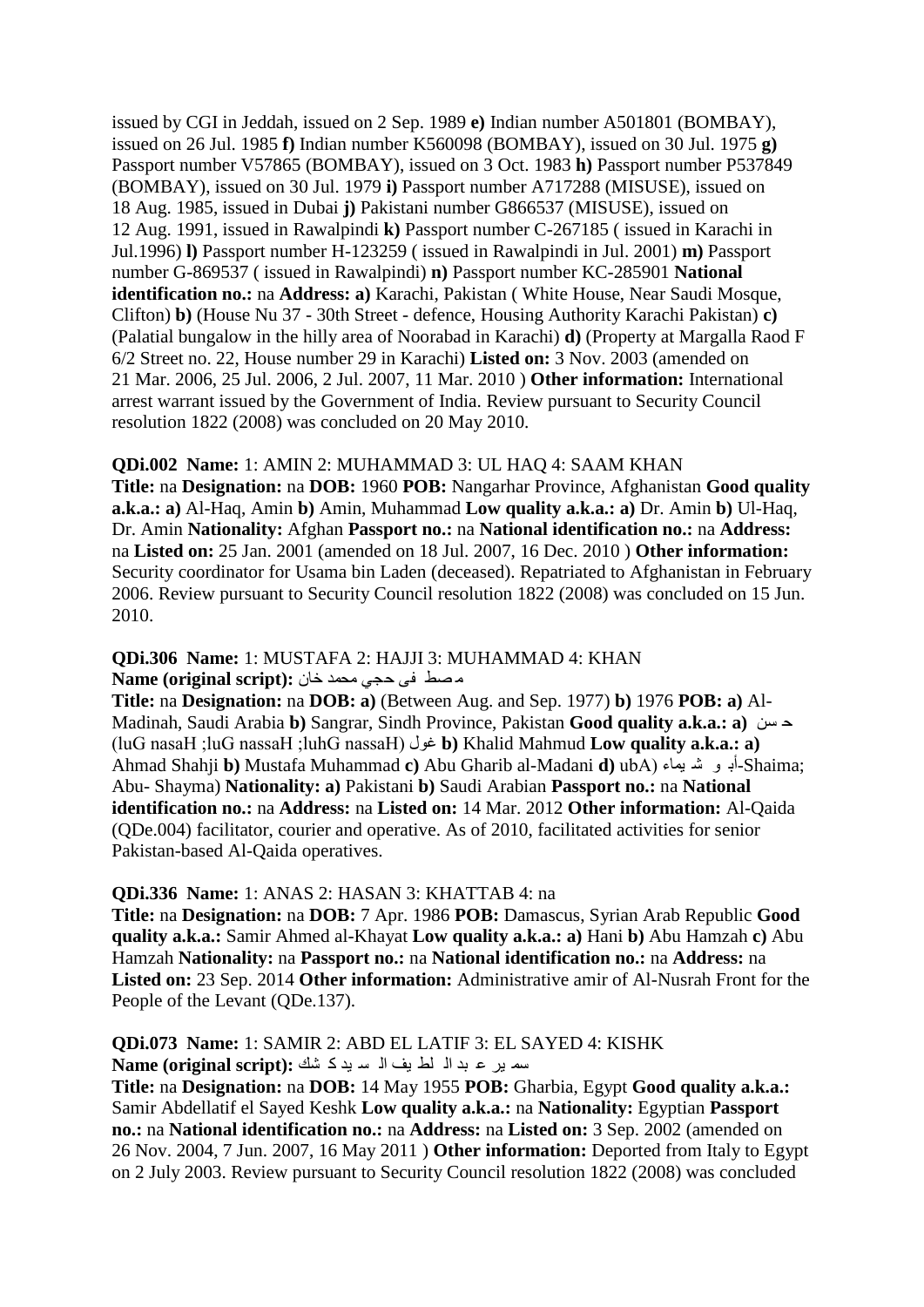issued by CGI in Jeddah, issued on 2 Sep. 1989 **e)** Indian number A501801 (BOMBAY), issued on 26 Jul. 1985 **f)** Indian number K560098 (BOMBAY), issued on 30 Jul. 1975 **g)**  Passport number V57865 (BOMBAY), issued on 3 Oct. 1983 **h)** Passport number P537849 (BOMBAY), issued on 30 Jul. 1979 **i)** Passport number A717288 (MISUSE), issued on 18 Aug. 1985, issued in Dubai **j)** Pakistani number G866537 (MISUSE), issued on 12 Aug. 1991, issued in Rawalpindi **k)** Passport number C-267185 ( issued in Karachi in Jul.1996) **l)** Passport number H-123259 ( issued in Rawalpindi in Jul. 2001) **m)** Passport number G-869537 ( issued in Rawalpindi) **n)** Passport number KC-285901 **National identification no.:** na **Address: a)** Karachi, Pakistan ( White House, Near Saudi Mosque, Clifton) **b)** (House Nu 37 - 30th Street - defence, Housing Authority Karachi Pakistan) **c)**  (Palatial bungalow in the hilly area of Noorabad in Karachi) **d)** (Property at Margalla Raod F 6/2 Street no. 22, House number 29 in Karachi) **Listed on:** 3 Nov. 2003 (amended on 21 Mar. 2006, 25 Jul. 2006, 2 Jul. 2007, 11 Mar. 2010 ) **Other information:** International arrest warrant issued by the Government of India. Review pursuant to Security Council resolution 1822 (2008) was concluded on 20 May 2010.

#### **QDi.002 Name:** 1: AMIN 2: MUHAMMAD 3: UL HAQ 4: SAAM KHAN

**Title:** na **Designation:** na **DOB:** 1960 **POB:** Nangarhar Province, Afghanistan **Good quality a.k.a.: a)** Al-Haq, Amin **b)** Amin, Muhammad **Low quality a.k.a.: a)** Dr. Amin **b)** Ul-Haq, Dr. Amin **Nationality:** Afghan **Passport no.:** na **National identification no.:** na **Address:**  na **Listed on:** 25 Jan. 2001 (amended on 18 Jul. 2007, 16 Dec. 2010 ) **Other information:**  Security coordinator for Usama bin Laden (deceased). Repatriated to Afghanistan in February 2006. Review pursuant to Security Council resolution 1822 (2008) was concluded on 15 Jun. 2010.

#### **QDi.306 Name:** 1: MUSTAFA 2: HAJJI 3: MUHAMMAD 4: KHAN ِ قط فٝ دجٟ ِذّذ خاْ **:(script original (Name**

**Title:** na **Designation:** na **DOB: a)** (Between Aug. and Sep. 1977) **b)** 1976 **POB: a)** Al-Madinah, Saudi Arabia **b)** Sangrar, Sindh Province, Pakistan **Good quality a.k.a.: a)** ٓغ د (luG nasaH ;luG nassaH ;luhG nassaH) يٛغ **b)** Khalid Mahmud **Low quality a.k.a.: a)**  Ahmad Shahji **b)** Mustafa Muhammad **c)** Abu Gharib al-Madani **d)** ubA) اءّ١ ؽ ٛ أت-Shaima; Abu- Shayma) **Nationality: a)** Pakistani **b)** Saudi Arabian **Passport no.:** na **National identification no.:** na **Address:** na **Listed on:** 14 Mar. 2012 **Other information:** Al-Qaida (QDe.004) facilitator, courier and operative. As of 2010, facilitated activities for senior Pakistan-based Al-Qaida operatives.

#### **QDi.336 Name:** 1: ANAS 2: HASAN 3: KHATTAB 4: na

**Title:** na **Designation:** na **DOB:** 7 Apr. 1986 **POB:** Damascus, Syrian Arab Republic **Good quality a.k.a.:** Samir Ahmed al-Khayat **Low quality a.k.a.: a)** Hani **b)** Abu Hamzah **c)** Abu Hamzah **Nationality:** na **Passport no.:** na **National identification no.:** na **Address:** na **Listed on:** 23 Sep. 2014 **Other information:** Administrative amir of Al-Nusrah Front for the People of the Levant (QDe.137).

**QDi.073 Name:** 1: SAMIR 2: ABD EL LATIF 3: EL SAYED 4: KISHK عّ ١ش ػ ثذ اٌ ٍط ١ف اٌ غ ١ذ و ؾه **:(script original (Name**

**Title:** na **Designation:** na **DOB:** 14 May 1955 **POB:** Gharbia, Egypt **Good quality a.k.a.:**  Samir Abdellatif el Sayed Keshk **Low quality a.k.a.:** na **Nationality:** Egyptian **Passport no.:** na **National identification no.:** na **Address:** na **Listed on:** 3 Sep. 2002 (amended on 26 Nov. 2004, 7 Jun. 2007, 16 May 2011 ) **Other information:** Deported from Italy to Egypt on 2 July 2003. Review pursuant to Security Council resolution 1822 (2008) was concluded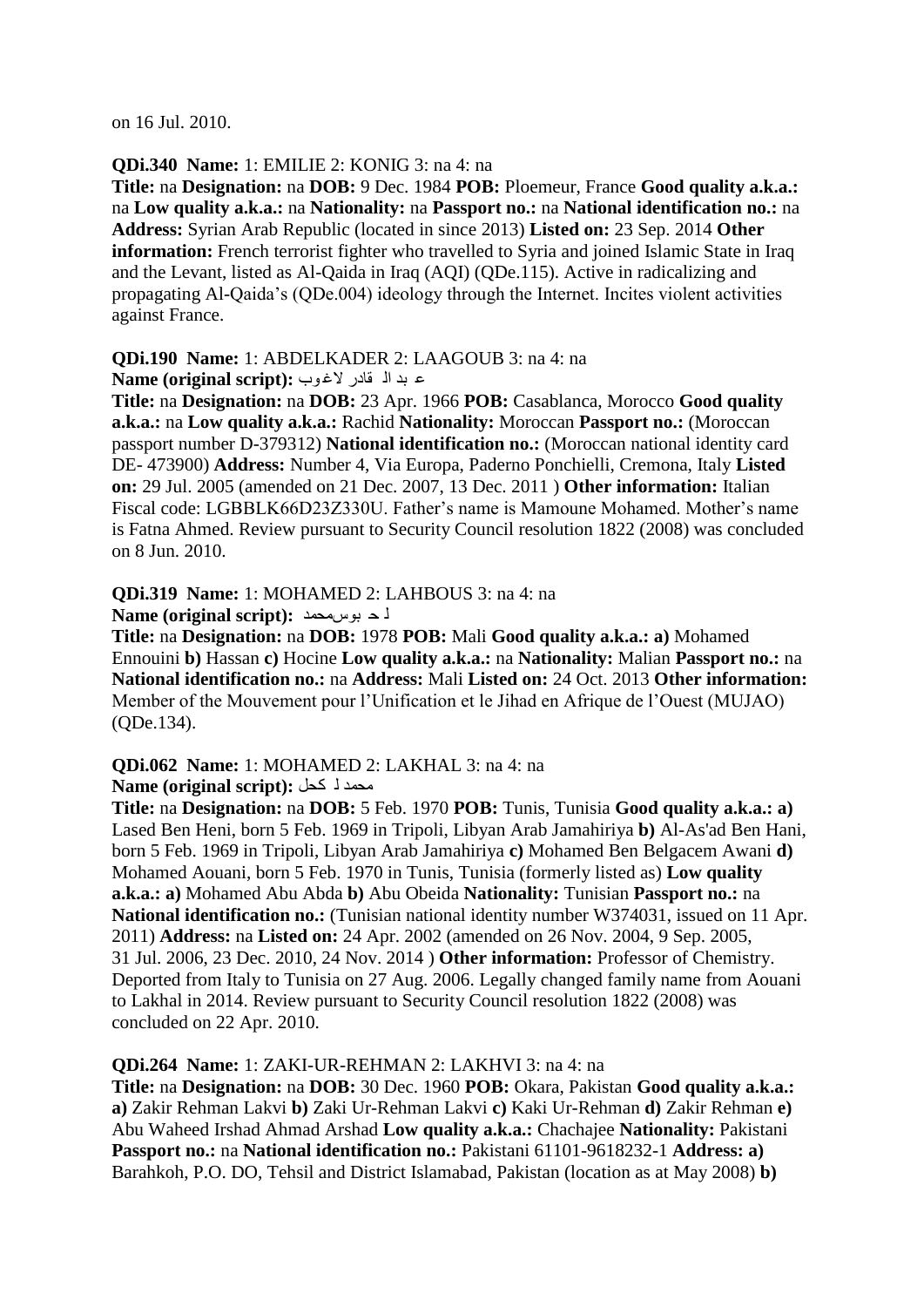on 16 Jul. 2010.

#### **QDi.340 Name:** 1: EMILIE 2: KONIG 3: na 4: na

**Title:** na **Designation:** na **DOB:** 9 Dec. 1984 **POB:** Ploemeur, France **Good quality a.k.a.:**  na **Low quality a.k.a.:** na **Nationality:** na **Passport no.:** na **National identification no.:** na **Address:** Syrian Arab Republic (located in since 2013) **Listed on:** 23 Sep. 2014 **Other information:** French terrorist fighter who travelled to Syria and joined Islamic State in Iraq and the Levant, listed as Al-Qaida in Iraq (AQI) (QDe.115). Active in radicalizing and propagating Al-Qaida"s (QDe.004) ideology through the Internet. Incites violent activities against France.

#### **QDi.190 Name:** 1: ABDELKADER 2: LAAGOUB 3: na 4: na

**Alame (original script):** ع بد ال قادر لاغوب

**Title:** na **Designation:** na **DOB:** 23 Apr. 1966 **POB:** Casablanca, Morocco **Good quality a.k.a.:** na **Low quality a.k.a.:** Rachid **Nationality:** Moroccan **Passport no.:** (Moroccan passport number D-379312) **National identification no.:** (Moroccan national identity card DE- 473900) **Address:** Number 4, Via Europa, Paderno Ponchielli, Cremona, Italy **Listed on:** 29 Jul. 2005 (amended on 21 Dec. 2007, 13 Dec. 2011 ) **Other information:** Italian Fiscal code: LGBBLK66D23Z330U. Father"s name is Mamoune Mohamed. Mother"s name is Fatna Ahmed. Review pursuant to Security Council resolution 1822 (2008) was concluded on 8 Jun. 2010.

#### **QDi.319 Name:** 1: MOHAMED 2: LAHBOUS 3: na 4: na

**Name (original script):** فد بوس محمد

**Title:** na **Designation:** na **DOB:** 1978 **POB:** Mali **Good quality a.k.a.: a)** Mohamed Ennouini **b)** Hassan **c)** Hocine **Low quality a.k.a.:** na **Nationality:** Malian **Passport no.:** na **National identification no.:** na **Address:** Mali **Listed on:** 24 Oct. 2013 **Other information:**  Member of the Mouvement pour l"Unification et le Jihad en Afrique de l"Ouest (MUJAO) (QDe.134).

#### **QDi.062 Name:** 1: MOHAMED 2: LAKHAL 3: na 4: na **Aame (original script):** محمد لـ كحل

**Title:** na **Designation:** na **DOB:** 5 Feb. 1970 **POB:** Tunis, Tunisia **Good quality a.k.a.: a)**  Lased Ben Heni, born 5 Feb. 1969 in Tripoli, Libyan Arab Jamahiriya **b)** Al-As'ad Ben Hani, born 5 Feb. 1969 in Tripoli, Libyan Arab Jamahiriya **c)** Mohamed Ben Belgacem Awani **d)**  Mohamed Aouani, born 5 Feb. 1970 in Tunis, Tunisia (formerly listed as) **Low quality a.k.a.: a)** Mohamed Abu Abda **b)** Abu Obeida **Nationality:** Tunisian **Passport no.:** na **National identification no.:** (Tunisian national identity number W374031, issued on 11 Apr. 2011) **Address:** na **Listed on:** 24 Apr. 2002 (amended on 26 Nov. 2004, 9 Sep. 2005, 31 Jul. 2006, 23 Dec. 2010, 24 Nov. 2014 ) **Other information:** Professor of Chemistry. Deported from Italy to Tunisia on 27 Aug. 2006. Legally changed family name from Aouani to Lakhal in 2014. Review pursuant to Security Council resolution 1822 (2008) was concluded on 22 Apr. 2010.

#### **QDi.264 Name:** 1: ZAKI-UR-REHMAN 2: LAKHVI 3: na 4: na

**Title:** na **Designation:** na **DOB:** 30 Dec. 1960 **POB:** Okara, Pakistan **Good quality a.k.a.: a)** Zakir Rehman Lakvi **b)** Zaki Ur-Rehman Lakvi **c)** Kaki Ur-Rehman **d)** Zakir Rehman **e)**  Abu Waheed Irshad Ahmad Arshad **Low quality a.k.a.:** Chachajee **Nationality:** Pakistani **Passport no.: na National identification no.: Pakistani 61101-9618232-1 Address: a)** Barahkoh, P.O. DO, Tehsil and District Islamabad, Pakistan (location as at May 2008) **b)**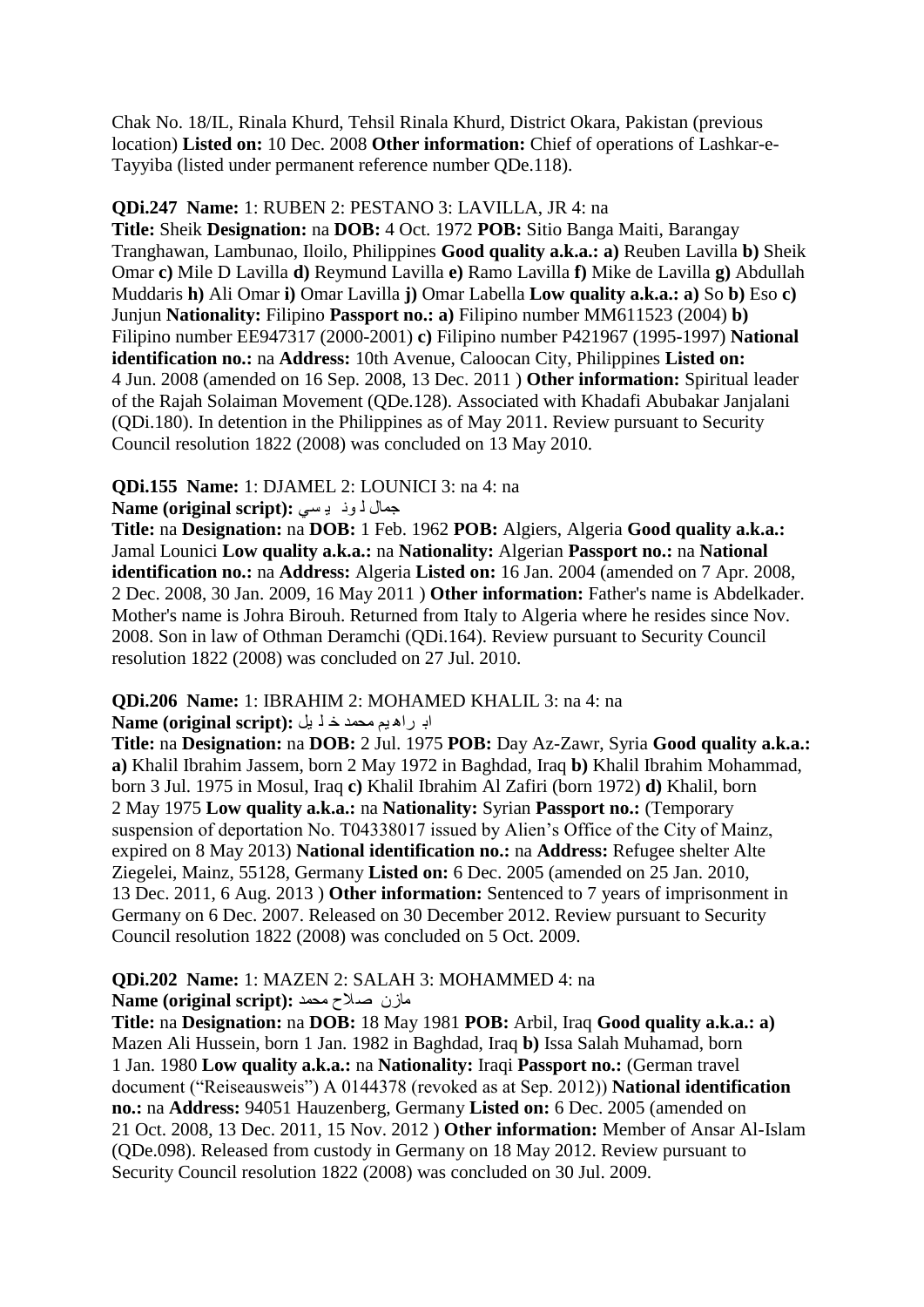Chak No. 18/IL, Rinala Khurd, Tehsil Rinala Khurd, District Okara, Pakistan (previous location) **Listed on:** 10 Dec. 2008 **Other information:** Chief of operations of Lashkar-e-Tayyiba (listed under permanent reference number QDe.118).

#### **QDi.247 Name:** 1: RUBEN 2: PESTANO 3: LAVILLA, JR 4: na

**Title:** Sheik **Designation:** na **DOB:** 4 Oct. 1972 **POB:** Sitio Banga Maiti, Barangay Tranghawan, Lambunao, Iloilo, Philippines **Good quality a.k.a.: a)** Reuben Lavilla **b)** Sheik Omar **c)** Mile D Lavilla **d)** Reymund Lavilla **e)** Ramo Lavilla **f)** Mike de Lavilla **g)** Abdullah Muddaris **h)** Ali Omar **i)** Omar Lavilla **j)** Omar Labella **Low quality a.k.a.: a)** So **b)** Eso **c)**  Junjun **Nationality:** Filipino **Passport no.: a)** Filipino number MM611523 (2004) **b)**  Filipino number EE947317 (2000-2001) **c)** Filipino number P421967 (1995-1997) **National identification no.:** na **Address:** 10th Avenue, Caloocan City, Philippines **Listed on:**  4 Jun. 2008 (amended on 16 Sep. 2008, 13 Dec. 2011 ) **Other information:** Spiritual leader of the Rajah Solaiman Movement (QDe.128). Associated with Khadafi Abubakar Janjalani (QDi.180). In detention in the Philippines as of May 2011. Review pursuant to Security Council resolution 1822 (2008) was concluded on 13 May 2010.

#### **QDi.155 Name:** 1: DJAMEL 2: LOUNICI 3: na 4: na

#### جّاي ٌ ٔٛ ١ غٟ **:(script original (Name**

**Title:** na **Designation:** na **DOB:** 1 Feb. 1962 **POB:** Algiers, Algeria **Good quality a.k.a.:**  Jamal Lounici **Low quality a.k.a.:** na **Nationality:** Algerian **Passport no.:** na **National identification no.:** na **Address:** Algeria **Listed on:** 16 Jan. 2004 (amended on 7 Apr. 2008, 2 Dec. 2008, 30 Jan. 2009, 16 May 2011 ) **Other information:** Father's name is Abdelkader. Mother's name is Johra Birouh. Returned from Italy to Algeria where he resides since Nov. 2008. Son in law of Othman Deramchi (QDi.164). Review pursuant to Security Council resolution 1822 (2008) was concluded on 27 Jul. 2010.

# **QDi.206 Name:** 1: IBRAHIM 2: MOHAMED KHALIL 3: na 4: na

#### ات شا٘ ُ١ ِذّذ خ ٍ ً١ **:(script original (Name**

**Title:** na **Designation:** na **DOB:** 2 Jul. 1975 **POB:** Day Az-Zawr, Syria **Good quality a.k.a.: a)** Khalil Ibrahim Jassem, born 2 May 1972 in Baghdad, Iraq **b)** Khalil Ibrahim Mohammad, born 3 Jul. 1975 in Mosul, Iraq **c)** Khalil Ibrahim Al Zafiri (born 1972) **d)** Khalil, born 2 May 1975 **Low quality a.k.a.:** na **Nationality:** Syrian **Passport no.:** (Temporary suspension of deportation No. T04338017 issued by Alien's Office of the City of Mainz, expired on 8 May 2013) **National identification no.:** na **Address:** Refugee shelter Alte Ziegelei, Mainz, 55128, Germany **Listed on:** 6 Dec. 2005 (amended on 25 Jan. 2010, 13 Dec. 2011, 6 Aug. 2013 ) **Other information:** Sentenced to 7 years of imprisonment in Germany on 6 Dec. 2007. Released on 30 December 2012. Review pursuant to Security Council resolution 1822 (2008) was concluded on 5 Oct. 2009.

#### **QDi.202 Name:** 1: MAZEN 2: SALAH 3: MOHAMMED 4: na ِاصْ فالح ِذّذ **:(script original (Name**

**Title:** na **Designation:** na **DOB:** 18 May 1981 **POB:** Arbil, Iraq **Good quality a.k.a.: a)**  Mazen Ali Hussein, born 1 Jan. 1982 in Baghdad, Iraq **b)** Issa Salah Muhamad, born 1 Jan. 1980 **Low quality a.k.a.:** na **Nationality:** Iraqi **Passport no.:** (German travel document ("Reiseausweis") A 0144378 (revoked as at Sep. 2012)) **National identification no.:** na **Address:** 94051 Hauzenberg, Germany **Listed on:** 6 Dec. 2005 (amended on 21 Oct. 2008, 13 Dec. 2011, 15 Nov. 2012 ) **Other information:** Member of Ansar Al-Islam (QDe.098). Released from custody in Germany on 18 May 2012. Review pursuant to Security Council resolution 1822 (2008) was concluded on 30 Jul. 2009.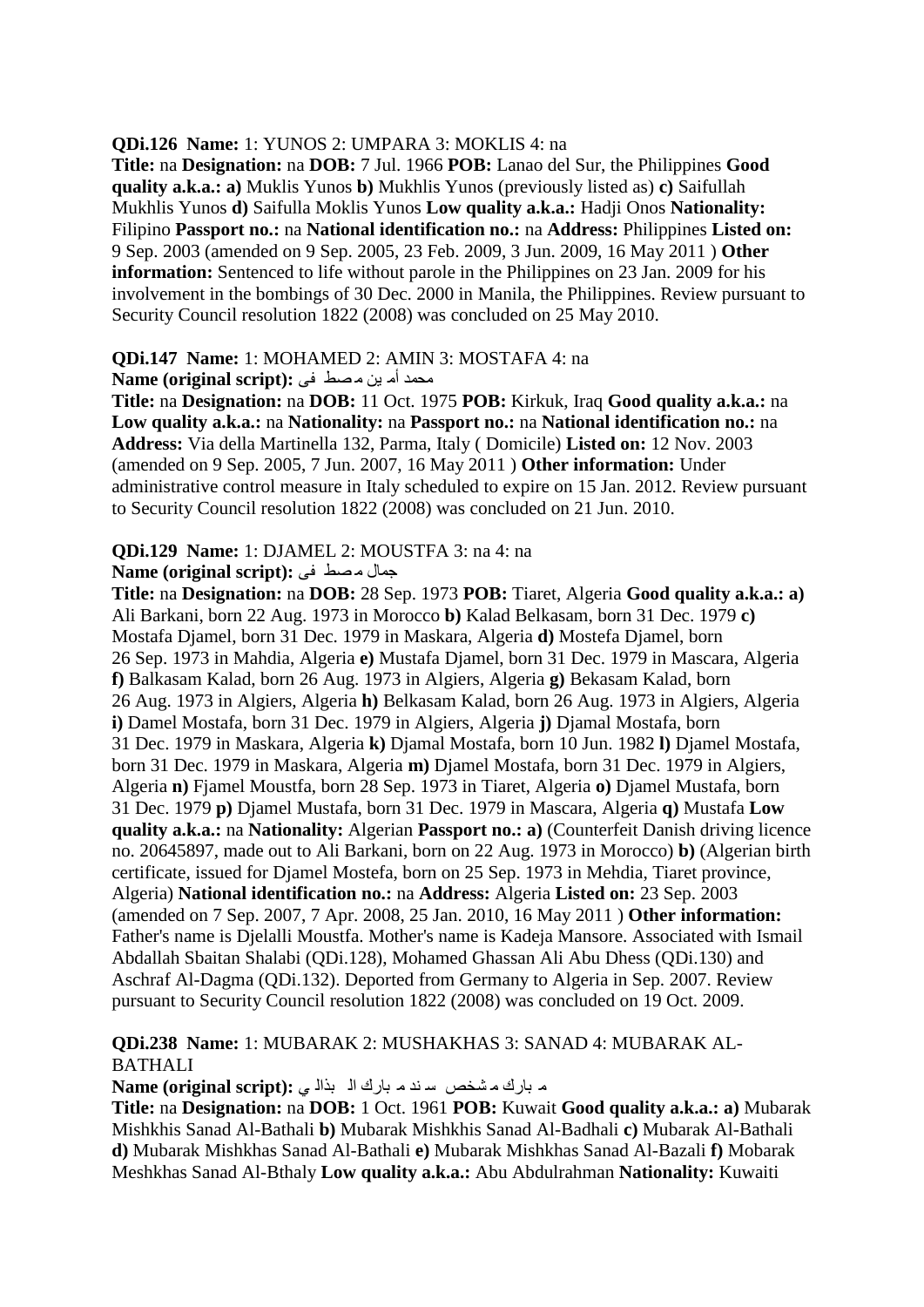#### **QDi.126 Name:** 1: YUNOS 2: UMPARA 3: MOKLIS 4: na

**Title:** na **Designation:** na **DOB:** 7 Jul. 1966 **POB:** Lanao del Sur, the Philippines **Good quality a.k.a.: a)** Muklis Yunos **b)** Mukhlis Yunos (previously listed as) **c)** Saifullah Mukhlis Yunos **d)** Saifulla Moklis Yunos **Low quality a.k.a.:** Hadji Onos **Nationality:**  Filipino **Passport no.:** na **National identification no.:** na **Address:** Philippines **Listed on:**  9 Sep. 2003 (amended on 9 Sep. 2005, 23 Feb. 2009, 3 Jun. 2009, 16 May 2011 ) **Other information:** Sentenced to life without parole in the Philippines on 23 Jan. 2009 for his involvement in the bombings of 30 Dec. 2000 in Manila, the Philippines. Review pursuant to Security Council resolution 1822 (2008) was concluded on 25 May 2010.

#### **QDi.147 Name:** 1: MOHAMED 2: AMIN 3: MOSTAFA 4: na

ِمَحِمد أُمّ بِن مُصط في **Name (original script):** 

**Title:** na **Designation:** na **DOB:** 11 Oct. 1975 **POB:** Kirkuk, Iraq **Good quality a.k.a.:** na **Low quality a.k.a.:** na **Nationality:** na **Passport no.:** na **National identification no.:** na **Address:** Via della Martinella 132, Parma, Italy ( Domicile) **Listed on:** 12 Nov. 2003 (amended on 9 Sep. 2005, 7 Jun. 2007, 16 May 2011 ) **Other information:** Under administrative control measure in Italy scheduled to expire on 15 Jan. 2012. Review pursuant to Security Council resolution 1822 (2008) was concluded on 21 Jun. 2010.

#### **QDi.129 Name:** 1: DJAMEL 2: MOUSTFA 3: na 4: na

**Rame (original script):** جمال مصط في

**Title:** na **Designation:** na **DOB:** 28 Sep. 1973 **POB:** Tiaret, Algeria **Good quality a.k.a.: a)**  Ali Barkani, born 22 Aug. 1973 in Morocco **b)** Kalad Belkasam, born 31 Dec. 1979 **c)**  Mostafa Djamel, born 31 Dec. 1979 in Maskara, Algeria **d)** Mostefa Djamel, born 26 Sep. 1973 in Mahdia, Algeria **e)** Mustafa Djamel, born 31 Dec. 1979 in Mascara, Algeria **f)** Balkasam Kalad, born 26 Aug. 1973 in Algiers, Algeria **g)** Bekasam Kalad, born 26 Aug. 1973 in Algiers, Algeria **h)** Belkasam Kalad, born 26 Aug. 1973 in Algiers, Algeria **i)** Damel Mostafa, born 31 Dec. 1979 in Algiers, Algeria **j)** Djamal Mostafa, born 31 Dec. 1979 in Maskara, Algeria **k)** Djamal Mostafa, born 10 Jun. 1982 **l)** Djamel Mostafa, born 31 Dec. 1979 in Maskara, Algeria **m)** Djamel Mostafa, born 31 Dec. 1979 in Algiers, Algeria **n)** Fjamel Moustfa, born 28 Sep. 1973 in Tiaret, Algeria **o)** Djamel Mustafa, born 31 Dec. 1979 **p)** Djamel Mustafa, born 31 Dec. 1979 in Mascara, Algeria **q)** Mustafa **Low quality a.k.a.:** na **Nationality:** Algerian **Passport no.: a)** (Counterfeit Danish driving licence no. 20645897, made out to Ali Barkani, born on 22 Aug. 1973 in Morocco) **b)** (Algerian birth certificate, issued for Djamel Mostefa, born on 25 Sep. 1973 in Mehdia, Tiaret province, Algeria) **National identification no.:** na **Address:** Algeria **Listed on:** 23 Sep. 2003 (amended on 7 Sep. 2007, 7 Apr. 2008, 25 Jan. 2010, 16 May 2011 ) **Other information:**  Father's name is Djelalli Moustfa. Mother's name is Kadeja Mansore. Associated with Ismail Abdallah Sbaitan Shalabi (QDi.128), Mohamed Ghassan Ali Abu Dhess (QDi.130) and Aschraf Al-Dagma (QDi.132). Deported from Germany to Algeria in Sep. 2007. Review pursuant to Security Council resolution 1822 (2008) was concluded on 19 Oct. 2009.

#### **QDi.238 Name:** 1: MUBARAK 2: MUSHAKHAS 3: SANAD 4: MUBARAK AL-**BATHALI**

م بارك مشخص سندم بارك ال بذالي: Name (original script):

**Title:** na **Designation:** na **DOB:** 1 Oct. 1961 **POB:** Kuwait **Good quality a.k.a.: a)** Mubarak Mishkhis Sanad Al-Bathali **b)** Mubarak Mishkhis Sanad Al-Badhali **c)** Mubarak Al-Bathali **d)** Mubarak Mishkhas Sanad Al-Bathali **e)** Mubarak Mishkhas Sanad Al-Bazali **f)** Mobarak Meshkhas Sanad Al-Bthaly **Low quality a.k.a.:** Abu Abdulrahman **Nationality:** Kuwaiti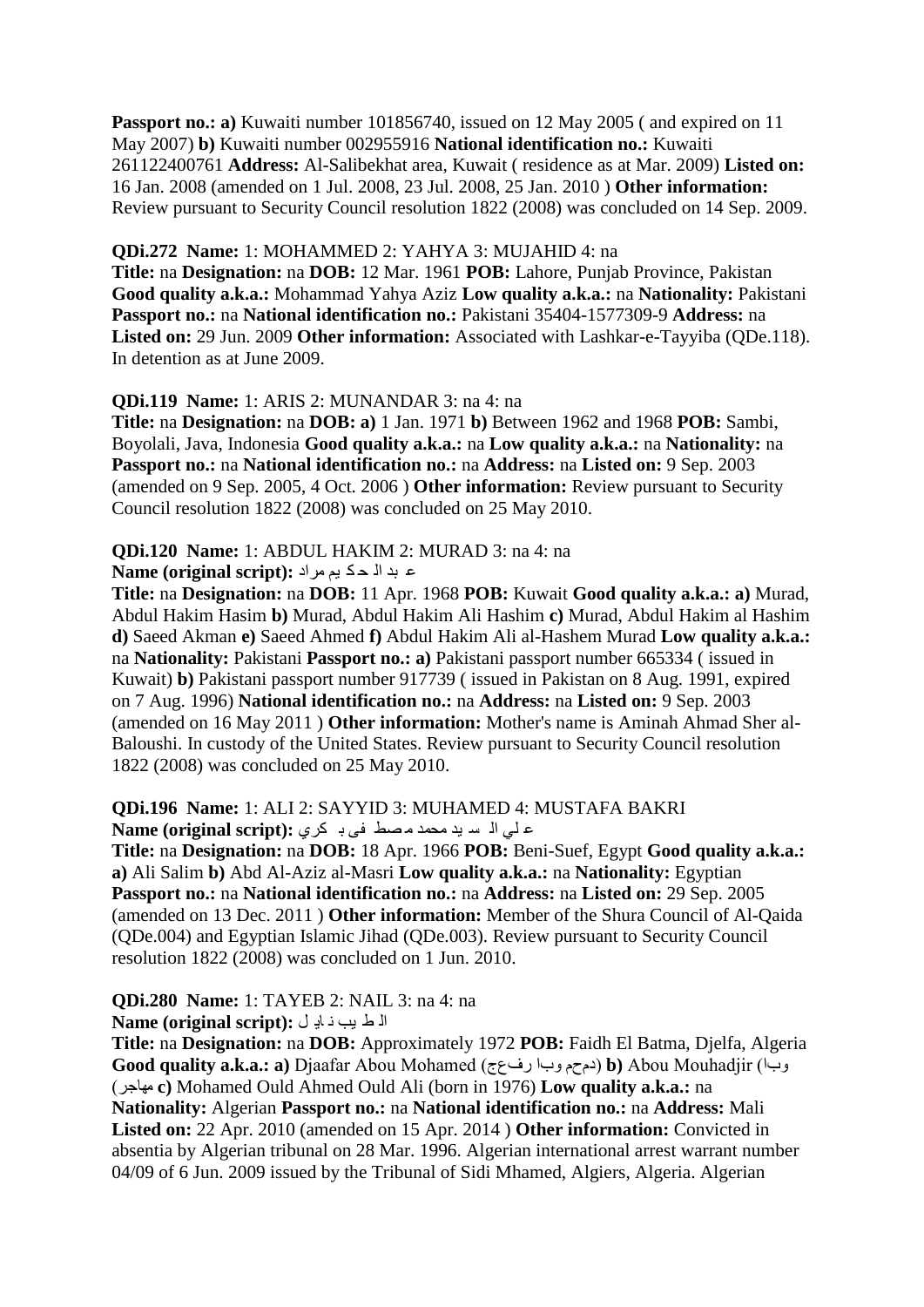**Passport no.: a)** Kuwaiti number 101856740, issued on 12 May 2005 (and expired on 11 May 2007) **b)** Kuwaiti number 002955916 **National identification no.:** Kuwaiti 261122400761 **Address:** Al-Salibekhat area, Kuwait ( residence as at Mar. 2009) **Listed on:**  16 Jan. 2008 (amended on 1 Jul. 2008, 23 Jul. 2008, 25 Jan. 2010 ) **Other information:**  Review pursuant to Security Council resolution 1822 (2008) was concluded on 14 Sep. 2009.

#### **QDi.272 Name:** 1: MOHAMMED 2: YAHYA 3: MUJAHID 4: na

**Title:** na **Designation:** na **DOB:** 12 Mar. 1961 **POB:** Lahore, Punjab Province, Pakistan **Good quality a.k.a.:** Mohammad Yahya Aziz **Low quality a.k.a.:** na **Nationality:** Pakistani **Passport no.:** na **National identification no.:** Pakistani 35404-1577309-9 **Address:** na **Listed on:** 29 Jun. 2009 **Other information:** Associated with Lashkar-e-Tayyiba (QDe.118). In detention as at June 2009.

#### **QDi.119 Name:** 1: ARIS 2: MUNANDAR 3: na 4: na

**Title:** na **Designation:** na **DOB: a)** 1 Jan. 1971 **b)** Between 1962 and 1968 **POB:** Sambi, Boyolali, Java, Indonesia **Good quality a.k.a.:** na **Low quality a.k.a.:** na **Nationality:** na **Passport no.:** na **National identification no.:** na **Address:** na **Listed on:** 9 Sep. 2003 (amended on 9 Sep. 2005, 4 Oct. 2006 ) **Other information:** Review pursuant to Security Council resolution 1822 (2008) was concluded on 25 May 2010.

#### **QDi.120 Name:** 1: ABDUL HAKIM 2: MURAD 3: na 4: na

#### ػ ثذ اٌ ذ ى ُ١ ِشاد **:(script original (Name**

**Title:** na **Designation:** na **DOB:** 11 Apr. 1968 **POB:** Kuwait **Good quality a.k.a.: a)** Murad, Abdul Hakim Hasim **b)** Murad, Abdul Hakim Ali Hashim **c)** Murad, Abdul Hakim al Hashim **d)** Saeed Akman **e)** Saeed Ahmed **f)** Abdul Hakim Ali al-Hashem Murad **Low quality a.k.a.:**  na **Nationality:** Pakistani **Passport no.: a)** Pakistani passport number 665334 ( issued in Kuwait) **b)** Pakistani passport number 917739 ( issued in Pakistan on 8 Aug. 1991, expired on 7 Aug. 1996) **National identification no.:** na **Address:** na **Listed on:** 9 Sep. 2003 (amended on 16 May 2011 ) **Other information:** Mother's name is Aminah Ahmad Sher al-Baloushi. In custody of the United States. Review pursuant to Security Council resolution 1822 (2008) was concluded on 25 May 2010.

#### **QDi.196 Name:** 1: ALI 2: SAYYID 3: MUHAMED 4: MUSTAFA BAKRI ع لي الا سايد محمد ماصط في باكري : Name (original script)

**Title:** na **Designation:** na **DOB:** 18 Apr. 1966 **POB:** Beni-Suef, Egypt **Good quality a.k.a.: a)** Ali Salim **b)** Abd Al-Aziz al-Masri **Low quality a.k.a.:** na **Nationality:** Egyptian **Passport no.:** na **National identification no.:** na **Address:** na **Listed on:** 29 Sep. 2005 (amended on 13 Dec. 2011 ) **Other information:** Member of the Shura Council of Al-Qaida (QDe.004) and Egyptian Islamic Jihad (QDe.003). Review pursuant to Security Council resolution 1822 (2008) was concluded on 1 Jun. 2010.

# **QDi.280 Name:** 1: TAYEB 2: NAIL 3: na 4: na

الٌ ط يب ذ اب<sub>ّ</sub> ل : (Name (original script

**Title:** na **Designation:** na **DOB:** Approximately 1972 **POB:** Faidh El Batma, Djelfa, Algeria **Good quality a.k.a.: a)** Djaafar Abou Mohamed (سفعض باٚ َحَد (**b)** Abou Mouhadjir (باٚ (اجشِٙ **c)** Mohamed Ould Ahmed Ould Ali (born in 1976) **Low quality a.k.a.:** na **Nationality:** Algerian **Passport no.:** na **National identification no.:** na **Address:** Mali **Listed on:** 22 Apr. 2010 (amended on 15 Apr. 2014 ) **Other information:** Convicted in absentia by Algerian tribunal on 28 Mar. 1996. Algerian international arrest warrant number 04/09 of 6 Jun. 2009 issued by the Tribunal of Sidi Mhamed, Algiers, Algeria. Algerian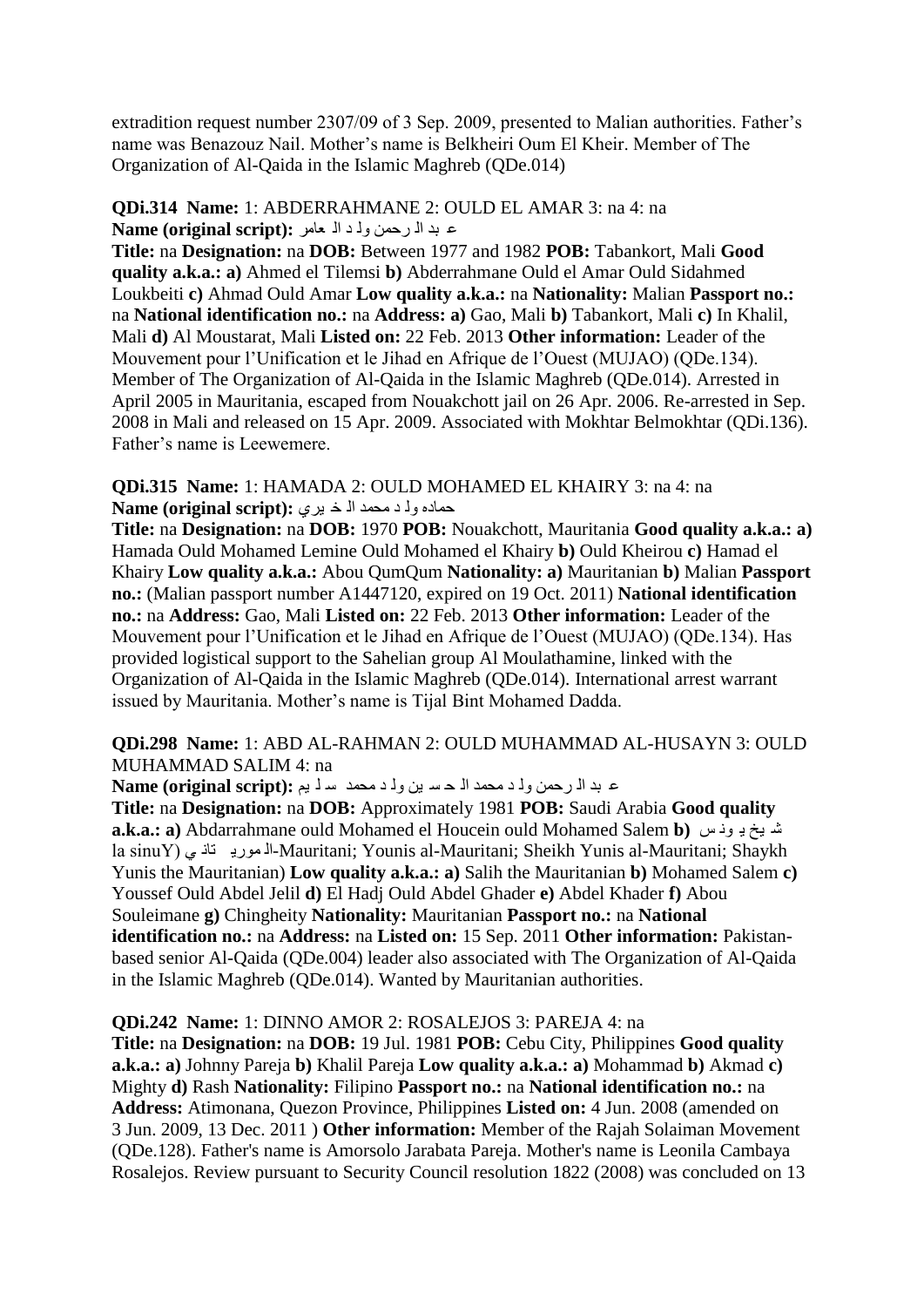extradition request number 2307/09 of 3 Sep. 2009, presented to Malian authorities. Father's name was Benazouz Nail. Mother"s name is Belkheiri Oum El Kheir. Member of The Organization of Al-Qaida in the Islamic Maghreb (QDe.014)

#### **QDi.314 Name:** 1: ABDERRAHMANE 2: OULD EL AMAR 3: na 4: na ػ ثذ اٌ شدّٓ ٌٚ ذ اٌ ؼاِش **:(script original (Name**

**Title:** na **Designation:** na **DOB:** Between 1977 and 1982 **POB:** Tabankort, Mali **Good quality a.k.a.: a)** Ahmed el Tilemsi **b)** Abderrahmane Ould el Amar Ould Sidahmed Loukbeiti **c)** Ahmad Ould Amar **Low quality a.k.a.:** na **Nationality:** Malian **Passport no.:**  na **National identification no.:** na **Address: a)** Gao, Mali **b)** Tabankort, Mali **c)** In Khalil, Mali **d)** Al Moustarat, Mali **Listed on:** 22 Feb. 2013 **Other information:** Leader of the Mouvement pour l"Unification et le Jihad en Afrique de l"Ouest (MUJAO) (QDe.134). Member of The Organization of Al-Qaida in the Islamic Maghreb (QDe.014). Arrested in April 2005 in Mauritania, escaped from Nouakchott jail on 26 Apr. 2006. Re-arrested in Sep. 2008 in Mali and released on 15 Apr. 2009. Associated with Mokhtar Belmokhtar (QDi.136). Father"s name is Leewemere.

#### **QDi.315 Name:** 1: HAMADA 2: OULD MOHAMED EL KHAIRY 3: na 4: na ده وله د محمد اله خ برى **:**(Name (original script

**Title:** na **Designation:** na **DOB:** 1970 **POB:** Nouakchott, Mauritania **Good quality a.k.a.: a)**  Hamada Ould Mohamed Lemine Ould Mohamed el Khairy **b)** Ould Kheirou **c)** Hamad el Khairy **Low quality a.k.a.:** Abou QumQum **Nationality: a)** Mauritanian **b)** Malian **Passport no.:** (Malian passport number A1447120, expired on 19 Oct. 2011) **National identification no.:** na **Address:** Gao, Mali **Listed on:** 22 Feb. 2013 **Other information:** Leader of the Mouvement pour l"Unification et le Jihad en Afrique de l"Ouest (MUJAO) (QDe.134). Has provided logistical support to the Sahelian group Al Moulathamine, linked with the Organization of Al-Qaida in the Islamic Maghreb (QDe.014). International arrest warrant issued by Mauritania. Mother's name is Tijal Bint Mohamed Dadda.

#### **QDi.298 Name:** 1: ABD AL-RAHMAN 2: OULD MUHAMMAD AL-HUSAYN 3: OULD MUHAMMAD SALIM 4: na

ع بد ال رحمن ولـ د محمد الله سلّ ين ولـ د محمد سـلـ يم : Name (original script)

**Title:** na **Designation:** na **DOB:** Approximately 1981 **POB:** Saudi Arabia **Good quality a.k.a.: a**) Abdarrahmane ould Mohamed el Houcein ould Mohamed Salem **b**) شديخ دِ وذس la sinuY) •المورية ناذي Mauritani; Younis al-Mauritani; Sheikh Yunis al-Mauritani; Shaykh Yunis the Mauritanian) **Low quality a.k.a.: a)** Salih the Mauritanian **b)** Mohamed Salem **c)**  Youssef Ould Abdel Jelil **d)** El Hadj Ould Abdel Ghader **e)** Abdel Khader **f)** Abou Souleimane **g)** Chingheity **Nationality:** Mauritanian **Passport no.:** na **National identification no.:** na **Address:** na **Listed on:** 15 Sep. 2011 **Other information:** Pakistanbased senior Al-Qaida (QDe.004) leader also associated with The Organization of Al-Qaida in the Islamic Maghreb (QDe.014). Wanted by Mauritanian authorities.

#### **QDi.242 Name:** 1: DINNO AMOR 2: ROSALEJOS 3: PAREJA 4: na

**Title:** na **Designation:** na **DOB:** 19 Jul. 1981 **POB:** Cebu City, Philippines **Good quality a.k.a.: a)** Johnny Pareja **b)** Khalil Pareja **Low quality a.k.a.: a)** Mohammad **b)** Akmad **c)**  Mighty **d)** Rash **Nationality:** Filipino **Passport no.:** na **National identification no.:** na **Address:** Atimonana, Quezon Province, Philippines **Listed on:** 4 Jun. 2008 (amended on 3 Jun. 2009, 13 Dec. 2011 ) **Other information:** Member of the Rajah Solaiman Movement (QDe.128). Father's name is Amorsolo Jarabata Pareja. Mother's name is Leonila Cambaya Rosalejos. Review pursuant to Security Council resolution 1822 (2008) was concluded on 13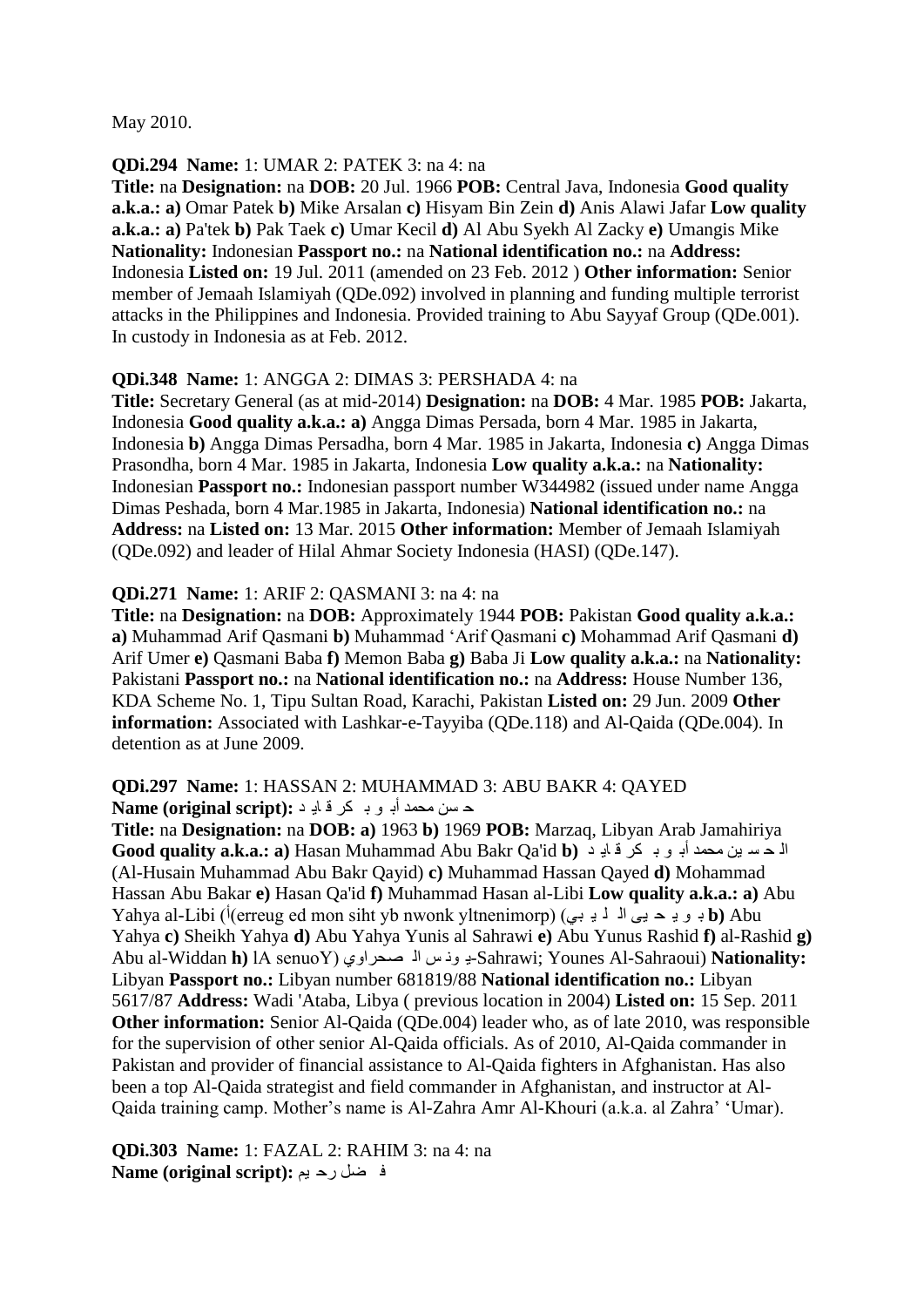May 2010.

#### **QDi.294 Name:** 1: UMAR 2: PATEK 3: na 4: na

**Title:** na **Designation:** na **DOB:** 20 Jul. 1966 **POB:** Central Java, Indonesia **Good quality a.k.a.: a)** Omar Patek **b)** Mike Arsalan **c)** Hisyam Bin Zein **d)** Anis Alawi Jafar **Low quality a.k.a.: a)** Pa'tek **b)** Pak Taek **c)** Umar Kecil **d)** Al Abu Syekh Al Zacky **e)** Umangis Mike **Nationality:** Indonesian **Passport no.:** na **National identification no.:** na **Address:**  Indonesia **Listed on:** 19 Jul. 2011 (amended on 23 Feb. 2012 ) **Other information:** Senior member of Jemaah Islamiyah (QDe.092) involved in planning and funding multiple terrorist attacks in the Philippines and Indonesia. Provided training to Abu Sayyaf Group (QDe.001). In custody in Indonesia as at Feb. 2012.

#### **QDi.348 Name:** 1: ANGGA 2: DIMAS 3: PERSHADA 4: na

**Title:** Secretary General (as at mid-2014) **Designation:** na **DOB:** 4 Mar. 1985 **POB:** Jakarta, Indonesia **Good quality a.k.a.: a)** Angga Dimas Persada, born 4 Mar. 1985 in Jakarta, Indonesia **b)** Angga Dimas Persadha, born 4 Mar. 1985 in Jakarta, Indonesia **c)** Angga Dimas Prasondha, born 4 Mar. 1985 in Jakarta, Indonesia **Low quality a.k.a.:** na **Nationality:**  Indonesian **Passport no.:** Indonesian passport number W344982 (issued under name Angga Dimas Peshada, born 4 Mar.1985 in Jakarta, Indonesia) **National identification no.:** na **Address:** na **Listed on:** 13 Mar. 2015 **Other information:** Member of Jemaah Islamiyah (QDe.092) and leader of Hilal Ahmar Society Indonesia (HASI) (QDe.147).

#### **QDi.271 Name:** 1: ARIF 2: QASMANI 3: na 4: na

**Title:** na **Designation:** na **DOB:** Approximately 1944 **POB:** Pakistan **Good quality a.k.a.: a)** Muhammad Arif Qasmani **b)** Muhammad "Arif Qasmani **c)** Mohammad Arif Qasmani **d)**  Arif Umer **e)** Qasmani Baba **f)** Memon Baba **g)** Baba Ji **Low quality a.k.a.:** na **Nationality:**  Pakistani **Passport no.:** na **National identification no.:** na **Address:** House Number 136, KDA Scheme No. 1, Tipu Sultan Road, Karachi, Pakistan **Listed on:** 29 Jun. 2009 **Other information:** Associated with Lashkar-e-Tayyiba (QDe.118) and Al-Qaida (QDe.004). In detention as at June 2009.

#### **QDi.297 Name:** 1: HASSAN 2: MUHAMMAD 3: ABU BAKR 4: QAYED ح سن محمد أب و بـ كر فـ ادٍ د : Name (original script)

**Title:** na **Designation:** na **DOB: a)** 1963 **b)** 1969 **POB:** Marzaq, Libyan Arab Jamahiriya **Good quality a.k.a.: a)** Hasan Muhammad Abu Bakr Qa'id **b)** ذ ٠ا ل ىش ت ٛ أت ذّذِ ٓ١ غ ذ ٌا (Al-Husain Muhammad Abu Bakr Qayid) **c)** Muhammad Hassan Qayed **d)** Mohammad Hassan Abu Bakar **e)** Hasan Qa'id **f)** Muhammad Hasan al-Libi **Low quality a.k.a.: a)** Abu Yahya al-Libi (<sup>j</sup>(erreug ed mon siht yb nwonk yltnenimorp) (ثو يد حيى الم لم يو ات ما ) **b**) Abu Yahya **c)** Sheikh Yahya **d)** Abu Yahya Yunis al Sahrawi **e)** Abu Yunus Rashid **f)** al-Rashid **g)**  Abu al-Widdan **h)** lA senuoY) ٞٚقذشا ٌا ظ ٔٛ ٠-Sahrawi; Younes Al-Sahraoui) **Nationality:**  Libyan **Passport no.:** Libyan number 681819/88 **National identification no.:** Libyan 5617/87 **Address:** Wadi 'Ataba, Libya ( previous location in 2004) **Listed on:** 15 Sep. 2011 **Other information:** Senior Al-Qaida (QDe.004) leader who, as of late 2010, was responsible for the supervision of other senior Al-Qaida officials. As of 2010, Al-Qaida commander in Pakistan and provider of financial assistance to Al-Qaida fighters in Afghanistan. Has also been a top Al-Qaida strategist and field commander in Afghanistan, and instructor at Al-Qaida training camp. Mother"s name is Al-Zahra Amr Al-Khouri (a.k.a. al Zahra" "Umar).

**QDi.303 Name:** 1: FAZAL 2: RAHIM 3: na 4: na ف ضل رح يم **Name (original script):**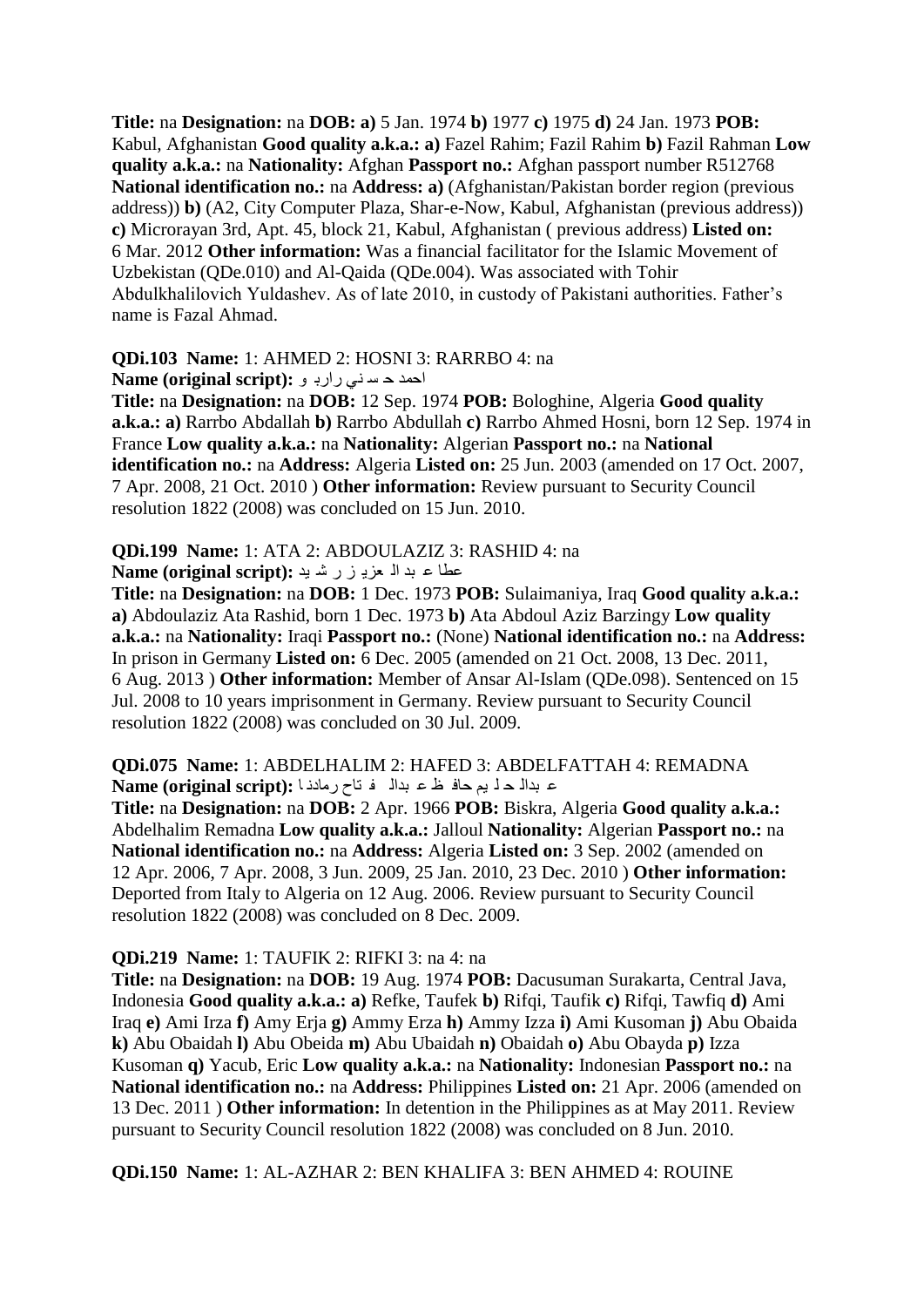**Title:** na **Designation:** na **DOB: a)** 5 Jan. 1974 **b)** 1977 **c)** 1975 **d)** 24 Jan. 1973 **POB:**  Kabul, Afghanistan **Good quality a.k.a.: a)** Fazel Rahim; Fazil Rahim **b)** Fazil Rahman **Low quality a.k.a.:** na **Nationality:** Afghan **Passport no.:** Afghan passport number R512768 **National identification no.:** na **Address: a**) (Afghanistan/Pakistan border region (previous address)) **b)** (A2, City Computer Plaza, Shar-e-Now, Kabul, Afghanistan (previous address)) **c)** Microrayan 3rd, Apt. 45, block 21, Kabul, Afghanistan ( previous address) **Listed on:**  6 Mar. 2012 **Other information:** Was a financial facilitator for the Islamic Movement of Uzbekistan (QDe.010) and Al-Qaida (QDe.004). Was associated with Tohir Abdulkhalilovich Yuldashev. As of late 2010, in custody of Pakistani authorities. Father"s name is Fazal Ahmad.

#### **QDi.103 Name:** 1: AHMED 2: HOSNI 3: RARRBO 4: na

احمد حسنی رارب و **:**Name (original script):

**Title:** na **Designation:** na **DOB:** 12 Sep. 1974 **POB:** Bologhine, Algeria **Good quality a.k.a.: a)** Rarrbo Abdallah **b)** Rarrbo Abdullah **c)** Rarrbo Ahmed Hosni, born 12 Sep. 1974 in France **Low quality a.k.a.:** na **Nationality:** Algerian **Passport no.:** na **National identification no.:** na **Address:** Algeria **Listed on:** 25 Jun. 2003 (amended on 17 Oct. 2007, 7 Apr. 2008, 21 Oct. 2010 ) **Other information:** Review pursuant to Security Council resolution 1822 (2008) was concluded on 15 Jun. 2010.

# **QDi.199 Name:** 1: ATA 2: ABDOULAZIZ 3: RASHID 4: na

ػطا ػ ثذ اٌ ؼض٠ ض س ؽ ١ذ **:(script original (Name**

**Title:** na **Designation:** na **DOB:** 1 Dec. 1973 **POB:** Sulaimaniya, Iraq **Good quality a.k.a.: a)** Abdoulaziz Ata Rashid, born 1 Dec. 1973 **b)** Ata Abdoul Aziz Barzingy **Low quality a.k.a.:** na **Nationality:** Iraqi **Passport no.:** (None) **National identification no.:** na **Address:**  In prison in Germany **Listed on:** 6 Dec. 2005 (amended on 21 Oct. 2008, 13 Dec. 2011, 6 Aug. 2013 ) **Other information:** Member of Ansar Al-Islam (QDe.098). Sentenced on 15 Jul. 2008 to 10 years imprisonment in Germany. Review pursuant to Security Council resolution 1822 (2008) was concluded on 30 Jul. 2009.

**QDi.075 Name:** 1: ABDELHALIM 2: HAFED 3: ABDELFATTAH 4: REMADNA ػ ثذاٌ ذ ٍ ُ١ داف ع ػ ثذاٌ ف راح سِادٔ ا **:(script original (Name**

**Title:** na **Designation:** na **DOB:** 2 Apr. 1966 **POB:** Biskra, Algeria **Good quality a.k.a.:**  Abdelhalim Remadna **Low quality a.k.a.:** Jalloul **Nationality:** Algerian **Passport no.:** na **National identification no.:** na **Address:** Algeria **Listed on:** 3 Sep. 2002 (amended on 12 Apr. 2006, 7 Apr. 2008, 3 Jun. 2009, 25 Jan. 2010, 23 Dec. 2010 ) **Other information:**  Deported from Italy to Algeria on 12 Aug. 2006. Review pursuant to Security Council resolution 1822 (2008) was concluded on 8 Dec. 2009.

#### **QDi.219 Name:** 1: TAUFIK 2: RIFKI 3: na 4: na

**Title:** na **Designation:** na **DOB:** 19 Aug. 1974 **POB:** Dacusuman Surakarta, Central Java, Indonesia **Good quality a.k.a.: a)** Refke, Taufek **b)** Rifqi, Taufik **c)** Rifqi, Tawfiq **d)** Ami Iraq **e)** Ami Irza **f)** Amy Erja **g)** Ammy Erza **h)** Ammy Izza **i)** Ami Kusoman **j)** Abu Obaida **k)** Abu Obaidah **l)** Abu Obeida **m)** Abu Ubaidah **n)** Obaidah **o)** Abu Obayda **p)** Izza Kusoman **q)** Yacub, Eric **Low quality a.k.a.:** na **Nationality:** Indonesian **Passport no.:** na **National identification no.:** na **Address:** Philippines **Listed on:** 21 Apr. 2006 (amended on 13 Dec. 2011 ) **Other information:** In detention in the Philippines as at May 2011. Review pursuant to Security Council resolution 1822 (2008) was concluded on 8 Jun. 2010.

**QDi.150 Name:** 1: AL-AZHAR 2: BEN KHALIFA 3: BEN AHMED 4: ROUINE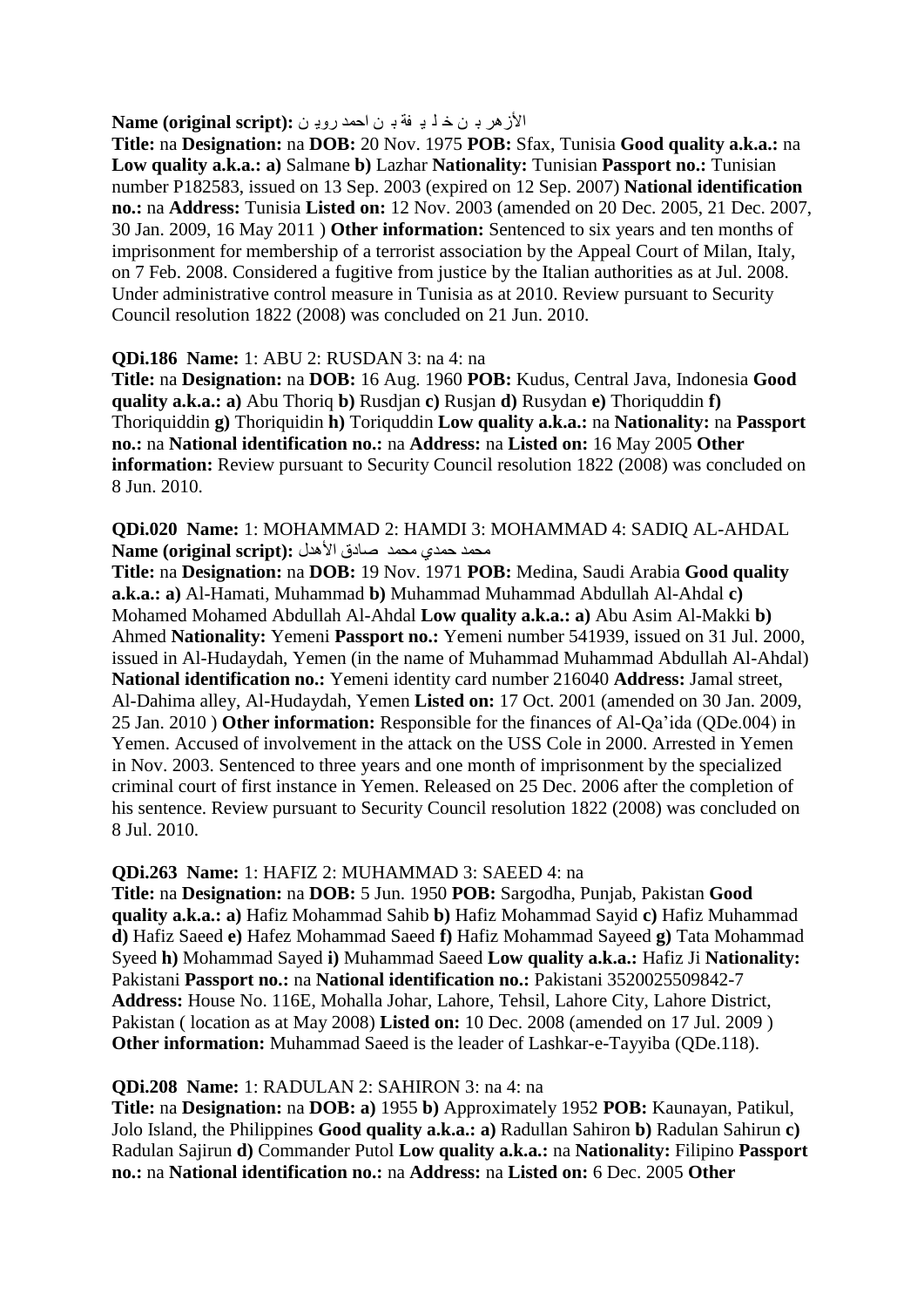الأزهر بـ ن خ ل يـ فة بـ ن احمد رويـ ن : Name (original script):

**Title:** na **Designation:** na **DOB:** 20 Nov. 1975 **POB:** Sfax, Tunisia **Good quality a.k.a.:** na **Low quality a.k.a.: a)** Salmane **b)** Lazhar **Nationality:** Tunisian **Passport no.:** Tunisian number P182583, issued on 13 Sep. 2003 (expired on 12 Sep. 2007) **National identification no.:** na **Address:** Tunisia **Listed on:** 12 Nov. 2003 (amended on 20 Dec. 2005, 21 Dec. 2007, 30 Jan. 2009, 16 May 2011 ) **Other information:** Sentenced to six years and ten months of imprisonment for membership of a terrorist association by the Appeal Court of Milan, Italy, on 7 Feb. 2008. Considered a fugitive from justice by the Italian authorities as at Jul. 2008. Under administrative control measure in Tunisia as at 2010. Review pursuant to Security Council resolution 1822 (2008) was concluded on 21 Jun. 2010.

#### **QDi.186 Name:** 1: ABU 2: RUSDAN 3: na 4: na

**Title:** na **Designation:** na **DOB:** 16 Aug. 1960 **POB:** Kudus, Central Java, Indonesia **Good quality a.k.a.: a)** Abu Thoriq **b)** Rusdjan **c)** Rusjan **d)** Rusydan **e)** Thoriquddin **f)**  Thoriquiddin **g)** Thoriquidin **h)** Toriquddin **Low quality a.k.a.:** na **Nationality:** na **Passport no.:** na **National identification no.:** na **Address:** na **Listed on:** 16 May 2005 **Other information:** Review pursuant to Security Council resolution 1822 (2008) was concluded on 8 Jun. 2010.

**QDi.020 Name:** 1: MOHAMMAD 2: HAMDI 3: MOHAMMAD 4: SADIQ AL-AHDAL ِمحمد حمدي محمد صادق الأهدل **:**(Name (original script

**Title:** na **Designation:** na **DOB:** 19 Nov. 1971 **POB:** Medina, Saudi Arabia **Good quality a.k.a.: a)** Al-Hamati, Muhammad **b)** Muhammad Muhammad Abdullah Al-Ahdal **c)**  Mohamed Mohamed Abdullah Al-Ahdal **Low quality a.k.a.: a)** Abu Asim Al-Makki **b)**  Ahmed **Nationality:** Yemeni **Passport no.:** Yemeni number 541939, issued on 31 Jul. 2000, issued in Al-Hudaydah, Yemen (in the name of Muhammad Muhammad Abdullah Al-Ahdal) **National identification no.:** Yemeni identity card number 216040 **Address:** Jamal street, Al-Dahima alley, Al-Hudaydah, Yemen **Listed on:** 17 Oct. 2001 (amended on 30 Jan. 2009, 25 Jan. 2010 ) **Other information:** Responsible for the finances of Al-Qa"ida (QDe.004) in Yemen. Accused of involvement in the attack on the USS Cole in 2000. Arrested in Yemen in Nov. 2003. Sentenced to three years and one month of imprisonment by the specialized criminal court of first instance in Yemen. Released on 25 Dec. 2006 after the completion of his sentence. Review pursuant to Security Council resolution 1822 (2008) was concluded on 8 Jul. 2010.

#### **QDi.263 Name:** 1: HAFIZ 2: MUHAMMAD 3: SAEED 4: na

**Title:** na **Designation:** na **DOB:** 5 Jun. 1950 **POB:** Sargodha, Punjab, Pakistan **Good quality a.k.a.: a)** Hafiz Mohammad Sahib **b)** Hafiz Mohammad Sayid **c)** Hafiz Muhammad **d)** Hafiz Saeed **e)** Hafez Mohammad Saeed **f)** Hafiz Mohammad Sayeed **g)** Tata Mohammad Syeed **h)** Mohammad Sayed **i)** Muhammad Saeed **Low quality a.k.a.:** Hafiz Ji **Nationality:**  Pakistani **Passport no.:** na **National identification no.:** Pakistani 3520025509842-7 **Address:** House No. 116E, Mohalla Johar, Lahore, Tehsil, Lahore City, Lahore District, Pakistan ( location as at May 2008) **Listed on:** 10 Dec. 2008 (amended on 17 Jul. 2009 ) **Other information:** Muhammad Saeed is the leader of Lashkar-e-Tayyiba (QDe.118).

#### **QDi.208 Name:** 1: RADULAN 2: SAHIRON 3: na 4: na

**Title:** na **Designation:** na **DOB: a)** 1955 **b)** Approximately 1952 **POB:** Kaunayan, Patikul, Jolo Island, the Philippines **Good quality a.k.a.: a)** Radullan Sahiron **b)** Radulan Sahirun **c)**  Radulan Sajirun **d)** Commander Putol **Low quality a.k.a.:** na **Nationality:** Filipino **Passport no.:** na **National identification no.:** na **Address:** na **Listed on:** 6 Dec. 2005 **Other**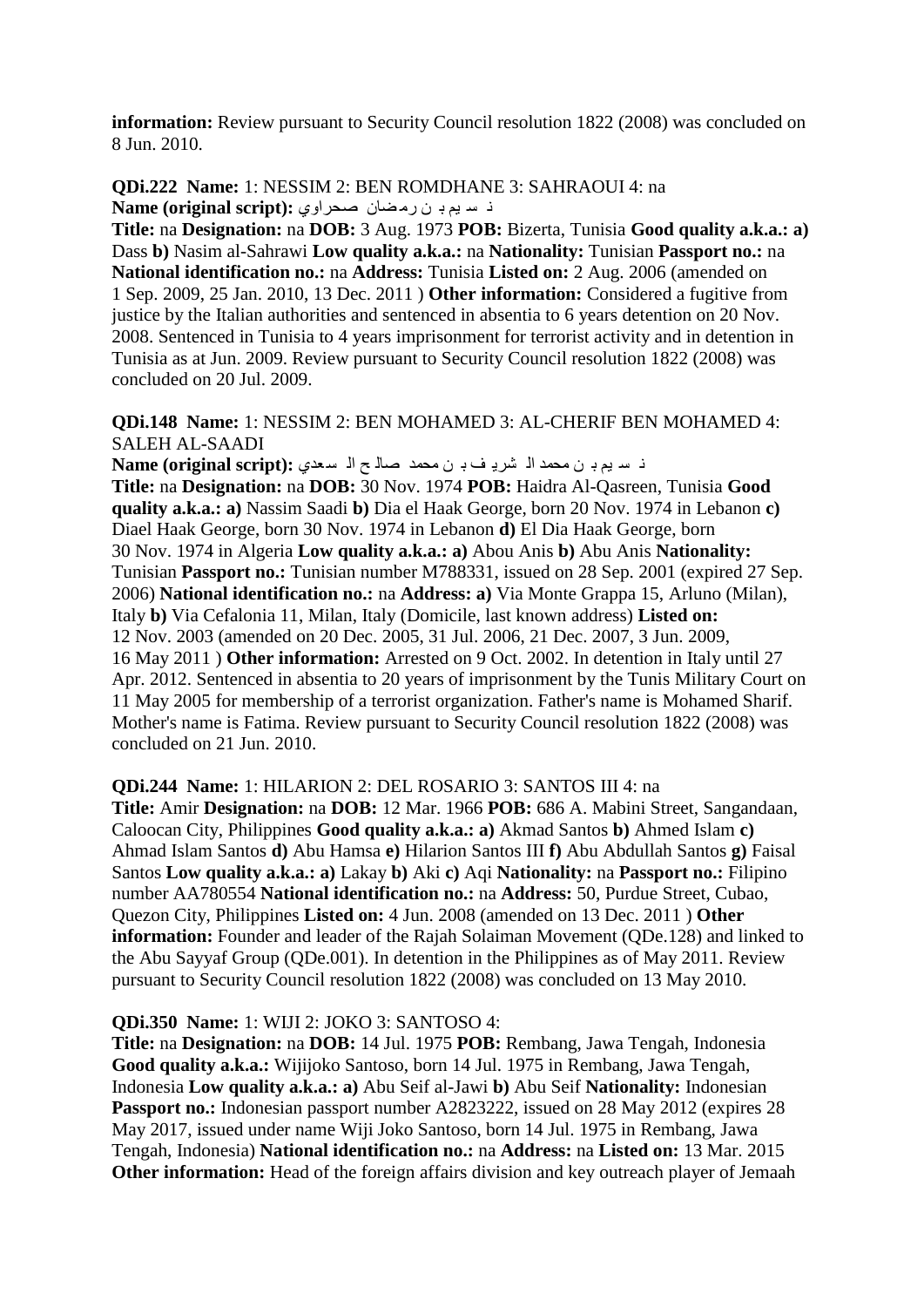**information:** Review pursuant to Security Council resolution 1822 (2008) was concluded on 8 Jun. 2010.

**QDi.222 Name:** 1: NESSIM 2: BEN ROMDHANE 3: SAHRAOUI 4: na ذ سيم بي ن رمضان صحراوي: Name (original script):

**Title:** na **Designation:** na **DOB:** 3 Aug. 1973 **POB:** Bizerta, Tunisia **Good quality a.k.a.: a)**  Dass **b)** Nasim al-Sahrawi **Low quality a.k.a.:** na **Nationality:** Tunisian **Passport no.:** na **National identification no.:** na **Address:** Tunisia **Listed on:** 2 Aug. 2006 (amended on 1 Sep. 2009, 25 Jan. 2010, 13 Dec. 2011 ) **Other information:** Considered a fugitive from justice by the Italian authorities and sentenced in absentia to 6 years detention on 20 Nov. 2008. Sentenced in Tunisia to 4 years imprisonment for terrorist activity and in detention in Tunisia as at Jun. 2009. Review pursuant to Security Council resolution 1822 (2008) was concluded on 20 Jul. 2009.

#### **QDi.148 Name:** 1: NESSIM 2: BEN MOHAMED 3: AL-CHERIF BEN MOHAMED 4: SALEH AL-SAADI

ٔ غ ُ١ ت ٓ ِذّذ اٌ ؾش٠ ف ت ٓ ِذّذ فاٌ خ اٌ غ ؼذٞ **:(script original (Name**

**Title:** na **Designation:** na **DOB:** 30 Nov. 1974 **POB:** Haidra Al-Qasreen, Tunisia **Good quality a.k.a.: a)** Nassim Saadi **b)** Dia el Haak George, born 20 Nov. 1974 in Lebanon **c)**  Diael Haak George, born 30 Nov. 1974 in Lebanon **d)** El Dia Haak George, born 30 Nov. 1974 in Algeria **Low quality a.k.a.: a)** Abou Anis **b)** Abu Anis **Nationality:**  Tunisian **Passport no.:** Tunisian number M788331, issued on 28 Sep. 2001 (expired 27 Sep. 2006) **National identification no.:** na **Address: a)** Via Monte Grappa 15, Arluno (Milan), Italy **b)** Via Cefalonia 11, Milan, Italy (Domicile, last known address) **Listed on:**  12 Nov. 2003 (amended on 20 Dec. 2005, 31 Jul. 2006, 21 Dec. 2007, 3 Jun. 2009, 16 May 2011 ) **Other information:** Arrested on 9 Oct. 2002. In detention in Italy until 27 Apr. 2012. Sentenced in absentia to 20 years of imprisonment by the Tunis Military Court on 11 May 2005 for membership of a terrorist organization. Father's name is Mohamed Sharif. Mother's name is Fatima. Review pursuant to Security Council resolution 1822 (2008) was concluded on 21 Jun. 2010.

**QDi.244 Name:** 1: HILARION 2: DEL ROSARIO 3: SANTOS III 4: na

**Title:** Amir **Designation:** na **DOB:** 12 Mar. 1966 **POB:** 686 A. Mabini Street, Sangandaan, Caloocan City, Philippines **Good quality a.k.a.: a)** Akmad Santos **b)** Ahmed Islam **c)**  Ahmad Islam Santos **d)** Abu Hamsa **e)** Hilarion Santos III **f)** Abu Abdullah Santos **g)** Faisal Santos **Low quality a.k.a.: a)** Lakay **b)** Aki **c)** Aqi **Nationality:** na **Passport no.:** Filipino number AA780554 **National identification no.:** na **Address:** 50, Purdue Street, Cubao, Quezon City, Philippines **Listed on:** 4 Jun. 2008 (amended on 13 Dec. 2011 ) **Other information:** Founder and leader of the Rajah Solaiman Movement (QDe.128) and linked to the Abu Sayyaf Group (QDe.001). In detention in the Philippines as of May 2011. Review pursuant to Security Council resolution 1822 (2008) was concluded on 13 May 2010.

#### **QDi.350 Name:** 1: WIJI 2: JOKO 3: SANTOSO 4:

**Title:** na **Designation:** na **DOB:** 14 Jul. 1975 **POB:** Rembang, Jawa Tengah, Indonesia **Good quality a.k.a.:** Wijijoko Santoso, born 14 Jul. 1975 in Rembang, Jawa Tengah, Indonesia **Low quality a.k.a.: a)** Abu Seif al-Jawi **b)** Abu Seif **Nationality:** Indonesian Passport no.: Indonesian passport number A2823222, issued on 28 May 2012 (expires 28) May 2017, issued under name Wiji Joko Santoso, born 14 Jul. 1975 in Rembang, Jawa Tengah, Indonesia) **National identification no.:** na **Address:** na **Listed on:** 13 Mar. 2015 **Other information:** Head of the foreign affairs division and key outreach player of Jemaah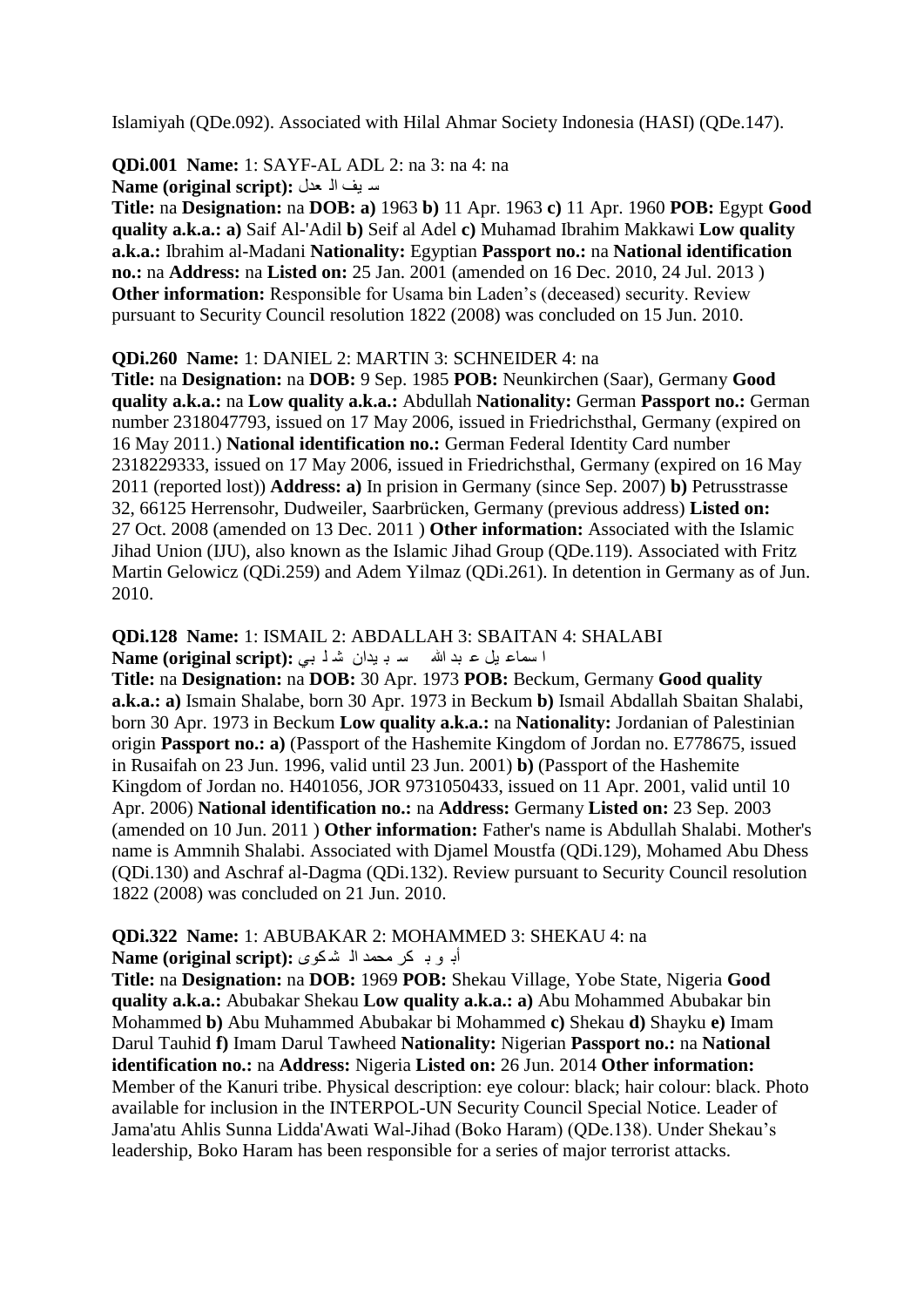Islamiyah (QDe.092). Associated with Hilal Ahmar Society Indonesia (HASI) (QDe.147).

**QDi.001 Name:** 1: SAYF-AL ADL 2: na 3: na 4: na ع ١ف اٌ ؼذي **:(script original (Name**

**Title:** na **Designation:** na **DOB: a)** 1963 **b)** 11 Apr. 1963 **c)** 11 Apr. 1960 **POB:** Egypt **Good quality a.k.a.: a)** Saif Al-'Adil **b)** Seif al Adel **c)** Muhamad Ibrahim Makkawi **Low quality a.k.a.:** Ibrahim al-Madani **Nationality:** Egyptian **Passport no.:** na **National identification no.:** na **Address:** na **Listed on:** 25 Jan. 2001 (amended on 16 Dec. 2010, 24 Jul. 2013 ) **Other information:** Responsible for Usama bin Laden's (deceased) security. Review pursuant to Security Council resolution 1822 (2008) was concluded on 15 Jun. 2010.

#### **QDi.260 Name:** 1: DANIEL 2: MARTIN 3: SCHNEIDER 4: na

**Title:** na **Designation:** na **DOB:** 9 Sep. 1985 **POB:** Neunkirchen (Saar), Germany **Good quality a.k.a.:** na **Low quality a.k.a.:** Abdullah **Nationality:** German **Passport no.:** German number 2318047793, issued on 17 May 2006, issued in Friedrichsthal, Germany (expired on 16 May 2011.) **National identification no.:** German Federal Identity Card number 2318229333, issued on 17 May 2006, issued in Friedrichsthal, Germany (expired on 16 May 2011 (reported lost)) **Address: a)** In prision in Germany (since Sep. 2007) **b)** Petrusstrasse 32, 66125 Herrensohr, Dudweiler, Saarbrücken, Germany (previous address) **Listed on:**  27 Oct. 2008 (amended on 13 Dec. 2011 ) **Other information:** Associated with the Islamic Jihad Union (IJU), also known as the Islamic Jihad Group (QDe.119). Associated with Fritz Martin Gelowicz (QDi.259) and Adem Yilmaz (QDi.261). In detention in Germany as of Jun. 2010.

#### **QDi.128 Name:** 1: ISMAIL 2: ABDALLAH 3: SBAITAN 4: SHALABI ا سماع بل ع بد الله سد به بدان شدل بي **Name (original script):**

**Title:** na **Designation:** na **DOB:** 30 Apr. 1973 **POB:** Beckum, Germany **Good quality a.k.a.: a)** Ismain Shalabe, born 30 Apr. 1973 in Beckum **b)** Ismail Abdallah Sbaitan Shalabi, born 30 Apr. 1973 in Beckum **Low quality a.k.a.:** na **Nationality:** Jordanian of Palestinian origin **Passport no.: a)** (Passport of the Hashemite Kingdom of Jordan no. E778675, issued in Rusaifah on 23 Jun. 1996, valid until 23 Jun. 2001) **b)** (Passport of the Hashemite Kingdom of Jordan no. H401056, JOR 9731050433, issued on 11 Apr. 2001, valid until 10 Apr. 2006) **National identification no.:** na **Address:** Germany **Listed on:** 23 Sep. 2003 (amended on 10 Jun. 2011 ) **Other information:** Father's name is Abdullah Shalabi. Mother's name is Ammnih Shalabi. Associated with Djamel Moustfa (QDi.129), Mohamed Abu Dhess (QDi.130) and Aschraf al-Dagma (QDi.132). Review pursuant to Security Council resolution 1822 (2008) was concluded on 21 Jun. 2010.

#### **QDi.322 Name:** 1: ABUBAKAR 2: MOHAMMED 3: SHEKAU 4: na أبوب كر محمد ال<sup>ه</sup> شكوى :(Name (original script

**Title:** na **Designation:** na **DOB:** 1969 **POB:** Shekau Village, Yobe State, Nigeria **Good quality a.k.a.:** Abubakar Shekau **Low quality a.k.a.: a)** Abu Mohammed Abubakar bin Mohammed **b)** Abu Muhammed Abubakar bi Mohammed **c)** Shekau **d)** Shayku **e)** Imam Darul Tauhid **f)** Imam Darul Tawheed **Nationality:** Nigerian **Passport no.:** na **National identification no.:** na **Address:** Nigeria **Listed on:** 26 Jun. 2014 **Other information:**  Member of the Kanuri tribe. Physical description: eye colour: black; hair colour: black. Photo available for inclusion in the INTERPOL-UN Security Council Special Notice. Leader of Jama'atu Ahlis Sunna Lidda'Awati Wal-Jihad (Boko Haram) (QDe.138). Under Shekau"s leadership, Boko Haram has been responsible for a series of major terrorist attacks.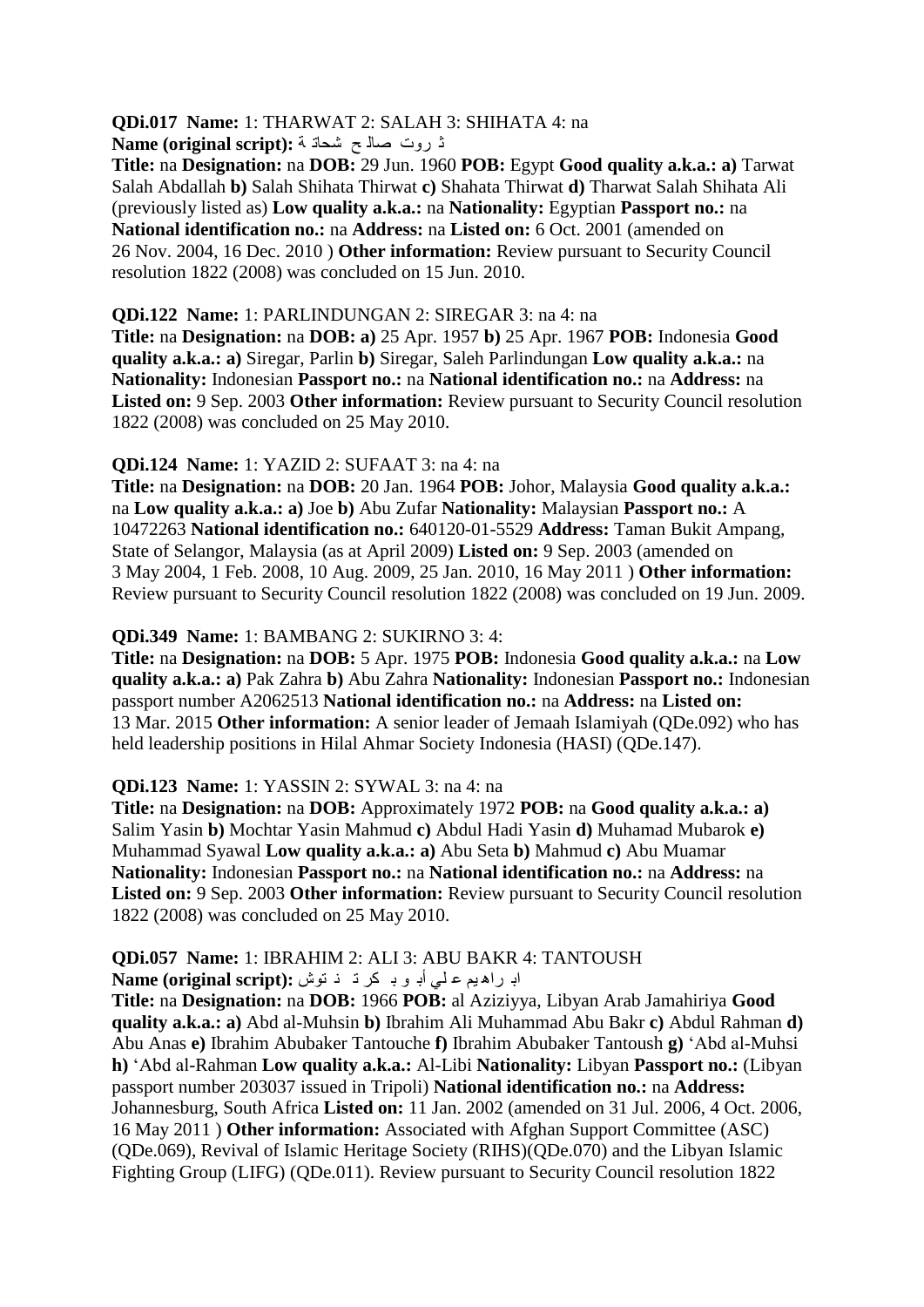# **QDi.017 Name:** 1: THARWAT 2: SALAH 3: SHIHATA 4: na

ش شٚخ فاٌ خ ؽذاذ ح **:(script original (Name**

**Title:** na **Designation:** na **DOB:** 29 Jun. 1960 **POB:** Egypt **Good quality a.k.a.: a)** Tarwat Salah Abdallah **b)** Salah Shihata Thirwat **c)** Shahata Thirwat **d)** Tharwat Salah Shihata Ali (previously listed as) **Low quality a.k.a.:** na **Nationality:** Egyptian **Passport no.:** na **National identification no.:** na **Address:** na **Listed on:** 6 Oct. 2001 (amended on 26 Nov. 2004, 16 Dec. 2010 ) **Other information:** Review pursuant to Security Council resolution 1822 (2008) was concluded on 15 Jun. 2010.

# **QDi.122 Name:** 1: PARLINDUNGAN 2: SIREGAR 3: na 4: na

**Title:** na **Designation:** na **DOB: a)** 25 Apr. 1957 **b)** 25 Apr. 1967 **POB:** Indonesia **Good quality a.k.a.: a)** Siregar, Parlin **b)** Siregar, Saleh Parlindungan **Low quality a.k.a.:** na **Nationality:** Indonesian **Passport no.:** na **National identification no.:** na **Address:** na Listed on: 9 Sep. 2003 Other information: Review pursuant to Security Council resolution 1822 (2008) was concluded on 25 May 2010.

# **QDi.124 Name:** 1: YAZID 2: SUFAAT 3: na 4: na

**Title:** na **Designation:** na **DOB:** 20 Jan. 1964 **POB:** Johor, Malaysia **Good quality a.k.a.:**  na **Low quality a.k.a.: a)** Joe **b)** Abu Zufar **Nationality:** Malaysian **Passport no.:** A 10472263 **National identification no.:** 640120-01-5529 **Address:** Taman Bukit Ampang, State of Selangor, Malaysia (as at April 2009) **Listed on:** 9 Sep. 2003 (amended on 3 May 2004, 1 Feb. 2008, 10 Aug. 2009, 25 Jan. 2010, 16 May 2011 ) **Other information:**  Review pursuant to Security Council resolution 1822 (2008) was concluded on 19 Jun. 2009.

# **QDi.349 Name:** 1: BAMBANG 2: SUKIRNO 3: 4:

**Title:** na **Designation:** na **DOB:** 5 Apr. 1975 **POB:** Indonesia **Good quality a.k.a.:** na **Low quality a.k.a.: a)** Pak Zahra **b)** Abu Zahra **Nationality:** Indonesian **Passport no.:** Indonesian passport number A2062513 **National identification no.:** na **Address:** na **Listed on:**  13 Mar. 2015 **Other information:** A senior leader of Jemaah Islamiyah (QDe.092) who has held leadership positions in Hilal Ahmar Society Indonesia (HASI) (QDe.147).

# **QDi.123 Name:** 1: YASSIN 2: SYWAL 3: na 4: na

**Title:** na **Designation:** na **DOB:** Approximately 1972 **POB:** na **Good quality a.k.a.: a)**  Salim Yasin **b)** Mochtar Yasin Mahmud **c)** Abdul Hadi Yasin **d)** Muhamad Mubarok **e)**  Muhammad Syawal **Low quality a.k.a.: a)** Abu Seta **b)** Mahmud **c)** Abu Muamar **Nationality:** Indonesian **Passport no.:** na **National identification no.:** na **Address:** na **Listed on:** 9 Sep. 2003 **Other information:** Review pursuant to Security Council resolution 1822 (2008) was concluded on 25 May 2010.

#### **QDi.057 Name:** 1: IBRAHIM 2: ALI 3: ABU BAKR 4: TANTOUSH اب راه يم علي أبو بكر ذ فتوش: Name (original script):

**Title:** na **Designation:** na **DOB:** 1966 **POB:** al Aziziyya, Libyan Arab Jamahiriya **Good quality a.k.a.: a)** Abd al-Muhsin **b)** Ibrahim Ali Muhammad Abu Bakr **c)** Abdul Rahman **d)**  Abu Anas **e)** Ibrahim Abubaker Tantouche **f)** Ibrahim Abubaker Tantoush **g)** "Abd al-Muhsi **h)** "Abd al-Rahman **Low quality a.k.a.:** Al-Libi **Nationality:** Libyan **Passport no.:** (Libyan passport number 203037 issued in Tripoli) **National identification no.:** na **Address:**  Johannesburg, South Africa **Listed on:** 11 Jan. 2002 (amended on 31 Jul. 2006, 4 Oct. 2006, 16 May 2011 ) **Other information:** Associated with Afghan Support Committee (ASC) (QDe.069), Revival of Islamic Heritage Society (RIHS)(QDe.070) and the Libyan Islamic Fighting Group (LIFG) (QDe.011). Review pursuant to Security Council resolution 1822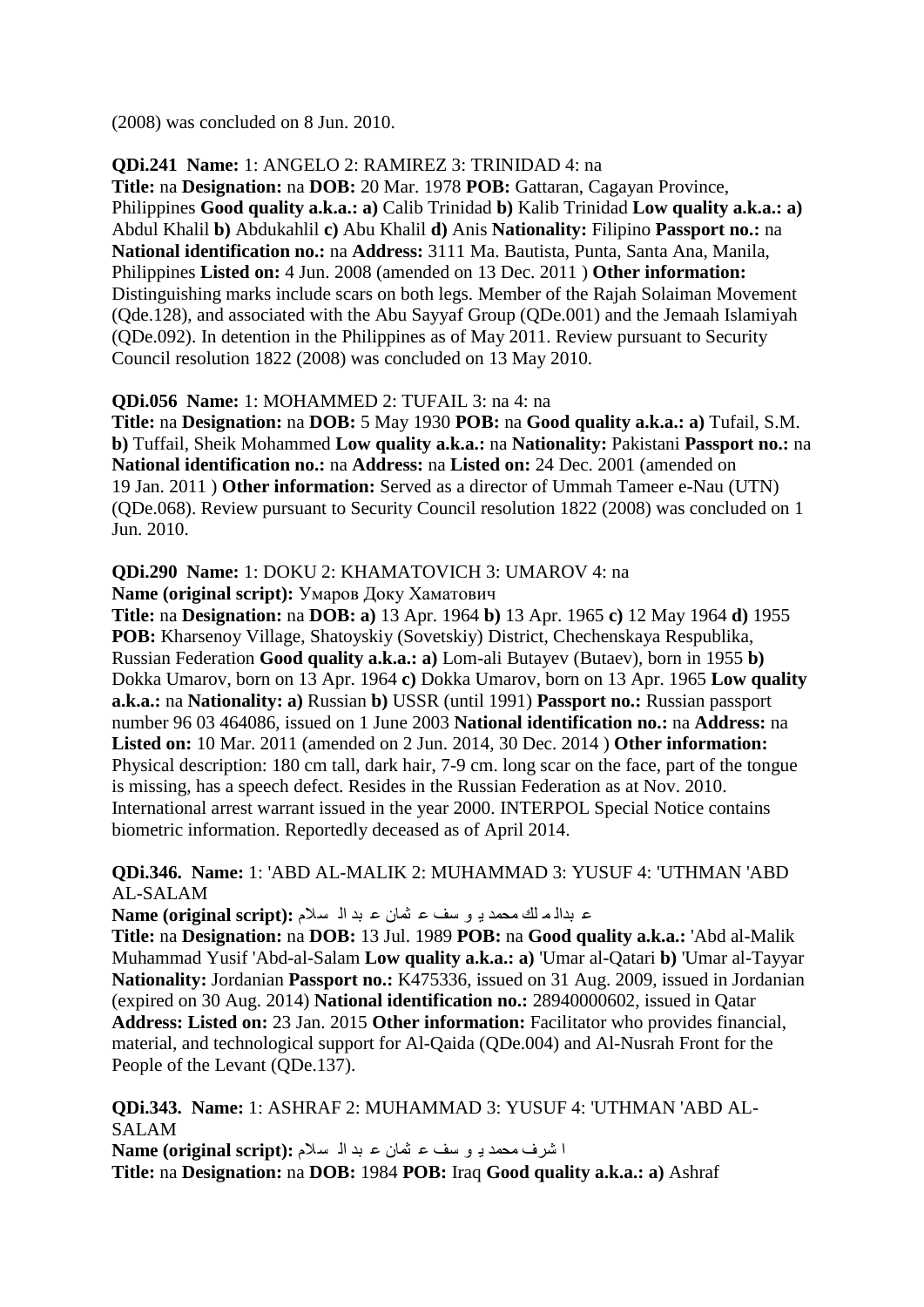(2008) was concluded on 8 Jun. 2010.

#### **QDi.241 Name:** 1: ANGELO 2: RAMIREZ 3: TRINIDAD 4: na

**Title:** na **Designation:** na **DOB:** 20 Mar. 1978 **POB:** Gattaran, Cagayan Province, Philippines **Good quality a.k.a.: a)** Calib Trinidad **b)** Kalib Trinidad **Low quality a.k.a.: a)**  Abdul Khalil **b)** Abdukahlil **c)** Abu Khalil **d)** Anis **Nationality:** Filipino **Passport no.:** na **National identification no.:** na **Address:** 3111 Ma. Bautista, Punta, Santa Ana, Manila, Philippines **Listed on:** 4 Jun. 2008 (amended on 13 Dec. 2011 ) **Other information:**  Distinguishing marks include scars on both legs. Member of the Rajah Solaiman Movement (Qde.128), and associated with the Abu Sayyaf Group (QDe.001) and the Jemaah Islamiyah (QDe.092). In detention in the Philippines as of May 2011. Review pursuant to Security Council resolution 1822 (2008) was concluded on 13 May 2010.

#### **QDi.056 Name:** 1: MOHAMMED 2: TUFAIL 3: na 4: na

**Title:** na **Designation:** na **DOB:** 5 May 1930 **POB:** na **Good quality a.k.a.: a)** Tufail, S.M. **b)** Tuffail, Sheik Mohammed **Low quality a.k.a.:** na **Nationality:** Pakistani **Passport no.:** na **National identification no.:** na **Address:** na **Listed on:** 24 Dec. 2001 (amended on 19 Jan. 2011 ) **Other information:** Served as a director of Ummah Tameer e-Nau (UTN) (QDe.068). Review pursuant to Security Council resolution 1822 (2008) was concluded on 1 Jun. 2010.

# **QDi.290 Name:** 1: DOKU 2: KHAMATOVICH 3: UMAROV 4: na

**Name (original script):** Умаров Доку Хаматович

**Title:** na **Designation:** na **DOB: a)** 13 Apr. 1964 **b)** 13 Apr. 1965 **c)** 12 May 1964 **d)** 1955 **POB:** Kharsenoy Village, Shatoyskiy (Sovetskiy) District, Chechenskaya Respublika, Russian Federation **Good quality a.k.a.: a)** Lom-ali Butayev (Butaev), born in 1955 **b)**  Dokka Umarov, born on 13 Apr. 1964 **c)** Dokka Umarov, born on 13 Apr. 1965 **Low quality a.k.a.:** na **Nationality: a)** Russian **b)** USSR (until 1991) **Passport no.:** Russian passport number 96 03 464086, issued on 1 June 2003 **National identification no.:** na **Address:** na **Listed on:** 10 Mar. 2011 (amended on 2 Jun. 2014, 30 Dec. 2014 ) **Other information:**  Physical description: 180 cm tall, dark hair, 7-9 cm. long scar on the face, part of the tongue is missing, has a speech defect. Resides in the Russian Federation as at Nov. 2010. International arrest warrant issued in the year 2000. INTERPOL Special Notice contains biometric information. Reportedly deceased as of April 2014.

#### **QDi.346. Name:** 1: 'ABD AL-MALIK 2: MUHAMMAD 3: YUSUF 4: 'UTHMAN 'ABD AL-SALAM

ع بدا*ًا م* الله محمد بـ و سف ع ثمان ع بد الـ سلام : Name (original script)

**Title:** na **Designation:** na **DOB:** 13 Jul. 1989 **POB:** na **Good quality a.k.a.:** 'Abd al-Malik Muhammad Yusif 'Abd-al-Salam **Low quality a.k.a.: a)** 'Umar al-Qatari **b)** 'Umar al-Tayyar **Nationality:** Jordanian **Passport no.:** K475336, issued on 31 Aug. 2009, issued in Jordanian (expired on 30 Aug. 2014) **National identification no.:** 28940000602, issued in Qatar **Address: Listed on:** 23 Jan. 2015 **Other information:** Facilitator who provides financial, material, and technological support for Al-Qaida (QDe.004) and Al-Nusrah Front for the People of the Levant (QDe.137).

**QDi.343. Name:** 1: ASHRAF 2: MUHAMMAD 3: YUSUF 4: 'UTHMAN 'ABD AL-SALAM ا شرف محمد بـ و سف ع ثمان ع بد ا<sup>ل</sup> سلام :(Name (original script **Title:** na **Designation:** na **DOB:** 1984 **POB:** Iraq **Good quality a.k.a.: a)** Ashraf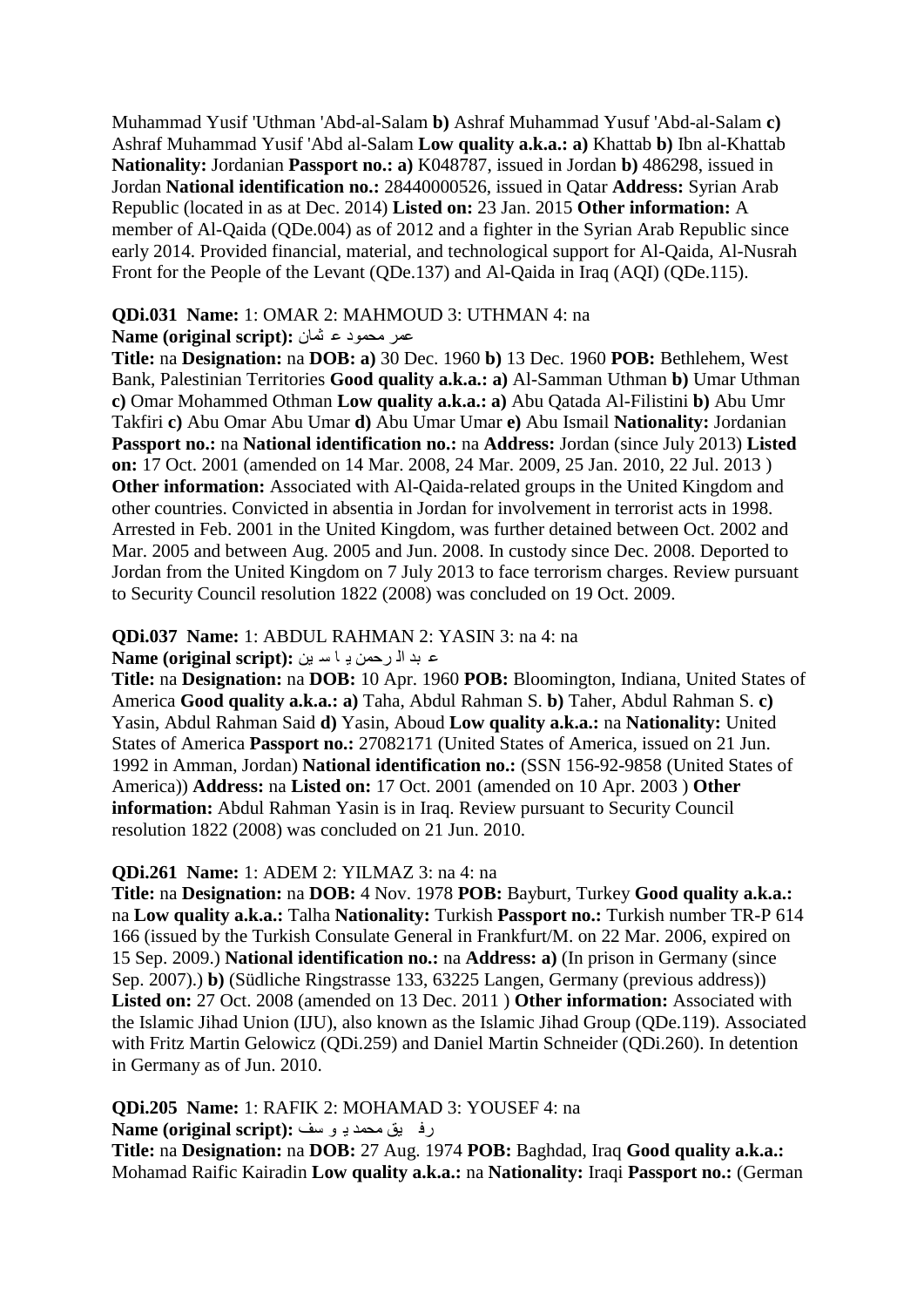Muhammad Yusif 'Uthman 'Abd-al-Salam **b)** Ashraf Muhammad Yusuf 'Abd-al-Salam **c)**  Ashraf Muhammad Yusif 'Abd al-Salam **Low quality a.k.a.: a)** Khattab **b)** Ibn al-Khattab **Nationality:** Jordanian **Passport no.: a)** K048787, issued in Jordan **b)** 486298, issued in Jordan **National identification no.:** 28440000526, issued in Qatar **Address:** Syrian Arab Republic (located in as at Dec. 2014) **Listed on:** 23 Jan. 2015 **Other information:** A member of Al-Qaida (QDe.004) as of 2012 and a fighter in the Syrian Arab Republic since early 2014. Provided financial, material, and technological support for Al-Qaida, Al-Nusrah Front for the People of the Levant (QDe.137) and Al-Qaida in Iraq (AQI) (QDe.115).

#### **QDi.031 Name:** 1: OMAR 2: MAHMOUD 3: UTHMAN 4: na

#### ػّش ِذّٛد ػ صّاْ **:(script original (Name**

**Title:** na **Designation:** na **DOB: a)** 30 Dec. 1960 **b)** 13 Dec. 1960 **POB:** Bethlehem, West Bank, Palestinian Territories **Good quality a.k.a.: a)** Al-Samman Uthman **b)** Umar Uthman **c)** Omar Mohammed Othman **Low quality a.k.a.: a)** Abu Qatada Al-Filistini **b)** Abu Umr Takfiri **c)** Abu Omar Abu Umar **d)** Abu Umar Umar **e)** Abu Ismail **Nationality:** Jordanian **Passport no.:** na **National identification no.:** na **Address:** Jordan (since July 2013) **Listed on:** 17 Oct. 2001 (amended on 14 Mar. 2008, 24 Mar. 2009, 25 Jan. 2010, 22 Jul. 2013 ) **Other information:** Associated with Al-Qaida-related groups in the United Kingdom and other countries. Convicted in absentia in Jordan for involvement in terrorist acts in 1998. Arrested in Feb. 2001 in the United Kingdom, was further detained between Oct. 2002 and Mar. 2005 and between Aug. 2005 and Jun. 2008. In custody since Dec. 2008. Deported to Jordan from the United Kingdom on 7 July 2013 to face terrorism charges. Review pursuant to Security Council resolution 1822 (2008) was concluded on 19 Oct. 2009.

#### **QDi.037 Name:** 1: ABDUL RAHMAN 2: YASIN 3: na 4: na

#### ػ ثذ اٌ شدّٓ ٠ ا ع ٓ١ **:(script original (Name**

**Title:** na **Designation:** na **DOB:** 10 Apr. 1960 **POB:** Bloomington, Indiana, United States of America **Good quality a.k.a.: a)** Taha, Abdul Rahman S. **b)** Taher, Abdul Rahman S. **c)**  Yasin, Abdul Rahman Said **d)** Yasin, Aboud **Low quality a.k.a.:** na **Nationality:** United States of America **Passport no.:** 27082171 (United States of America, issued on 21 Jun. 1992 in Amman, Jordan) **National identification no.:** (SSN 156-92-9858 (United States of America)) **Address:** na **Listed on:** 17 Oct. 2001 (amended on 10 Apr. 2003 ) **Other information:** Abdul Rahman Yasin is in Iraq. Review pursuant to Security Council resolution 1822 (2008) was concluded on 21 Jun. 2010.

#### **QDi.261 Name:** 1: ADEM 2: YILMAZ 3: na 4: na

**Title:** na **Designation:** na **DOB:** 4 Nov. 1978 **POB:** Bayburt, Turkey **Good quality a.k.a.:**  na **Low quality a.k.a.:** Talha **Nationality:** Turkish **Passport no.:** Turkish number TR-P 614 166 (issued by the Turkish Consulate General in Frankfurt/M. on 22 Mar. 2006, expired on 15 Sep. 2009.) **National identification no.:** na **Address: a)** (In prison in Germany (since Sep. 2007).) **b)** (Südliche Ringstrasse 133, 63225 Langen, Germany (previous address)) **Listed on:** 27 Oct. 2008 (amended on 13 Dec. 2011 ) **Other information:** Associated with the Islamic Jihad Union (IJU), also known as the Islamic Jihad Group (QDe.119). Associated with Fritz Martin Gelowicz (QDi.259) and Daniel Martin Schneider (QDi.260). In detention in Germany as of Jun. 2010.

#### **QDi.205 Name:** 1: RAFIK 2: MOHAMAD 3: YOUSEF 4: na

#### سف ١ك ِذّذ ٠ ٛ عف **:(script original (Name**

**Title:** na **Designation:** na **DOB:** 27 Aug. 1974 **POB:** Baghdad, Iraq **Good quality a.k.a.:**  Mohamad Raific Kairadin **Low quality a.k.a.:** na **Nationality:** Iraqi **Passport no.:** (German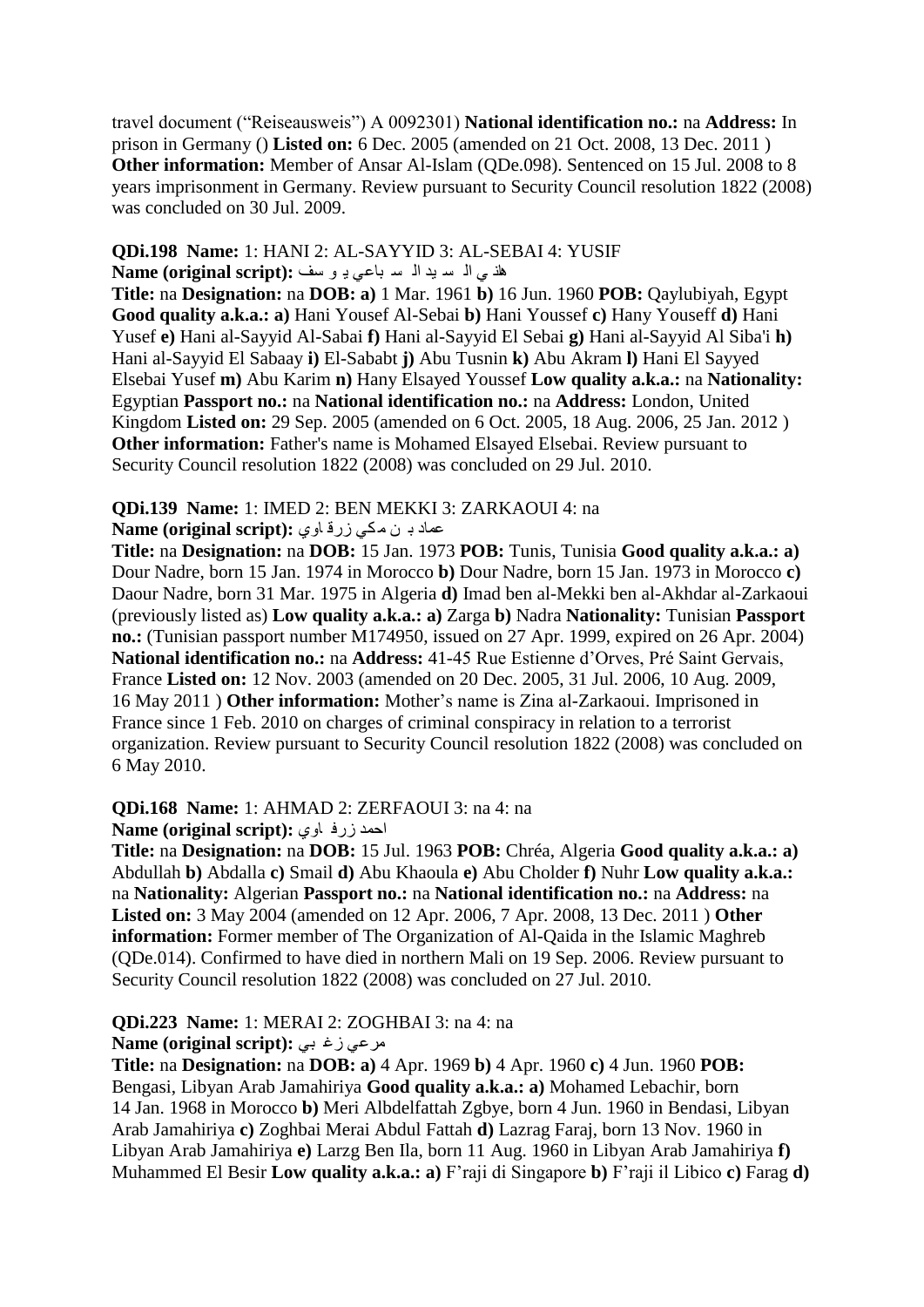travel document ("Reiseausweis") A 0092301) **National identification no.:** na **Address:** In prison in Germany () **Listed on:** 6 Dec. 2005 (amended on 21 Oct. 2008, 13 Dec. 2011 ) **Other information:** Member of Ansar Al-Islam (ODe.098). Sentenced on 15 Jul. 2008 to 8 years imprisonment in Germany. Review pursuant to Security Council resolution 1822 (2008) was concluded on 30 Jul. 2009.

#### **QDi.198 Name:** 1: HANI 2: AL-SAYYID 3: AL-SEBAI 4: YUSIF هل ي الم سبد الم سباعي بـ و سف **:(Name (original script**

**Title:** na **Designation:** na **DOB: a)** 1 Mar. 1961 **b)** 16 Jun. 1960 **POB:** Qaylubiyah, Egypt **Good quality a.k.a.: a)** Hani Yousef Al-Sebai **b)** Hani Youssef **c)** Hany Youseff **d)** Hani Yusef **e)** Hani al-Sayyid Al-Sabai **f)** Hani al-Sayyid El Sebai **g)** Hani al-Sayyid Al Siba'i **h)**  Hani al-Sayyid El Sabaay **i)** El-Sababt **j)** Abu Tusnin **k)** Abu Akram **l)** Hani El Sayyed Elsebai Yusef **m)** Abu Karim **n)** Hany Elsayed Youssef **Low quality a.k.a.:** na **Nationality:**  Egyptian **Passport no.:** na **National identification no.:** na **Address:** London, United Kingdom **Listed on:** 29 Sep. 2005 (amended on 6 Oct. 2005, 18 Aug. 2006, 25 Jan. 2012 ) **Other information:** Father's name is Mohamed Elsayed Elsebai. Review pursuant to Security Council resolution 1822 (2008) was concluded on 29 Jul. 2010.

# **QDi.139 Name:** 1: IMED 2: BEN MEKKI 3: ZARKAOUI 4: na

#### ػّاد ت ٓ ِىٟ صسل اٞٚ **:(script original (Name**

**Title:** na **Designation:** na **DOB:** 15 Jan. 1973 **POB:** Tunis, Tunisia **Good quality a.k.a.: a)**  Dour Nadre, born 15 Jan. 1974 in Morocco **b)** Dour Nadre, born 15 Jan. 1973 in Morocco **c)**  Daour Nadre, born 31 Mar. 1975 in Algeria **d)** Imad ben al-Mekki ben al-Akhdar al-Zarkaoui (previously listed as) **Low quality a.k.a.: a)** Zarga **b)** Nadra **Nationality:** Tunisian **Passport no.:** (Tunisian passport number M174950, issued on 27 Apr. 1999, expired on 26 Apr. 2004) **National identification no.:** na **Address:** 41-45 Rue Estienne d"Orves, Pré Saint Gervais, France **Listed on:** 12 Nov. 2003 (amended on 20 Dec. 2005, 31 Jul. 2006, 10 Aug. 2009, 16 May 2011 ) **Other information:** Mother"s name is Zina al-Zarkaoui. Imprisoned in France since 1 Feb. 2010 on charges of criminal conspiracy in relation to a terrorist organization. Review pursuant to Security Council resolution 1822 (2008) was concluded on 6 May 2010.

#### **QDi.168 Name:** 1: AHMAD 2: ZERFAOUI 3: na 4: na

احمد زرف اوى: Name (original script):

**Title:** na **Designation:** na **DOB:** 15 Jul. 1963 **POB:** Chréa, Algeria **Good quality a.k.a.: a)**  Abdullah **b)** Abdalla **c)** Smail **d)** Abu Khaoula **e)** Abu Cholder **f)** Nuhr **Low quality a.k.a.:**  na **Nationality:** Algerian **Passport no.:** na **National identification no.:** na **Address:** na **Listed on:** 3 May 2004 (amended on 12 Apr. 2006, 7 Apr. 2008, 13 Dec. 2011 ) **Other information:** Former member of The Organization of Al-Qaida in the Islamic Maghreb (QDe.014). Confirmed to have died in northern Mali on 19 Sep. 2006. Review pursuant to Security Council resolution 1822 (2008) was concluded on 27 Jul. 2010.

#### **QDi.223 Name:** 1: MERAI 2: ZOGHBAI 3: na 4: na

#### **Mame (original script):** مرعى زغ بى

**Title:** na **Designation:** na **DOB: a)** 4 Apr. 1969 **b)** 4 Apr. 1960 **c)** 4 Jun. 1960 **POB:**  Bengasi, Libyan Arab Jamahiriya **Good quality a.k.a.: a)** Mohamed Lebachir, born 14 Jan. 1968 in Morocco **b)** Meri Albdelfattah Zgbye, born 4 Jun. 1960 in Bendasi, Libyan Arab Jamahiriya **c)** Zoghbai Merai Abdul Fattah **d)** Lazrag Faraj, born 13 Nov. 1960 in Libyan Arab Jamahiriya **e)** Larzg Ben Ila, born 11 Aug. 1960 in Libyan Arab Jamahiriya **f)**  Muhammed El Besir **Low quality a.k.a.: a)** F"raji di Singapore **b)** F"raji il Libico **c)** Farag **d)**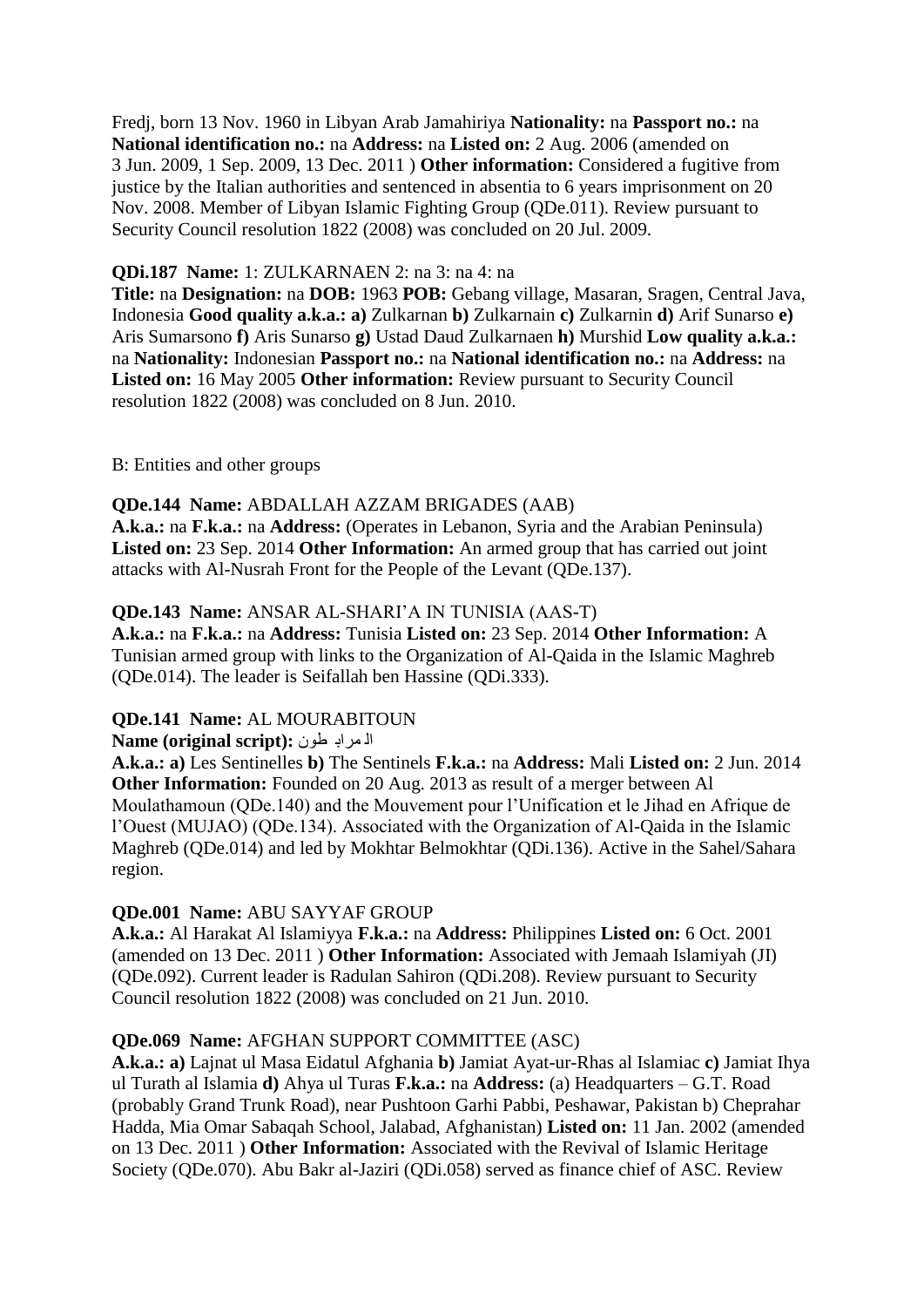Fredj, born 13 Nov. 1960 in Libyan Arab Jamahiriya **Nationality:** na **Passport no.:** na **National identification no.:** na **Address:** na **Listed on:** 2 Aug. 2006 (amended on 3 Jun. 2009, 1 Sep. 2009, 13 Dec. 2011 ) **Other information:** Considered a fugitive from justice by the Italian authorities and sentenced in absentia to 6 years imprisonment on 20 Nov. 2008. Member of Libyan Islamic Fighting Group (QDe.011). Review pursuant to Security Council resolution 1822 (2008) was concluded on 20 Jul. 2009.

#### **QDi.187 Name:** 1: ZULKARNAEN 2: na 3: na 4: na

**Title:** na **Designation:** na **DOB:** 1963 **POB:** Gebang village, Masaran, Sragen, Central Java, Indonesia **Good quality a.k.a.: a)** Zulkarnan **b)** Zulkarnain **c)** Zulkarnin **d)** Arif Sunarso **e)**  Aris Sumarsono **f)** Aris Sunarso **g)** Ustad Daud Zulkarnaen **h)** Murshid **Low quality a.k.a.:**  na **Nationality:** Indonesian **Passport no.:** na **National identification no.:** na **Address:** na **Listed on:** 16 May 2005 **Other information:** Review pursuant to Security Council resolution 1822 (2008) was concluded on 8 Jun. 2010.

B: Entities and other groups

#### **QDe.144 Name:** ABDALLAH AZZAM BRIGADES (AAB)

**A.k.a.:** na **F.k.a.:** na **Address:** (Operates in Lebanon, Syria and the Arabian Peninsula) **Listed on:** 23 Sep. 2014 **Other Information:** An armed group that has carried out joint attacks with Al-Nusrah Front for the People of the Levant (QDe.137).

#### **QDe.143 Name:** ANSAR AL-SHARI"A IN TUNISIA (AAS-T)

**A.k.a.:** na **F.k.a.:** na **Address:** Tunisia **Listed on:** 23 Sep. 2014 **Other Information:** A Tunisian armed group with links to the Organization of Al-Qaida in the Islamic Maghreb (QDe.014). The leader is Seifallah ben Hassine (QDi.333).

#### **QDe.141 Name:** AL MOURABITOUN

#### ا**ُ** اسراب طون :(Name (original script

**A.k.a.: a)** Les Sentinelles **b)** The Sentinels **F.k.a.:** na **Address:** Mali **Listed on:** 2 Jun. 2014 **Other Information:** Founded on 20 Aug. 2013 as result of a merger between Al Moulathamoun (QDe.140) and the Mouvement pour l"Unification et le Jihad en Afrique de l"Ouest (MUJAO) (QDe.134). Associated with the Organization of Al-Qaida in the Islamic Maghreb (QDe.014) and led by Mokhtar Belmokhtar (QDi.136). Active in the Sahel/Sahara region.

#### **QDe.001 Name:** ABU SAYYAF GROUP

**A.k.a.:** Al Harakat Al Islamiyya **F.k.a.:** na **Address:** Philippines **Listed on:** 6 Oct. 2001 (amended on 13 Dec. 2011 ) **Other Information:** Associated with Jemaah Islamiyah (JI) (QDe.092). Current leader is Radulan Sahiron (QDi.208). Review pursuant to Security Council resolution 1822 (2008) was concluded on 21 Jun. 2010.

#### **QDe.069 Name:** AFGHAN SUPPORT COMMITTEE (ASC)

**A.k.a.: a)** Lajnat ul Masa Eidatul Afghania **b)** Jamiat Ayat-ur-Rhas al Islamiac **c)** Jamiat Ihya ul Turath al Islamia **d)** Ahya ul Turas **F.k.a.:** na **Address:** (a) Headquarters – G.T. Road (probably Grand Trunk Road), near Pushtoon Garhi Pabbi, Peshawar, Pakistan b) Cheprahar Hadda, Mia Omar Sabaqah School, Jalabad, Afghanistan) **Listed on:** 11 Jan. 2002 (amended on 13 Dec. 2011 ) **Other Information:** Associated with the Revival of Islamic Heritage Society (QDe.070). Abu Bakr al-Jaziri (QDi.058) served as finance chief of ASC. Review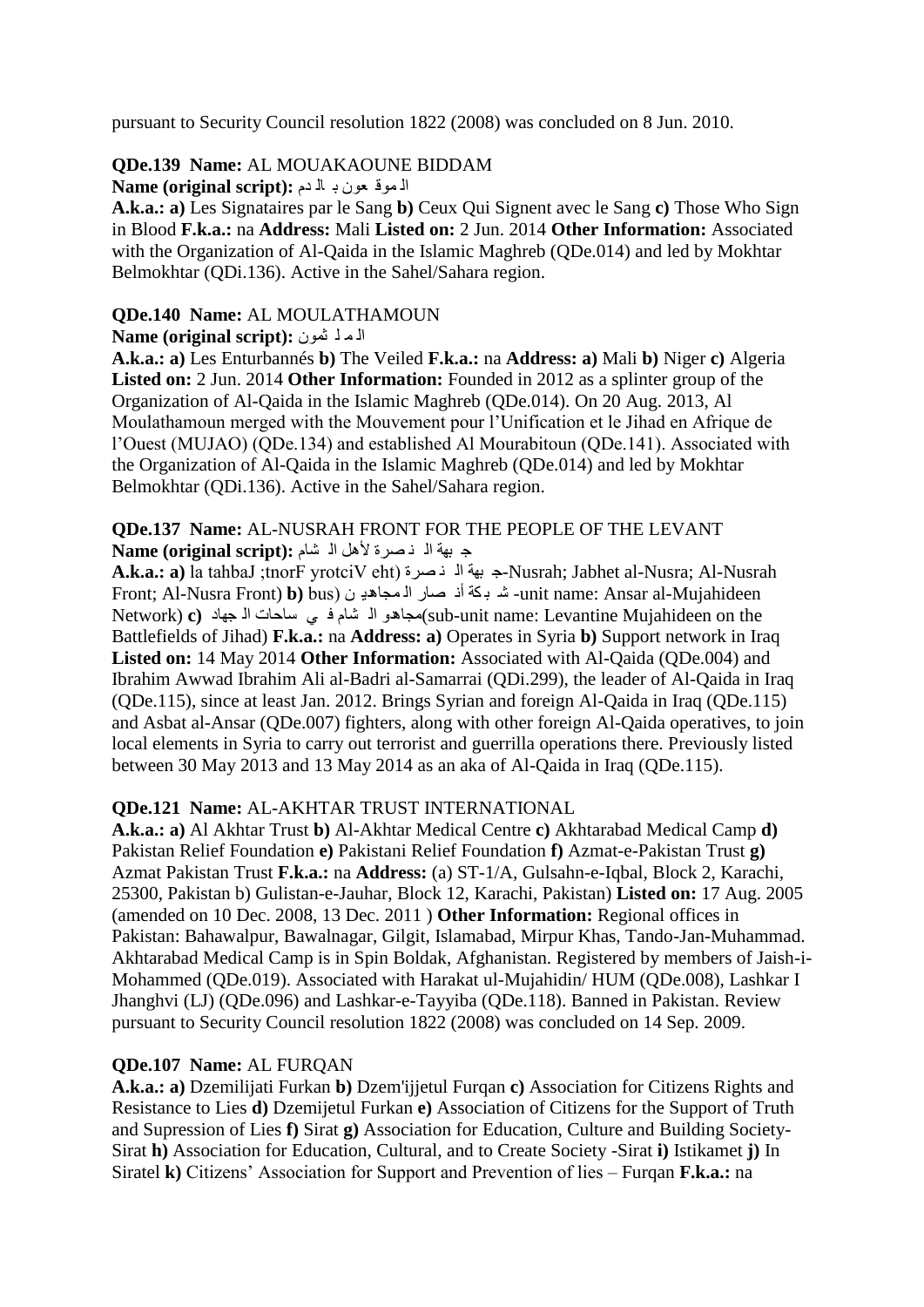pursuant to Security Council resolution 1822 (2008) was concluded on 8 Jun. 2010.

### **QDe.139 Name:** AL MOUAKAOUNE BIDDAM

الموف عون بـ اله دم **Name (original script):** 

**A.k.a.: a)** Les Signataires par le Sang **b)** Ceux Qui Signent avec le Sang **c)** Those Who Sign in Blood **F.k.a.:** na **Address:** Mali **Listed on:** 2 Jun. 2014 **Other Information:** Associated with the Organization of Al-Qaida in the Islamic Maghreb (ODe.014) and led by Mokhtar Belmokhtar (QDi.136). Active in the Sahel/Sahara region.

# **QDe.140 Name:** AL MOULATHAMOUN

#### **Name (original script):** أَلَّمَ لَّهُ شَمِّلٌ

**A.k.a.: a)** Les Enturbannés **b)** The Veiled **F.k.a.:** na **Address: a)** Mali **b)** Niger **c)** Algeria **Listed on:** 2 Jun. 2014 **Other Information:** Founded in 2012 as a splinter group of the Organization of Al-Qaida in the Islamic Maghreb (QDe.014). On 20 Aug. 2013, Al Moulathamoun merged with the Mouvement pour l"Unification et le Jihad en Afrique de l"Ouest (MUJAO) (QDe.134) and established Al Mourabitoun (QDe.141). Associated with the Organization of Al-Qaida in the Islamic Maghreb (QDe.014) and led by Mokhtar Belmokhtar (QDi.136). Active in the Sahel/Sahara region.

#### **QDe.137 Name:** AL-NUSRAH FRONT FOR THE PEOPLE OF THE LEVANT ج بهة الله نصرة لأهل الله شام : Name (original script)

**A.k.a.: a)** la tahbaJ ;tnorF yrotciV eht) قشج ٕ ٌا حٙث ج-Nusrah; Jabhet al-Nusra; Al-Nusrah Front; Al-Nusra Front) **b)** bus) ٓ ٠ذ٘جاّ ٌا قاس ٔأ ىح ث ؽ -unit name: Ansar al-Mujahideen the unit name: Levantine Mujahideen on the العادات الا جهاد (Sub-unit name: Levantine Mujahideen on the Battlefields of Jihad) **F.k.a.:** na **Address: a)** Operates in Syria **b)** Support network in Iraq **Listed on:** 14 May 2014 **Other Information:** Associated with Al-Qaida (QDe.004) and Ibrahim Awwad Ibrahim Ali al-Badri al-Samarrai (QDi.299), the leader of Al-Qaida in Iraq (QDe.115), since at least Jan. 2012. Brings Syrian and foreign Al-Qaida in Iraq (QDe.115) and Asbat al-Ansar (QDe.007) fighters, along with other foreign Al-Qaida operatives, to join local elements in Syria to carry out terrorist and guerrilla operations there. Previously listed between 30 May 2013 and 13 May 2014 as an aka of Al-Qaida in Iraq (QDe.115).

# **QDe.121 Name:** AL-AKHTAR TRUST INTERNATIONAL

**A.k.a.: a)** Al Akhtar Trust **b)** Al-Akhtar Medical Centre **c)** Akhtarabad Medical Camp **d)**  Pakistan Relief Foundation **e)** Pakistani Relief Foundation **f)** Azmat-e-Pakistan Trust **g)**  Azmat Pakistan Trust **F.k.a.:** na **Address:** (a) ST-1/A, Gulsahn-e-Iqbal, Block 2, Karachi, 25300, Pakistan b) Gulistan-e-Jauhar, Block 12, Karachi, Pakistan) **Listed on:** 17 Aug. 2005 (amended on 10 Dec. 2008, 13 Dec. 2011 ) **Other Information:** Regional offices in Pakistan: Bahawalpur, Bawalnagar, Gilgit, Islamabad, Mirpur Khas, Tando-Jan-Muhammad. Akhtarabad Medical Camp is in Spin Boldak, Afghanistan. Registered by members of Jaish-i-Mohammed (QDe.019). Associated with Harakat ul-Mujahidin/ HUM (QDe.008), Lashkar I Jhanghvi (LJ) (QDe.096) and Lashkar-e-Tayyiba (QDe.118). Banned in Pakistan. Review pursuant to Security Council resolution 1822 (2008) was concluded on 14 Sep. 2009.

# **QDe.107 Name:** AL FURQAN

**A.k.a.: a)** Dzemilijati Furkan **b)** Dzem'ijjetul Furqan **c)** Association for Citizens Rights and Resistance to Lies **d)** Dzemijetul Furkan **e)** Association of Citizens for the Support of Truth and Supression of Lies **f)** Sirat **g)** Association for Education, Culture and Building Society-Sirat **h)** Association for Education, Cultural, and to Create Society -Sirat **i)** Istikamet **j)** In Siratel **k)** Citizens" Association for Support and Prevention of lies – Furqan **F.k.a.:** na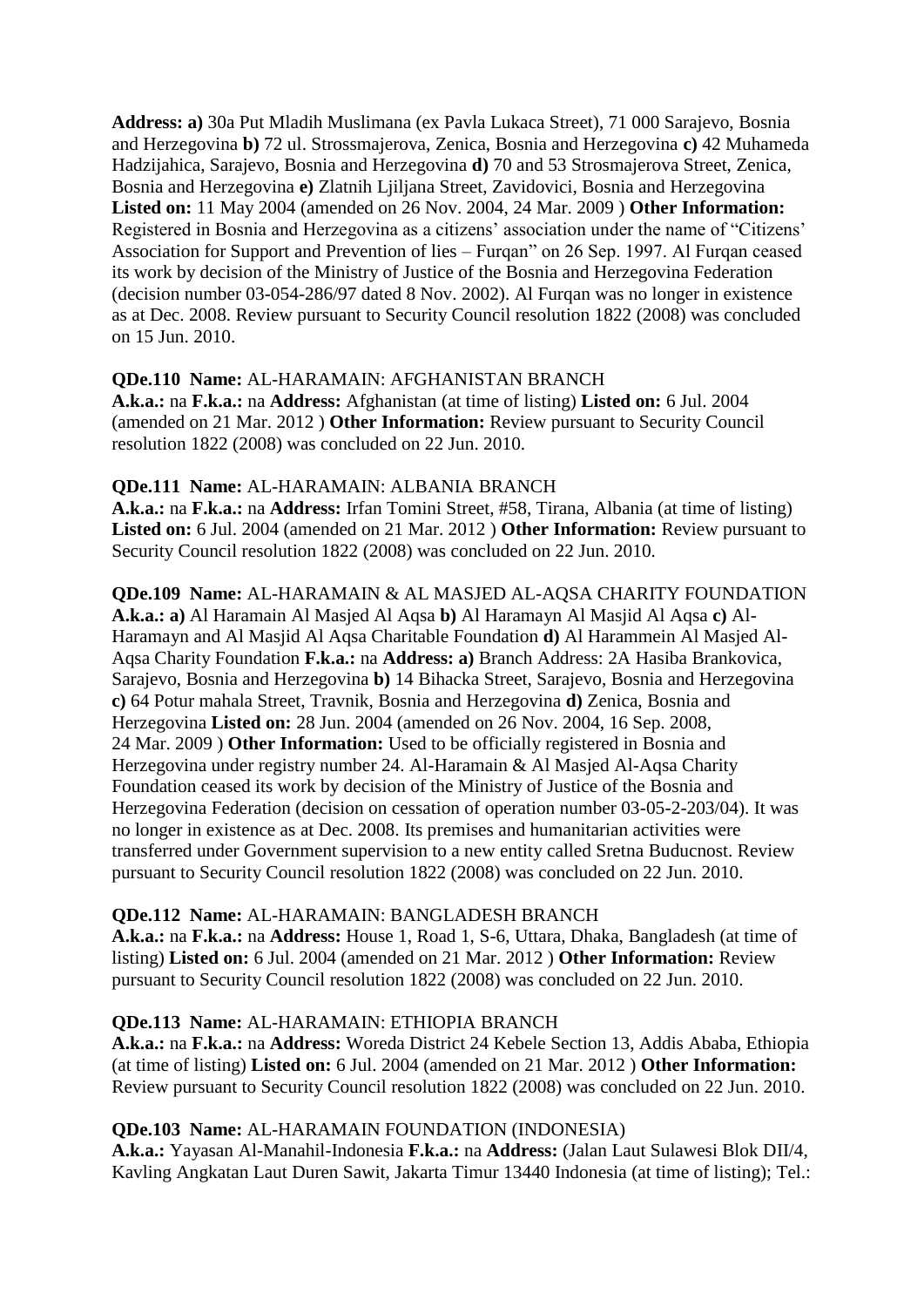**Address: a)** 30a Put Mladih Muslimana (ex Pavla Lukaca Street), 71 000 Sarajevo, Bosnia and Herzegovina **b)** 72 ul. Strossmajerova, Zenica, Bosnia and Herzegovina **c)** 42 Muhameda Hadzijahica, Sarajevo, Bosnia and Herzegovina **d)** 70 and 53 Strosmajerova Street, Zenica, Bosnia and Herzegovina **e)** Zlatnih Ljiljana Street, Zavidovici, Bosnia and Herzegovina **Listed on:** 11 May 2004 (amended on 26 Nov. 2004, 24 Mar. 2009 ) **Other Information:**  Registered in Bosnia and Herzegovina as a citizens" association under the name of "Citizens" Association for Support and Prevention of lies – Furqan" on 26 Sep. 1997. Al Furqan ceased its work by decision of the Ministry of Justice of the Bosnia and Herzegovina Federation (decision number 03-054-286/97 dated 8 Nov. 2002). Al Furqan was no longer in existence as at Dec. 2008. Review pursuant to Security Council resolution 1822 (2008) was concluded on 15 Jun. 2010.

#### **QDe.110 Name:** AL-HARAMAIN: AFGHANISTAN BRANCH

**A.k.a.:** na **F.k.a.:** na **Address:** Afghanistan (at time of listing) **Listed on:** 6 Jul. 2004 (amended on 21 Mar. 2012 ) **Other Information:** Review pursuant to Security Council resolution 1822 (2008) was concluded on 22 Jun. 2010.

#### **QDe.111 Name:** AL-HARAMAIN: ALBANIA BRANCH

**A.k.a.:** na **F.k.a.:** na **Address:** Irfan Tomini Street, #58, Tirana, Albania (at time of listing) **Listed on:** 6 Jul. 2004 (amended on 21 Mar. 2012 ) **Other Information:** Review pursuant to Security Council resolution 1822 (2008) was concluded on 22 Jun. 2010.

**QDe.109 Name:** AL-HARAMAIN & AL MASJED AL-AQSA CHARITY FOUNDATION **A.k.a.: a)** Al Haramain Al Masjed Al Aqsa **b)** Al Haramayn Al Masjid Al Aqsa **c)** Al-Haramayn and Al Masjid Al Aqsa Charitable Foundation **d)** Al Harammein Al Masjed Al-Aqsa Charity Foundation **F.k.a.:** na **Address: a)** Branch Address: 2A Hasiba Brankovica, Sarajevo, Bosnia and Herzegovina **b)** 14 Bihacka Street, Sarajevo, Bosnia and Herzegovina **c)** 64 Potur mahala Street, Travnik, Bosnia and Herzegovina **d)** Zenica, Bosnia and Herzegovina **Listed on:** 28 Jun. 2004 (amended on 26 Nov. 2004, 16 Sep. 2008, 24 Mar. 2009 ) **Other Information:** Used to be officially registered in Bosnia and Herzegovina under registry number 24. Al-Haramain & Al Masjed Al-Aqsa Charity Foundation ceased its work by decision of the Ministry of Justice of the Bosnia and Herzegovina Federation (decision on cessation of operation number 03-05-2-203/04). It was no longer in existence as at Dec. 2008. Its premises and humanitarian activities were transferred under Government supervision to a new entity called Sretna Buducnost. Review pursuant to Security Council resolution 1822 (2008) was concluded on 22 Jun. 2010.

#### **QDe.112 Name:** AL-HARAMAIN: BANGLADESH BRANCH

**A.k.a.:** na **F.k.a.:** na **Address:** House 1, Road 1, S-6, Uttara, Dhaka, Bangladesh (at time of listing) **Listed on:** 6 Jul. 2004 (amended on 21 Mar. 2012 ) **Other Information:** Review pursuant to Security Council resolution 1822 (2008) was concluded on 22 Jun. 2010.

#### **QDe.113 Name:** AL-HARAMAIN: ETHIOPIA BRANCH

**A.k.a.:** na **F.k.a.:** na **Address:** Woreda District 24 Kebele Section 13, Addis Ababa, Ethiopia (at time of listing) **Listed on:** 6 Jul. 2004 (amended on 21 Mar. 2012 ) **Other Information:**  Review pursuant to Security Council resolution 1822 (2008) was concluded on 22 Jun. 2010.

#### **QDe.103 Name:** AL-HARAMAIN FOUNDATION (INDONESIA)

**A.k.a.:** Yayasan Al-Manahil-Indonesia **F.k.a.:** na **Address:** (Jalan Laut Sulawesi Blok DII/4, Kavling Angkatan Laut Duren Sawit, Jakarta Timur 13440 Indonesia (at time of listing); Tel.: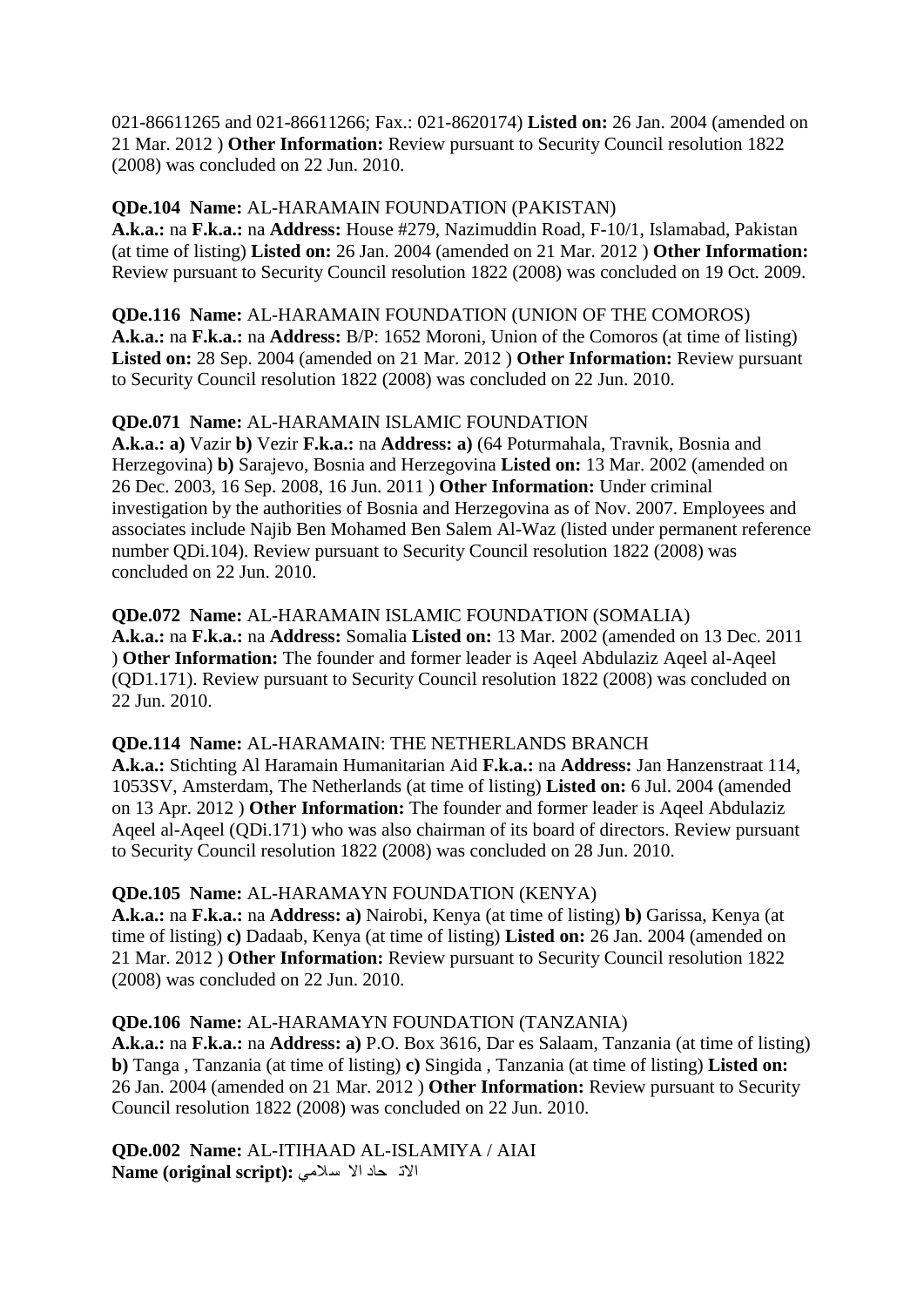021-86611265 and 021-86611266; Fax.: 021-8620174) **Listed on:** 26 Jan. 2004 (amended on 21 Mar. 2012 ) **Other Information:** Review pursuant to Security Council resolution 1822 (2008) was concluded on 22 Jun. 2010.

#### **QDe.104 Name:** AL-HARAMAIN FOUNDATION (PAKISTAN)

**A.k.a.:** na **F.k.a.:** na **Address:** House #279, Nazimuddin Road, F-10/1, Islamabad, Pakistan (at time of listing) **Listed on:** 26 Jan. 2004 (amended on 21 Mar. 2012 ) **Other Information:**  Review pursuant to Security Council resolution 1822 (2008) was concluded on 19 Oct. 2009.

#### **QDe.116 Name:** AL-HARAMAIN FOUNDATION (UNION OF THE COMOROS)

**A.k.a.:** na **F.k.a.:** na **Address:** B/P: 1652 Moroni, Union of the Comoros (at time of listing) **Listed on:** 28 Sep. 2004 (amended on 21 Mar. 2012 ) **Other Information:** Review pursuant to Security Council resolution 1822 (2008) was concluded on 22 Jun. 2010.

#### **QDe.071 Name:** AL-HARAMAIN ISLAMIC FOUNDATION

**A.k.a.: a)** Vazir **b)** Vezir **F.k.a.:** na **Address: a)** (64 Poturmahala, Travnik, Bosnia and Herzegovina) **b)** Sarajevo, Bosnia and Herzegovina **Listed on:** 13 Mar. 2002 (amended on 26 Dec. 2003, 16 Sep. 2008, 16 Jun. 2011 ) **Other Information:** Under criminal investigation by the authorities of Bosnia and Herzegovina as of Nov. 2007. Employees and associates include Najib Ben Mohamed Ben Salem Al-Waz (listed under permanent reference number QDi.104). Review pursuant to Security Council resolution 1822 (2008) was concluded on 22 Jun. 2010.

#### **QDe.072 Name:** AL-HARAMAIN ISLAMIC FOUNDATION (SOMALIA)

**A.k.a.:** na **F.k.a.:** na **Address:** Somalia **Listed on:** 13 Mar. 2002 (amended on 13 Dec. 2011 ) **Other Information:** The founder and former leader is Aqeel Abdulaziz Aqeel al-Aqeel (QD1.171). Review pursuant to Security Council resolution 1822 (2008) was concluded on 22 Jun. 2010.

#### **QDe.114 Name:** AL-HARAMAIN: THE NETHERLANDS BRANCH

**A.k.a.:** Stichting Al Haramain Humanitarian Aid **F.k.a.:** na **Address:** Jan Hanzenstraat 114, 1053SV, Amsterdam, The Netherlands (at time of listing) **Listed on:** 6 Jul. 2004 (amended on 13 Apr. 2012 ) **Other Information:** The founder and former leader is Aqeel Abdulaziz Aqeel al-Aqeel (QDi.171) who was also chairman of its board of directors. Review pursuant to Security Council resolution 1822 (2008) was concluded on 28 Jun. 2010.

#### **QDe.105 Name:** AL-HARAMAYN FOUNDATION (KENYA)

**A.k.a.:** na **F.k.a.:** na **Address: a)** Nairobi, Kenya (at time of listing) **b)** Garissa, Kenya (at time of listing) **c)** Dadaab, Kenya (at time of listing) **Listed on:** 26 Jan. 2004 (amended on 21 Mar. 2012 ) **Other Information:** Review pursuant to Security Council resolution 1822 (2008) was concluded on 22 Jun. 2010.

#### **QDe.106 Name:** AL-HARAMAYN FOUNDATION (TANZANIA)

**A.k.a.:** na **F.k.a.:** na **Address: a)** P.O. Box 3616, Dar es Salaam, Tanzania (at time of listing) **b)** Tanga , Tanzania (at time of listing) **c)** Singida , Tanzania (at time of listing) **Listed on:**  26 Jan. 2004 (amended on 21 Mar. 2012 ) **Other Information:** Review pursuant to Security Council resolution 1822 (2008) was concluded on 22 Jun. 2010.

**QDe.002 Name:** AL-ITIHAAD AL-ISLAMIYA / AIAI الات حاد الا سلامی :Name (original script)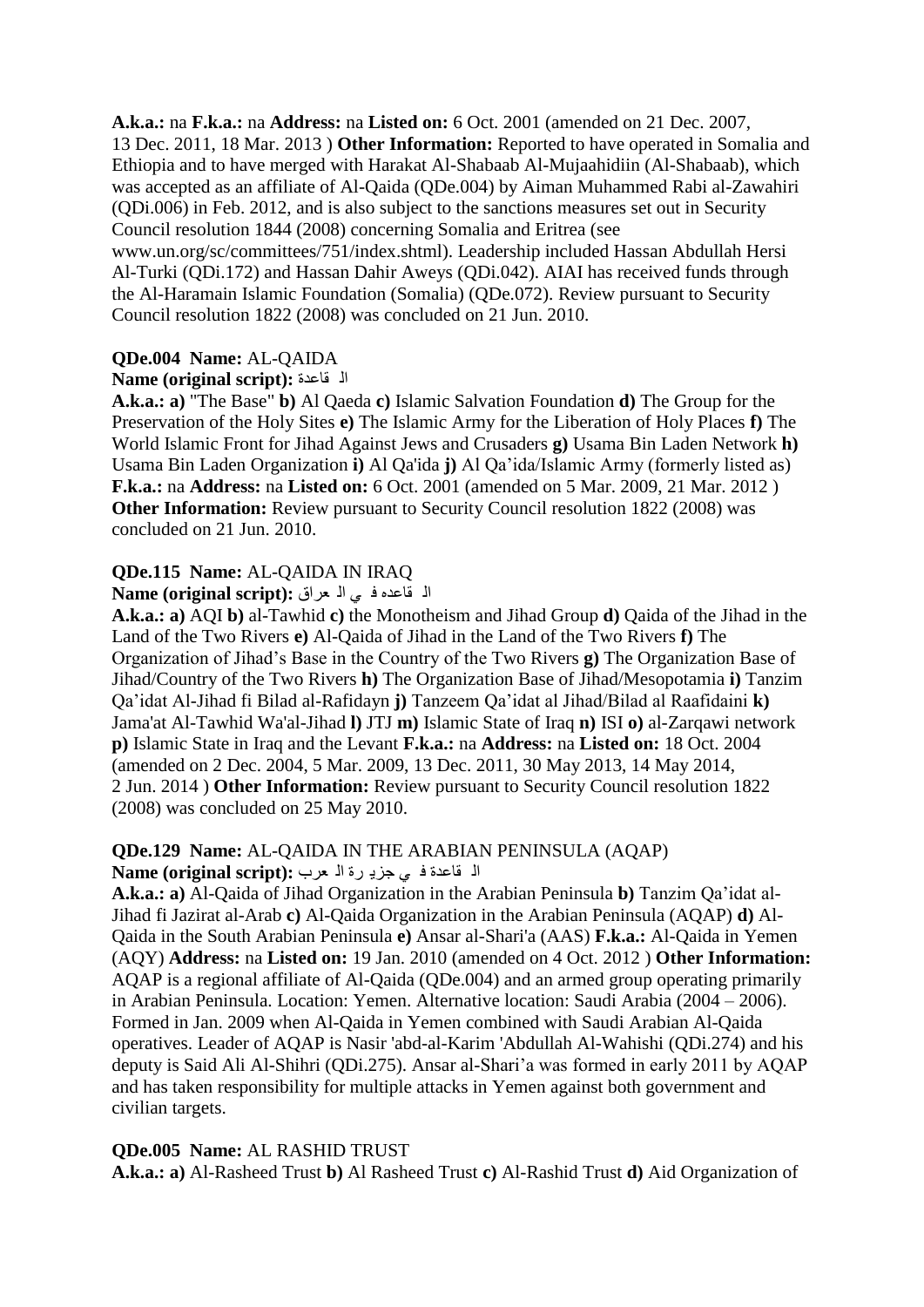**A.k.a.:** na **F.k.a.:** na **Address:** na **Listed on:** 6 Oct. 2001 (amended on 21 Dec. 2007, 13 Dec. 2011, 18 Mar. 2013 ) **Other Information:** Reported to have operated in Somalia and Ethiopia and to have merged with Harakat Al-Shabaab Al-Mujaahidiin (Al-Shabaab), which was accepted as an affiliate of Al-Qaida (QDe.004) by Aiman Muhammed Rabi al-Zawahiri (QDi.006) in Feb. 2012, and is also subject to the sanctions measures set out in Security Council resolution 1844 (2008) concerning Somalia and Eritrea (see

www.un.org/sc/committees/751/index.shtml). Leadership included Hassan Abdullah Hersi Al-Turki (QDi.172) and Hassan Dahir Aweys (QDi.042). AIAI has received funds through the Al-Haramain Islamic Foundation (Somalia) (QDe.072). Review pursuant to Security Council resolution 1822 (2008) was concluded on 21 Jun. 2010.

#### **QDe.004 Name:** AL-QAIDA

#### **Name (original script):** ماػذج ٌا

**A.k.a.: a)** "The Base" **b)** Al Qaeda **c)** Islamic Salvation Foundation **d)** The Group for the Preservation of the Holy Sites **e)** The Islamic Army for the Liberation of Holy Places **f)** The World Islamic Front for Jihad Against Jews and Crusaders **g)** Usama Bin Laden Network **h)**  Usama Bin Laden Organization **i)** Al Qa'ida **j)** Al Qa"ida/Islamic Army (formerly listed as) **F.k.a.:** na **Address:** na **Listed on:** 6 Oct. 2001 (amended on 5 Mar. 2009, 21 Mar. 2012 ) **Other Information:** Review pursuant to Security Council resolution 1822 (2008) was concluded on 21 Jun. 2010.

#### **QDe.115 Name:** AL-QAIDA IN IRAQ

ا**َّ** فَاعِدِهِ فِي الْمُعْرَاقِ : Name (original script)

**A.k.a.: a)** AQI **b)** al-Tawhid **c)** the Monotheism and Jihad Group **d)** Qaida of the Jihad in the Land of the Two Rivers **e)** Al-Qaida of Jihad in the Land of the Two Rivers **f)** The Organization of Jihad"s Base in the Country of the Two Rivers **g)** The Organization Base of Jihad/Country of the Two Rivers **h)** The Organization Base of Jihad/Mesopotamia **i)** Tanzim Qa"idat Al-Jihad fi Bilad al-Rafidayn **j)** Tanzeem Qa"idat al Jihad/Bilad al Raafidaini **k)**  Jama'at Al-Tawhid Wa'al-Jihad **l)** JTJ **m)** Islamic State of Iraq **n)** ISI **o)** al-Zarqawi network **p)** Islamic State in Iraq and the Levant **F.k.a.:** na **Address:** na **Listed on:** 18 Oct. 2004 (amended on 2 Dec. 2004, 5 Mar. 2009, 13 Dec. 2011, 30 May 2013, 14 May 2014, 2 Jun. 2014 ) **Other Information:** Review pursuant to Security Council resolution 1822 (2008) was concluded on 25 May 2010.

#### **QDe.129 Name:** AL-QAIDA IN THE ARABIAN PENINSULA (AQAP)

#### الا قاعدة في جزي<sub>د</sub> رة اله حرب: Name (original script):

**A.k.a.: a)** Al-Qaida of Jihad Organization in the Arabian Peninsula **b)** Tanzim Qa"idat al-Jihad fi Jazirat al-Arab **c)** Al-Qaida Organization in the Arabian Peninsula (AQAP) **d)** Al-Qaida in the South Arabian Peninsula **e)** Ansar al-Shari'a (AAS) **F.k.a.:** Al-Qaida in Yemen (AQY) **Address:** na **Listed on:** 19 Jan. 2010 (amended on 4 Oct. 2012 ) **Other Information:**  AQAP is a regional affiliate of Al-Qaida (QDe.004) and an armed group operating primarily in Arabian Peninsula. Location: Yemen. Alternative location: Saudi Arabia (2004 – 2006). Formed in Jan. 2009 when Al-Qaida in Yemen combined with Saudi Arabian Al-Qaida operatives. Leader of AQAP is Nasir 'abd-al-Karim 'Abdullah Al-Wahishi (QDi.274) and his deputy is Said Ali Al-Shihri (QDi.275). Ansar al-Shari'a was formed in early 2011 by AQAP and has taken responsibility for multiple attacks in Yemen against both government and civilian targets.

#### **QDe.005 Name:** AL RASHID TRUST

**A.k.a.: a)** Al-Rasheed Trust **b)** Al Rasheed Trust **c)** Al-Rashid Trust **d)** Aid Organization of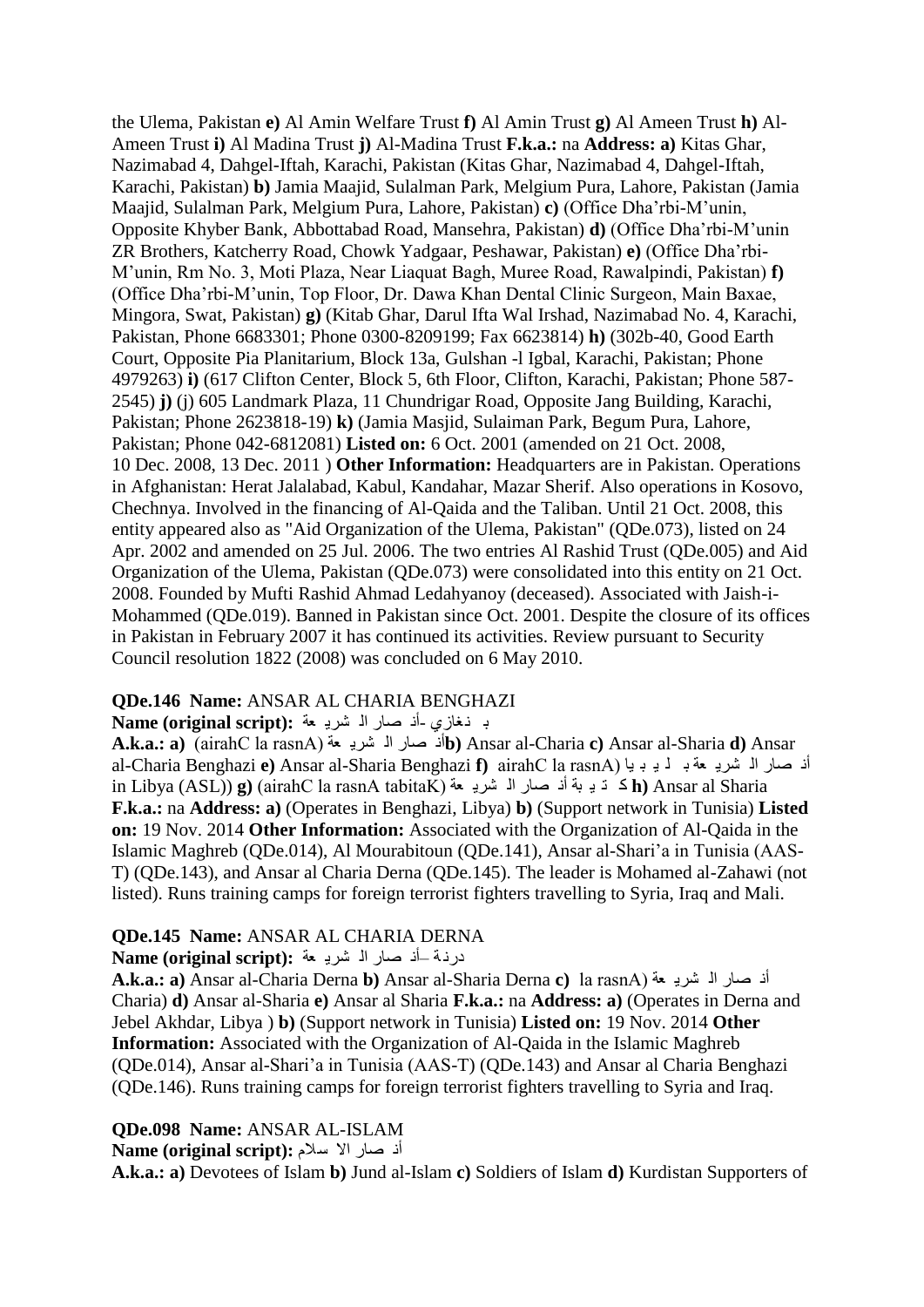the Ulema, Pakistan **e)** Al Amin Welfare Trust **f)** Al Amin Trust **g)** Al Ameen Trust **h)** Al-Ameen Trust **i)** Al Madina Trust **j)** Al-Madina Trust **F.k.a.:** na **Address: a)** Kitas Ghar, Nazimabad 4, Dahgel-Iftah, Karachi, Pakistan (Kitas Ghar, Nazimabad 4, Dahgel-Iftah, Karachi, Pakistan) **b)** Jamia Maajid, Sulalman Park, Melgium Pura, Lahore, Pakistan (Jamia Maajid, Sulalman Park, Melgium Pura, Lahore, Pakistan) **c)** (Office Dha"rbi-M"unin, Opposite Khyber Bank, Abbottabad Road, Mansehra, Pakistan) **d)** (Office Dha"rbi-M"unin ZR Brothers, Katcherry Road, Chowk Yadgaar, Peshawar, Pakistan) **e)** (Office Dha"rbi-M"unin, Rm No. 3, Moti Plaza, Near Liaquat Bagh, Muree Road, Rawalpindi, Pakistan) **f)**  (Office Dha"rbi-M"unin, Top Floor, Dr. Dawa Khan Dental Clinic Surgeon, Main Baxae, Mingora, Swat, Pakistan) **g)** (Kitab Ghar, Darul Ifta Wal Irshad, Nazimabad No. 4, Karachi, Pakistan, Phone 6683301; Phone 0300-8209199; Fax 6623814) **h)** (302b-40, Good Earth Court, Opposite Pia Planitarium, Block 13a, Gulshan -l Igbal, Karachi, Pakistan; Phone 4979263) **i)** (617 Clifton Center, Block 5, 6th Floor, Clifton, Karachi, Pakistan; Phone 587- 2545) **j)** (j) 605 Landmark Plaza, 11 Chundrigar Road, Opposite Jang Building, Karachi, Pakistan; Phone 2623818-19) **k)** (Jamia Masjid, Sulaiman Park, Begum Pura, Lahore, Pakistan; Phone 042-6812081) **Listed on:** 6 Oct. 2001 (amended on 21 Oct. 2008, 10 Dec. 2008, 13 Dec. 2011 ) **Other Information:** Headquarters are in Pakistan. Operations in Afghanistan: Herat Jalalabad, Kabul, Kandahar, Mazar Sherif. Also operations in Kosovo, Chechnya. Involved in the financing of Al-Qaida and the Taliban. Until 21 Oct. 2008, this entity appeared also as "Aid Organization of the Ulema, Pakistan" (QDe.073), listed on 24 Apr. 2002 and amended on 25 Jul. 2006. The two entries Al Rashid Trust (QDe.005) and Aid Organization of the Ulema, Pakistan (QDe.073) were consolidated into this entity on 21 Oct. 2008. Founded by Mufti Rashid Ahmad Ledahyanoy (deceased). Associated with Jaish-i-Mohammed (QDe.019). Banned in Pakistan since Oct. 2001. Despite the closure of its offices in Pakistan in February 2007 it has continued its activities. Review pursuant to Security Council resolution 1822 (2008) was concluded on 6 May 2010.

### **QDe.146 Name:** ANSAR AL CHARIA BENGHAZI

# ب نـغازي -أذ صـار الـ شريـ <del>م</del>ة :Name (original script)

**A.k.a.: a)** (airahC la rasnA) ؼح ٠ؾش ٌا قاس ٔأ**b)** Ansar al-Charia **c)** Ansar al-Sharia **d)** Ansar al-Charia Benghazi **e**) Ansar al-Sharia Benghazi **f**) airahC la rasnA) أن صار الـ شريـ حة بـ لـ يـ بـ يـا ( in Libya (ASL)) **g)** (airahC la rasnA tabitaK) ؼح ٠ؾش ٌا قاس ٔأ ثح ١ ر و **h)** Ansar al Sharia **F.k.a.:** na **Address: a)** (Operates in Benghazi, Libya) **b)** (Support network in Tunisia) **Listed on:** 19 Nov. 2014 **Other Information:** Associated with the Organization of Al-Qaida in the Islamic Maghreb (QDe.014), Al Mourabitoun (QDe.141), Ansar al-Shari"a in Tunisia (AAS-T) (QDe.143), and Ansar al Charia Derna (QDe.145). The leader is Mohamed al-Zahawi (not listed). Runs training camps for foreign terrorist fighters travelling to Syria, Iraq and Mali.

#### **QDe.145 Name:** ANSAR AL CHARIA DERNA

#### درنة أذ صار الـ شربـ مة :Name (original script)

**A.k.a.: a)** Ansar al-Charia Derna **b**) Ansar al-Sharia Derna **c**) la rasnA) أنه صار السريعة Charia) **d)** Ansar al-Sharia **e)** Ansar al Sharia **F.k.a.:** na **Address: a)** (Operates in Derna and Jebel Akhdar, Libya ) **b)** (Support network in Tunisia) **Listed on:** 19 Nov. 2014 **Other Information:** Associated with the Organization of Al-Qaida in the Islamic Maghreb (QDe.014), Ansar al-Shari"a in Tunisia (AAS-T) (QDe.143) and Ansar al Charia Benghazi (QDe.146). Runs training camps for foreign terrorist fighters travelling to Syria and Iraq.

#### **QDe.098 Name:** ANSAR AL-ISLAM

أَذ صا<sub>ل</sub>ِ الا سلام :(Name (original script

**A.k.a.: a)** Devotees of Islam **b)** Jund al-Islam **c)** Soldiers of Islam **d)** Kurdistan Supporters of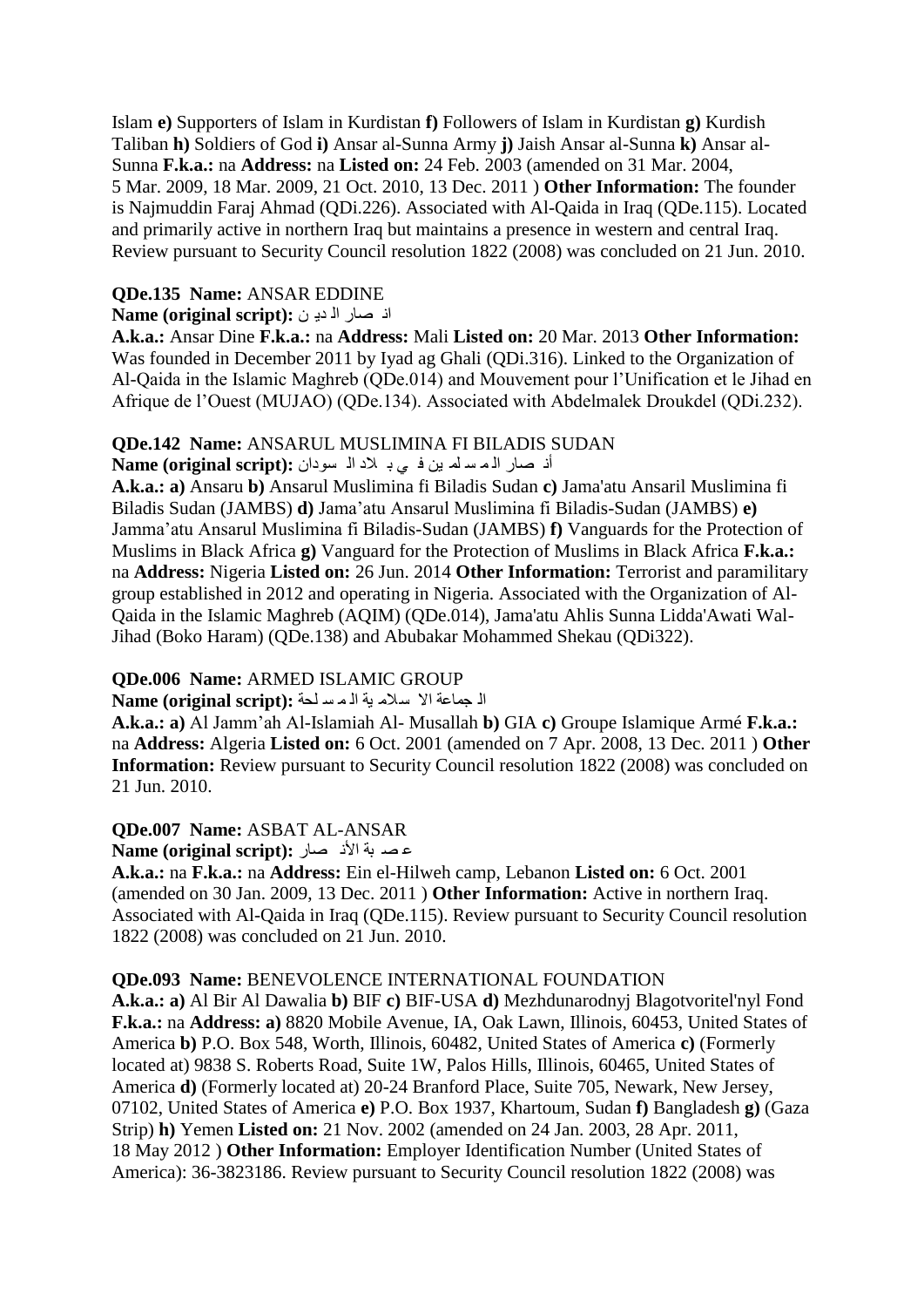Islam **e)** Supporters of Islam in Kurdistan **f)** Followers of Islam in Kurdistan **g)** Kurdish Taliban **h)** Soldiers of God **i)** Ansar al-Sunna Army **j)** Jaish Ansar al-Sunna **k)** Ansar al-Sunna **F.k.a.:** na **Address:** na **Listed on:** 24 Feb. 2003 (amended on 31 Mar. 2004, 5 Mar. 2009, 18 Mar. 2009, 21 Oct. 2010, 13 Dec. 2011 ) **Other Information:** The founder is Najmuddin Faraj Ahmad (QDi.226). Associated with Al-Qaida in Iraq (QDe.115). Located and primarily active in northern Iraq but maintains a presence in western and central Iraq. Review pursuant to Security Council resolution 1822 (2008) was concluded on 21 Jun. 2010.

#### **QDe.135 Name:** ANSAR EDDINE

#### اذ صار ال ديون : Name (original script)

**A.k.a.:** Ansar Dine **F.k.a.:** na **Address:** Mali **Listed on:** 20 Mar. 2013 **Other Information:**  Was founded in December 2011 by Iyad ag Ghali (QDi.316). Linked to the Organization of Al-Qaida in the Islamic Maghreb (QDe.014) and Mouvement pour l"Unification et le Jihad en Afrique de l"Ouest (MUJAO) (QDe.134). Associated with Abdelmalek Droukdel (QDi.232).

#### **QDe.142 Name:** ANSARUL MUSLIMINA FI BILADIS SUDAN

أذ صار اله سلم بن في بـ لاد الـ سودان : Name (original script)

**A.k.a.: a)** Ansaru **b)** Ansarul Muslimina fi Biladis Sudan **c)** Jama'atu Ansaril Muslimina fi Biladis Sudan (JAMBS) **d)** Jama"atu Ansarul Muslimina fi Biladis-Sudan (JAMBS) **e)**  Jamma"atu Ansarul Muslimina fi Biladis-Sudan (JAMBS) **f)** Vanguards for the Protection of Muslims in Black Africa **g)** Vanguard for the Protection of Muslims in Black Africa **F.k.a.:**  na **Address:** Nigeria **Listed on:** 26 Jun. 2014 **Other Information:** Terrorist and paramilitary group established in 2012 and operating in Nigeria. Associated with the Organization of Al-Qaida in the Islamic Maghreb (AQIM) (QDe.014), Jama'atu Ahlis Sunna Lidda'Awati Wal-Jihad (Boko Haram) (QDe.138) and Abubakar Mohammed Shekau (QDi322).

#### **QDe.006 Name:** ARMED ISLAMIC GROUP

الْحِماعة الاسلام بة المسلحة : Name (original script)

**A.k.a.: a)** Al Jamm"ah Al-Islamiah Al- Musallah **b)** GIA **c)** Groupe Islamique Armé **F.k.a.:**  na **Address:** Algeria **Listed on:** 6 Oct. 2001 (amended on 7 Apr. 2008, 13 Dec. 2011 ) **Other Information:** Review pursuant to Security Council resolution 1822 (2008) was concluded on 21 Jun. 2010.

#### **QDe.007 Name:** ASBAT AL-ANSAR

**Alme (original script):** عصد بة الأذ صار

**A.k.a.:** na **F.k.a.:** na **Address:** Ein el-Hilweh camp, Lebanon **Listed on:** 6 Oct. 2001 (amended on 30 Jan. 2009, 13 Dec. 2011 ) **Other Information:** Active in northern Iraq. Associated with Al-Qaida in Iraq (QDe.115). Review pursuant to Security Council resolution 1822 (2008) was concluded on 21 Jun. 2010.

#### **QDe.093 Name:** BENEVOLENCE INTERNATIONAL FOUNDATION

**A.k.a.: a)** Al Bir Al Dawalia **b)** BIF **c)** BIF-USA **d)** Mezhdunarodnyj Blagotvoritel'nyl Fond **F.k.a.:** na **Address: a)** 8820 Mobile Avenue, IA, Oak Lawn, Illinois, 60453, United States of America **b)** P.O. Box 548, Worth, Illinois, 60482, United States of America **c)** (Formerly located at) 9838 S. Roberts Road, Suite 1W, Palos Hills, Illinois, 60465, United States of America **d)** (Formerly located at) 20-24 Branford Place, Suite 705, Newark, New Jersey, 07102, United States of America **e)** P.O. Box 1937, Khartoum, Sudan **f)** Bangladesh **g)** (Gaza Strip) **h)** Yemen **Listed on:** 21 Nov. 2002 (amended on 24 Jan. 2003, 28 Apr. 2011, 18 May 2012 ) **Other Information:** Employer Identification Number (United States of America): 36-3823186. Review pursuant to Security Council resolution 1822 (2008) was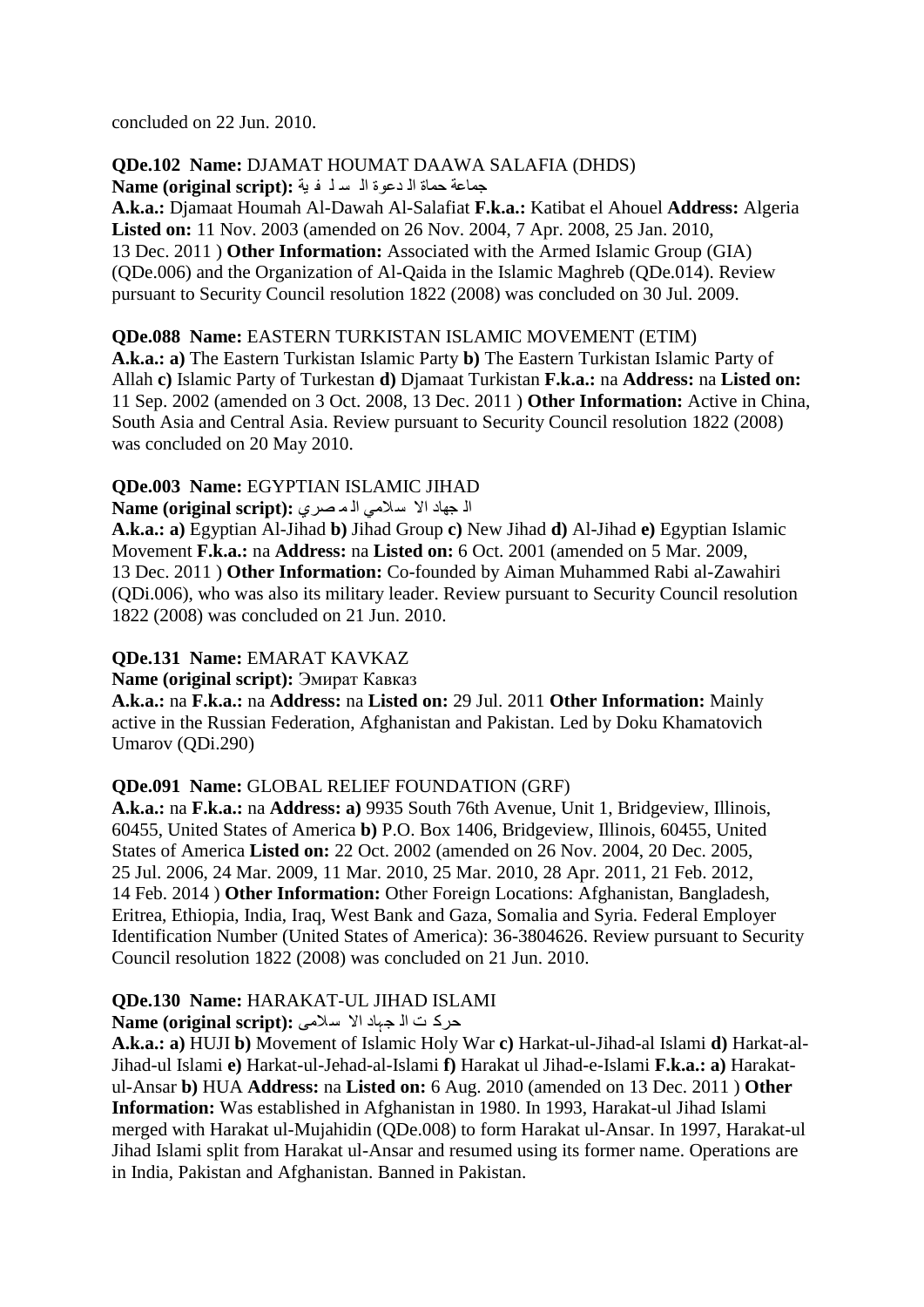concluded on 22 Jun. 2010.

# **QDe.102 Name:** DJAMAT HOUMAT DAAWA SALAFIA (DHDS)

جماعة حماة ال دعوة اله سلف فية : Name (original script)

**A.k.a.:** Djamaat Houmah Al-Dawah Al-Salafiat **F.k.a.:** Katibat el Ahouel **Address:** Algeria **Listed on:** 11 Nov. 2003 (amended on 26 Nov. 2004, 7 Apr. 2008, 25 Jan. 2010, 13 Dec. 2011 ) **Other Information:** Associated with the Armed Islamic Group (GIA) (QDe.006) and the Organization of Al-Qaida in the Islamic Maghreb (QDe.014). Review pursuant to Security Council resolution 1822 (2008) was concluded on 30 Jul. 2009.

#### **QDe.088 Name:** EASTERN TURKISTAN ISLAMIC MOVEMENT (ETIM)

**A.k.a.: a)** The Eastern Turkistan Islamic Party **b)** The Eastern Turkistan Islamic Party of Allah **c)** Islamic Party of Turkestan **d)** Djamaat Turkistan **F.k.a.:** na **Address:** na **Listed on:**  11 Sep. 2002 (amended on 3 Oct. 2008, 13 Dec. 2011 ) **Other Information:** Active in China, South Asia and Central Asia. Review pursuant to Security Council resolution 1822 (2008) was concluded on 20 May 2010.

#### **QDe.003 Name:** EGYPTIAN ISLAMIC JIHAD

ال جهاد الا سلامي الـ مـصري : Name (original script)

**A.k.a.: a)** Egyptian Al-Jihad **b)** Jihad Group **c)** New Jihad **d)** Al-Jihad **e)** Egyptian Islamic Movement **F.k.a.:** na **Address:** na **Listed on:** 6 Oct. 2001 (amended on 5 Mar. 2009, 13 Dec. 2011 ) **Other Information:** Co-founded by Aiman Muhammed Rabi al-Zawahiri (QDi.006), who was also its military leader. Review pursuant to Security Council resolution 1822 (2008) was concluded on 21 Jun. 2010.

# **QDe.131 Name:** EMARAT KAVKAZ

**Name (original script):** Эмират Кавказ

**A.k.a.:** na **F.k.a.:** na **Address:** na **Listed on:** 29 Jul. 2011 **Other Information:** Mainly active in the Russian Federation, Afghanistan and Pakistan. Led by Doku Khamatovich Umarov (QDi.290)

# **QDe.091 Name:** GLOBAL RELIEF FOUNDATION (GRF)

**A.k.a.:** na **F.k.a.:** na **Address: a)** 9935 South 76th Avenue, Unit 1, Bridgeview, Illinois, 60455, United States of America **b)** P.O. Box 1406, Bridgeview, Illinois, 60455, United States of America **Listed on:** 22 Oct. 2002 (amended on 26 Nov. 2004, 20 Dec. 2005, 25 Jul. 2006, 24 Mar. 2009, 11 Mar. 2010, 25 Mar. 2010, 28 Apr. 2011, 21 Feb. 2012, 14 Feb. 2014 ) **Other Information:** Other Foreign Locations: Afghanistan, Bangladesh, Eritrea, Ethiopia, India, Iraq, West Bank and Gaza, Somalia and Syria. Federal Employer Identification Number (United States of America): 36-3804626. Review pursuant to Security Council resolution 1822 (2008) was concluded on 21 Jun. 2010.

# **QDe.130 Name:** HARAKAT-UL JIHAD ISLAMI

#### حرک ت ال جہاد الا سلامی **:**(Name (original script

**A.k.a.: a)** HUJI **b)** Movement of Islamic Holy War **c)** Harkat-ul-Jihad-al Islami **d)** Harkat-al-Jihad-ul Islami **e)** Harkat-ul-Jehad-al-Islami **f)** Harakat ul Jihad-e-Islami **F.k.a.: a)** Harakatul-Ansar **b)** HUA **Address:** na **Listed on:** 6 Aug. 2010 (amended on 13 Dec. 2011 ) **Other Information:** Was established in Afghanistan in 1980. In 1993, Harakat-ul Jihad Islami merged with Harakat ul-Mujahidin (QDe.008) to form Harakat ul-Ansar. In 1997, Harakat-ul Jihad Islami split from Harakat ul-Ansar and resumed using its former name. Operations are in India, Pakistan and Afghanistan. Banned in Pakistan.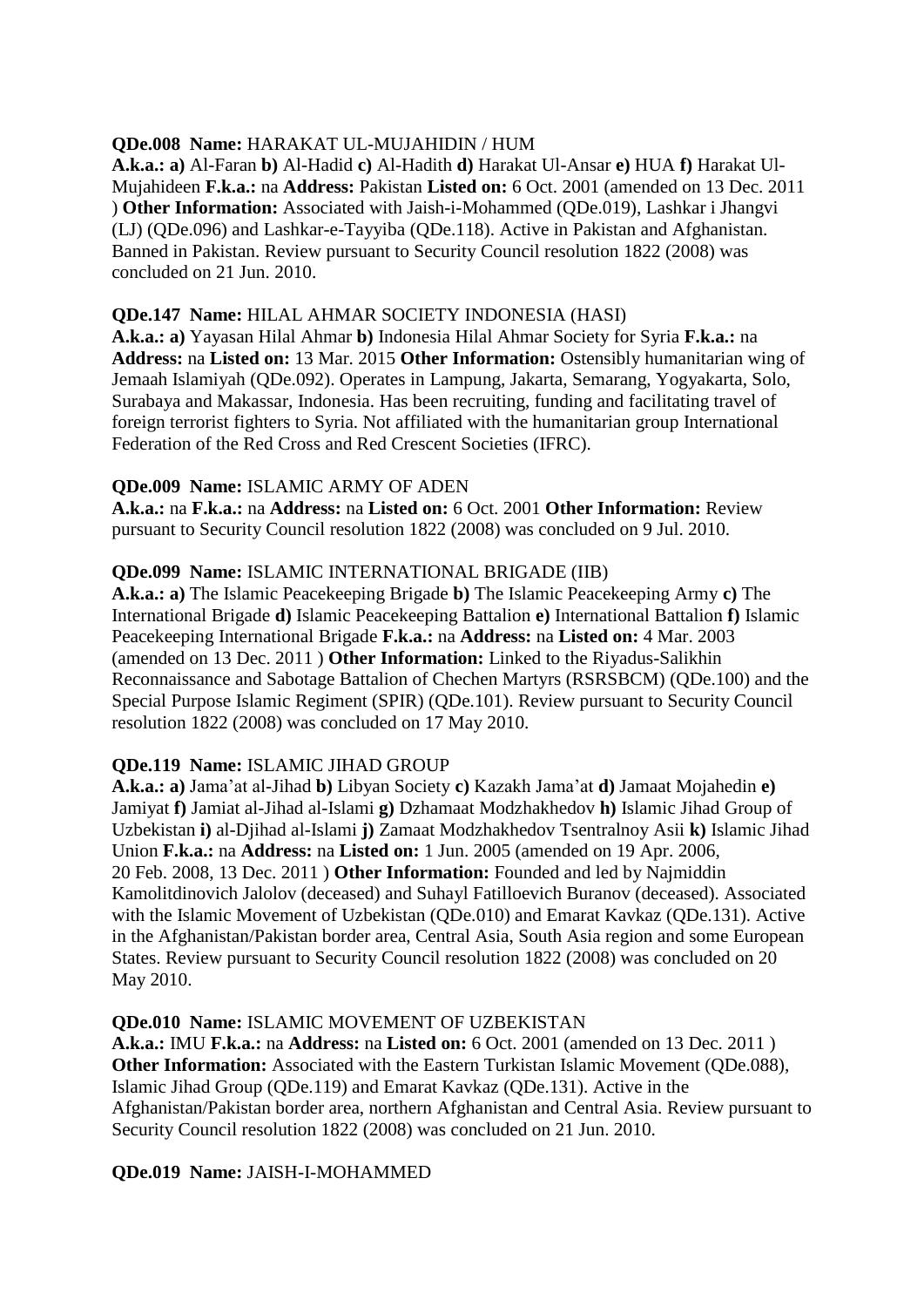#### **QDe.008 Name:** HARAKAT UL-MUJAHIDIN / HUM

**A.k.a.: a)** Al-Faran **b)** Al-Hadid **c)** Al-Hadith **d)** Harakat Ul-Ansar **e)** HUA **f)** Harakat Ul-Mujahideen **F.k.a.:** na **Address:** Pakistan **Listed on:** 6 Oct. 2001 (amended on 13 Dec. 2011 ) **Other Information:** Associated with Jaish-i-Mohammed (QDe.019), Lashkar i Jhangvi (LJ) (QDe.096) and Lashkar-e-Tayyiba (QDe.118). Active in Pakistan and Afghanistan. Banned in Pakistan. Review pursuant to Security Council resolution 1822 (2008) was concluded on 21 Jun. 2010.

#### **QDe.147 Name:** HILAL AHMAR SOCIETY INDONESIA (HASI)

**A.k.a.: a)** Yayasan Hilal Ahmar **b)** Indonesia Hilal Ahmar Society for Syria **F.k.a.:** na **Address:** na **Listed on:** 13 Mar. 2015 **Other Information:** Ostensibly humanitarian wing of Jemaah Islamiyah (QDe.092). Operates in Lampung, Jakarta, Semarang, Yogyakarta, Solo, Surabaya and Makassar, Indonesia. Has been recruiting, funding and facilitating travel of foreign terrorist fighters to Syria. Not affiliated with the humanitarian group International Federation of the Red Cross and Red Crescent Societies (IFRC).

#### **QDe.009 Name:** ISLAMIC ARMY OF ADEN

**A.k.a.:** na **F.k.a.:** na **Address:** na **Listed on:** 6 Oct. 2001 **Other Information:** Review pursuant to Security Council resolution 1822 (2008) was concluded on 9 Jul. 2010.

#### **QDe.099 Name:** ISLAMIC INTERNATIONAL BRIGADE (IIB)

**A.k.a.: a)** The Islamic Peacekeeping Brigade **b)** The Islamic Peacekeeping Army **c)** The International Brigade **d)** Islamic Peacekeeping Battalion **e)** International Battalion **f)** Islamic Peacekeeping International Brigade **F.k.a.:** na **Address:** na **Listed on:** 4 Mar. 2003 (amended on 13 Dec. 2011 ) **Other Information:** Linked to the Riyadus-Salikhin Reconnaissance and Sabotage Battalion of Chechen Martyrs (RSRSBCM) (QDe.100) and the Special Purpose Islamic Regiment (SPIR) (QDe.101). Review pursuant to Security Council resolution 1822 (2008) was concluded on 17 May 2010.

#### **QDe.119 Name:** ISLAMIC JIHAD GROUP

**A.k.a.: a)** Jama"at al-Jihad **b)** Libyan Society **c)** Kazakh Jama"at **d)** Jamaat Mojahedin **e)**  Jamiyat **f)** Jamiat al-Jihad al-Islami **g)** Dzhamaat Modzhakhedov **h)** Islamic Jihad Group of Uzbekistan **i)** al-Djihad al-Islami **j)** Zamaat Modzhakhedov Tsentralnoy Asii **k)** Islamic Jihad Union **F.k.a.:** na **Address:** na **Listed on:** 1 Jun. 2005 (amended on 19 Apr. 2006, 20 Feb. 2008, 13 Dec. 2011 ) **Other Information:** Founded and led by Najmiddin Kamolitdinovich Jalolov (deceased) and Suhayl Fatilloevich Buranov (deceased). Associated with the Islamic Movement of Uzbekistan (QDe.010) and Emarat Kavkaz (QDe.131). Active in the Afghanistan/Pakistan border area, Central Asia, South Asia region and some European States. Review pursuant to Security Council resolution 1822 (2008) was concluded on 20 May 2010.

#### **QDe.010 Name:** ISLAMIC MOVEMENT OF UZBEKISTAN

**A.k.a.:** IMU **F.k.a.:** na **Address:** na **Listed on:** 6 Oct. 2001 (amended on 13 Dec. 2011 ) **Other Information:** Associated with the Eastern Turkistan Islamic Movement (ODe.088), Islamic Jihad Group (QDe.119) and Emarat Kavkaz (QDe.131). Active in the Afghanistan/Pakistan border area, northern Afghanistan and Central Asia. Review pursuant to Security Council resolution 1822 (2008) was concluded on 21 Jun. 2010.

#### **QDe.019 Name:** JAISH-I-MOHAMMED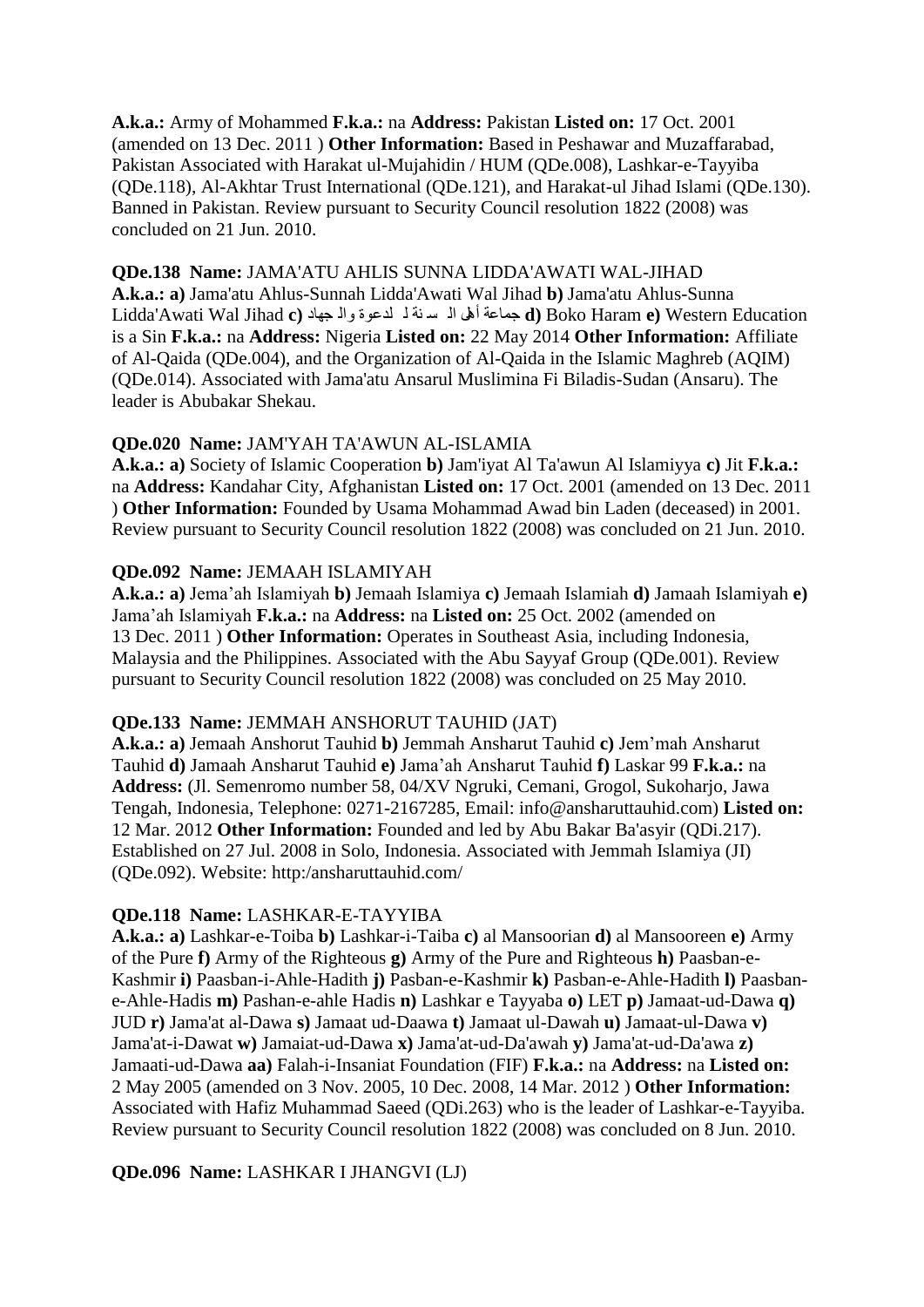**A.k.a.:** Army of Mohammed **F.k.a.:** na **Address:** Pakistan **Listed on:** 17 Oct. 2001 (amended on 13 Dec. 2011 ) **Other Information:** Based in Peshawar and Muzaffarabad, Pakistan Associated with Harakat ul-Mujahidin / HUM (QDe.008), Lashkar-e-Tayyiba (QDe.118), Al-Akhtar Trust International (QDe.121), and Harakat-ul Jihad Islami (QDe.130). Banned in Pakistan. Review pursuant to Security Council resolution 1822 (2008) was concluded on 21 Jun. 2010.

#### **QDe.138 Name:** JAMA'ATU AHLIS SUNNA LIDDA'AWATI WAL-JIHAD

**A.k.a.: a)** Jama'atu Ahlus-Sunnah Lidda'Awati Wal Jihad **b)** Jama'atu Ahlus-Sunna Education Western**) e** Haram Boko**) d** جّاػح أً٘ اٌ غ ٕح ٌ ٍذػٛج ٚاٌ جٙاد **(c** Jihad Wal Awati'Lidda is a Sin **F.k.a.:** na **Address:** Nigeria **Listed on:** 22 May 2014 **Other Information:** Affiliate of Al-Qaida (QDe.004), and the Organization of Al-Qaida in the Islamic Maghreb (AQIM) (QDe.014). Associated with Jama'atu Ansarul Muslimina Fi Biladis-Sudan (Ansaru). The leader is Abubakar Shekau.

#### **QDe.020 Name:** JAM'YAH TA'AWUN AL-ISLAMIA

**A.k.a.: a)** Society of Islamic Cooperation **b)** Jam'iyat Al Ta'awun Al Islamiyya **c)** Jit **F.k.a.:**  na **Address:** Kandahar City, Afghanistan **Listed on:** 17 Oct. 2001 (amended on 13 Dec. 2011 ) **Other Information:** Founded by Usama Mohammad Awad bin Laden (deceased) in 2001. Review pursuant to Security Council resolution 1822 (2008) was concluded on 21 Jun. 2010.

#### **QDe.092 Name:** JEMAAH ISLAMIYAH

**A.k.a.: a)** Jema"ah Islamiyah **b)** Jemaah Islamiya **c)** Jemaah Islamiah **d)** Jamaah Islamiyah **e)**  Jama"ah Islamiyah **F.k.a.:** na **Address:** na **Listed on:** 25 Oct. 2002 (amended on 13 Dec. 2011 ) **Other Information:** Operates in Southeast Asia, including Indonesia, Malaysia and the Philippines. Associated with the Abu Sayyaf Group (QDe.001). Review pursuant to Security Council resolution 1822 (2008) was concluded on 25 May 2010.

#### **QDe.133 Name:** JEMMAH ANSHORUT TAUHID (JAT)

**A.k.a.: a)** Jemaah Anshorut Tauhid **b)** Jemmah Ansharut Tauhid **c)** Jem"mah Ansharut Tauhid **d)** Jamaah Ansharut Tauhid **e)** Jama"ah Ansharut Tauhid **f)** Laskar 99 **F.k.a.:** na **Address:** (Jl. Semenromo number 58, 04/XV Ngruki, Cemani, Grogol, Sukoharjo, Jawa Tengah, Indonesia, Telephone: 0271-2167285, Email: info@ansharuttauhid.com) **Listed on:**  12 Mar. 2012 **Other Information:** Founded and led by Abu Bakar Ba'asyir (QDi.217). Established on 27 Jul. 2008 in Solo, Indonesia. Associated with Jemmah Islamiya (JI) (QDe.092). Website: http:/ansharuttauhid.com/

# **QDe.118 Name:** LASHKAR-E-TAYYIBA

**A.k.a.: a)** Lashkar-e-Toiba **b)** Lashkar-i-Taiba **c)** al Mansoorian **d)** al Mansooreen **e)** Army of the Pure **f)** Army of the Righteous **g)** Army of the Pure and Righteous **h)** Paasban-e-Kashmir **i)** Paasban-i-Ahle-Hadith **j)** Pasban-e-Kashmir **k)** Pasban-e-Ahle-Hadith **l)** Paasbane-Ahle-Hadis **m)** Pashan-e-ahle Hadis **n)** Lashkar e Tayyaba **o)** LET **p)** Jamaat-ud-Dawa **q)**  JUD **r)** Jama'at al-Dawa **s)** Jamaat ud-Daawa **t)** Jamaat ul-Dawah **u)** Jamaat-ul-Dawa **v)**  Jama'at-i-Dawat **w)** Jamaiat-ud-Dawa **x)** Jama'at-ud-Da'awah **y)** Jama'at-ud-Da'awa **z)**  Jamaati-ud-Dawa **aa)** Falah-i-Insaniat Foundation (FIF) **F.k.a.:** na **Address:** na **Listed on:**  2 May 2005 (amended on 3 Nov. 2005, 10 Dec. 2008, 14 Mar. 2012 ) **Other Information:**  Associated with Hafiz Muhammad Saeed (QDi.263) who is the leader of Lashkar-e-Tayyiba. Review pursuant to Security Council resolution 1822 (2008) was concluded on 8 Jun. 2010.

# **QDe.096 Name:** LASHKAR I JHANGVI (LJ)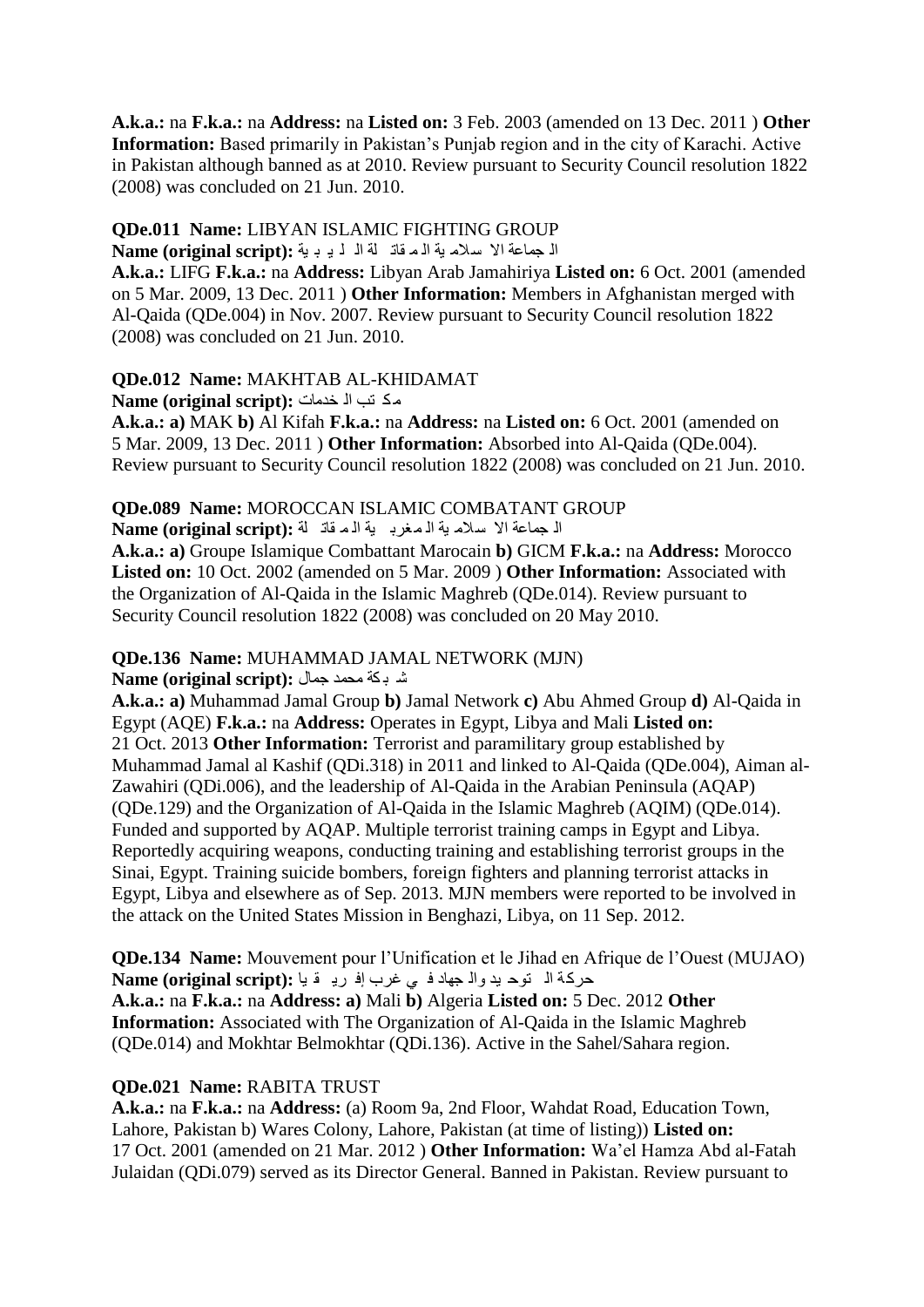**A.k.a.:** na **F.k.a.:** na **Address:** na **Listed on:** 3 Feb. 2003 (amended on 13 Dec. 2011 ) **Other Information:** Based primarily in Pakistan's Punjab region and in the city of Karachi. Active in Pakistan although banned as at 2010. Review pursuant to Security Council resolution 1822 (2008) was concluded on 21 Jun. 2010.

#### **QDe.011 Name:** LIBYAN ISLAMIC FIGHTING GROUP

ال جماعة الا سلام ية اله قات لة ال لـ بـ بـ بة : Name (original script)

**A.k.a.:** LIFG **F.k.a.:** na **Address:** Libyan Arab Jamahiriya **Listed on:** 6 Oct. 2001 (amended on 5 Mar. 2009, 13 Dec. 2011 ) **Other Information:** Members in Afghanistan merged with Al-Qaida (QDe.004) in Nov. 2007. Review pursuant to Security Council resolution 1822 (2008) was concluded on 21 Jun. 2010.

#### **QDe.012 Name:** MAKHTAB AL-KHIDAMAT

ِى رة اٌ خذِاخ **:(script original (Name**

**A.k.a.: a)** MAK **b)** Al Kifah **F.k.a.:** na **Address:** na **Listed on:** 6 Oct. 2001 (amended on 5 Mar. 2009, 13 Dec. 2011 ) **Other Information:** Absorbed into Al-Qaida (QDe.004). Review pursuant to Security Council resolution 1822 (2008) was concluded on 21 Jun. 2010.

#### **QDe.089 Name:** MOROCCAN ISLAMIC COMBATANT GROUP

ال جماعة الا سلام بة ال مغرب بة الم قادّ اله : Name (original script)

**A.k.a.: a)** Groupe Islamique Combattant Marocain **b)** GICM **F.k.a.:** na **Address:** Morocco **Listed on:** 10 Oct. 2002 (amended on 5 Mar. 2009 ) **Other Information:** Associated with the Organization of Al-Qaida in the Islamic Maghreb (QDe.014). Review pursuant to Security Council resolution 1822 (2008) was concluded on 20 May 2010.

#### **QDe.136 Name:** MUHAMMAD JAMAL NETWORK (MJN)

ؽ ث ىح ِذّذ جّاي **:(script original (Name**

**A.k.a.: a)** Muhammad Jamal Group **b)** Jamal Network **c)** Abu Ahmed Group **d)** Al-Qaida in Egypt (AQE) **F.k.a.:** na **Address:** Operates in Egypt, Libya and Mali **Listed on:**  21 Oct. 2013 **Other Information:** Terrorist and paramilitary group established by Muhammad Jamal al Kashif (QDi.318) in 2011 and linked to Al-Qaida (QDe.004), Aiman al-Zawahiri (QDi.006), and the leadership of Al-Qaida in the Arabian Peninsula (AQAP) (QDe.129) and the Organization of Al-Qaida in the Islamic Maghreb (AQIM) (QDe.014). Funded and supported by AQAP. Multiple terrorist training camps in Egypt and Libya. Reportedly acquiring weapons, conducting training and establishing terrorist groups in the Sinai, Egypt. Training suicide bombers, foreign fighters and planning terrorist attacks in Egypt, Libya and elsewhere as of Sep. 2013. MJN members were reported to be involved in the attack on the United States Mission in Benghazi, Libya, on 11 Sep. 2012.

**QDe.134 Name:** Mouvement pour l"Unification et le Jihad en Afrique de l"Ouest (MUJAO) حركة ال توح بدوال جهاد في غرب إفريقيا : Name (original script) **A.k.a.:** na **F.k.a.:** na **Address: a)** Mali **b)** Algeria **Listed on:** 5 Dec. 2012 **Other Information:** Associated with The Organization of Al-Qaida in the Islamic Maghreb (QDe.014) and Mokhtar Belmokhtar (QDi.136). Active in the Sahel/Sahara region.

#### **QDe.021 Name:** RABITA TRUST

**A.k.a.:** na **F.k.a.:** na **Address:** (a) Room 9a, 2nd Floor, Wahdat Road, Education Town, Lahore, Pakistan b) Wares Colony, Lahore, Pakistan (at time of listing)) **Listed on:**  17 Oct. 2001 (amended on 21 Mar. 2012 ) **Other Information:** Wa"el Hamza Abd al-Fatah Julaidan (QDi.079) served as its Director General. Banned in Pakistan. Review pursuant to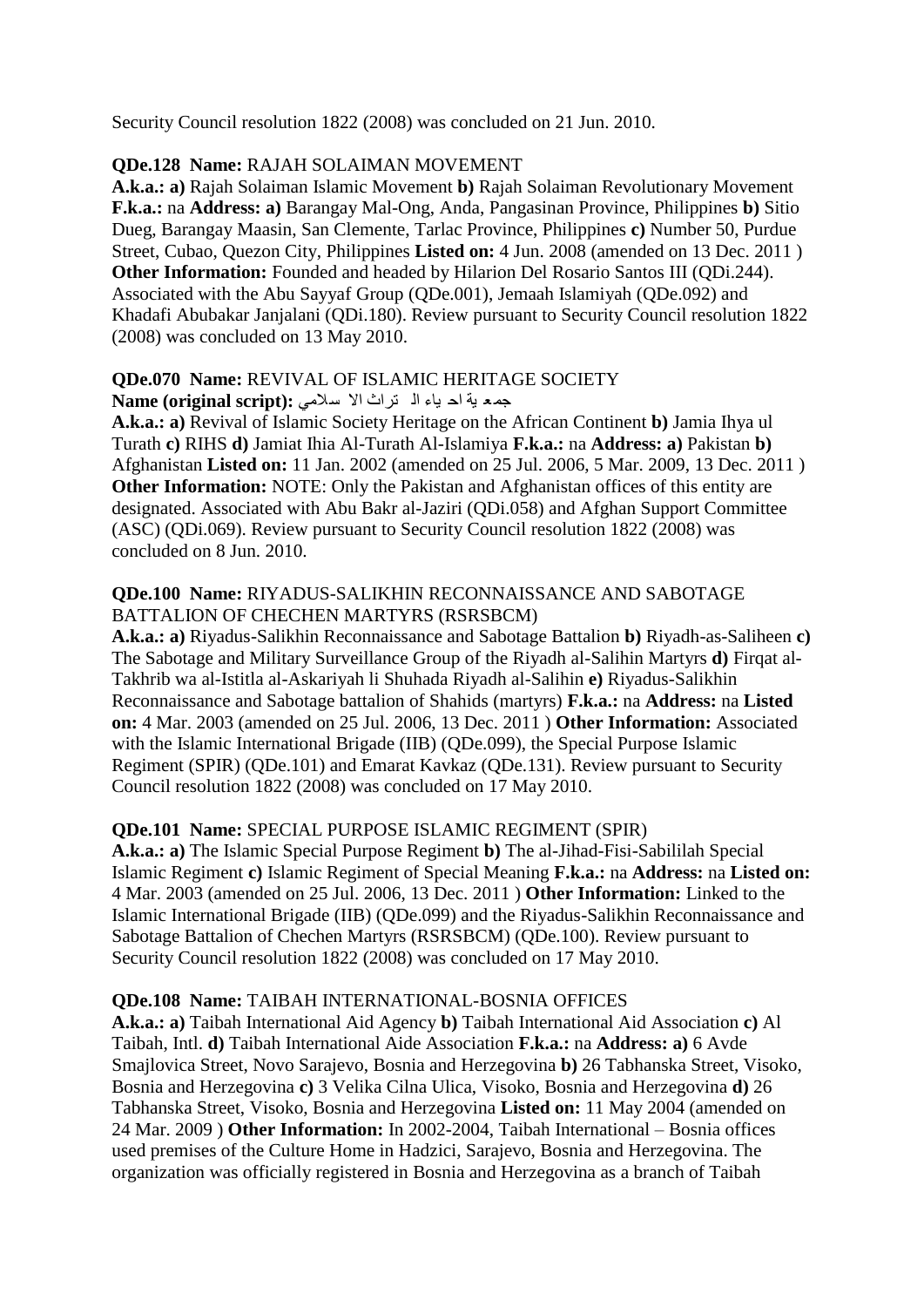Security Council resolution 1822 (2008) was concluded on 21 Jun. 2010.

### **QDe.128 Name:** RAJAH SOLAIMAN MOVEMENT

**A.k.a.: a)** Rajah Solaiman Islamic Movement **b)** Rajah Solaiman Revolutionary Movement **F.k.a.:** na **Address: a)** Barangay Mal-Ong, Anda, Pangasinan Province, Philippines **b)** Sitio Dueg, Barangay Maasin, San Clemente, Tarlac Province, Philippines **c)** Number 50, Purdue Street, Cubao, Quezon City, Philippines **Listed on:** 4 Jun. 2008 (amended on 13 Dec. 2011 ) **Other Information:** Founded and headed by Hilarion Del Rosario Santos III (QDi.244). Associated with the Abu Sayyaf Group (QDe.001), Jemaah Islamiyah (QDe.092) and Khadafi Abubakar Janjalani (QDi.180). Review pursuant to Security Council resolution 1822 (2008) was concluded on 13 May 2010.

#### **QDe.070 Name:** REVIVAL OF ISLAMIC HERITAGE SOCIETY

جمع بة اح باء ال تراث الا سلامي: Name (original script):

**A.k.a.: a)** Revival of Islamic Society Heritage on the African Continent **b)** Jamia Ihya ul Turath **c)** RIHS **d)** Jamiat Ihia Al-Turath Al-Islamiya **F.k.a.:** na **Address: a)** Pakistan **b)**  Afghanistan **Listed on:** 11 Jan. 2002 (amended on 25 Jul. 2006, 5 Mar. 2009, 13 Dec. 2011 ) **Other Information:** NOTE: Only the Pakistan and Afghanistan offices of this entity are designated. Associated with Abu Bakr al-Jaziri (QDi.058) and Afghan Support Committee (ASC) (QDi.069). Review pursuant to Security Council resolution 1822 (2008) was concluded on 8 Jun. 2010.

#### **QDe.100 Name:** RIYADUS-SALIKHIN RECONNAISSANCE AND SABOTAGE BATTALION OF CHECHEN MARTYRS (RSRSBCM)

**A.k.a.: a)** Riyadus-Salikhin Reconnaissance and Sabotage Battalion **b)** Riyadh-as-Saliheen **c)**  The Sabotage and Military Surveillance Group of the Riyadh al-Salihin Martyrs **d)** Firqat al-Takhrib wa al-Istitla al-Askariyah li Shuhada Riyadh al-Salihin **e)** Riyadus-Salikhin Reconnaissance and Sabotage battalion of Shahids (martyrs) **F.k.a.:** na **Address:** na **Listed on:** 4 Mar. 2003 (amended on 25 Jul. 2006, 13 Dec. 2011 ) **Other Information:** Associated with the Islamic International Brigade (IIB) (ODe.099), the Special Purpose Islamic Regiment (SPIR) (QDe.101) and Emarat Kavkaz (QDe.131). Review pursuant to Security Council resolution 1822 (2008) was concluded on 17 May 2010.

#### **QDe.101 Name:** SPECIAL PURPOSE ISLAMIC REGIMENT (SPIR)

**A.k.a.: a)** The Islamic Special Purpose Regiment **b)** The al-Jihad-Fisi-Sabililah Special Islamic Regiment **c)** Islamic Regiment of Special Meaning **F.k.a.:** na **Address:** na **Listed on:**  4 Mar. 2003 (amended on 25 Jul. 2006, 13 Dec. 2011 ) **Other Information:** Linked to the Islamic International Brigade (IIB) (QDe.099) and the Riyadus-Salikhin Reconnaissance and Sabotage Battalion of Chechen Martyrs (RSRSBCM) (QDe.100). Review pursuant to Security Council resolution 1822 (2008) was concluded on 17 May 2010.

#### **QDe.108 Name:** TAIBAH INTERNATIONAL-BOSNIA OFFICES

**A.k.a.: a)** Taibah International Aid Agency **b)** Taibah International Aid Association **c)** Al Taibah, Intl. **d)** Taibah International Aide Association **F.k.a.:** na **Address: a)** 6 Avde Smajlovica Street, Novo Sarajevo, Bosnia and Herzegovina **b)** 26 Tabhanska Street, Visoko, Bosnia and Herzegovina **c)** 3 Velika Cilna Ulica, Visoko, Bosnia and Herzegovina **d)** 26 Tabhanska Street, Visoko, Bosnia and Herzegovina **Listed on:** 11 May 2004 (amended on 24 Mar. 2009 ) **Other Information:** In 2002-2004, Taibah International – Bosnia offices used premises of the Culture Home in Hadzici, Sarajevo, Bosnia and Herzegovina. The organization was officially registered in Bosnia and Herzegovina as a branch of Taibah